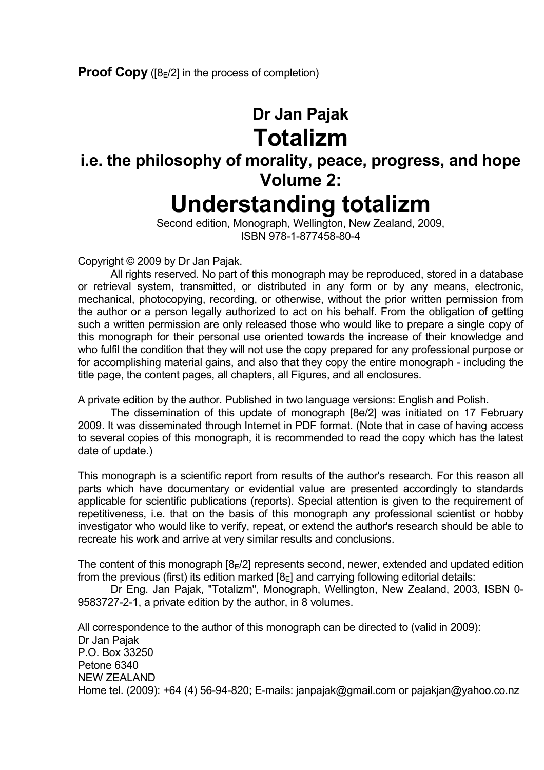# **Dr Jan Pajak Totalizm**

# **i.e. the philosophy of morality, peace, progress, and hope Volume 2: Understanding totalizm**

 Second edition, Monograph, Wellington, New Zealand, 2009, ISBN 978-1-877458-80-4

Copyright © 2009 by Dr Jan Pajak.

 All rights reserved. No part of this monograph may be reproduced, stored in a database or retrieval system, transmitted, or distributed in any form or by any means, electronic, mechanical, photocopying, recording, or otherwise, without the prior written permission from the author or a person legally authorized to act on his behalf. From the obligation of getting such a written permission are only released those who would like to prepare a single copy of this monograph for their personal use oriented towards the increase of their knowledge and who fulfil the condition that they will not use the copy prepared for any professional purpose or for accomplishing material gains, and also that they copy the entire monograph - including the title page, the content pages, all chapters, all Figures, and all enclosures.

A private edition by the author. Published in two language versions: English and Polish.

 The dissemination of this update of monograph [8e/2] was initiated on 17 February 2009. It was disseminated through Internet in PDF format. (Note that in case of having access to several copies of this monograph, it is recommended to read the copy which has the latest date of update.)

This monograph is a scientific report from results of the author's research. For this reason all parts which have documentary or evidential value are presented accordingly to standards applicable for scientific publications (reports). Special attention is given to the requirement of repetitiveness, i.e. that on the basis of this monograph any professional scientist or hobby investigator who would like to verify, repeat, or extend the author's research should be able to recreate his work and arrive at very similar results and conclusions.

The content of this monograph  $[8E/2]$  represents second, newer, extended and updated edition from the previous (first) its edition marked  $[8_F]$  and carrying following editorial details:

 Dr Eng. Jan Pajak, "Totalizm", Monograph, Wellington, New Zealand, 2003, ISBN 0- 9583727-2-1, a private edition by the author, in 8 volumes.

All correspondence to the author of this monograph can be directed to (valid in 2009): Dr Jan Pajak P.O. Box 33250 Petone 6340 NEW ZEALAND Home tel. (2009): +64 (4) 56-94-820; E-mails: janpajak@gmail.com or pajakjan@yahoo.co.nz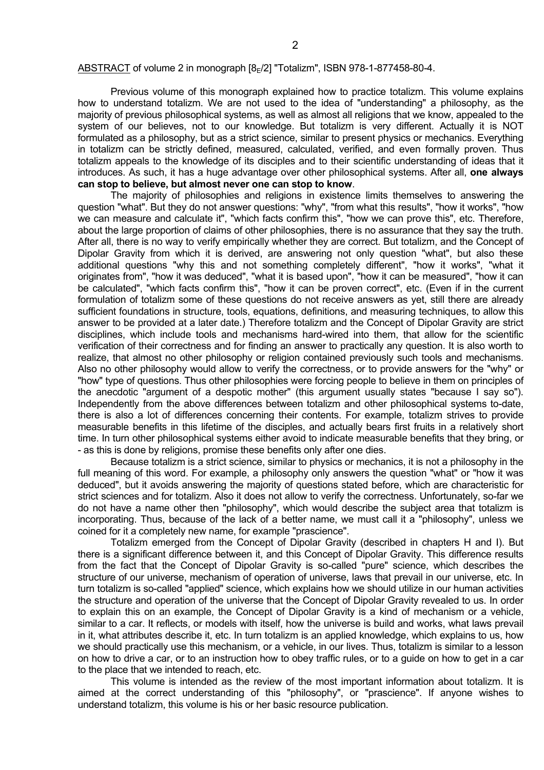#### ABSTRACT of volume 2 in monograph [8=/2] "Totalizm", ISBN 978-1-877458-80-4.

 Previous volume of this monograph explained how to practice totalizm. This volume explains how to understand totalizm. We are not used to the idea of "understanding" a philosophy, as the majority of previous philosophical systems, as well as almost all religions that we know, appealed to the system of our believes, not to our knowledge. But totalizm is very different. Actually it is NOT formulated as a philosophy, but as a strict science, similar to present physics or mechanics. Everything in totalizm can be strictly defined, measured, calculated, verified, and even formally proven. Thus totalizm appeals to the knowledge of its disciples and to their scientific understanding of ideas that it introduces. As such, it has a huge advantage over other philosophical systems. After all, **one always can stop to believe, but almost never one can stop to know**.

 The majority of philosophies and religions in existence limits themselves to answering the question "what". But they do not answer questions: "why", "from what this results", "how it works", "how we can measure and calculate it", "which facts confirm this", "how we can prove this", etc. Therefore, about the large proportion of claims of other philosophies, there is no assurance that they say the truth. After all, there is no way to verify empirically whether they are correct. But totalizm, and the Concept of Dipolar Gravity from which it is derived, are answering not only question "what", but also these additional questions "why this and not something completely different", "how it works", "what it originates from", "how it was deduced", "what it is based upon", "how it can be measured", "how it can be calculated", "which facts confirm this", "how it can be proven correct", etc. (Even if in the current formulation of totalizm some of these questions do not receive answers as yet, still there are already sufficient foundations in structure, tools, equations, definitions, and measuring techniques, to allow this answer to be provided at a later date.) Therefore totalizm and the Concept of Dipolar Gravity are strict disciplines, which include tools and mechanisms hard-wired into them, that allow for the scientific verification of their correctness and for finding an answer to practically any question. It is also worth to realize, that almost no other philosophy or religion contained previously such tools and mechanisms. Also no other philosophy would allow to verify the correctness, or to provide answers for the "why" or "how" type of questions. Thus other philosophies were forcing people to believe in them on principles of the anecdotic "argument of a despotic mother" (this argument usually states "because I say so"). Independently from the above differences between totalizm and other philosophical systems to-date, there is also a lot of differences concerning their contents. For example, totalizm strives to provide measurable benefits in this lifetime of the disciples, and actually bears first fruits in a relatively short time. In turn other philosophical systems either avoid to indicate measurable benefits that they bring, or - as this is done by religions, promise these benefits only after one dies.

 Because totalizm is a strict science, similar to physics or mechanics, it is not a philosophy in the full meaning of this word. For example, a philosophy only answers the question "what" or "how it was deduced", but it avoids answering the majority of questions stated before, which are characteristic for strict sciences and for totalizm. Also it does not allow to verify the correctness. Unfortunately, so-far we do not have a name other then "philosophy", which would describe the subject area that totalizm is incorporating. Thus, because of the lack of a better name, we must call it a "philosophy", unless we coined for it a completely new name, for example "prascience".

 Totalizm emerged from the Concept of Dipolar Gravity (described in chapters H and I). But there is a significant difference between it, and this Concept of Dipolar Gravity. This difference results from the fact that the Concept of Dipolar Gravity is so-called "pure" science, which describes the structure of our universe, mechanism of operation of universe, laws that prevail in our universe, etc. In turn totalizm is so-called "applied" science, which explains how we should utilize in our human activities the structure and operation of the universe that the Concept of Dipolar Gravity revealed to us. In order to explain this on an example, the Concept of Dipolar Gravity is a kind of mechanism or a vehicle, similar to a car. It reflects, or models with itself, how the universe is build and works, what laws prevail in it, what attributes describe it, etc. In turn totalizm is an applied knowledge, which explains to us, how we should practically use this mechanism, or a vehicle, in our lives. Thus, totalizm is similar to a lesson on how to drive a car, or to an instruction how to obey traffic rules, or to a guide on how to get in a car to the place that we intended to reach, etc.

 This volume is intended as the review of the most important information about totalizm. It is aimed at the correct understanding of this "philosophy", or "prascience". If anyone wishes to understand totalizm, this volume is his or her basic resource publication.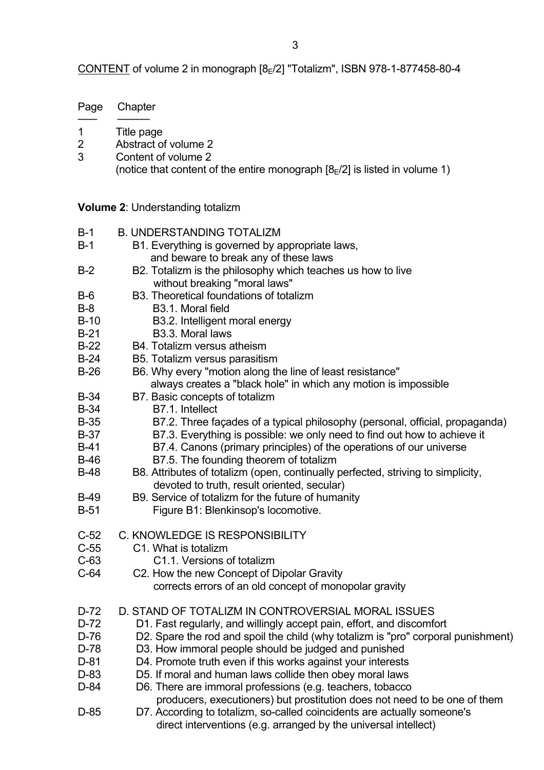CONTENT of volume 2 in monograph  $[8E/2]$  "Totalizm", ISBN 978-1-877458-80-4

| Page             | Chapter                                                                                                                                   |
|------------------|-------------------------------------------------------------------------------------------------------------------------------------------|
| 1<br>2<br>3      | Title page<br>Abstract of volume 2<br>Content of volume 2<br>(notice that content of the entire monograph $[8E/2]$ is listed in volume 1) |
|                  | <b>Volume 2: Understanding totalizm</b>                                                                                                   |
| $B-1$            | <b>B. UNDERSTANDING TOTALIZM</b>                                                                                                          |
| $B-1$            | B1. Everything is governed by appropriate laws,<br>and beware to break any of these laws                                                  |
| $B-2$            | B2. Totalizm is the philosophy which teaches us how to live<br>without breaking "moral laws"                                              |
| $B-6$            | B3. Theoretical foundations of totalizm                                                                                                   |
| $B-8$            | B <sub>3.1</sub> . Moral field                                                                                                            |
| $B-10$           | B3.2. Intelligent moral energy                                                                                                            |
| $B-21$           | B3.3. Moral laws                                                                                                                          |
| $B-22$<br>$B-24$ | B4. Totalizm versus atheism<br>B5. Totalizm versus parasitism                                                                             |
| $B-26$           | B6. Why every "motion along the line of least resistance"                                                                                 |
|                  | always creates a "black hole" in which any motion is impossible                                                                           |
| $B-34$           | B7. Basic concepts of totalizm                                                                                                            |
| $B-34$           | B7.1. Intellect                                                                                                                           |
| $B-35$           | B7.2. Three façades of a typical philosophy (personal, official, propaganda)                                                              |
| $B-37$           | B7.3. Everything is possible: we only need to find out how to achieve it                                                                  |
| $B-41$           | B7.4. Canons (primary principles) of the operations of our universe                                                                       |
| $B-46$           | B7.5. The founding theorem of totalizm                                                                                                    |
| $B-48$           | B8. Attributes of totalizm (open, continually perfected, striving to simplicity,<br>devoted to truth, result oriented, secular)           |
| $B-49$           | B9. Service of totalizm for the future of humanity                                                                                        |

- B-51 Figure B1: Blenkinsop's locomotive.
- C-52 C. KNOWLEDGE IS RESPONSIBILITY
- C-55 C1. What is totalizm
- C-63 C1.1. Versions of totalizm
- C-64 C2. How the new Concept of Dipolar Gravity corrects errors of an old concept of monopolar gravity
- D-72 D. STAND OF TOTALIZM IN CONTROVERSIAL MORAL ISSUES
- D-72 D1. Fast regularly, and willingly accept pain, effort, and discomfort
- D-76 D2. Spare the rod and spoil the child (why totalizm is "pro" corporal punishment)
- D-78 D3. How immoral people should be judged and punished
- D-81 D4. Promote truth even if this works against your interests
- D-83 D5. If moral and human laws collide then obey moral laws
- D-84 D6. There are immoral professions (e.g. teachers, tobacco

producers, executioners) but prostitution does not need to be one of them

D-85 D7. According to totalizm, so-called coincidents are actually someone's direct interventions (e.g. arranged by the universal intellect)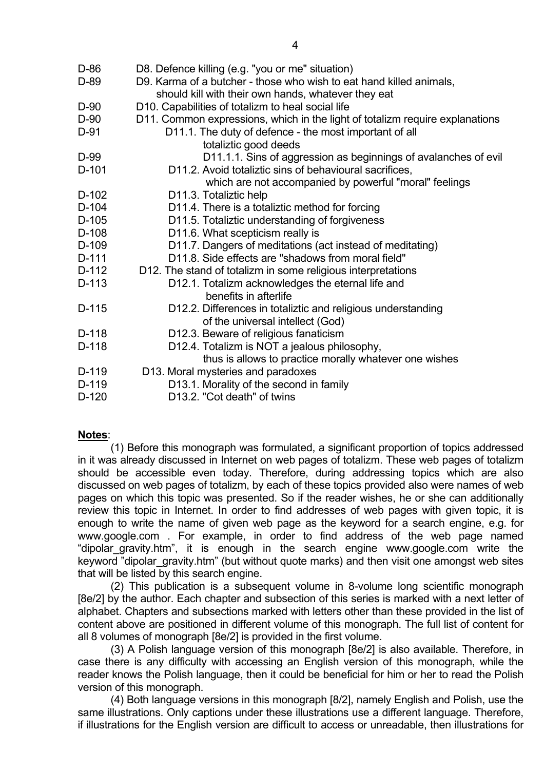| D-86    | D8. Defence killing (e.g. "you or me" situation)                                                 |
|---------|--------------------------------------------------------------------------------------------------|
| D-89    | D9. Karma of a butcher - those who wish to eat hand killed animals,                              |
|         | should kill with their own hands, whatever they eat                                              |
| D-90    | D10. Capabilities of totalizm to heal social life                                                |
| $D-90$  | D11. Common expressions, which in the light of totalizm require explanations                     |
| $D-91$  | D11.1. The duty of defence - the most important of all                                           |
|         | totaliztic good deeds                                                                            |
| D-99    | D11.1.1. Sins of aggression as beginnings of avalanches of evil                                  |
| $D-101$ | D11.2. Avoid totaliztic sins of behavioural sacrifices,                                          |
|         | which are not accompanied by powerful "moral" feelings                                           |
| $D-102$ | D11.3. Totaliztic help                                                                           |
| D-104   | D11.4. There is a totaliztic method for forcing                                                  |
| $D-105$ | D11.5. Totaliztic understanding of forgiveness                                                   |
| D-108   | D11.6. What scepticism really is                                                                 |
| D-109   | D11.7. Dangers of meditations (act instead of meditating)                                        |
| D-111   | D11.8. Side effects are "shadows from moral field"                                               |
| D-112   | D12. The stand of totalizm in some religious interpretations                                     |
| D-113   | D12.1. Totalizm acknowledges the eternal life and<br>benefits in afterlife                       |
| $D-115$ | D12.2. Differences in totaliztic and religious understanding<br>of the universal intellect (God) |
| $D-118$ | D12.3. Beware of religious fanaticism                                                            |
| D-118   | D12.4. Totalizm is NOT a jealous philosophy,                                                     |
|         | thus is allows to practice morally whatever one wishes                                           |
| D-119   | D13. Moral mysteries and paradoxes                                                               |
| D-119   | D13.1. Morality of the second in family                                                          |
| $D-120$ | D13.2. "Cot death" of twins                                                                      |

# **Notes**:

 (1) Before this monograph was formulated, a significant proportion of topics addressed in it was already discussed in Internet on web pages of totalizm. These web pages of totalizm should be accessible even today. Therefore, during addressing topics which are also discussed on web pages of totalizm, by each of these topics provided also were names of web pages on which this topic was presented. So if the reader wishes, he or she can additionally review this topic in Internet. In order to find addresses of web pages with given topic, it is enough to write the name of given web page as the keyword for a search engine, e.g. for www.google.com . For example, in order to find address of the web page named "dipolar\_gravity.htm", it is enough in the search engine www.google.com write the keyword "dipolar gravity.htm" (but without quote marks) and then visit one amongst web sites that will be listed by this search engine.

 (2) This publication is a subsequent volume in 8-volume long scientific monograph [8e/2] by the author. Each chapter and subsection of this series is marked with a next letter of alphabet. Chapters and subsections marked with letters other than these provided in the list of content above are positioned in different volume of this monograph. The full list of content for all 8 volumes of monograph [8e/2] is provided in the first volume.

 (3) A Polish language version of this monograph [8e/2] is also available. Therefore, in case there is any difficulty with accessing an English version of this monograph, while the reader knows the Polish language, then it could be beneficial for him or her to read the Polish version of this monograph.

 (4) Both language versions in this monograph [8/2], namely English and Polish, use the same illustrations. Only captions under these illustrations use a different language. Therefore, if illustrations for the English version are difficult to access or unreadable, then illustrations for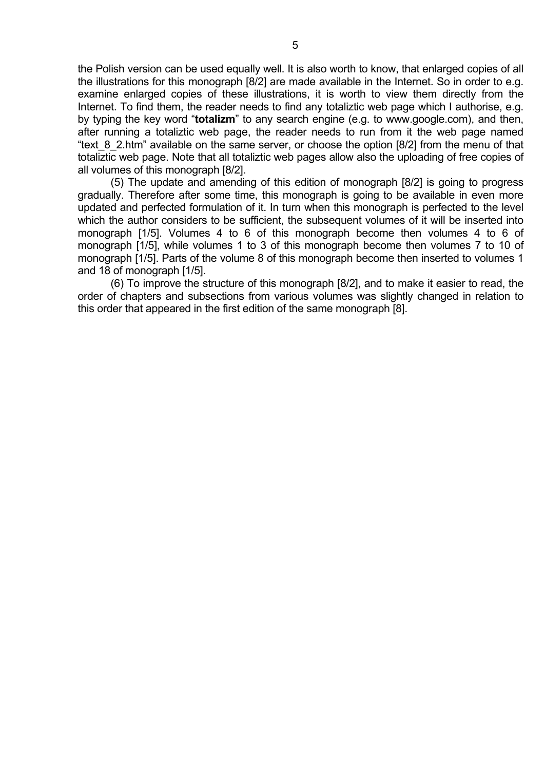the Polish version can be used equally well. It is also worth to know, that enlarged copies of all the illustrations for this monograph [8/2] are made available in the Internet. So in order to e.g. examine enlarged copies of these illustrations, it is worth to view them directly from the Internet. To find them, the reader needs to find any totaliztic web page which I authorise, e.g. by typing the key word "**totalizm**" to any search engine (e.g. to www.google.com), and then, after running a totaliztic web page, the reader needs to run from it the web page named "text 8 2.htm" available on the same server, or choose the option [8/2] from the menu of that totaliztic web page. Note that all totaliztic web pages allow also the uploading of free copies of all volumes of this monograph [8/2].

 (5) The update and amending of this edition of monograph [8/2] is going to progress gradually. Therefore after some time, this monograph is going to be available in even more updated and perfected formulation of it. In turn when this monograph is perfected to the level which the author considers to be sufficient, the subsequent volumes of it will be inserted into monograph [1/5]. Volumes 4 to 6 of this monograph become then volumes 4 to 6 of monograph [1/5], while volumes 1 to 3 of this monograph become then volumes 7 to 10 of monograph [1/5]. Parts of the volume 8 of this monograph become then inserted to volumes 1 and 18 of monograph [1/5].

 (6) To improve the structure of this monograph [8/2], and to make it easier to read, the order of chapters and subsections from various volumes was slightly changed in relation to this order that appeared in the first edition of the same monograph [8].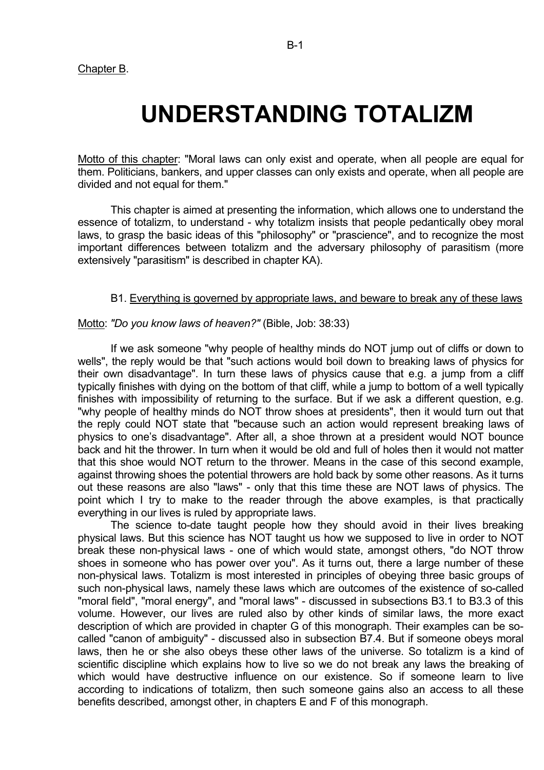# **UNDERSTANDING TOTALIZM**

Motto of this chapter: "Moral laws can only exist and operate, when all people are equal for them. Politicians, bankers, and upper classes can only exists and operate, when all people are divided and not equal for them."

 This chapter is aimed at presenting the information, which allows one to understand the essence of totalizm, to understand - why totalizm insists that people pedantically obey moral laws, to grasp the basic ideas of this "philosophy" or "prascience", and to recognize the most important differences between totalizm and the adversary philosophy of parasitism (more extensively "parasitism" is described in chapter KA).

### B1. Everything is governed by appropriate laws, and beware to break any of these laws

### Motto: *"Do you know laws of heaven?"* (Bible, Job: 38:33)

 If we ask someone "why people of healthy minds do NOT jump out of cliffs or down to wells", the reply would be that "such actions would boil down to breaking laws of physics for their own disadvantage". In turn these laws of physics cause that e.g. a jump from a cliff typically finishes with dying on the bottom of that cliff, while a jump to bottom of a well typically finishes with impossibility of returning to the surface. But if we ask a different question, e.g. "why people of healthy minds do NOT throw shoes at presidents", then it would turn out that the reply could NOT state that "because such an action would represent breaking laws of physics to one's disadvantage". After all, a shoe thrown at a president would NOT bounce back and hit the thrower. In turn when it would be old and full of holes then it would not matter that this shoe would NOT return to the thrower. Means in the case of this second example, against throwing shoes the potential throwers are hold back by some other reasons. As it turns out these reasons are also "laws" - only that this time these are NOT laws of physics. The point which I try to make to the reader through the above examples, is that practically everything in our lives is ruled by appropriate laws.

 The science to-date taught people how they should avoid in their lives breaking physical laws. But this science has NOT taught us how we supposed to live in order to NOT break these non-physical laws - one of which would state, amongst others, "do NOT throw shoes in someone who has power over you". As it turns out, there a large number of these non-physical laws. Totalizm is most interested in principles of obeying three basic groups of such non-physical laws, namely these laws which are outcomes of the existence of so-called "moral field", "moral energy", and "moral laws" - discussed in subsections B3.1 to B3.3 of this volume. However, our lives are ruled also by other kinds of similar laws, the more exact description of which are provided in chapter G of this monograph. Their examples can be socalled "canon of ambiguity" - discussed also in subsection B7.4. But if someone obeys moral laws, then he or she also obeys these other laws of the universe. So totalizm is a kind of scientific discipline which explains how to live so we do not break any laws the breaking of which would have destructive influence on our existence. So if someone learn to live according to indications of totalizm, then such someone gains also an access to all these benefits described, amongst other, in chapters E and F of this monograph.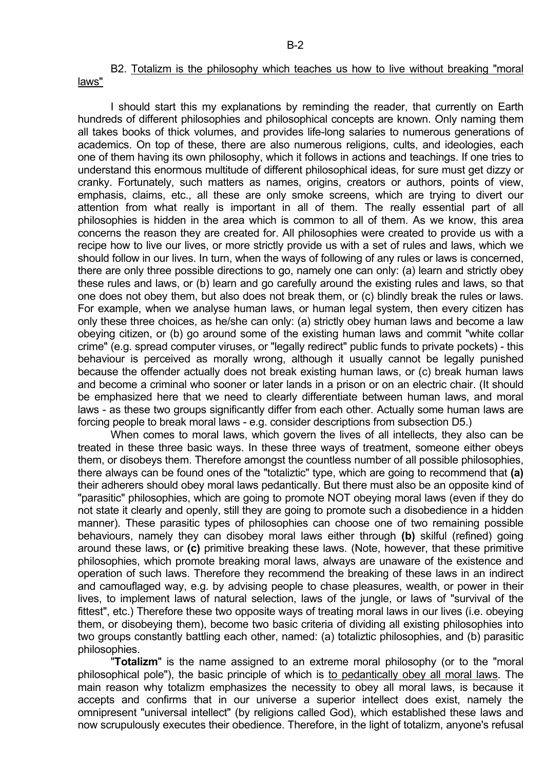B2. Totalizm is the philosophy which teaches us how to live without breaking "moral laws"

 I should start this my explanations by reminding the reader, that currently on Earth hundreds of different philosophies and philosophical concepts are known. Only naming them all takes books of thick volumes, and provides life-long salaries to numerous generations of academics. On top of these, there are also numerous religions, cults, and ideologies, each one of them having its own philosophy, which it follows in actions and teachings. If one tries to understand this enormous multitude of different philosophical ideas, for sure must get dizzy or cranky. Fortunately, such matters as names, origins, creators or authors, points of view, emphasis, claims, etc., all these are only smoke screens, which are trying to divert our attention from what really is important in all of them. The really essential part of all philosophies is hidden in the area which is common to all of them. As we know, this area concerns the reason they are created for. All philosophies were created to provide us with a recipe how to live our lives, or more strictly provide us with a set of rules and laws, which we should follow in our lives. In turn, when the ways of following of any rules or laws is concerned, there are only three possible directions to go, namely one can only: (a) learn and strictly obey these rules and laws, or (b) learn and go carefully around the existing rules and laws, so that one does not obey them, but also does not break them, or (c) blindly break the rules or laws. For example, when we analyse human laws, or human legal system, then every citizen has only these three choices, as he/she can only: (a) strictly obey human laws and become a law obeying citizen, or (b) go around some of the existing human laws and commit "white collar crime" (e.g. spread computer viruses, or "legally redirect" public funds to private pockets) - this behaviour is perceived as morally wrong, although it usually cannot be legally punished because the offender actually does not break existing human laws, or (c) break human laws and become a criminal who sooner or later lands in a prison or on an electric chair. (It should be emphasized here that we need to clearly differentiate between human laws, and moral laws - as these two groups significantly differ from each other. Actually some human laws are forcing people to break moral laws - e.g. consider descriptions from subsection D5.)

 When comes to moral laws, which govern the lives of all intellects, they also can be treated in these three basic ways. In these three ways of treatment, someone either obeys them, or disobeys them. Therefore amongst the countless number of all possible philosophies, there always can be found ones of the "totaliztic" type, which are going to recommend that **(a)** their adherers should obey moral laws pedantically. But there must also be an opposite kind of "parasitic" philosophies, which are going to promote NOT obeying moral laws (even if they do not state it clearly and openly, still they are going to promote such a disobedience in a hidden manner). These parasitic types of philosophies can choose one of two remaining possible behaviours, namely they can disobey moral laws either through **(b)** skilful (refined) going around these laws, or **(c)** primitive breaking these laws. (Note, however, that these primitive philosophies, which promote breaking moral laws, always are unaware of the existence and operation of such laws. Therefore they recommend the breaking of these laws in an indirect and camouflaged way, e.g. by advising people to chase pleasures, wealth, or power in their lives, to implement laws of natural selection, laws of the jungle, or laws of "survival of the fittest", etc.) Therefore these two opposite ways of treating moral laws in our lives (i.e. obeying them, or disobeying them), become two basic criteria of dividing all existing philosophies into two groups constantly battling each other, named: (a) totaliztic philosophies, and (b) parasitic philosophies.

 "**Totalizm**" is the name assigned to an extreme moral philosophy (or to the "moral philosophical pole"), the basic principle of which is to pedantically obey all moral laws. The main reason why totalizm emphasizes the necessity to obey all moral laws, is because it accepts and confirms that in our universe a superior intellect does exist, namely the omnipresent "universal intellect" (by religions called God), which established these laws and now scrupulously executes their obedience. Therefore, in the light of totalizm, anyone's refusal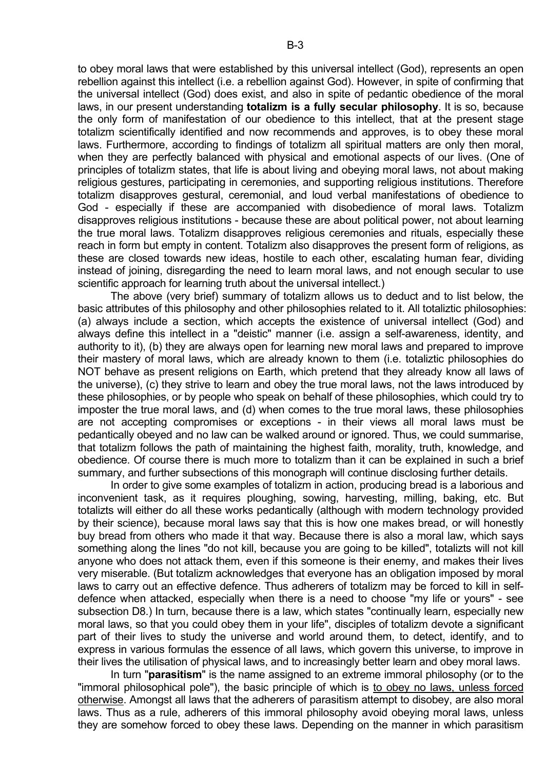to obey moral laws that were established by this universal intellect (God), represents an open rebellion against this intellect (i.e. a rebellion against God). However, in spite of confirming that the universal intellect (God) does exist, and also in spite of pedantic obedience of the moral laws, in our present understanding **totalizm is a fully secular philosophy**. It is so, because the only form of manifestation of our obedience to this intellect, that at the present stage totalizm scientifically identified and now recommends and approves, is to obey these moral laws. Furthermore, according to findings of totalizm all spiritual matters are only then moral, when they are perfectly balanced with physical and emotional aspects of our lives. (One of principles of totalizm states, that life is about living and obeying moral laws, not about making religious gestures, participating in ceremonies, and supporting religious institutions. Therefore totalizm disapproves gestural, ceremonial, and loud verbal manifestations of obedience to God - especially if these are accompanied with disobedience of moral laws. Totalizm disapproves religious institutions - because these are about political power, not about learning the true moral laws. Totalizm disapproves religious ceremonies and rituals, especially these reach in form but empty in content. Totalizm also disapproves the present form of religions, as these are closed towards new ideas, hostile to each other, escalating human fear, dividing instead of joining, disregarding the need to learn moral laws, and not enough secular to use scientific approach for learning truth about the universal intellect.)

 The above (very brief) summary of totalizm allows us to deduct and to list below, the basic attributes of this philosophy and other philosophies related to it. All totaliztic philosophies: (a) always include a section, which accepts the existence of universal intellect (God) and always define this intellect in a "deistic" manner (i.e. assign a self-awareness, identity, and authority to it), (b) they are always open for learning new moral laws and prepared to improve their mastery of moral laws, which are already known to them (i.e. totaliztic philosophies do NOT behave as present religions on Earth, which pretend that they already know all laws of the universe), (c) they strive to learn and obey the true moral laws, not the laws introduced by these philosophies, or by people who speak on behalf of these philosophies, which could try to imposter the true moral laws, and (d) when comes to the true moral laws, these philosophies are not accepting compromises or exceptions - in their views all moral laws must be pedantically obeyed and no law can be walked around or ignored. Thus, we could summarise, that totalizm follows the path of maintaining the highest faith, morality, truth, knowledge, and obedience. Of course there is much more to totalizm than it can be explained in such a brief summary, and further subsections of this monograph will continue disclosing further details.

 In order to give some examples of totalizm in action, producing bread is a laborious and inconvenient task, as it requires ploughing, sowing, harvesting, milling, baking, etc. But totalizts will either do all these works pedantically (although with modern technology provided by their science), because moral laws say that this is how one makes bread, or will honestly buy bread from others who made it that way. Because there is also a moral law, which says something along the lines "do not kill, because you are going to be killed", totalizts will not kill anyone who does not attack them, even if this someone is their enemy, and makes their lives very miserable. (But totalizm acknowledges that everyone has an obligation imposed by moral laws to carry out an effective defence. Thus adherers of totalizm may be forced to kill in selfdefence when attacked, especially when there is a need to choose "my life or yours" - see subsection D8.) In turn, because there is a law, which states "continually learn, especially new moral laws, so that you could obey them in your life", disciples of totalizm devote a significant part of their lives to study the universe and world around them, to detect, identify, and to express in various formulas the essence of all laws, which govern this universe, to improve in their lives the utilisation of physical laws, and to increasingly better learn and obey moral laws.

 In turn "**parasitism**" is the name assigned to an extreme immoral philosophy (or to the "immoral philosophical pole"), the basic principle of which is to obey no laws, unless forced otherwise. Amongst all laws that the adherers of parasitism attempt to disobey, are also moral laws. Thus as a rule, adherers of this immoral philosophy avoid obeying moral laws, unless they are somehow forced to obey these laws. Depending on the manner in which parasitism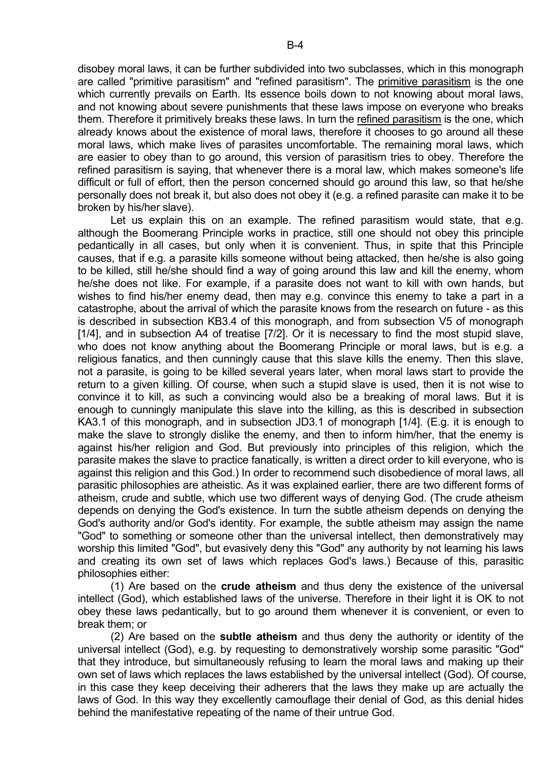disobey moral laws, it can be further subdivided into two subclasses, which in this monograph are called "primitive parasitism" and "refined parasitism". The primitive parasitism is the one which currently prevails on Earth. Its essence boils down to not knowing about moral laws, and not knowing about severe punishments that these laws impose on everyone who breaks them. Therefore it primitively breaks these laws. In turn the refined parasitism is the one, which already knows about the existence of moral laws, therefore it chooses to go around all these moral laws, which make lives of parasites uncomfortable. The remaining moral laws, which are easier to obey than to go around, this version of parasitism tries to obey. Therefore the refined parasitism is saying, that whenever there is a moral law, which makes someone's life difficult or full of effort, then the person concerned should go around this law, so that he/she personally does not break it, but also does not obey it (e.g. a refined parasite can make it to be broken by his/her slave).

 Let us explain this on an example. The refined parasitism would state, that e.g. although the Boomerang Principle works in practice, still one should not obey this principle pedantically in all cases, but only when it is convenient. Thus, in spite that this Principle causes, that if e.g. a parasite kills someone without being attacked, then he/she is also going to be killed, still he/she should find a way of going around this law and kill the enemy, whom he/she does not like. For example, if a parasite does not want to kill with own hands, but wishes to find his/her enemy dead, then may e.g. convince this enemy to take a part in a catastrophe, about the arrival of which the parasite knows from the research on future - as this is described in subsection KB3.4 of this monograph, and from subsection V5 of monograph [1/4], and in subsection A4 of treatise [7/2]. Or it is necessary to find the most stupid slave, who does not know anything about the Boomerang Principle or moral laws, but is e.g. a religious fanatics, and then cunningly cause that this slave kills the enemy. Then this slave, not a parasite, is going to be killed several years later, when moral laws start to provide the return to a given killing. Of course, when such a stupid slave is used, then it is not wise to convince it to kill, as such a convincing would also be a breaking of moral laws. But it is enough to cunningly manipulate this slave into the killing, as this is described in subsection KA3.1 of this monograph, and in subsection JD3.1 of monograph [1/4]. (E.g. it is enough to make the slave to strongly dislike the enemy, and then to inform him/her, that the enemy is against his/her religion and God. But previously into principles of this religion, which the parasite makes the slave to practice fanatically, is written a direct order to kill everyone, who is against this religion and this God.) In order to recommend such disobedience of moral laws, all parasitic philosophies are atheistic. As it was explained earlier, there are two different forms of atheism, crude and subtle, which use two different ways of denying God. (The crude atheism depends on denying the God's existence. In turn the subtle atheism depends on denying the God's authority and/or God's identity. For example, the subtle atheism may assign the name "God" to something or someone other than the universal intellect, then demonstratively may worship this limited "God", but evasively deny this "God" any authority by not learning his laws and creating its own set of laws which replaces God's laws.) Because of this, parasitic philosophies either:

 (1) Are based on the **crude atheism** and thus deny the existence of the universal intellect (God), which established laws of the universe. Therefore in their light it is OK to not obey these laws pedantically, but to go around them whenever it is convenient, or even to break them; or

 (2) Are based on the **subtle atheism** and thus deny the authority or identity of the universal intellect (God), e.g. by requesting to demonstratively worship some parasitic "God" that they introduce, but simultaneously refusing to learn the moral laws and making up their own set of laws which replaces the laws established by the universal intellect (God). Of course, in this case they keep deceiving their adherers that the laws they make up are actually the laws of God. In this way they excellently camouflage their denial of God, as this denial hides behind the manifestative repeating of the name of their untrue God.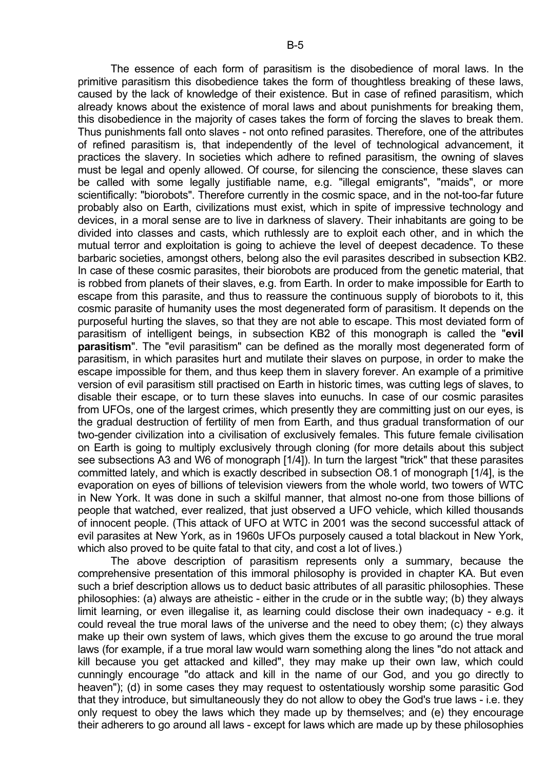The essence of each form of parasitism is the disobedience of moral laws. In the primitive parasitism this disobedience takes the form of thoughtless breaking of these laws, caused by the lack of knowledge of their existence. But in case of refined parasitism, which already knows about the existence of moral laws and about punishments for breaking them, this disobedience in the majority of cases takes the form of forcing the slaves to break them. Thus punishments fall onto slaves - not onto refined parasites. Therefore, one of the attributes of refined parasitism is, that independently of the level of technological advancement, it practices the slavery. In societies which adhere to refined parasitism, the owning of slaves must be legal and openly allowed. Of course, for silencing the conscience, these slaves can be called with some legally justifiable name, e.g. "illegal emigrants", "maids", or more scientifically: "biorobots". Therefore currently in the cosmic space, and in the not-too-far future probably also on Earth, civilizations must exist, which in spite of impressive technology and devices, in a moral sense are to live in darkness of slavery. Their inhabitants are going to be divided into classes and casts, which ruthlessly are to exploit each other, and in which the mutual terror and exploitation is going to achieve the level of deepest decadence. To these barbaric societies, amongst others, belong also the evil parasites described in subsection KB2. In case of these cosmic parasites, their biorobots are produced from the genetic material, that is robbed from planets of their slaves, e.g. from Earth. In order to make impossible for Earth to escape from this parasite, and thus to reassure the continuous supply of biorobots to it, this cosmic parasite of humanity uses the most degenerated form of parasitism. It depends on the purposeful hurting the slaves, so that they are not able to escape. This most deviated form of parasitism of intelligent beings, in subsection KB2 of this monograph is called the "**evil parasitism**". The "evil parasitism" can be defined as the morally most degenerated form of parasitism, in which parasites hurt and mutilate their slaves on purpose, in order to make the escape impossible for them, and thus keep them in slavery forever. An example of a primitive version of evil parasitism still practised on Earth in historic times, was cutting legs of slaves, to disable their escape, or to turn these slaves into eunuchs. In case of our cosmic parasites from UFOs, one of the largest crimes, which presently they are committing just on our eyes, is the gradual destruction of fertility of men from Earth, and thus gradual transformation of our two-gender civilization into a civilisation of exclusively females. This future female civilisation on Earth is going to multiply exclusively through cloning (for more details about this subject see subsections A3 and W6 of monograph [1/4]). In turn the largest "trick" that these parasites committed lately, and which is exactly described in subsection O8.1 of monograph [1/4], is the evaporation on eyes of billions of television viewers from the whole world, two towers of WTC in New York. It was done in such a skilful manner, that almost no-one from those billions of people that watched, ever realized, that just observed a UFO vehicle, which killed thousands of innocent people. (This attack of UFO at WTC in 2001 was the second successful attack of evil parasites at New York, as in 1960s UFOs purposely caused a total blackout in New York, which also proved to be quite fatal to that city, and cost a lot of lives.)

 The above description of parasitism represents only a summary, because the comprehensive presentation of this immoral philosophy is provided in chapter KA. But even such a brief description allows us to deduct basic attributes of all parasitic philosophies. These philosophies: (a) always are atheistic - either in the crude or in the subtle way; (b) they always limit learning, or even illegalise it, as learning could disclose their own inadequacy - e.g. it could reveal the true moral laws of the universe and the need to obey them; (c) they always make up their own system of laws, which gives them the excuse to go around the true moral laws (for example, if a true moral law would warn something along the lines "do not attack and kill because you get attacked and killed", they may make up their own law, which could cunningly encourage "do attack and kill in the name of our God, and you go directly to heaven"); (d) in some cases they may request to ostentatiously worship some parasitic God that they introduce, but simultaneously they do not allow to obey the God's true laws - i.e. they only request to obey the laws which they made up by themselves; and (e) they encourage their adherers to go around all laws - except for laws which are made up by these philosophies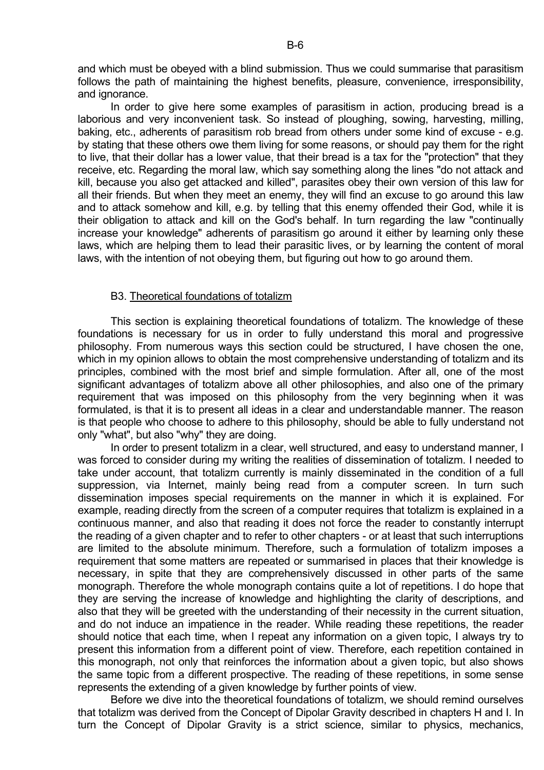and which must be obeyed with a blind submission. Thus we could summarise that parasitism follows the path of maintaining the highest benefits, pleasure, convenience, irresponsibility, and ignorance.

 In order to give here some examples of parasitism in action, producing bread is a laborious and very inconvenient task. So instead of ploughing, sowing, harvesting, milling, baking, etc., adherents of parasitism rob bread from others under some kind of excuse - e.g. by stating that these others owe them living for some reasons, or should pay them for the right to live, that their dollar has a lower value, that their bread is a tax for the "protection" that they receive, etc. Regarding the moral law, which say something along the lines "do not attack and kill, because you also get attacked and killed", parasites obey their own version of this law for all their friends. But when they meet an enemy, they will find an excuse to go around this law and to attack somehow and kill, e.g. by telling that this enemy offended their God, while it is their obligation to attack and kill on the God's behalf. In turn regarding the law "continually increase your knowledge" adherents of parasitism go around it either by learning only these laws, which are helping them to lead their parasitic lives, or by learning the content of moral laws, with the intention of not obeying them, but figuring out how to go around them.

# B3. Theoretical foundations of totalizm

 This section is explaining theoretical foundations of totalizm. The knowledge of these foundations is necessary for us in order to fully understand this moral and progressive philosophy. From numerous ways this section could be structured, I have chosen the one, which in my opinion allows to obtain the most comprehensive understanding of totalizm and its principles, combined with the most brief and simple formulation. After all, one of the most significant advantages of totalizm above all other philosophies, and also one of the primary requirement that was imposed on this philosophy from the very beginning when it was formulated, is that it is to present all ideas in a clear and understandable manner. The reason is that people who choose to adhere to this philosophy, should be able to fully understand not only "what", but also "why" they are doing.

In order to present totalizm in a clear, well structured, and easy to understand manner, I was forced to consider during my writing the realities of dissemination of totalizm. I needed to take under account, that totalizm currently is mainly disseminated in the condition of a full suppression, via Internet, mainly being read from a computer screen. In turn such dissemination imposes special requirements on the manner in which it is explained. For example, reading directly from the screen of a computer requires that totalizm is explained in a continuous manner, and also that reading it does not force the reader to constantly interrupt the reading of a given chapter and to refer to other chapters - or at least that such interruptions are limited to the absolute minimum. Therefore, such a formulation of totalizm imposes a requirement that some matters are repeated or summarised in places that their knowledge is necessary, in spite that they are comprehensively discussed in other parts of the same monograph. Therefore the whole monograph contains quite a lot of repetitions. I do hope that they are serving the increase of knowledge and highlighting the clarity of descriptions, and also that they will be greeted with the understanding of their necessity in the current situation, and do not induce an impatience in the reader. While reading these repetitions, the reader should notice that each time, when I repeat any information on a given topic, I always try to present this information from a different point of view. Therefore, each repetition contained in this monograph, not only that reinforces the information about a given topic, but also shows the same topic from a different prospective. The reading of these repetitions, in some sense represents the extending of a given knowledge by further points of view.

 Before we dive into the theoretical foundations of totalizm, we should remind ourselves that totalizm was derived from the Concept of Dipolar Gravity described in chapters H and I. In turn the Concept of Dipolar Gravity is a strict science, similar to physics, mechanics,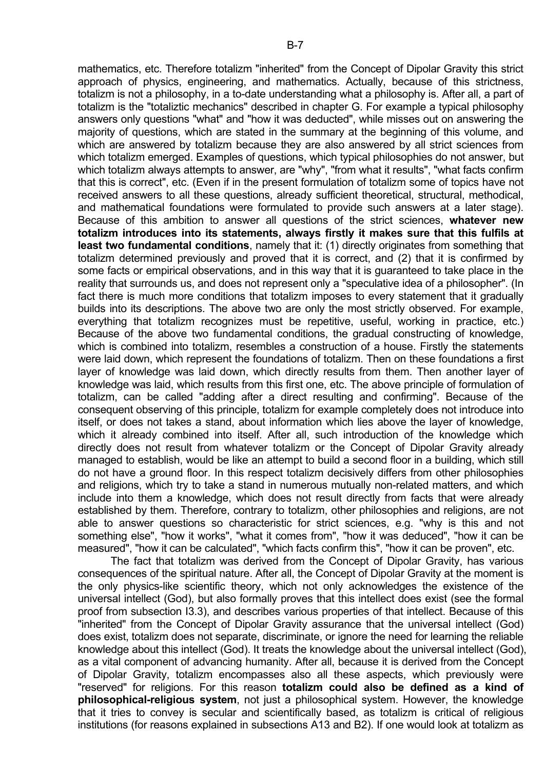mathematics, etc. Therefore totalizm "inherited" from the Concept of Dipolar Gravity this strict approach of physics, engineering, and mathematics. Actually, because of this strictness, totalizm is not a philosophy, in a to-date understanding what a philosophy is. After all, a part of totalizm is the "totaliztic mechanics" described in chapter G. For example a typical philosophy answers only questions "what" and "how it was deducted", while misses out on answering the majority of questions, which are stated in the summary at the beginning of this volume, and which are answered by totalizm because they are also answered by all strict sciences from which totalizm emerged. Examples of questions, which typical philosophies do not answer, but which totalizm always attempts to answer, are "why", "from what it results", "what facts confirm that this is correct", etc. (Even if in the present formulation of totalizm some of topics have not received answers to all these questions, already sufficient theoretical, structural, methodical, and mathematical foundations were formulated to provide such answers at a later stage). Because of this ambition to answer all questions of the strict sciences, **whatever new totalizm introduces into its statements, always firstly it makes sure that this fulfils at least two fundamental conditions**, namely that it: (1) directly originates from something that totalizm determined previously and proved that it is correct, and (2) that it is confirmed by some facts or empirical observations, and in this way that it is guaranteed to take place in the reality that surrounds us, and does not represent only a "speculative idea of a philosopher". (In fact there is much more conditions that totalizm imposes to every statement that it gradually builds into its descriptions. The above two are only the most strictly observed. For example, everything that totalizm recognizes must be repetitive, useful, working in practice, etc.) Because of the above two fundamental conditions, the gradual constructing of knowledge, which is combined into totalizm, resembles a construction of a house. Firstly the statements were laid down, which represent the foundations of totalizm. Then on these foundations a first layer of knowledge was laid down, which directly results from them. Then another layer of knowledge was laid, which results from this first one, etc. The above principle of formulation of totalizm, can be called "adding after a direct resulting and confirming". Because of the consequent observing of this principle, totalizm for example completely does not introduce into itself, or does not takes a stand, about information which lies above the layer of knowledge, which it already combined into itself. After all, such introduction of the knowledge which directly does not result from whatever totalizm or the Concept of Dipolar Gravity already managed to establish, would be like an attempt to build a second floor in a building, which still do not have a ground floor. In this respect totalizm decisively differs from other philosophies and religions, which try to take a stand in numerous mutually non-related matters, and which include into them a knowledge, which does not result directly from facts that were already established by them. Therefore, contrary to totalizm, other philosophies and religions, are not able to answer questions so characteristic for strict sciences, e.g. "why is this and not something else", "how it works", "what it comes from", "how it was deduced", "how it can be measured", "how it can be calculated", "which facts confirm this", "how it can be proven", etc.

 The fact that totalizm was derived from the Concept of Dipolar Gravity, has various consequences of the spiritual nature. After all, the Concept of Dipolar Gravity at the moment is the only physics-like scientific theory, which not only acknowledges the existence of the universal intellect (God), but also formally proves that this intellect does exist (see the formal proof from subsection I3.3), and describes various properties of that intellect. Because of this "inherited" from the Concept of Dipolar Gravity assurance that the universal intellect (God) does exist, totalizm does not separate, discriminate, or ignore the need for learning the reliable knowledge about this intellect (God). It treats the knowledge about the universal intellect (God), as a vital component of advancing humanity. After all, because it is derived from the Concept of Dipolar Gravity, totalizm encompasses also all these aspects, which previously were "reserved" for religions. For this reason **totalizm could also be defined as a kind of philosophical-religious system**, not just a philosophical system. However, the knowledge that it tries to convey is secular and scientifically based, as totalizm is critical of religious institutions (for reasons explained in subsections A13 and B2). If one would look at totalizm as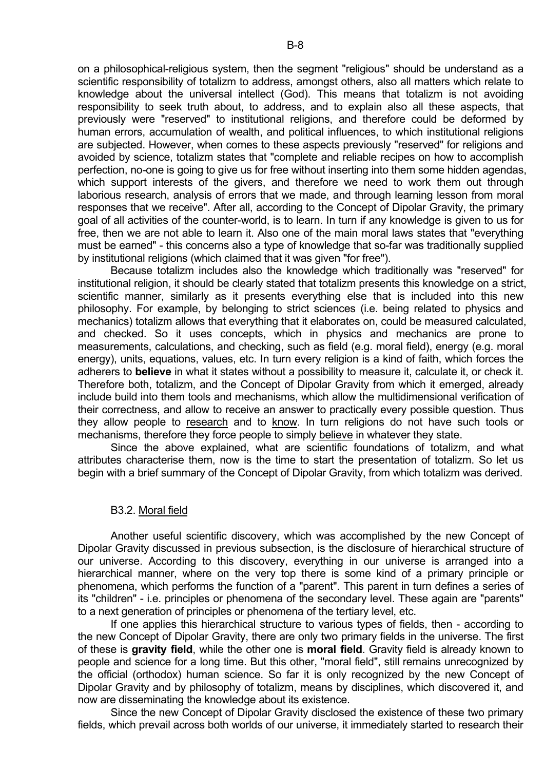on a philosophical-religious system, then the segment "religious" should be understand as a scientific responsibility of totalizm to address, amongst others, also all matters which relate to knowledge about the universal intellect (God). This means that totalizm is not avoiding responsibility to seek truth about, to address, and to explain also all these aspects, that previously were "reserved" to institutional religions, and therefore could be deformed by human errors, accumulation of wealth, and political influences, to which institutional religions are subjected. However, when comes to these aspects previously "reserved" for religions and avoided by science, totalizm states that "complete and reliable recipes on how to accomplish perfection, no-one is going to give us for free without inserting into them some hidden agendas, which support interests of the givers, and therefore we need to work them out through laborious research, analysis of errors that we made, and through learning lesson from moral responses that we receive". After all, according to the Concept of Dipolar Gravity, the primary goal of all activities of the counter-world, is to learn. In turn if any knowledge is given to us for free, then we are not able to learn it. Also one of the main moral laws states that "everything must be earned" - this concerns also a type of knowledge that so-far was traditionally supplied by institutional religions (which claimed that it was given "for free").

 Because totalizm includes also the knowledge which traditionally was "reserved" for institutional religion, it should be clearly stated that totalizm presents this knowledge on a strict, scientific manner, similarly as it presents everything else that is included into this new philosophy. For example, by belonging to strict sciences (i.e. being related to physics and mechanics) totalizm allows that everything that it elaborates on, could be measured calculated, and checked. So it uses concepts, which in physics and mechanics are prone to measurements, calculations, and checking, such as field (e.g. moral field), energy (e.g. moral energy), units, equations, values, etc. In turn every religion is a kind of faith, which forces the adherers to **believe** in what it states without a possibility to measure it, calculate it, or check it. Therefore both, totalizm, and the Concept of Dipolar Gravity from which it emerged, already include build into them tools and mechanisms, which allow the multidimensional verification of their correctness, and allow to receive an answer to practically every possible question. Thus they allow people to research and to know. In turn religions do not have such tools or mechanisms, therefore they force people to simply believe in whatever they state.

 Since the above explained, what are scientific foundations of totalizm, and what attributes characterise them, now is the time to start the presentation of totalizm. So let us begin with a brief summary of the Concept of Dipolar Gravity, from which totalizm was derived.

### B3.2. Moral field

 Another useful scientific discovery, which was accomplished by the new Concept of Dipolar Gravity discussed in previous subsection, is the disclosure of hierarchical structure of our universe. According to this discovery, everything in our universe is arranged into a hierarchical manner, where on the very top there is some kind of a primary principle or phenomena, which performs the function of a "parent". This parent in turn defines a series of its "children" - i.e. principles or phenomena of the secondary level. These again are "parents" to a next generation of principles or phenomena of the tertiary level, etc.

 If one applies this hierarchical structure to various types of fields, then - according to the new Concept of Dipolar Gravity, there are only two primary fields in the universe. The first of these is **gravity field**, while the other one is **moral field**. Gravity field is already known to people and science for a long time. But this other, "moral field", still remains unrecognized by the official (orthodox) human science. So far it is only recognized by the new Concept of Dipolar Gravity and by philosophy of totalizm, means by disciplines, which discovered it, and now are disseminating the knowledge about its existence.

 Since the new Concept of Dipolar Gravity disclosed the existence of these two primary fields, which prevail across both worlds of our universe, it immediately started to research their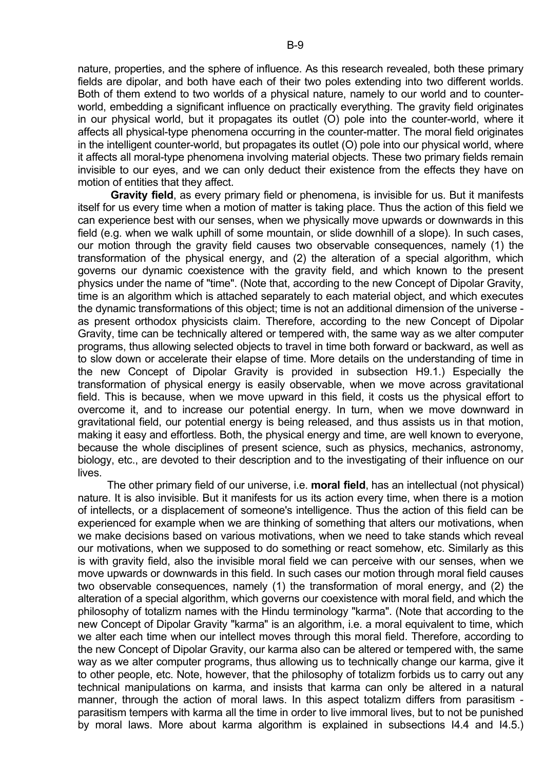nature, properties, and the sphere of influence. As this research revealed, both these primary fields are dipolar, and both have each of their two poles extending into two different worlds. Both of them extend to two worlds of a physical nature, namely to our world and to counterworld, embedding a significant influence on practically everything. The gravity field originates in our physical world, but it propagates its outlet (O) pole into the counter-world, where it affects all physical-type phenomena occurring in the counter-matter. The moral field originates in the intelligent counter-world, but propagates its outlet (O) pole into our physical world, where it affects all moral-type phenomena involving material objects. These two primary fields remain invisible to our eyes, and we can only deduct their existence from the effects they have on motion of entities that they affect.

 **Gravity field**, as every primary field or phenomena, is invisible for us. But it manifests itself for us every time when a motion of matter is taking place. Thus the action of this field we can experience best with our senses, when we physically move upwards or downwards in this field (e.g. when we walk uphill of some mountain, or slide downhill of a slope). In such cases, our motion through the gravity field causes two observable consequences, namely (1) the transformation of the physical energy, and (2) the alteration of a special algorithm, which governs our dynamic coexistence with the gravity field, and which known to the present physics under the name of "time". (Note that, according to the new Concept of Dipolar Gravity, time is an algorithm which is attached separately to each material object, and which executes the dynamic transformations of this object; time is not an additional dimension of the universe as present orthodox physicists claim. Therefore, according to the new Concept of Dipolar Gravity, time can be technically altered or tempered with, the same way as we alter computer programs, thus allowing selected objects to travel in time both forward or backward, as well as to slow down or accelerate their elapse of time. More details on the understanding of time in the new Concept of Dipolar Gravity is provided in subsection H9.1.) Especially the transformation of physical energy is easily observable, when we move across gravitational field. This is because, when we move upward in this field, it costs us the physical effort to overcome it, and to increase our potential energy. In turn, when we move downward in gravitational field, our potential energy is being released, and thus assists us in that motion, making it easy and effortless. Both, the physical energy and time, are well known to everyone, because the whole disciplines of present science, such as physics, mechanics, astronomy, biology, etc., are devoted to their description and to the investigating of their influence on our lives.

 The other primary field of our universe, i.e. **moral field**, has an intellectual (not physical) nature. It is also invisible. But it manifests for us its action every time, when there is a motion of intellects, or a displacement of someone's intelligence. Thus the action of this field can be experienced for example when we are thinking of something that alters our motivations, when we make decisions based on various motivations, when we need to take stands which reveal our motivations, when we supposed to do something or react somehow, etc. Similarly as this is with gravity field, also the invisible moral field we can perceive with our senses, when we move upwards or downwards in this field. In such cases our motion through moral field causes two observable consequences, namely (1) the transformation of moral energy, and (2) the alteration of a special algorithm, which governs our coexistence with moral field, and which the philosophy of totalizm names with the Hindu terminology "karma". (Note that according to the new Concept of Dipolar Gravity "karma" is an algorithm, i.e. a moral equivalent to time, which we alter each time when our intellect moves through this moral field. Therefore, according to the new Concept of Dipolar Gravity, our karma also can be altered or tempered with, the same way as we alter computer programs, thus allowing us to technically change our karma, give it to other people, etc. Note, however, that the philosophy of totalizm forbids us to carry out any technical manipulations on karma, and insists that karma can only be altered in a natural manner, through the action of moral laws. In this aspect totalizm differs from parasitism parasitism tempers with karma all the time in order to live immoral lives, but to not be punished by moral laws. More about karma algorithm is explained in subsections I4.4 and I4.5.)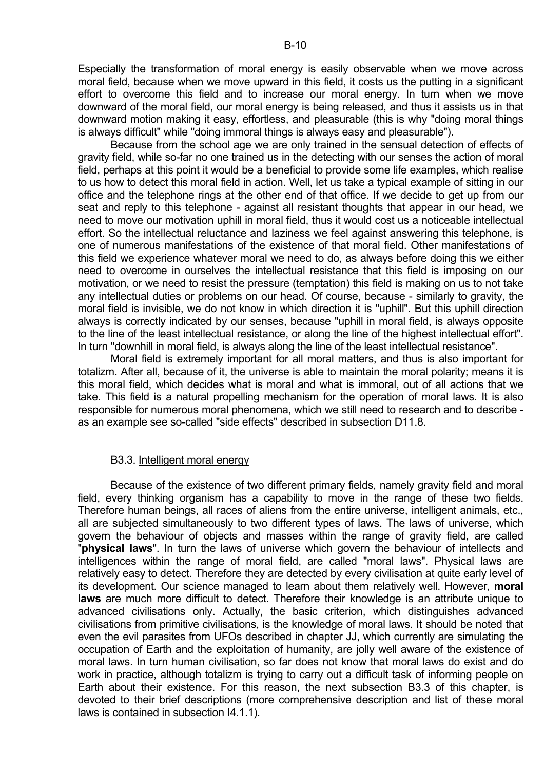Especially the transformation of moral energy is easily observable when we move across moral field, because when we move upward in this field, it costs us the putting in a significant effort to overcome this field and to increase our moral energy. In turn when we move downward of the moral field, our moral energy is being released, and thus it assists us in that downward motion making it easy, effortless, and pleasurable (this is why "doing moral things is always difficult" while "doing immoral things is always easy and pleasurable").

 Because from the school age we are only trained in the sensual detection of effects of gravity field, while so-far no one trained us in the detecting with our senses the action of moral field, perhaps at this point it would be a beneficial to provide some life examples, which realise to us how to detect this moral field in action. Well, let us take a typical example of sitting in our office and the telephone rings at the other end of that office. If we decide to get up from our seat and reply to this telephone - against all resistant thoughts that appear in our head, we need to move our motivation uphill in moral field, thus it would cost us a noticeable intellectual effort. So the intellectual reluctance and laziness we feel against answering this telephone, is one of numerous manifestations of the existence of that moral field. Other manifestations of this field we experience whatever moral we need to do, as always before doing this we either need to overcome in ourselves the intellectual resistance that this field is imposing on our motivation, or we need to resist the pressure (temptation) this field is making on us to not take any intellectual duties or problems on our head. Of course, because - similarly to gravity, the moral field is invisible, we do not know in which direction it is "uphill". But this uphill direction always is correctly indicated by our senses, because "uphill in moral field, is always opposite to the line of the least intellectual resistance, or along the line of the highest intellectual effort". In turn "downhill in moral field, is always along the line of the least intellectual resistance".

 Moral field is extremely important for all moral matters, and thus is also important for totalizm. After all, because of it, the universe is able to maintain the moral polarity; means it is this moral field, which decides what is moral and what is immoral, out of all actions that we take. This field is a natural propelling mechanism for the operation of moral laws. It is also responsible for numerous moral phenomena, which we still need to research and to describe as an example see so-called "side effects" described in subsection D11.8.

# B3.3. Intelligent moral energy

 Because of the existence of two different primary fields, namely gravity field and moral field, every thinking organism has a capability to move in the range of these two fields. Therefore human beings, all races of aliens from the entire universe, intelligent animals, etc., all are subjected simultaneously to two different types of laws. The laws of universe, which govern the behaviour of objects and masses within the range of gravity field, are called "**physical laws**". In turn the laws of universe which govern the behaviour of intellects and intelligences within the range of moral field, are called "moral laws". Physical laws are relatively easy to detect. Therefore they are detected by every civilisation at quite early level of its development. Our science managed to learn about them relatively well. However, **moral laws** are much more difficult to detect. Therefore their knowledge is an attribute unique to advanced civilisations only. Actually, the basic criterion, which distinguishes advanced civilisations from primitive civilisations, is the knowledge of moral laws. It should be noted that even the evil parasites from UFOs described in chapter JJ, which currently are simulating the occupation of Earth and the exploitation of humanity, are jolly well aware of the existence of moral laws. In turn human civilisation, so far does not know that moral laws do exist and do work in practice, although totalizm is trying to carry out a difficult task of informing people on Earth about their existence. For this reason, the next subsection B3.3 of this chapter, is devoted to their brief descriptions (more comprehensive description and list of these moral laws is contained in subsection I4.1.1).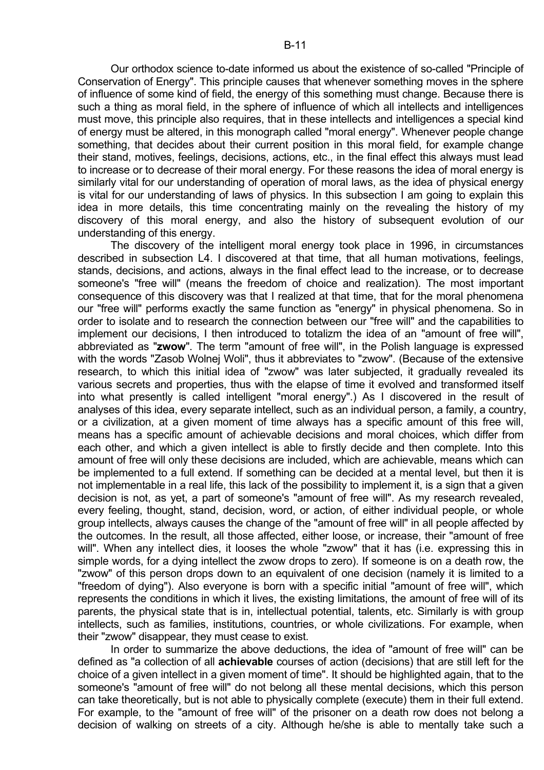Our orthodox science to-date informed us about the existence of so-called "Principle of Conservation of Energy". This principle causes that whenever something moves in the sphere of influence of some kind of field, the energy of this something must change. Because there is such a thing as moral field, in the sphere of influence of which all intellects and intelligences must move, this principle also requires, that in these intellects and intelligences a special kind of energy must be altered, in this monograph called "moral energy". Whenever people change something, that decides about their current position in this moral field, for example change their stand, motives, feelings, decisions, actions, etc., in the final effect this always must lead to increase or to decrease of their moral energy. For these reasons the idea of moral energy is similarly vital for our understanding of operation of moral laws, as the idea of physical energy is vital for our understanding of laws of physics. In this subsection I am going to explain this idea in more details, this time concentrating mainly on the revealing the history of my discovery of this moral energy, and also the history of subsequent evolution of our understanding of this energy.

 The discovery of the intelligent moral energy took place in 1996, in circumstances described in subsection L4. I discovered at that time, that all human motivations, feelings, stands, decisions, and actions, always in the final effect lead to the increase, or to decrease someone's "free will" (means the freedom of choice and realization). The most important consequence of this discovery was that I realized at that time, that for the moral phenomena our "free will" performs exactly the same function as "energy" in physical phenomena. So in order to isolate and to research the connection between our "free will" and the capabilities to implement our decisions, I then introduced to totalizm the idea of an "amount of free will", abbreviated as "**zwow**". The term "amount of free will", in the Polish language is expressed with the words "Zasob Wolnej Woli", thus it abbreviates to "zwow". (Because of the extensive research, to which this initial idea of "zwow" was later subjected, it gradually revealed its various secrets and properties, thus with the elapse of time it evolved and transformed itself into what presently is called intelligent "moral energy".) As I discovered in the result of analyses of this idea, every separate intellect, such as an individual person, a family, a country, or a civilization, at a given moment of time always has a specific amount of this free will, means has a specific amount of achievable decisions and moral choices, which differ from each other, and which a given intellect is able to firstly decide and then complete. Into this amount of free will only these decisions are included, which are achievable, means which can be implemented to a full extend. If something can be decided at a mental level, but then it is not implementable in a real life, this lack of the possibility to implement it, is a sign that a given decision is not, as yet, a part of someone's "amount of free will". As my research revealed, every feeling, thought, stand, decision, word, or action, of either individual people, or whole group intellects, always causes the change of the "amount of free will" in all people affected by the outcomes. In the result, all those affected, either loose, or increase, their "amount of free will". When any intellect dies, it looses the whole "zwow" that it has (i.e. expressing this in simple words, for a dying intellect the zwow drops to zero). If someone is on a death row, the "zwow" of this person drops down to an equivalent of one decision (namely it is limited to a "freedom of dying"). Also everyone is born with a specific initial "amount of free will", which represents the conditions in which it lives, the existing limitations, the amount of free will of its parents, the physical state that is in, intellectual potential, talents, etc. Similarly is with group intellects, such as families, institutions, countries, or whole civilizations. For example, when their "zwow" disappear, they must cease to exist.

 In order to summarize the above deductions, the idea of "amount of free will" can be defined as "a collection of all **achievable** courses of action (decisions) that are still left for the choice of a given intellect in a given moment of time". It should be highlighted again, that to the someone's "amount of free will" do not belong all these mental decisions, which this person can take theoretically, but is not able to physically complete (execute) them in their full extend. For example, to the "amount of free will" of the prisoner on a death row does not belong a decision of walking on streets of a city. Although he/she is able to mentally take such a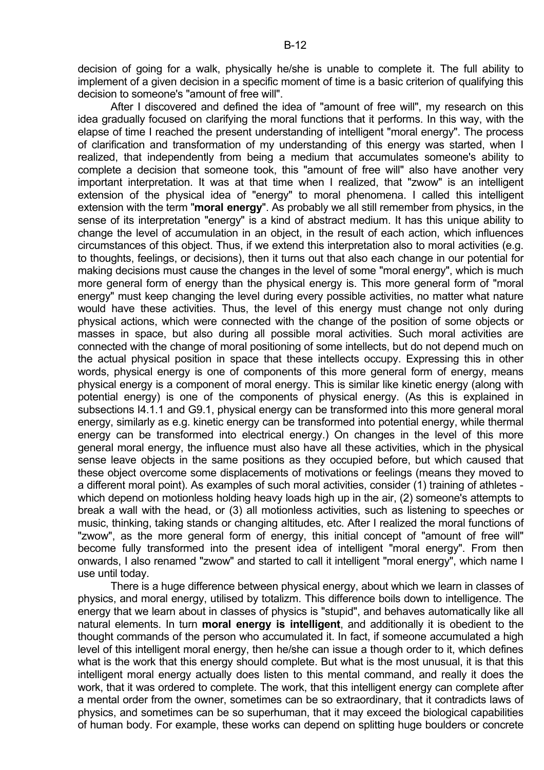decision of going for a walk, physically he/she is unable to complete it. The full ability to implement of a given decision in a specific moment of time is a basic criterion of qualifying this decision to someone's "amount of free will".

 After I discovered and defined the idea of "amount of free will", my research on this idea gradually focused on clarifying the moral functions that it performs. In this way, with the elapse of time I reached the present understanding of intelligent "moral energy". The process of clarification and transformation of my understanding of this energy was started, when I realized, that independently from being a medium that accumulates someone's ability to complete a decision that someone took, this "amount of free will" also have another very important interpretation. It was at that time when I realized, that "zwow" is an intelligent extension of the physical idea of "energy" to moral phenomena. I called this intelligent extension with the term "**moral energy**". As probably we all still remember from physics, in the sense of its interpretation "energy" is a kind of abstract medium. It has this unique ability to change the level of accumulation in an object, in the result of each action, which influences circumstances of this object. Thus, if we extend this interpretation also to moral activities (e.g. to thoughts, feelings, or decisions), then it turns out that also each change in our potential for making decisions must cause the changes in the level of some "moral energy", which is much more general form of energy than the physical energy is. This more general form of "moral energy" must keep changing the level during every possible activities, no matter what nature would have these activities. Thus, the level of this energy must change not only during physical actions, which were connected with the change of the position of some objects or masses in space, but also during all possible moral activities. Such moral activities are connected with the change of moral positioning of some intellects, but do not depend much on the actual physical position in space that these intellects occupy. Expressing this in other words, physical energy is one of components of this more general form of energy, means physical energy is a component of moral energy. This is similar like kinetic energy (along with potential energy) is one of the components of physical energy. (As this is explained in subsections I4.1.1 and G9.1, physical energy can be transformed into this more general moral energy, similarly as e.g. kinetic energy can be transformed into potential energy, while thermal energy can be transformed into electrical energy.) On changes in the level of this more general moral energy, the influence must also have all these activities, which in the physical sense leave objects in the same positions as they occupied before, but which caused that these object overcome some displacements of motivations or feelings (means they moved to a different moral point). As examples of such moral activities, consider (1) training of athletes which depend on motionless holding heavy loads high up in the air, (2) someone's attempts to break a wall with the head, or (3) all motionless activities, such as listening to speeches or music, thinking, taking stands or changing altitudes, etc. After I realized the moral functions of "zwow", as the more general form of energy, this initial concept of "amount of free will" become fully transformed into the present idea of intelligent "moral energy". From then onwards, I also renamed "zwow" and started to call it intelligent "moral energy", which name I use until today.

 There is a huge difference between physical energy, about which we learn in classes of physics, and moral energy, utilised by totalizm. This difference boils down to intelligence. The energy that we learn about in classes of physics is "stupid", and behaves automatically like all natural elements. In turn **moral energy is intelligent**, and additionally it is obedient to the thought commands of the person who accumulated it. In fact, if someone accumulated a high level of this intelligent moral energy, then he/she can issue a though order to it, which defines what is the work that this energy should complete. But what is the most unusual, it is that this intelligent moral energy actually does listen to this mental command, and really it does the work, that it was ordered to complete. The work, that this intelligent energy can complete after a mental order from the owner, sometimes can be so extraordinary, that it contradicts laws of physics, and sometimes can be so superhuman, that it may exceed the biological capabilities of human body. For example, these works can depend on splitting huge boulders or concrete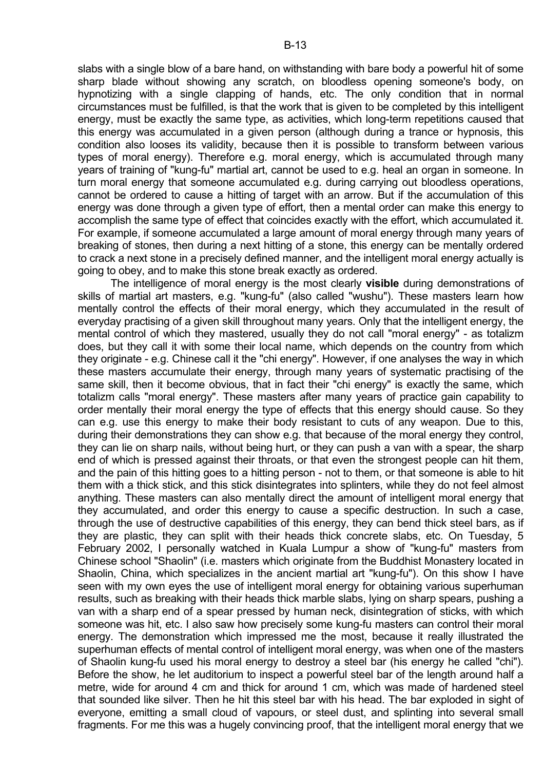slabs with a single blow of a bare hand, on withstanding with bare body a powerful hit of some sharp blade without showing any scratch, on bloodless opening someone's body, on hypnotizing with a single clapping of hands, etc. The only condition that in normal circumstances must be fulfilled, is that the work that is given to be completed by this intelligent energy, must be exactly the same type, as activities, which long-term repetitions caused that this energy was accumulated in a given person (although during a trance or hypnosis, this condition also looses its validity, because then it is possible to transform between various types of moral energy). Therefore e.g. moral energy, which is accumulated through many years of training of "kung-fu" martial art, cannot be used to e.g. heal an organ in someone. In turn moral energy that someone accumulated e.g. during carrying out bloodless operations, cannot be ordered to cause a hitting of target with an arrow. But if the accumulation of this energy was done through a given type of effort, then a mental order can make this energy to accomplish the same type of effect that coincides exactly with the effort, which accumulated it. For example, if someone accumulated a large amount of moral energy through many years of breaking of stones, then during a next hitting of a stone, this energy can be mentally ordered to crack a next stone in a precisely defined manner, and the intelligent moral energy actually is going to obey, and to make this stone break exactly as ordered.

 The intelligence of moral energy is the most clearly **visible** during demonstrations of skills of martial art masters, e.g. "kung-fu" (also called "wushu"). These masters learn how mentally control the effects of their moral energy, which they accumulated in the result of everyday practising of a given skill throughout many years. Only that the intelligent energy, the mental control of which they mastered, usually they do not call "moral energy" - as totalizm does, but they call it with some their local name, which depends on the country from which they originate - e.g. Chinese call it the "chi energy". However, if one analyses the way in which these masters accumulate their energy, through many years of systematic practising of the same skill, then it become obvious, that in fact their "chi energy" is exactly the same, which totalizm calls "moral energy". These masters after many years of practice gain capability to order mentally their moral energy the type of effects that this energy should cause. So they can e.g. use this energy to make their body resistant to cuts of any weapon. Due to this, during their demonstrations they can show e.g. that because of the moral energy they control, they can lie on sharp nails, without being hurt, or they can push a van with a spear, the sharp end of which is pressed against their throats, or that even the strongest people can hit them, and the pain of this hitting goes to a hitting person - not to them, or that someone is able to hit them with a thick stick, and this stick disintegrates into splinters, while they do not feel almost anything. These masters can also mentally direct the amount of intelligent moral energy that they accumulated, and order this energy to cause a specific destruction. In such a case, through the use of destructive capabilities of this energy, they can bend thick steel bars, as if they are plastic, they can split with their heads thick concrete slabs, etc. On Tuesday, 5 February 2002, I personally watched in Kuala Lumpur a show of "kung-fu" masters from Chinese school "Shaolin" (i.e. masters which originate from the Buddhist Monastery located in Shaolin, China, which specializes in the ancient martial art "kung-fu"). On this show I have seen with my own eyes the use of intelligent moral energy for obtaining various superhuman results, such as breaking with their heads thick marble slabs, lying on sharp spears, pushing a van with a sharp end of a spear pressed by human neck, disintegration of sticks, with which someone was hit, etc. I also saw how precisely some kung-fu masters can control their moral energy. The demonstration which impressed me the most, because it really illustrated the superhuman effects of mental control of intelligent moral energy, was when one of the masters of Shaolin kung-fu used his moral energy to destroy a steel bar (his energy he called "chi"). Before the show, he let auditorium to inspect a powerful steel bar of the length around half a metre, wide for around 4 cm and thick for around 1 cm, which was made of hardened steel that sounded like silver. Then he hit this steel bar with his head. The bar exploded in sight of everyone, emitting a small cloud of vapours, or steel dust, and splinting into several small fragments. For me this was a hugely convincing proof, that the intelligent moral energy that we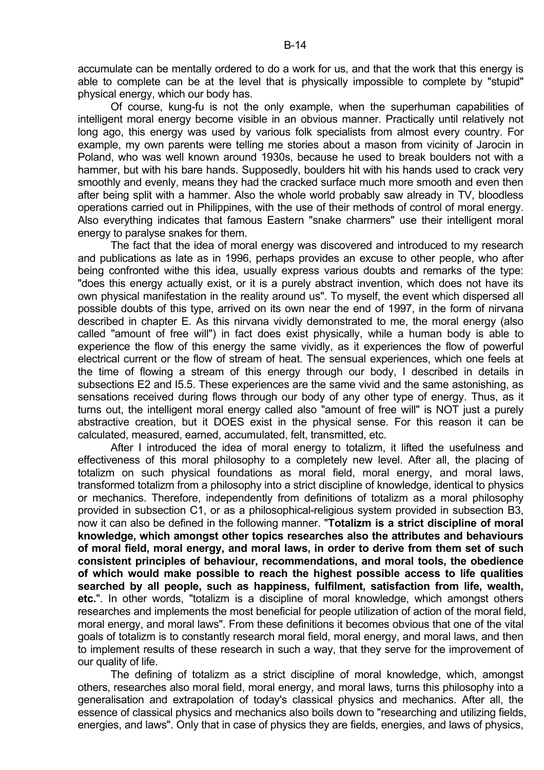accumulate can be mentally ordered to do a work for us, and that the work that this energy is able to complete can be at the level that is physically impossible to complete by "stupid" physical energy, which our body has.

 Of course, kung-fu is not the only example, when the superhuman capabilities of intelligent moral energy become visible in an obvious manner. Practically until relatively not long ago, this energy was used by various folk specialists from almost every country. For example, my own parents were telling me stories about a mason from vicinity of Jarocin in Poland, who was well known around 1930s, because he used to break boulders not with a hammer, but with his bare hands. Supposedly, boulders hit with his hands used to crack very smoothly and evenly, means they had the cracked surface much more smooth and even then after being split with a hammer. Also the whole world probably saw already in TV, bloodless operations carried out in Philippines, with the use of their methods of control of moral energy. Also everything indicates that famous Eastern "snake charmers" use their intelligent moral energy to paralyse snakes for them.

 The fact that the idea of moral energy was discovered and introduced to my research and publications as late as in 1996, perhaps provides an excuse to other people, who after being confronted withe this idea, usually express various doubts and remarks of the type: "does this energy actually exist, or it is a purely abstract invention, which does not have its own physical manifestation in the reality around us". To myself, the event which dispersed all possible doubts of this type, arrived on its own near the end of 1997, in the form of nirvana described in chapter E. As this nirvana vividly demonstrated to me, the moral energy (also called "amount of free will") in fact does exist physically, while a human body is able to experience the flow of this energy the same vividly, as it experiences the flow of powerful electrical current or the flow of stream of heat. The sensual experiences, which one feels at the time of flowing a stream of this energy through our body, I described in details in subsections E2 and I5.5. These experiences are the same vivid and the same astonishing, as sensations received during flows through our body of any other type of energy. Thus, as it turns out, the intelligent moral energy called also "amount of free will" is NOT just a purely abstractive creation, but it DOES exist in the physical sense. For this reason it can be calculated, measured, earned, accumulated, felt, transmitted, etc.

 After I introduced the idea of moral energy to totalizm, it lifted the usefulness and effectiveness of this moral philosophy to a completely new level. After all, the placing of totalizm on such physical foundations as moral field, moral energy, and moral laws, transformed totalizm from a philosophy into a strict discipline of knowledge, identical to physics or mechanics. Therefore, independently from definitions of totalizm as a moral philosophy provided in subsection C1, or as a philosophical-religious system provided in subsection B3, now it can also be defined in the following manner. "**Totalizm is a strict discipline of moral knowledge, which amongst other topics researches also the attributes and behaviours of moral field, moral energy, and moral laws, in order to derive from them set of such consistent principles of behaviour, recommendations, and moral tools, the obedience of which would make possible to reach the highest possible access to life qualities searched by all people, such as happiness, fulfilment, satisfaction from life, wealth, etc.**". In other words, "totalizm is a discipline of moral knowledge, which amongst others researches and implements the most beneficial for people utilization of action of the moral field, moral energy, and moral laws". From these definitions it becomes obvious that one of the vital goals of totalizm is to constantly research moral field, moral energy, and moral laws, and then to implement results of these research in such a way, that they serve for the improvement of our quality of life.

 The defining of totalizm as a strict discipline of moral knowledge, which, amongst others, researches also moral field, moral energy, and moral laws, turns this philosophy into a generalisation and extrapolation of today's classical physics and mechanics. After all, the essence of classical physics and mechanics also boils down to "researching and utilizing fields, energies, and laws". Only that in case of physics they are fields, energies, and laws of physics,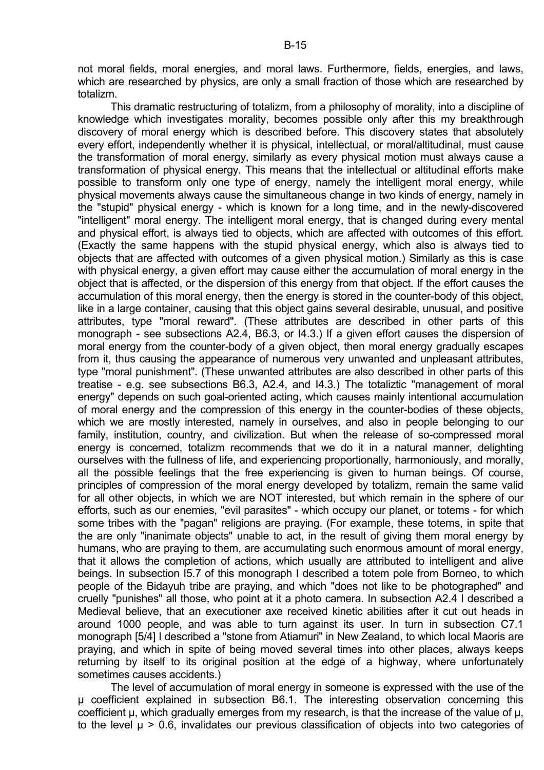not moral fields, moral energies, and moral laws. Furthermore, fields, energies, and laws, which are researched by physics, are only a small fraction of those which are researched by totalizm.

 This dramatic restructuring of totalizm, from a philosophy of morality, into a discipline of knowledge which investigates morality, becomes possible only after this my breakthrough discovery of moral energy which is described before. This discovery states that absolutely every effort, independently whether it is physical, intellectual, or moral/altitudinal, must cause the transformation of moral energy, similarly as every physical motion must always cause a transformation of physical energy. This means that the intellectual or altitudinal efforts make possible to transform only one type of energy, namely the intelligent moral energy, while physical movements always cause the simultaneous change in two kinds of energy, namely in the "stupid" physical energy - which is known for a long time, and in the newly-discovered "intelligent" moral energy. The intelligent moral energy, that is changed during every mental and physical effort, is always tied to objects, which are affected with outcomes of this effort. (Exactly the same happens with the stupid physical energy, which also is always tied to objects that are affected with outcomes of a given physical motion.) Similarly as this is case with physical energy, a given effort may cause either the accumulation of moral energy in the object that is affected, or the dispersion of this energy from that object. If the effort causes the accumulation of this moral energy, then the energy is stored in the counter-body of this object, like in a large container, causing that this object gains several desirable, unusual, and positive attributes, type "moral reward". (These attributes are described in other parts of this monograph - see subsections A2.4, B6.3, or I4.3.) If a given effort causes the dispersion of moral energy from the counter-body of a given object, then moral energy gradually escapes from it, thus causing the appearance of numerous very unwanted and unpleasant attributes, type "moral punishment". (These unwanted attributes are also described in other parts of this treatise - e.g. see subsections B6.3, A2.4, and I4.3.) The totaliztic "management of moral energy" depends on such goal-oriented acting, which causes mainly intentional accumulation of moral energy and the compression of this energy in the counter-bodies of these objects, which we are mostly interested, namely in ourselves, and also in people belonging to our family, institution, country, and civilization. But when the release of so-compressed moral energy is concerned, totalizm recommends that we do it in a natural manner, delighting ourselves with the fullness of life, and experiencing proportionally, harmoniously, and morally, all the possible feelings that the free experiencing is given to human beings. Of course, principles of compression of the moral energy developed by totalizm, remain the same valid for all other objects, in which we are NOT interested, but which remain in the sphere of our efforts, such as our enemies, "evil parasites" - which occupy our planet, or totems - for which some tribes with the "pagan" religions are praying. (For example, these totems, in spite that the are only "inanimate objects" unable to act, in the result of giving them moral energy by humans, who are praying to them, are accumulating such enormous amount of moral energy, that it allows the completion of actions, which usually are attributed to intelligent and alive beings. In subsection I5.7 of this monograph I described a totem pole from Borneo, to which people of the Bidayuh tribe are praying, and which "does not like to be photographed" and cruelly "punishes" all those, who point at it a photo camera. In subsection A2.4 I described a Medieval believe, that an executioner axe received kinetic abilities after it cut out heads in around 1000 people, and was able to turn against its user. In turn in subsection C7.1 monograph [5/4] I described a "stone from Atiamuri" in New Zealand, to which local Maoris are praying, and which in spite of being moved several times into other places, always keeps returning by itself to its original position at the edge of a highway, where unfortunately sometimes causes accidents.)

 The level of accumulation of moral energy in someone is expressed with the use of the µ coefficient explained in subsection B6.1. The interesting observation concerning this coefficient µ, which gradually emerges from my research, is that the increase of the value of µ, to the level  $\mu > 0.6$ , invalidates our previous classification of objects into two categories of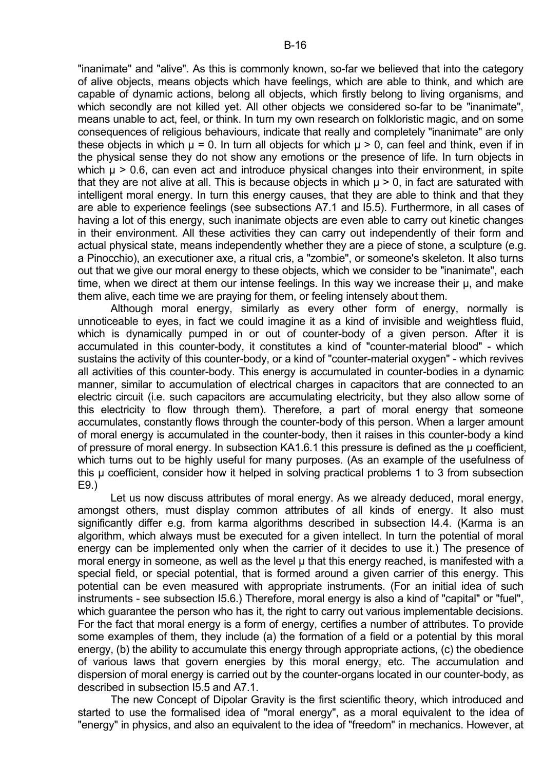"inanimate" and "alive". As this is commonly known, so-far we believed that into the category of alive objects, means objects which have feelings, which are able to think, and which are capable of dynamic actions, belong all objects, which firstly belong to living organisms, and which secondly are not killed yet. All other objects we considered so-far to be "inanimate", means unable to act, feel, or think. In turn my own research on folkloristic magic, and on some consequences of religious behaviours, indicate that really and completely "inanimate" are only these objects in which  $\mu$  = 0. In turn all objects for which  $\mu$  > 0, can feel and think, even if in the physical sense they do not show any emotions or the presence of life. In turn objects in which  $\mu$  > 0.6, can even act and introduce physical changes into their environment, in spite that they are not alive at all. This is because objects in which  $\mu > 0$ , in fact are saturated with intelligent moral energy. In turn this energy causes, that they are able to think and that they are able to experience feelings (see subsections A7.1 and I5.5). Furthermore, in all cases of having a lot of this energy, such inanimate objects are even able to carry out kinetic changes in their environment. All these activities they can carry out independently of their form and actual physical state, means independently whether they are a piece of stone, a sculpture (e.g. a Pinocchio), an executioner axe, a ritual cris, a "zombie", or someone's skeleton. It also turns out that we give our moral energy to these objects, which we consider to be "inanimate", each time, when we direct at them our intense feelings. In this way we increase their µ, and make them alive, each time we are praying for them, or feeling intensely about them.

 Although moral energy, similarly as every other form of energy, normally is unnoticeable to eyes, in fact we could imagine it as a kind of invisible and weightless fluid, which is dynamically pumped in or out of counter-body of a given person. After it is accumulated in this counter-body, it constitutes a kind of "counter-material blood" - which sustains the activity of this counter-body, or a kind of "counter-material oxygen" - which revives all activities of this counter-body. This energy is accumulated in counter-bodies in a dynamic manner, similar to accumulation of electrical charges in capacitors that are connected to an electric circuit (i.e. such capacitors are accumulating electricity, but they also allow some of this electricity to flow through them). Therefore, a part of moral energy that someone accumulates, constantly flows through the counter-body of this person. When a larger amount of moral energy is accumulated in the counter-body, then it raises in this counter-body a kind of pressure of moral energy. In subsection KA1.6.1 this pressure is defined as the µ coefficient, which turns out to be highly useful for many purposes. (As an example of the usefulness of this µ coefficient, consider how it helped in solving practical problems 1 to 3 from subsection E9.)

 Let us now discuss attributes of moral energy. As we already deduced, moral energy, amongst others, must display common attributes of all kinds of energy. It also must significantly differ e.g. from karma algorithms described in subsection I4.4. (Karma is an algorithm, which always must be executed for a given intellect. In turn the potential of moral energy can be implemented only when the carrier of it decides to use it.) The presence of moral energy in someone, as well as the level  $\mu$  that this energy reached, is manifested with a special field, or special potential, that is formed around a given carrier of this energy. This potential can be even measured with appropriate instruments. (For an initial idea of such instruments - see subsection I5.6.) Therefore, moral energy is also a kind of "capital" or "fuel", which guarantee the person who has it, the right to carry out various implementable decisions. For the fact that moral energy is a form of energy, certifies a number of attributes. To provide some examples of them, they include (a) the formation of a field or a potential by this moral energy, (b) the ability to accumulate this energy through appropriate actions, (c) the obedience of various laws that govern energies by this moral energy, etc. The accumulation and dispersion of moral energy is carried out by the counter-organs located in our counter-body, as described in subsection I5.5 and A7.1.

 The new Concept of Dipolar Gravity is the first scientific theory, which introduced and started to use the formalised idea of "moral energy", as a moral equivalent to the idea of "energy" in physics, and also an equivalent to the idea of "freedom" in mechanics. However, at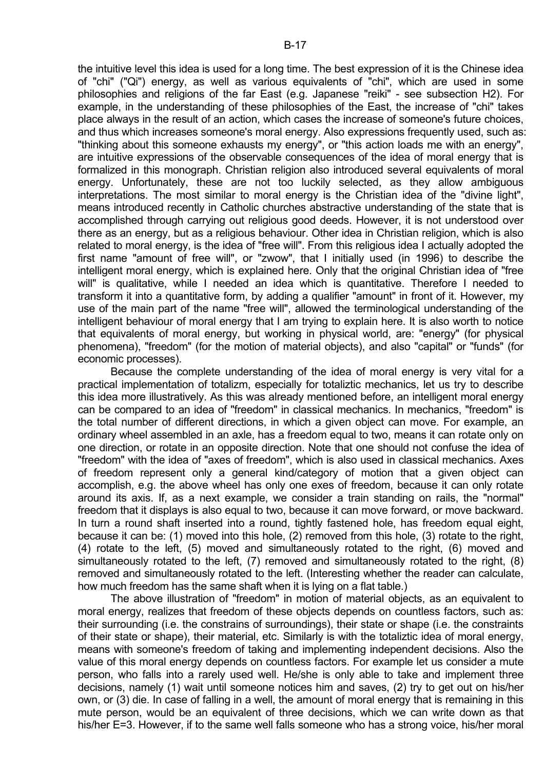the intuitive level this idea is used for a long time. The best expression of it is the Chinese idea of "chi" ("Qi") energy, as well as various equivalents of "chi", which are used in some philosophies and religions of the far East (e.g. Japanese "reiki" - see subsection H2). For example, in the understanding of these philosophies of the East, the increase of "chi" takes place always in the result of an action, which cases the increase of someone's future choices, and thus which increases someone's moral energy. Also expressions frequently used, such as: "thinking about this someone exhausts my energy", or "this action loads me with an energy", are intuitive expressions of the observable consequences of the idea of moral energy that is formalized in this monograph. Christian religion also introduced several equivalents of moral energy. Unfortunately, these are not too luckily selected, as they allow ambiguous interpretations. The most similar to moral energy is the Christian idea of the "divine light", means introduced recently in Catholic churches abstractive understanding of the state that is accomplished through carrying out religious good deeds. However, it is not understood over there as an energy, but as a religious behaviour. Other idea in Christian religion, which is also related to moral energy, is the idea of "free will". From this religious idea I actually adopted the first name "amount of free will", or "zwow", that I initially used (in 1996) to describe the intelligent moral energy, which is explained here. Only that the original Christian idea of "free will" is qualitative, while I needed an idea which is quantitative. Therefore I needed to transform it into a quantitative form, by adding a qualifier "amount" in front of it. However, my use of the main part of the name "free will", allowed the terminological understanding of the intelligent behaviour of moral energy that I am trying to explain here. It is also worth to notice that equivalents of moral energy, but working in physical world, are: "energy" (for physical phenomena), "freedom" (for the motion of material objects), and also "capital" or "funds" (for economic processes).

 Because the complete understanding of the idea of moral energy is very vital for a practical implementation of totalizm, especially for totaliztic mechanics, let us try to describe this idea more illustratively. As this was already mentioned before, an intelligent moral energy can be compared to an idea of "freedom" in classical mechanics. In mechanics, "freedom" is the total number of different directions, in which a given object can move. For example, an ordinary wheel assembled in an axle, has a freedom equal to two, means it can rotate only on one direction, or rotate in an opposite direction. Note that one should not confuse the idea of "freedom" with the idea of "axes of freedom", which is also used in classical mechanics. Axes of freedom represent only a general kind/category of motion that a given object can accomplish, e.g. the above wheel has only one exes of freedom, because it can only rotate around its axis. If, as a next example, we consider a train standing on rails, the "normal" freedom that it displays is also equal to two, because it can move forward, or move backward. In turn a round shaft inserted into a round, tightly fastened hole, has freedom equal eight, because it can be: (1) moved into this hole, (2) removed from this hole, (3) rotate to the right, (4) rotate to the left, (5) moved and simultaneously rotated to the right, (6) moved and simultaneously rotated to the left, (7) removed and simultaneously rotated to the right, (8) removed and simultaneously rotated to the left. (Interesting whether the reader can calculate, how much freedom has the same shaft when it is lying on a flat table.)

 The above illustration of "freedom" in motion of material objects, as an equivalent to moral energy, realizes that freedom of these objects depends on countless factors, such as: their surrounding (i.e. the constrains of surroundings), their state or shape (i.e. the constraints of their state or shape), their material, etc. Similarly is with the totaliztic idea of moral energy, means with someone's freedom of taking and implementing independent decisions. Also the value of this moral energy depends on countless factors. For example let us consider a mute person, who falls into a rarely used well. He/she is only able to take and implement three decisions, namely (1) wait until someone notices him and saves, (2) try to get out on his/her own, or (3) die. In case of falling in a well, the amount of moral energy that is remaining in this mute person, would be an equivalent of three decisions, which we can write down as that his/her E=3. However, if to the same well falls someone who has a strong voice, his/her moral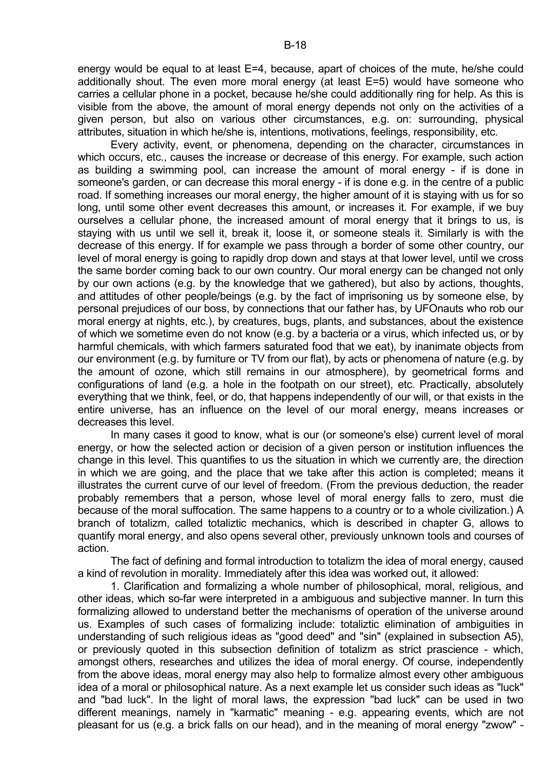energy would be equal to at least E=4, because, apart of choices of the mute, he/she could additionally shout. The even more moral energy (at least E=5) would have someone who carries a cellular phone in a pocket, because he/she could additionally ring for help. As this is visible from the above, the amount of moral energy depends not only on the activities of a given person, but also on various other circumstances, e.g. on: surrounding, physical attributes, situation in which he/she is, intentions, motivations, feelings, responsibility, etc.

 Every activity, event, or phenomena, depending on the character, circumstances in which occurs, etc., causes the increase or decrease of this energy. For example, such action as building a swimming pool, can increase the amount of moral energy - if is done in someone's garden, or can decrease this moral energy - if is done e.g. in the centre of a public road. If something increases our moral energy, the higher amount of it is staying with us for so long, until some other event decreases this amount, or increases it. For example, if we buy ourselves a cellular phone, the increased amount of moral energy that it brings to us, is staying with us until we sell it, break it, loose it, or someone steals it. Similarly is with the decrease of this energy. If for example we pass through a border of some other country, our level of moral energy is going to rapidly drop down and stays at that lower level, until we cross the same border coming back to our own country. Our moral energy can be changed not only by our own actions (e.g. by the knowledge that we gathered), but also by actions, thoughts, and attitudes of other people/beings (e.g. by the fact of imprisoning us by someone else, by personal prejudices of our boss, by connections that our father has, by UFOnauts who rob our moral energy at nights, etc.), by creatures, bugs, plants, and substances, about the existence of which we sometime even do not know (e.g. by a bacteria or a virus, which infected us, or by harmful chemicals, with which farmers saturated food that we eat), by inanimate objects from our environment (e.g. by furniture or TV from our flat), by acts or phenomena of nature (e.g. by the amount of ozone, which still remains in our atmosphere), by geometrical forms and configurations of land (e.g. a hole in the footpath on our street), etc. Practically, absolutely everything that we think, feel, or do, that happens independently of our will, or that exists in the entire universe, has an influence on the level of our moral energy, means increases or decreases this level.

 In many cases it good to know, what is our (or someone's else) current level of moral energy, or how the selected action or decision of a given person or institution influences the change in this level. This quantifies to us the situation in which we currently are, the direction in which we are going, and the place that we take after this action is completed; means it illustrates the current curve of our level of freedom. (From the previous deduction, the reader probably remembers that a person, whose level of moral energy falls to zero, must die because of the moral suffocation. The same happens to a country or to a whole civilization.) A branch of totalizm, called totaliztic mechanics, which is described in chapter G, allows to quantify moral energy, and also opens several other, previously unknown tools and courses of action.

 The fact of defining and formal introduction to totalizm the idea of moral energy, caused a kind of revolution in morality. Immediately after this idea was worked out, it allowed:

 1. Clarification and formalizing a whole number of philosophical, moral, religious, and other ideas, which so-far were interpreted in a ambiguous and subjective manner. In turn this formalizing allowed to understand better the mechanisms of operation of the universe around us. Examples of such cases of formalizing include: totaliztic elimination of ambiguities in understanding of such religious ideas as "good deed" and "sin" (explained in subsection A5), or previously quoted in this subsection definition of totalizm as strict prascience - which, amongst others, researches and utilizes the idea of moral energy. Of course, independently from the above ideas, moral energy may also help to formalize almost every other ambiguous idea of a moral or philosophical nature. As a next example let us consider such ideas as "luck" and "bad luck". In the light of moral laws, the expression "bad luck" can be used in two different meanings, namely in "karmatic" meaning - e.g. appearing events, which are not pleasant for us (e.g. a brick falls on our head), and in the meaning of moral energy "zwow" -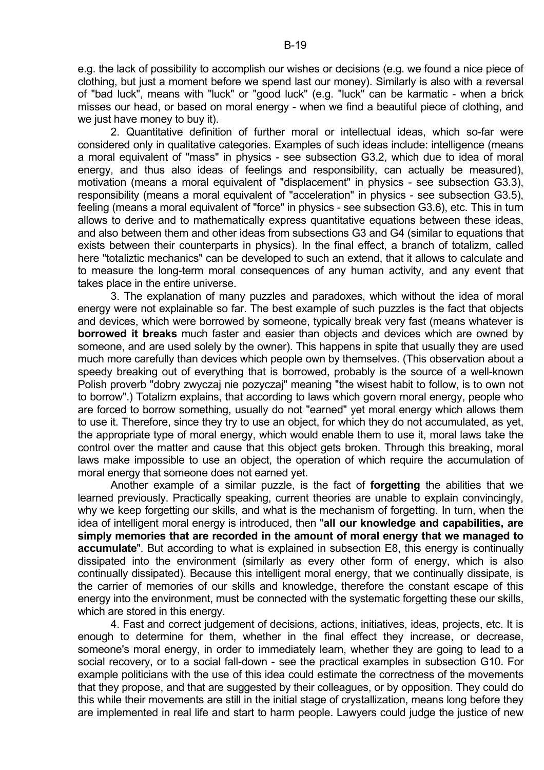e.g. the lack of possibility to accomplish our wishes or decisions (e.g. we found a nice piece of clothing, but just a moment before we spend last our money). Similarly is also with a reversal of "bad luck", means with "luck" or "good luck" (e.g. "luck" can be karmatic - when a brick misses our head, or based on moral energy - when we find a beautiful piece of clothing, and we just have money to buy it).

 2. Quantitative definition of further moral or intellectual ideas, which so-far were considered only in qualitative categories. Examples of such ideas include: intelligence (means a moral equivalent of "mass" in physics - see subsection G3.2, which due to idea of moral energy, and thus also ideas of feelings and responsibility, can actually be measured), motivation (means a moral equivalent of "displacement" in physics - see subsection G3.3), responsibility (means a moral equivalent of "acceleration" in physics - see subsection G3.5), feeling (means a moral equivalent of "force" in physics - see subsection G3.6), etc. This in turn allows to derive and to mathematically express quantitative equations between these ideas, and also between them and other ideas from subsections G3 and G4 (similar to equations that exists between their counterparts in physics). In the final effect, a branch of totalizm, called here "totaliztic mechanics" can be developed to such an extend, that it allows to calculate and to measure the long-term moral consequences of any human activity, and any event that takes place in the entire universe.

 3. The explanation of many puzzles and paradoxes, which without the idea of moral energy were not explainable so far. The best example of such puzzles is the fact that objects and devices, which were borrowed by someone, typically break very fast (means whatever is **borrowed it breaks** much faster and easier than objects and devices which are owned by someone, and are used solely by the owner). This happens in spite that usually they are used much more carefully than devices which people own by themselves. (This observation about a speedy breaking out of everything that is borrowed, probably is the source of a well-known Polish proverb "dobry zwyczaj nie pozyczaj" meaning "the wisest habit to follow, is to own not to borrow".) Totalizm explains, that according to laws which govern moral energy, people who are forced to borrow something, usually do not "earned" yet moral energy which allows them to use it. Therefore, since they try to use an object, for which they do not accumulated, as yet, the appropriate type of moral energy, which would enable them to use it, moral laws take the control over the matter and cause that this object gets broken. Through this breaking, moral laws make impossible to use an object, the operation of which require the accumulation of moral energy that someone does not earned yet.

 Another example of a similar puzzle, is the fact of **forgetting** the abilities that we learned previously. Practically speaking, current theories are unable to explain convincingly, why we keep forgetting our skills, and what is the mechanism of forgetting. In turn, when the idea of intelligent moral energy is introduced, then "**all our knowledge and capabilities, are simply memories that are recorded in the amount of moral energy that we managed to accumulate**". But according to what is explained in subsection E8, this energy is continually dissipated into the environment (similarly as every other form of energy, which is also continually dissipated). Because this intelligent moral energy, that we continually dissipate, is the carrier of memories of our skills and knowledge, therefore the constant escape of this energy into the environment, must be connected with the systematic forgetting these our skills, which are stored in this energy.

 4. Fast and correct judgement of decisions, actions, initiatives, ideas, projects, etc. It is enough to determine for them, whether in the final effect they increase, or decrease, someone's moral energy, in order to immediately learn, whether they are going to lead to a social recovery, or to a social fall-down - see the practical examples in subsection G10. For example politicians with the use of this idea could estimate the correctness of the movements that they propose, and that are suggested by their colleagues, or by opposition. They could do this while their movements are still in the initial stage of crystallization, means long before they are implemented in real life and start to harm people. Lawyers could judge the justice of new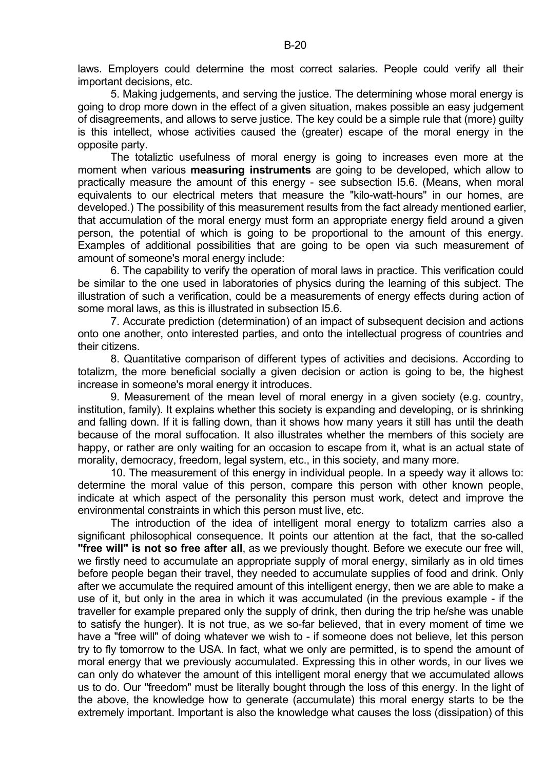laws. Employers could determine the most correct salaries. People could verify all their important decisions, etc.

 5. Making judgements, and serving the justice. The determining whose moral energy is going to drop more down in the effect of a given situation, makes possible an easy judgement of disagreements, and allows to serve justice. The key could be a simple rule that (more) guilty is this intellect, whose activities caused the (greater) escape of the moral energy in the opposite party.

 The totaliztic usefulness of moral energy is going to increases even more at the moment when various **measuring instruments** are going to be developed, which allow to practically measure the amount of this energy - see subsection I5.6. (Means, when moral equivalents to our electrical meters that measure the "kilo-watt-hours" in our homes, are developed.) The possibility of this measurement results from the fact already mentioned earlier, that accumulation of the moral energy must form an appropriate energy field around a given person, the potential of which is going to be proportional to the amount of this energy. Examples of additional possibilities that are going to be open via such measurement of amount of someone's moral energy include:

 6. The capability to verify the operation of moral laws in practice. This verification could be similar to the one used in laboratories of physics during the learning of this subject. The illustration of such a verification, could be a measurements of energy effects during action of some moral laws, as this is illustrated in subsection I5.6.

 7. Accurate prediction (determination) of an impact of subsequent decision and actions onto one another, onto interested parties, and onto the intellectual progress of countries and their citizens.

 8. Quantitative comparison of different types of activities and decisions. According to totalizm, the more beneficial socially a given decision or action is going to be, the highest increase in someone's moral energy it introduces.

 9. Measurement of the mean level of moral energy in a given society (e.g. country, institution, family). It explains whether this society is expanding and developing, or is shrinking and falling down. If it is falling down, than it shows how many years it still has until the death because of the moral suffocation. It also illustrates whether the members of this society are happy, or rather are only waiting for an occasion to escape from it, what is an actual state of morality, democracy, freedom, legal system, etc., in this society, and many more.

 10. The measurement of this energy in individual people. In a speedy way it allows to: determine the moral value of this person, compare this person with other known people, indicate at which aspect of the personality this person must work, detect and improve the environmental constraints in which this person must live, etc.

 The introduction of the idea of intelligent moral energy to totalizm carries also a significant philosophical consequence. It points our attention at the fact, that the so-called **"free will" is not so free after all**, as we previously thought. Before we execute our free will, we firstly need to accumulate an appropriate supply of moral energy, similarly as in old times before people began their travel, they needed to accumulate supplies of food and drink. Only after we accumulate the required amount of this intelligent energy, then we are able to make a use of it, but only in the area in which it was accumulated (in the previous example - if the traveller for example prepared only the supply of drink, then during the trip he/she was unable to satisfy the hunger). It is not true, as we so-far believed, that in every moment of time we have a "free will" of doing whatever we wish to - if someone does not believe, let this person try to fly tomorrow to the USA. In fact, what we only are permitted, is to spend the amount of moral energy that we previously accumulated. Expressing this in other words, in our lives we can only do whatever the amount of this intelligent moral energy that we accumulated allows us to do. Our "freedom" must be literally bought through the loss of this energy. In the light of the above, the knowledge how to generate (accumulate) this moral energy starts to be the extremely important. Important is also the knowledge what causes the loss (dissipation) of this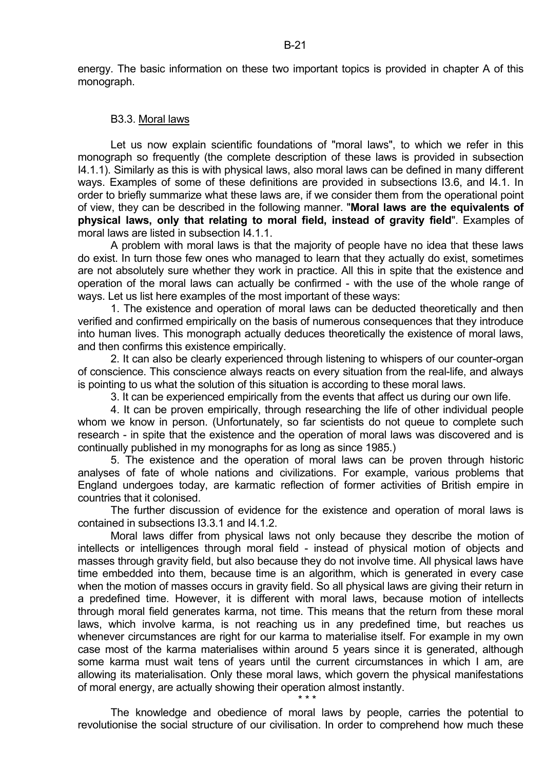energy. The basic information on these two important topics is provided in chapter A of this monograph.

#### B3.3. Moral laws

 Let us now explain scientific foundations of "moral laws", to which we refer in this monograph so frequently (the complete description of these laws is provided in subsection I4.1.1). Similarly as this is with physical laws, also moral laws can be defined in many different ways. Examples of some of these definitions are provided in subsections I3.6, and I4.1. In order to briefly summarize what these laws are, if we consider them from the operational point of view, they can be described in the following manner. "**Moral laws are the equivalents of physical laws, only that relating to moral field, instead of gravity field**". Examples of moral laws are listed in subsection I4.1.1.

 A problem with moral laws is that the majority of people have no idea that these laws do exist. In turn those few ones who managed to learn that they actually do exist, sometimes are not absolutely sure whether they work in practice. All this in spite that the existence and operation of the moral laws can actually be confirmed - with the use of the whole range of ways. Let us list here examples of the most important of these ways:

 1. The existence and operation of moral laws can be deducted theoretically and then verified and confirmed empirically on the basis of numerous consequences that they introduce into human lives. This monograph actually deduces theoretically the existence of moral laws, and then confirms this existence empirically.

 2. It can also be clearly experienced through listening to whispers of our counter-organ of conscience. This conscience always reacts on every situation from the real-life, and always is pointing to us what the solution of this situation is according to these moral laws.

3. It can be experienced empirically from the events that affect us during our own life.

 4. It can be proven empirically, through researching the life of other individual people whom we know in person. (Unfortunately, so far scientists do not queue to complete such research - in spite that the existence and the operation of moral laws was discovered and is continually published in my monographs for as long as since 1985.)

 5. The existence and the operation of moral laws can be proven through historic analyses of fate of whole nations and civilizations. For example, various problems that England undergoes today, are karmatic reflection of former activities of British empire in countries that it colonised.

 The further discussion of evidence for the existence and operation of moral laws is contained in subsections I3.3.1 and I4.1.2.

 Moral laws differ from physical laws not only because they describe the motion of intellects or intelligences through moral field - instead of physical motion of objects and masses through gravity field, but also because they do not involve time. All physical laws have time embedded into them, because time is an algorithm, which is generated in every case when the motion of masses occurs in gravity field. So all physical laws are giving their return in a predefined time. However, it is different with moral laws, because motion of intellects through moral field generates karma, not time. This means that the return from these moral laws, which involve karma, is not reaching us in any predefined time, but reaches us whenever circumstances are right for our karma to materialise itself. For example in my own case most of the karma materialises within around 5 years since it is generated, although some karma must wait tens of years until the current circumstances in which I am, are allowing its materialisation. Only these moral laws, which govern the physical manifestations of moral energy, are actually showing their operation almost instantly.

 The knowledge and obedience of moral laws by people, carries the potential to revolutionise the social structure of our civilisation. In order to comprehend how much these

 $\star \star \star$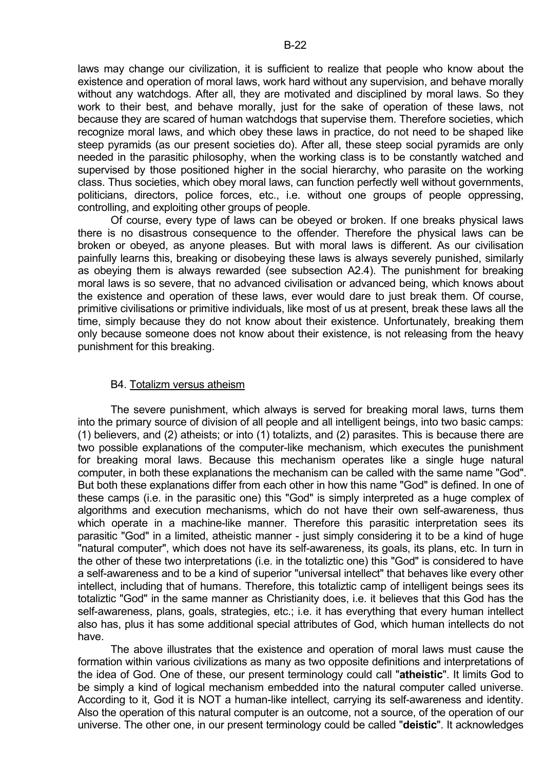laws may change our civilization, it is sufficient to realize that people who know about the existence and operation of moral laws, work hard without any supervision, and behave morally without any watchdogs. After all, they are motivated and disciplined by moral laws. So they work to their best, and behave morally, just for the sake of operation of these laws, not because they are scared of human watchdogs that supervise them. Therefore societies, which recognize moral laws, and which obey these laws in practice, do not need to be shaped like steep pyramids (as our present societies do). After all, these steep social pyramids are only needed in the parasitic philosophy, when the working class is to be constantly watched and supervised by those positioned higher in the social hierarchy, who parasite on the working class. Thus societies, which obey moral laws, can function perfectly well without governments, politicians, directors, police forces, etc., i.e. without one groups of people oppressing, controlling, and exploiting other groups of people.

 Of course, every type of laws can be obeyed or broken. If one breaks physical laws there is no disastrous consequence to the offender. Therefore the physical laws can be broken or obeyed, as anyone pleases. But with moral laws is different. As our civilisation painfully learns this, breaking or disobeying these laws is always severely punished, similarly as obeying them is always rewarded (see subsection A2.4). The punishment for breaking moral laws is so severe, that no advanced civilisation or advanced being, which knows about the existence and operation of these laws, ever would dare to just break them. Of course, primitive civilisations or primitive individuals, like most of us at present, break these laws all the time, simply because they do not know about their existence. Unfortunately, breaking them only because someone does not know about their existence, is not releasing from the heavy punishment for this breaking.

# B4. Totalizm versus atheism

 The severe punishment, which always is served for breaking moral laws, turns them into the primary source of division of all people and all intelligent beings, into two basic camps: (1) believers, and (2) atheists; or into (1) totalizts, and (2) parasites. This is because there are two possible explanations of the computer-like mechanism, which executes the punishment for breaking moral laws. Because this mechanism operates like a single huge natural computer, in both these explanations the mechanism can be called with the same name "God". But both these explanations differ from each other in how this name "God" is defined. In one of these camps (i.e. in the parasitic one) this "God" is simply interpreted as a huge complex of algorithms and execution mechanisms, which do not have their own self-awareness, thus which operate in a machine-like manner. Therefore this parasitic interpretation sees its parasitic "God" in a limited, atheistic manner - just simply considering it to be a kind of huge "natural computer", which does not have its self-awareness, its goals, its plans, etc. In turn in the other of these two interpretations (i.e. in the totaliztic one) this "God" is considered to have a self-awareness and to be a kind of superior "universal intellect" that behaves like every other intellect, including that of humans. Therefore, this totaliztic camp of intelligent beings sees its totaliztic "God" in the same manner as Christianity does, i.e. it believes that this God has the self-awareness, plans, goals, strategies, etc.; i.e. it has everything that every human intellect also has, plus it has some additional special attributes of God, which human intellects do not have.

 The above illustrates that the existence and operation of moral laws must cause the formation within various civilizations as many as two opposite definitions and interpretations of the idea of God. One of these, our present terminology could call "**atheistic**". It limits God to be simply a kind of logical mechanism embedded into the natural computer called universe. According to it, God it is NOT a human-like intellect, carrying its self-awareness and identity. Also the operation of this natural computer is an outcome, not a source, of the operation of our universe. The other one, in our present terminology could be called "**deistic**". It acknowledges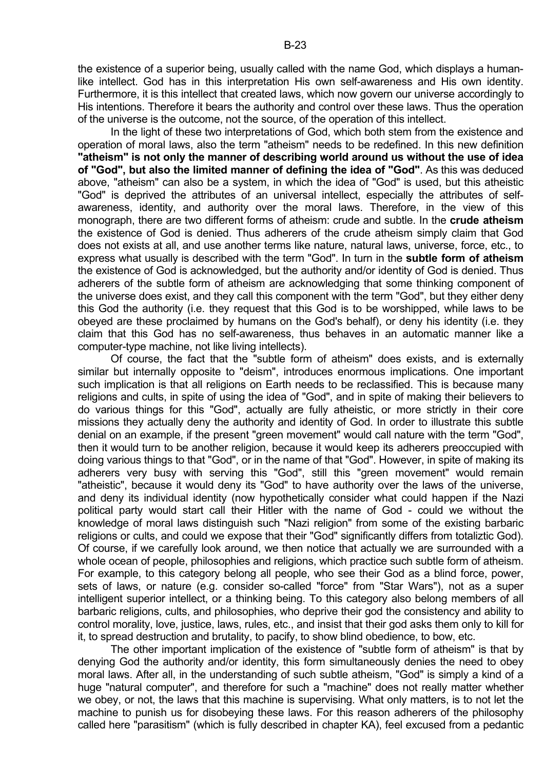the existence of a superior being, usually called with the name God, which displays a humanlike intellect. God has in this interpretation His own self-awareness and His own identity. Furthermore, it is this intellect that created laws, which now govern our universe accordingly to His intentions. Therefore it bears the authority and control over these laws. Thus the operation of the universe is the outcome, not the source, of the operation of this intellect.

 In the light of these two interpretations of God, which both stem from the existence and operation of moral laws, also the term "atheism" needs to be redefined. In this new definition **"atheism" is not only the manner of describing world around us without the use of idea of "God", but also the limited manner of defining the idea of "God"**. As this was deduced above, "atheism" can also be a system, in which the idea of "God" is used, but this atheistic "God" is deprived the attributes of an universal intellect, especially the attributes of selfawareness, identity, and authority over the moral laws. Therefore, in the view of this monograph, there are two different forms of atheism: crude and subtle. In the **crude atheism** the existence of God is denied. Thus adherers of the crude atheism simply claim that God does not exists at all, and use another terms like nature, natural laws, universe, force, etc., to express what usually is described with the term "God". In turn in the **subtle form of atheism** the existence of God is acknowledged, but the authority and/or identity of God is denied. Thus adherers of the subtle form of atheism are acknowledging that some thinking component of the universe does exist, and they call this component with the term "God", but they either deny this God the authority (i.e. they request that this God is to be worshipped, while laws to be obeyed are these proclaimed by humans on the God's behalf), or deny his identity (i.e. they claim that this God has no self-awareness, thus behaves in an automatic manner like a computer-type machine, not like living intellects).

 Of course, the fact that the "subtle form of atheism" does exists, and is externally similar but internally opposite to "deism", introduces enormous implications. One important such implication is that all religions on Earth needs to be reclassified. This is because many religions and cults, in spite of using the idea of "God", and in spite of making their believers to do various things for this "God", actually are fully atheistic, or more strictly in their core missions they actually deny the authority and identity of God. In order to illustrate this subtle denial on an example, if the present "green movement" would call nature with the term "God", then it would turn to be another religion, because it would keep its adherers preoccupied with doing various things to that "God", or in the name of that "God". However, in spite of making its adherers very busy with serving this "God", still this "green movement" would remain "atheistic", because it would deny its "God" to have authority over the laws of the universe, and deny its individual identity (now hypothetically consider what could happen if the Nazi political party would start call their Hitler with the name of God - could we without the knowledge of moral laws distinguish such "Nazi religion" from some of the existing barbaric religions or cults, and could we expose that their "God" significantly differs from totaliztic God). Of course, if we carefully look around, we then notice that actually we are surrounded with a whole ocean of people, philosophies and religions, which practice such subtle form of atheism. For example, to this category belong all people, who see their God as a blind force, power, sets of laws, or nature (e.g. consider so-called "force" from "Star Wars"), not as a super intelligent superior intellect, or a thinking being. To this category also belong members of all barbaric religions, cults, and philosophies, who deprive their god the consistency and ability to control morality, love, justice, laws, rules, etc., and insist that their god asks them only to kill for it, to spread destruction and brutality, to pacify, to show blind obedience, to bow, etc.

 The other important implication of the existence of "subtle form of atheism" is that by denying God the authority and/or identity, this form simultaneously denies the need to obey moral laws. After all, in the understanding of such subtle atheism, "God" is simply a kind of a huge "natural computer", and therefore for such a "machine" does not really matter whether we obey, or not, the laws that this machine is supervising. What only matters, is to not let the machine to punish us for disobeying these laws. For this reason adherers of the philosophy called here "parasitism" (which is fully described in chapter KA), feel excused from a pedantic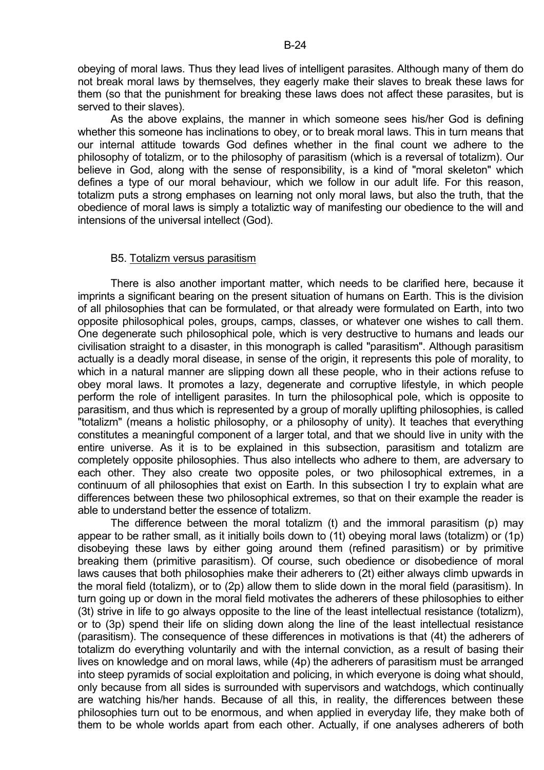obeying of moral laws. Thus they lead lives of intelligent parasites. Although many of them do not break moral laws by themselves, they eagerly make their slaves to break these laws for them (so that the punishment for breaking these laws does not affect these parasites, but is served to their slaves).

 As the above explains, the manner in which someone sees his/her God is defining whether this someone has inclinations to obey, or to break moral laws. This in turn means that our internal attitude towards God defines whether in the final count we adhere to the philosophy of totalizm, or to the philosophy of parasitism (which is a reversal of totalizm). Our believe in God, along with the sense of responsibility, is a kind of "moral skeleton" which defines a type of our moral behaviour, which we follow in our adult life. For this reason, totalizm puts a strong emphases on learning not only moral laws, but also the truth, that the obedience of moral laws is simply a totaliztic way of manifesting our obedience to the will and intensions of the universal intellect (God).

### B5. Totalizm versus parasitism

 There is also another important matter, which needs to be clarified here, because it imprints a significant bearing on the present situation of humans on Earth. This is the division of all philosophies that can be formulated, or that already were formulated on Earth, into two opposite philosophical poles, groups, camps, classes, or whatever one wishes to call them. One degenerate such philosophical pole, which is very destructive to humans and leads our civilisation straight to a disaster, in this monograph is called "parasitism". Although parasitism actually is a deadly moral disease, in sense of the origin, it represents this pole of morality, to which in a natural manner are slipping down all these people, who in their actions refuse to obey moral laws. It promotes a lazy, degenerate and corruptive lifestyle, in which people perform the role of intelligent parasites. In turn the philosophical pole, which is opposite to parasitism, and thus which is represented by a group of morally uplifting philosophies, is called "totalizm" (means a holistic philosophy, or a philosophy of unity). It teaches that everything constitutes a meaningful component of a larger total, and that we should live in unity with the entire universe. As it is to be explained in this subsection, parasitism and totalizm are completely opposite philosophies. Thus also intellects who adhere to them, are adversary to each other. They also create two opposite poles, or two philosophical extremes, in a continuum of all philosophies that exist on Earth. In this subsection I try to explain what are differences between these two philosophical extremes, so that on their example the reader is able to understand better the essence of totalizm.

 The difference between the moral totalizm (t) and the immoral parasitism (p) may appear to be rather small, as it initially boils down to (1t) obeying moral laws (totalizm) or (1p) disobeying these laws by either going around them (refined parasitism) or by primitive breaking them (primitive parasitism). Of course, such obedience or disobedience of moral laws causes that both philosophies make their adherers to (2t) either always climb upwards in the moral field (totalizm), or to (2p) allow them to slide down in the moral field (parasitism). In turn going up or down in the moral field motivates the adherers of these philosophies to either (3t) strive in life to go always opposite to the line of the least intellectual resistance (totalizm), or to (3p) spend their life on sliding down along the line of the least intellectual resistance (parasitism). The consequence of these differences in motivations is that (4t) the adherers of totalizm do everything voluntarily and with the internal conviction, as a result of basing their lives on knowledge and on moral laws, while (4p) the adherers of parasitism must be arranged into steep pyramids of social exploitation and policing, in which everyone is doing what should, only because from all sides is surrounded with supervisors and watchdogs, which continually are watching his/her hands. Because of all this, in reality, the differences between these philosophies turn out to be enormous, and when applied in everyday life, they make both of them to be whole worlds apart from each other. Actually, if one analyses adherers of both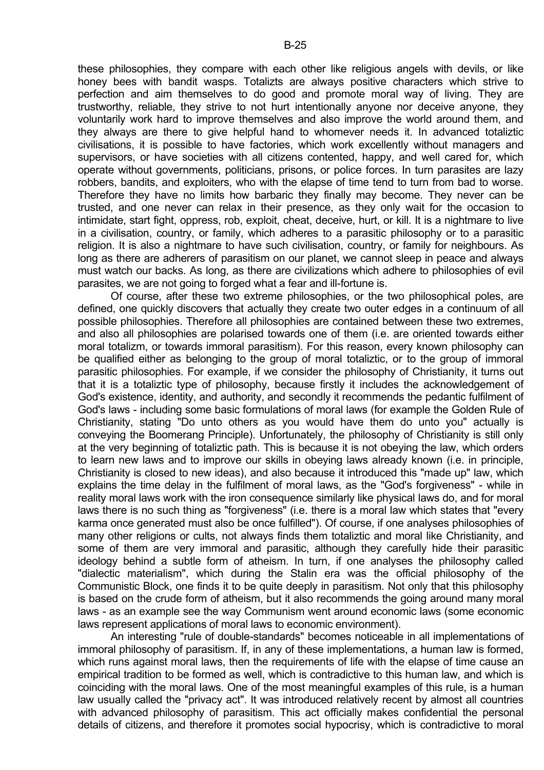these philosophies, they compare with each other like religious angels with devils, or like honey bees with bandit wasps. Totalizts are always positive characters which strive to perfection and aim themselves to do good and promote moral way of living. They are trustworthy, reliable, they strive to not hurt intentionally anyone nor deceive anyone, they voluntarily work hard to improve themselves and also improve the world around them, and they always are there to give helpful hand to whomever needs it. In advanced totaliztic civilisations, it is possible to have factories, which work excellently without managers and supervisors, or have societies with all citizens contented, happy, and well cared for, which operate without governments, politicians, prisons, or police forces. In turn parasites are lazy robbers, bandits, and exploiters, who with the elapse of time tend to turn from bad to worse. Therefore they have no limits how barbaric they finally may become. They never can be trusted, and one never can relax in their presence, as they only wait for the occasion to intimidate, start fight, oppress, rob, exploit, cheat, deceive, hurt, or kill. It is a nightmare to live in a civilisation, country, or family, which adheres to a parasitic philosophy or to a parasitic religion. It is also a nightmare to have such civilisation, country, or family for neighbours. As long as there are adherers of parasitism on our planet, we cannot sleep in peace and always must watch our backs. As long, as there are civilizations which adhere to philosophies of evil parasites, we are not going to forged what a fear and ill-fortune is.

 Of course, after these two extreme philosophies, or the two philosophical poles, are defined, one quickly discovers that actually they create two outer edges in a continuum of all possible philosophies. Therefore all philosophies are contained between these two extremes, and also all philosophies are polarised towards one of them (i.e. are oriented towards either moral totalizm, or towards immoral parasitism). For this reason, every known philosophy can be qualified either as belonging to the group of moral totaliztic, or to the group of immoral parasitic philosophies. For example, if we consider the philosophy of Christianity, it turns out that it is a totaliztic type of philosophy, because firstly it includes the acknowledgement of God's existence, identity, and authority, and secondly it recommends the pedantic fulfilment of God's laws - including some basic formulations of moral laws (for example the Golden Rule of Christianity, stating "Do unto others as you would have them do unto you" actually is conveying the Boomerang Principle). Unfortunately, the philosophy of Christianity is still only at the very beginning of totaliztic path. This is because it is not obeying the law, which orders to learn new laws and to improve our skills in obeying laws already known (i.e. in principle, Christianity is closed to new ideas), and also because it introduced this "made up" law, which explains the time delay in the fulfilment of moral laws, as the "God's forgiveness" - while in reality moral laws work with the iron consequence similarly like physical laws do, and for moral laws there is no such thing as "forgiveness" (i.e. there is a moral law which states that "every karma once generated must also be once fulfilled"). Of course, if one analyses philosophies of many other religions or cults, not always finds them totaliztic and moral like Christianity, and some of them are very immoral and parasitic, although they carefully hide their parasitic ideology behind a subtle form of atheism. In turn, if one analyses the philosophy called "dialectic materialism", which during the Stalin era was the official philosophy of the Communistic Block, one finds it to be quite deeply in parasitism. Not only that this philosophy is based on the crude form of atheism, but it also recommends the going around many moral laws - as an example see the way Communism went around economic laws (some economic laws represent applications of moral laws to economic environment).

 An interesting "rule of double-standards" becomes noticeable in all implementations of immoral philosophy of parasitism. If, in any of these implementations, a human law is formed, which runs against moral laws, then the requirements of life with the elapse of time cause an empirical tradition to be formed as well, which is contradictive to this human law, and which is coinciding with the moral laws. One of the most meaningful examples of this rule, is a human law usually called the "privacy act". It was introduced relatively recent by almost all countries with advanced philosophy of parasitism. This act officially makes confidential the personal details of citizens, and therefore it promotes social hypocrisy, which is contradictive to moral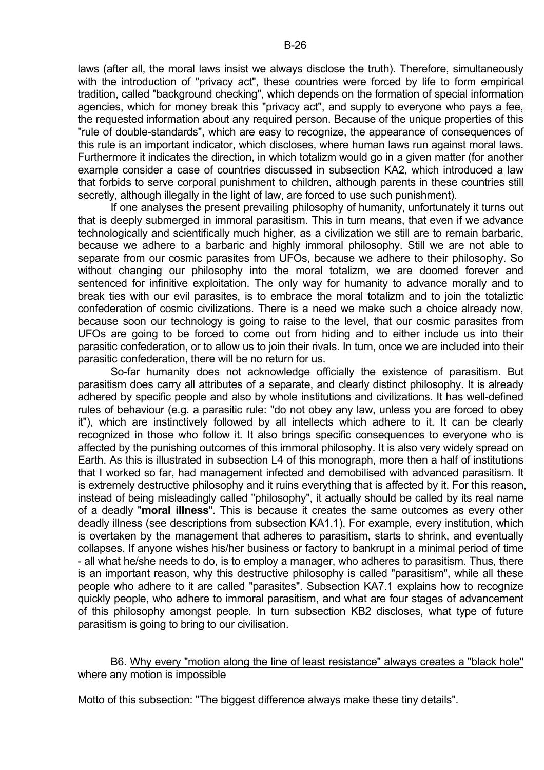laws (after all, the moral laws insist we always disclose the truth). Therefore, simultaneously with the introduction of "privacy act", these countries were forced by life to form empirical tradition, called "background checking", which depends on the formation of special information agencies, which for money break this "privacy act", and supply to everyone who pays a fee, the requested information about any required person. Because of the unique properties of this "rule of double-standards", which are easy to recognize, the appearance of consequences of this rule is an important indicator, which discloses, where human laws run against moral laws. Furthermore it indicates the direction, in which totalizm would go in a given matter (for another example consider a case of countries discussed in subsection KA2, which introduced a law that forbids to serve corporal punishment to children, although parents in these countries still secretly, although illegally in the light of law, are forced to use such punishment).

 If one analyses the present prevailing philosophy of humanity, unfortunately it turns out that is deeply submerged in immoral parasitism. This in turn means, that even if we advance technologically and scientifically much higher, as a civilization we still are to remain barbaric, because we adhere to a barbaric and highly immoral philosophy. Still we are not able to separate from our cosmic parasites from UFOs, because we adhere to their philosophy. So without changing our philosophy into the moral totalizm, we are doomed forever and sentenced for infinitive exploitation. The only way for humanity to advance morally and to break ties with our evil parasites, is to embrace the moral totalizm and to join the totaliztic confederation of cosmic civilizations. There is a need we make such a choice already now, because soon our technology is going to raise to the level, that our cosmic parasites from UFOs are going to be forced to come out from hiding and to either include us into their parasitic confederation, or to allow us to join their rivals. In turn, once we are included into their parasitic confederation, there will be no return for us.

 So-far humanity does not acknowledge officially the existence of parasitism. But parasitism does carry all attributes of a separate, and clearly distinct philosophy. It is already adhered by specific people and also by whole institutions and civilizations. It has well-defined rules of behaviour (e.g. a parasitic rule: "do not obey any law, unless you are forced to obey it"), which are instinctively followed by all intellects which adhere to it. It can be clearly recognized in those who follow it. It also brings specific consequences to everyone who is affected by the punishing outcomes of this immoral philosophy. It is also very widely spread on Earth. As this is illustrated in subsection L4 of this monograph, more then a half of institutions that I worked so far, had management infected and demobilised with advanced parasitism. It is extremely destructive philosophy and it ruins everything that is affected by it. For this reason, instead of being misleadingly called "philosophy", it actually should be called by its real name of a deadly "**moral illness**". This is because it creates the same outcomes as every other deadly illness (see descriptions from subsection KA1.1). For example, every institution, which is overtaken by the management that adheres to parasitism, starts to shrink, and eventually collapses. If anyone wishes his/her business or factory to bankrupt in a minimal period of time - all what he/she needs to do, is to employ a manager, who adheres to parasitism. Thus, there is an important reason, why this destructive philosophy is called "parasitism", while all these people who adhere to it are called "parasites". Subsection KA7.1 explains how to recognize quickly people, who adhere to immoral parasitism, and what are four stages of advancement of this philosophy amongst people. In turn subsection KB2 discloses, what type of future parasitism is going to bring to our civilisation.

# B6. Why every "motion along the line of least resistance" always creates a "black hole" where any motion is impossible

Motto of this subsection: "The biggest difference always make these tiny details".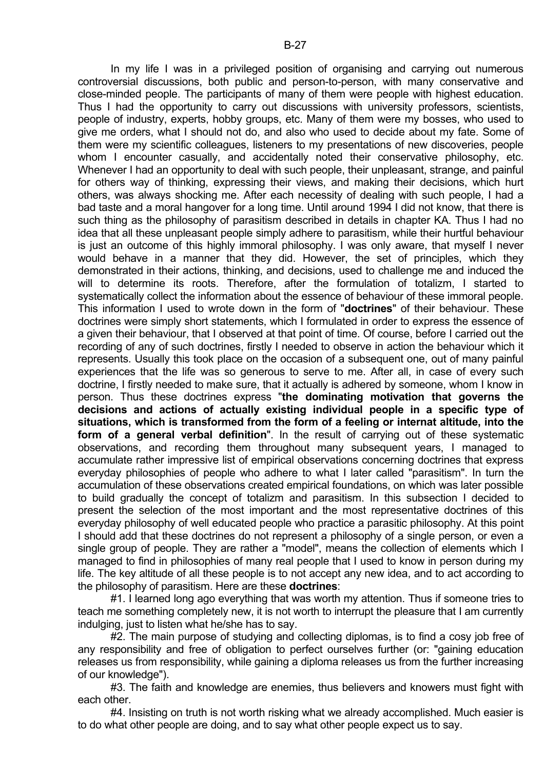In my life I was in a privileged position of organising and carrying out numerous controversial discussions, both public and person-to-person, with many conservative and close-minded people. The participants of many of them were people with highest education. Thus I had the opportunity to carry out discussions with university professors, scientists, people of industry, experts, hobby groups, etc. Many of them were my bosses, who used to give me orders, what I should not do, and also who used to decide about my fate. Some of them were my scientific colleagues, listeners to my presentations of new discoveries, people whom I encounter casually, and accidentally noted their conservative philosophy, etc. Whenever I had an opportunity to deal with such people, their unpleasant, strange, and painful for others way of thinking, expressing their views, and making their decisions, which hurt others, was always shocking me. After each necessity of dealing with such people, I had a bad taste and a moral hangover for a long time. Until around 1994 I did not know, that there is such thing as the philosophy of parasitism described in details in chapter KA. Thus I had no idea that all these unpleasant people simply adhere to parasitism, while their hurtful behaviour is just an outcome of this highly immoral philosophy. I was only aware, that myself I never would behave in a manner that they did. However, the set of principles, which they demonstrated in their actions, thinking, and decisions, used to challenge me and induced the will to determine its roots. Therefore, after the formulation of totalizm, I started to systematically collect the information about the essence of behaviour of these immoral people. This information I used to wrote down in the form of "**doctrines**" of their behaviour. These doctrines were simply short statements, which I formulated in order to express the essence of a given their behaviour, that I observed at that point of time. Of course, before I carried out the recording of any of such doctrines, firstly I needed to observe in action the behaviour which it represents. Usually this took place on the occasion of a subsequent one, out of many painful experiences that the life was so generous to serve to me. After all, in case of every such doctrine, I firstly needed to make sure, that it actually is adhered by someone, whom I know in person. Thus these doctrines express "**the dominating motivation that governs the decisions and actions of actually existing individual people in a specific type of situations, which is transformed from the form of a feeling or internat altitude, into the form of a general verbal definition**". In the result of carrying out of these systematic observations, and recording them throughout many subsequent years, I managed to accumulate rather impressive list of empirical observations concerning doctrines that express everyday philosophies of people who adhere to what I later called "parasitism". In turn the accumulation of these observations created empirical foundations, on which was later possible to build gradually the concept of totalizm and parasitism. In this subsection I decided to present the selection of the most important and the most representative doctrines of this everyday philosophy of well educated people who practice a parasitic philosophy. At this point I should add that these doctrines do not represent a philosophy of a single person, or even a single group of people. They are rather a "model", means the collection of elements which I managed to find in philosophies of many real people that I used to know in person during my life. The key altitude of all these people is to not accept any new idea, and to act according to the philosophy of parasitism. Here are these **doctrines**:

 #1. I learned long ago everything that was worth my attention. Thus if someone tries to teach me something completely new, it is not worth to interrupt the pleasure that I am currently indulging, just to listen what he/she has to say.

 #2. The main purpose of studying and collecting diplomas, is to find a cosy job free of any responsibility and free of obligation to perfect ourselves further (or: "gaining education releases us from responsibility, while gaining a diploma releases us from the further increasing of our knowledge").

 #3. The faith and knowledge are enemies, thus believers and knowers must fight with each other.

 #4. Insisting on truth is not worth risking what we already accomplished. Much easier is to do what other people are doing, and to say what other people expect us to say.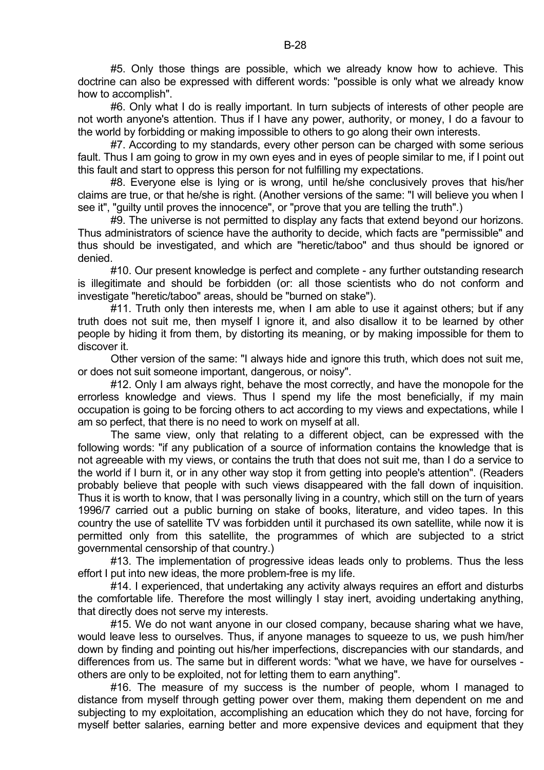#5. Only those things are possible, which we already know how to achieve. This doctrine can also be expressed with different words: "possible is only what we already know how to accomplish".

 #6. Only what I do is really important. In turn subjects of interests of other people are not worth anyone's attention. Thus if I have any power, authority, or money, I do a favour to the world by forbidding or making impossible to others to go along their own interests.

 #7. According to my standards, every other person can be charged with some serious fault. Thus I am going to grow in my own eyes and in eyes of people similar to me, if I point out this fault and start to oppress this person for not fulfilling my expectations.

 #8. Everyone else is lying or is wrong, until he/she conclusively proves that his/her claims are true, or that he/she is right. (Another versions of the same: "I will believe you when I see it", "guilty until proves the innocence", or "prove that you are telling the truth".)

 #9. The universe is not permitted to display any facts that extend beyond our horizons. Thus administrators of science have the authority to decide, which facts are "permissible" and thus should be investigated, and which are "heretic/taboo" and thus should be ignored or denied.

 #10. Our present knowledge is perfect and complete - any further outstanding research is illegitimate and should be forbidden (or: all those scientists who do not conform and investigate "heretic/taboo" areas, should be "burned on stake").

#11. Truth only then interests me, when I am able to use it against others; but if any truth does not suit me, then myself I ignore it, and also disallow it to be learned by other people by hiding it from them, by distorting its meaning, or by making impossible for them to discover it.

 Other version of the same: "I always hide and ignore this truth, which does not suit me, or does not suit someone important, dangerous, or noisy".

#12. Only I am always right, behave the most correctly, and have the monopole for the errorless knowledge and views. Thus I spend my life the most beneficially, if my main occupation is going to be forcing others to act according to my views and expectations, while I am so perfect, that there is no need to work on myself at all.

 The same view, only that relating to a different object, can be expressed with the following words: "if any publication of a source of information contains the knowledge that is not agreeable with my views, or contains the truth that does not suit me, than I do a service to the world if I burn it, or in any other way stop it from getting into people's attention". (Readers probably believe that people with such views disappeared with the fall down of inquisition. Thus it is worth to know, that I was personally living in a country, which still on the turn of years 1996/7 carried out a public burning on stake of books, literature, and video tapes. In this country the use of satellite TV was forbidden until it purchased its own satellite, while now it is permitted only from this satellite, the programmes of which are subjected to a strict governmental censorship of that country.)

 #13. The implementation of progressive ideas leads only to problems. Thus the less effort I put into new ideas, the more problem-free is my life.

#14. I experienced, that undertaking any activity always requires an effort and disturbs the comfortable life. Therefore the most willingly I stay inert, avoiding undertaking anything, that directly does not serve my interests.

 #15. We do not want anyone in our closed company, because sharing what we have, would leave less to ourselves. Thus, if anyone manages to squeeze to us, we push him/her down by finding and pointing out his/her imperfections, discrepancies with our standards, and differences from us. The same but in different words: "what we have, we have for ourselves others are only to be exploited, not for letting them to earn anything".

 #16. The measure of my success is the number of people, whom I managed to distance from myself through getting power over them, making them dependent on me and subjecting to my exploitation, accomplishing an education which they do not have, forcing for myself better salaries, earning better and more expensive devices and equipment that they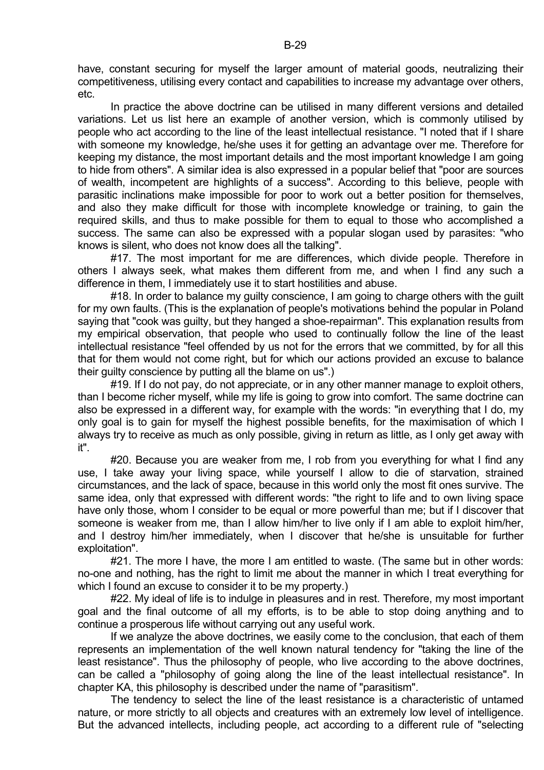have, constant securing for myself the larger amount of material goods, neutralizing their competitiveness, utilising every contact and capabilities to increase my advantage over others, etc.

 In practice the above doctrine can be utilised in many different versions and detailed variations. Let us list here an example of another version, which is commonly utilised by people who act according to the line of the least intellectual resistance. "I noted that if I share with someone my knowledge, he/she uses it for getting an advantage over me. Therefore for keeping my distance, the most important details and the most important knowledge I am going to hide from others". A similar idea is also expressed in a popular belief that "poor are sources of wealth, incompetent are highlights of a success". According to this believe, people with parasitic inclinations make impossible for poor to work out a better position for themselves, and also they make difficult for those with incomplete knowledge or training, to gain the required skills, and thus to make possible for them to equal to those who accomplished a success. The same can also be expressed with a popular slogan used by parasites: "who knows is silent, who does not know does all the talking".

 #17. The most important for me are differences, which divide people. Therefore in others I always seek, what makes them different from me, and when I find any such a difference in them, I immediately use it to start hostilities and abuse.

#18. In order to balance my guilty conscience, I am going to charge others with the guilt for my own faults. (This is the explanation of people's motivations behind the popular in Poland saying that "cook was guilty, but they hanged a shoe-repairman". This explanation results from my empirical observation, that people who used to continually follow the line of the least intellectual resistance "feel offended by us not for the errors that we committed, by for all this that for them would not come right, but for which our actions provided an excuse to balance their guilty conscience by putting all the blame on us".)

 #19. If I do not pay, do not appreciate, or in any other manner manage to exploit others, than I become richer myself, while my life is going to grow into comfort. The same doctrine can also be expressed in a different way, for example with the words: "in everything that I do, my only goal is to gain for myself the highest possible benefits, for the maximisation of which I always try to receive as much as only possible, giving in return as little, as I only get away with it".

#20. Because you are weaker from me, I rob from you everything for what I find any use, I take away your living space, while yourself I allow to die of starvation, strained circumstances, and the lack of space, because in this world only the most fit ones survive. The same idea, only that expressed with different words: "the right to life and to own living space have only those, whom I consider to be equal or more powerful than me; but if I discover that someone is weaker from me, than I allow him/her to live only if I am able to exploit him/her, and I destroy him/her immediately, when I discover that he/she is unsuitable for further exploitation".

 #21. The more I have, the more I am entitled to waste. (The same but in other words: no-one and nothing, has the right to limit me about the manner in which I treat everything for which I found an excuse to consider it to be my property.)

#22. My ideal of life is to indulge in pleasures and in rest. Therefore, my most important goal and the final outcome of all my efforts, is to be able to stop doing anything and to continue a prosperous life without carrying out any useful work.

 If we analyze the above doctrines, we easily come to the conclusion, that each of them represents an implementation of the well known natural tendency for "taking the line of the least resistance". Thus the philosophy of people, who live according to the above doctrines, can be called a "philosophy of going along the line of the least intellectual resistance". In chapter KA, this philosophy is described under the name of "parasitism".

 The tendency to select the line of the least resistance is a characteristic of untamed nature, or more strictly to all objects and creatures with an extremely low level of intelligence. But the advanced intellects, including people, act according to a different rule of "selecting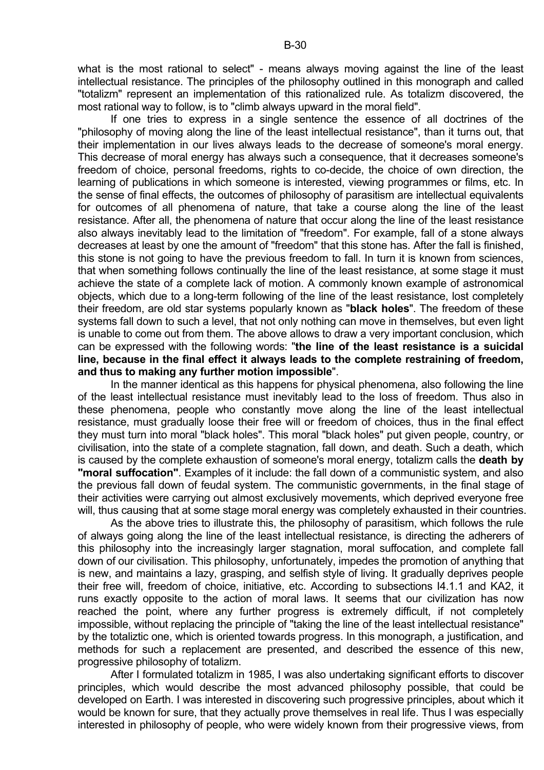what is the most rational to select" - means always moving against the line of the least intellectual resistance. The principles of the philosophy outlined in this monograph and called "totalizm" represent an implementation of this rationalized rule. As totalizm discovered, the most rational way to follow, is to "climb always upward in the moral field".

 If one tries to express in a single sentence the essence of all doctrines of the "philosophy of moving along the line of the least intellectual resistance", than it turns out, that their implementation in our lives always leads to the decrease of someone's moral energy. This decrease of moral energy has always such a consequence, that it decreases someone's freedom of choice, personal freedoms, rights to co-decide, the choice of own direction, the learning of publications in which someone is interested, viewing programmes or films, etc. In the sense of final effects, the outcomes of philosophy of parasitism are intellectual equivalents for outcomes of all phenomena of nature, that take a course along the line of the least resistance. After all, the phenomena of nature that occur along the line of the least resistance also always inevitably lead to the limitation of "freedom". For example, fall of a stone always decreases at least by one the amount of "freedom" that this stone has. After the fall is finished, this stone is not going to have the previous freedom to fall. In turn it is known from sciences, that when something follows continually the line of the least resistance, at some stage it must achieve the state of a complete lack of motion. A commonly known example of astronomical objects, which due to a long-term following of the line of the least resistance, lost completely their freedom, are old star systems popularly known as "**black holes**". The freedom of these systems fall down to such a level, that not only nothing can move in themselves, but even light is unable to come out from them. The above allows to draw a very important conclusion, which can be expressed with the following words: "**the line of the least resistance is a suicidal line, because in the final effect it always leads to the complete restraining of freedom, and thus to making any further motion impossible**".

 In the manner identical as this happens for physical phenomena, also following the line of the least intellectual resistance must inevitably lead to the loss of freedom. Thus also in these phenomena, people who constantly move along the line of the least intellectual resistance, must gradually loose their free will or freedom of choices, thus in the final effect they must turn into moral "black holes". This moral "black holes" put given people, country, or civilisation, into the state of a complete stagnation, fall down, and death. Such a death, which is caused by the complete exhaustion of someone's moral energy, totalizm calls the **death by "moral suffocation"**. Examples of it include: the fall down of a communistic system, and also the previous fall down of feudal system. The communistic governments, in the final stage of their activities were carrying out almost exclusively movements, which deprived everyone free will, thus causing that at some stage moral energy was completely exhausted in their countries.

 As the above tries to illustrate this, the philosophy of parasitism, which follows the rule of always going along the line of the least intellectual resistance, is directing the adherers of this philosophy into the increasingly larger stagnation, moral suffocation, and complete fall down of our civilisation. This philosophy, unfortunately, impedes the promotion of anything that is new, and maintains a lazy, grasping, and selfish style of living. It gradually deprives people their free will, freedom of choice, initiative, etc. According to subsections I4.1.1 and KA2, it runs exactly opposite to the action of moral laws. It seems that our civilization has now reached the point, where any further progress is extremely difficult, if not completely impossible, without replacing the principle of "taking the line of the least intellectual resistance" by the totaliztic one, which is oriented towards progress. In this monograph, a justification, and methods for such a replacement are presented, and described the essence of this new, progressive philosophy of totalizm.

 After I formulated totalizm in 1985, I was also undertaking significant efforts to discover principles, which would describe the most advanced philosophy possible, that could be developed on Earth. I was interested in discovering such progressive principles, about which it would be known for sure, that they actually prove themselves in real life. Thus I was especially interested in philosophy of people, who were widely known from their progressive views, from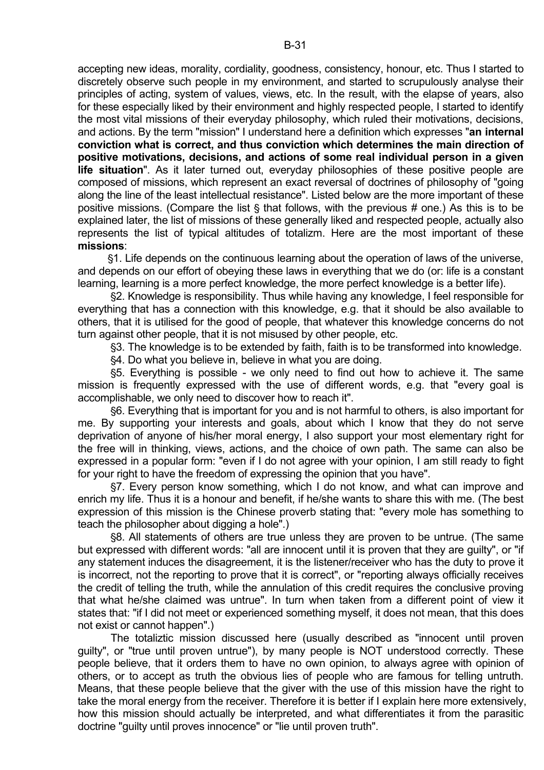accepting new ideas, morality, cordiality, goodness, consistency, honour, etc. Thus I started to discretely observe such people in my environment, and started to scrupulously analyse their principles of acting, system of values, views, etc. In the result, with the elapse of years, also for these especially liked by their environment and highly respected people, I started to identify the most vital missions of their everyday philosophy, which ruled their motivations, decisions, and actions. By the term "mission" I understand here a definition which expresses "**an internal conviction what is correct, and thus conviction which determines the main direction of positive motivations, decisions, and actions of some real individual person in a given life situation**". As it later turned out, everyday philosophies of these positive people are composed of missions, which represent an exact reversal of doctrines of philosophy of "going along the line of the least intellectual resistance". Listed below are the more important of these positive missions. (Compare the list  $\frac{1}{2}$  that follows, with the previous # one.) As this is to be explained later, the list of missions of these generally liked and respected people, actually also represents the list of typical altitudes of totalizm. Here are the most important of these **missions**:

'1. Life depends on the continuous learning about the operation of laws of the universe, and depends on our effort of obeying these laws in everything that we do (or: life is a constant learning, learning is a more perfect knowledge, the more perfect knowledge is a better life).

'2. Knowledge is responsibility. Thus while having any knowledge, I feel responsible for everything that has a connection with this knowledge, e.g. that it should be also available to others, that it is utilised for the good of people, that whatever this knowledge concerns do not turn against other people, that it is not misused by other people, etc.

'3. The knowledge is to be extended by faith, faith is to be transformed into knowledge.

§4. Do what you believe in, believe in what you are doing.

'5. Everything is possible - we only need to find out how to achieve it. The same mission is frequently expressed with the use of different words, e.g. that "every goal is accomplishable, we only need to discover how to reach it".

'6. Everything that is important for you and is not harmful to others, is also important for me. By supporting your interests and goals, about which I know that they do not serve deprivation of anyone of his/her moral energy, I also support your most elementary right for the free will in thinking, views, actions, and the choice of own path. The same can also be expressed in a popular form: "even if I do not agree with your opinion, I am still ready to fight for your right to have the freedom of expressing the opinion that you have".

'7. Every person know something, which I do not know, and what can improve and enrich my life. Thus it is a honour and benefit, if he/she wants to share this with me. (The best expression of this mission is the Chinese proverb stating that: "every mole has something to teach the philosopher about digging a hole".)

'8. All statements of others are true unless they are proven to be untrue. (The same but expressed with different words: "all are innocent until it is proven that they are guilty", or "if any statement induces the disagreement, it is the listener/receiver who has the duty to prove it is incorrect, not the reporting to prove that it is correct", or "reporting always officially receives the credit of telling the truth, while the annulation of this credit requires the conclusive proving that what he/she claimed was untrue". In turn when taken from a different point of view it states that: "if I did not meet or experienced something myself, it does not mean, that this does not exist or cannot happen".)

 The totaliztic mission discussed here (usually described as "innocent until proven guilty", or "true until proven untrue"), by many people is NOT understood correctly. These people believe, that it orders them to have no own opinion, to always agree with opinion of others, or to accept as truth the obvious lies of people who are famous for telling untruth. Means, that these people believe that the giver with the use of this mission have the right to take the moral energy from the receiver. Therefore it is better if I explain here more extensively, how this mission should actually be interpreted, and what differentiates it from the parasitic doctrine "guilty until proves innocence" or "lie until proven truth".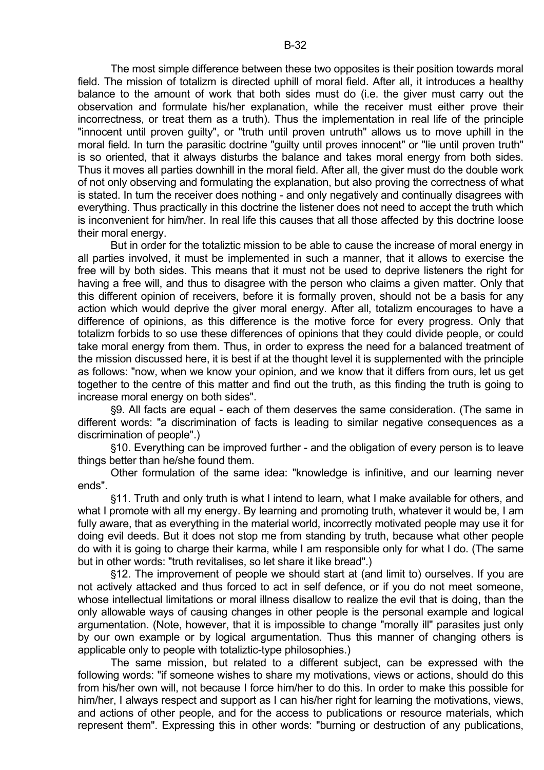The most simple difference between these two opposites is their position towards moral field. The mission of totalizm is directed uphill of moral field. After all, it introduces a healthy balance to the amount of work that both sides must do (i.e. the giver must carry out the observation and formulate his/her explanation, while the receiver must either prove their incorrectness, or treat them as a truth). Thus the implementation in real life of the principle "innocent until proven guilty", or "truth until proven untruth" allows us to move uphill in the moral field. In turn the parasitic doctrine "guilty until proves innocent" or "lie until proven truth" is so oriented, that it always disturbs the balance and takes moral energy from both sides. Thus it moves all parties downhill in the moral field. After all, the giver must do the double work of not only observing and formulating the explanation, but also proving the correctness of what is stated. In turn the receiver does nothing - and only negatively and continually disagrees with everything. Thus practically in this doctrine the listener does not need to accept the truth which is inconvenient for him/her. In real life this causes that all those affected by this doctrine loose their moral energy.

 But in order for the totaliztic mission to be able to cause the increase of moral energy in all parties involved, it must be implemented in such a manner, that it allows to exercise the free will by both sides. This means that it must not be used to deprive listeners the right for having a free will, and thus to disagree with the person who claims a given matter. Only that this different opinion of receivers, before it is formally proven, should not be a basis for any action which would deprive the giver moral energy. After all, totalizm encourages to have a difference of opinions, as this difference is the motive force for every progress. Only that totalizm forbids to so use these differences of opinions that they could divide people, or could take moral energy from them. Thus, in order to express the need for a balanced treatment of the mission discussed here, it is best if at the thought level it is supplemented with the principle as follows: "now, when we know your opinion, and we know that it differs from ours, let us get together to the centre of this matter and find out the truth, as this finding the truth is going to increase moral energy on both sides".

'9. All facts are equal - each of them deserves the same consideration. (The same in different words: "a discrimination of facts is leading to similar negative consequences as a discrimination of people".)

'10. Everything can be improved further - and the obligation of every person is to leave things better than he/she found them.

 Other formulation of the same idea: "knowledge is infinitive, and our learning never ends".

'11. Truth and only truth is what I intend to learn, what I make available for others, and what I promote with all my energy. By learning and promoting truth, whatever it would be, I am fully aware, that as everything in the material world, incorrectly motivated people may use it for doing evil deeds. But it does not stop me from standing by truth, because what other people do with it is going to charge their karma, while I am responsible only for what I do. (The same but in other words: "truth revitalises, so let share it like bread".)

\$12. The improvement of people we should start at (and limit to) ourselves. If you are not actively attacked and thus forced to act in self defence, or if you do not meet someone, whose intellectual limitations or moral illness disallow to realize the evil that is doing, than the only allowable ways of causing changes in other people is the personal example and logical argumentation. (Note, however, that it is impossible to change "morally ill" parasites just only by our own example or by logical argumentation. Thus this manner of changing others is applicable only to people with totaliztic-type philosophies.)

 The same mission, but related to a different subject, can be expressed with the following words: "if someone wishes to share my motivations, views or actions, should do this from his/her own will, not because I force him/her to do this. In order to make this possible for him/her, I always respect and support as I can his/her right for learning the motivations, views, and actions of other people, and for the access to publications or resource materials, which represent them". Expressing this in other words: "burning or destruction of any publications,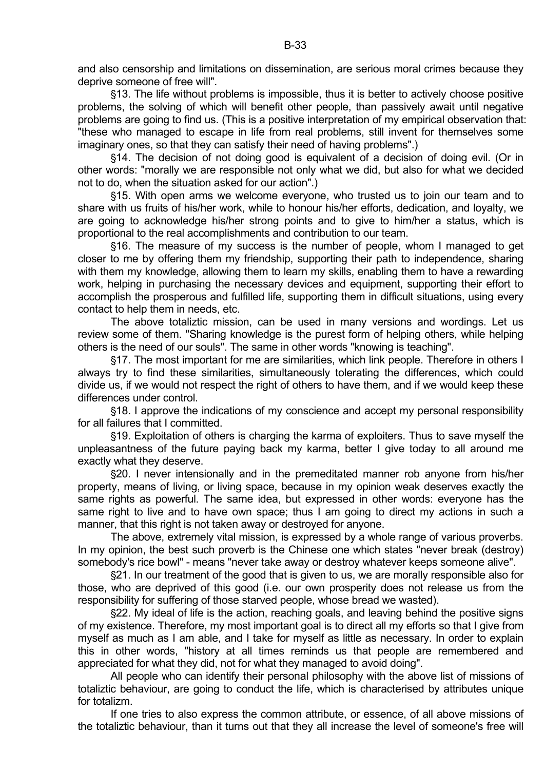and also censorship and limitations on dissemination, are serious moral crimes because they deprive someone of free will".

'13. The life without problems is impossible, thus it is better to actively choose positive problems, the solving of which will benefit other people, than passively await until negative problems are going to find us. (This is a positive interpretation of my empirical observation that: "these who managed to escape in life from real problems, still invent for themselves some imaginary ones, so that they can satisfy their need of having problems".)

 $$14.$  The decision of not doing good is equivalent of a decision of doing evil. (Or in other words: "morally we are responsible not only what we did, but also for what we decided not to do, when the situation asked for our action".)

'15. With open arms we welcome everyone, who trusted us to join our team and to share with us fruits of his/her work, while to honour his/her efforts, dedication, and loyalty, we are going to acknowledge his/her strong points and to give to him/her a status, which is proportional to the real accomplishments and contribution to our team.

'16. The measure of my success is the number of people, whom I managed to get closer to me by offering them my friendship, supporting their path to independence, sharing with them my knowledge, allowing them to learn my skills, enabling them to have a rewarding work, helping in purchasing the necessary devices and equipment, supporting their effort to accomplish the prosperous and fulfilled life, supporting them in difficult situations, using every contact to help them in needs, etc.

 The above totaliztic mission, can be used in many versions and wordings. Let us review some of them. "Sharing knowledge is the purest form of helping others, while helping others is the need of our souls". The same in other words "knowing is teaching".

'17. The most important for me are similarities, which link people. Therefore in others I always try to find these similarities, simultaneously tolerating the differences, which could divide us, if we would not respect the right of others to have them, and if we would keep these differences under control.

'18. I approve the indications of my conscience and accept my personal responsibility for all failures that I committed.

'19. Exploitation of others is charging the karma of exploiters. Thus to save myself the unpleasantness of the future paying back my karma, better I give today to all around me exactly what they deserve.

'20. I never intensionally and in the premeditated manner rob anyone from his/her property, means of living, or living space, because in my opinion weak deserves exactly the same rights as powerful. The same idea, but expressed in other words: everyone has the same right to live and to have own space; thus I am going to direct my actions in such a manner, that this right is not taken away or destroyed for anyone.

 The above, extremely vital mission, is expressed by a whole range of various proverbs. In my opinion, the best such proverb is the Chinese one which states "never break (destroy) somebody's rice bowl" - means "never take away or destroy whatever keeps someone alive".

'21. In our treatment of the good that is given to us, we are morally responsible also for those, who are deprived of this good (i.e. our own prosperity does not release us from the responsibility for suffering of those starved people, whose bread we wasted).

'22. My ideal of life is the action, reaching goals, and leaving behind the positive signs of my existence. Therefore, my most important goal is to direct all my efforts so that I give from myself as much as I am able, and I take for myself as little as necessary. In order to explain this in other words, "history at all times reminds us that people are remembered and appreciated for what they did, not for what they managed to avoid doing".

 All people who can identify their personal philosophy with the above list of missions of totaliztic behaviour, are going to conduct the life, which is characterised by attributes unique for totalizm.

 If one tries to also express the common attribute, or essence, of all above missions of the totaliztic behaviour, than it turns out that they all increase the level of someone's free will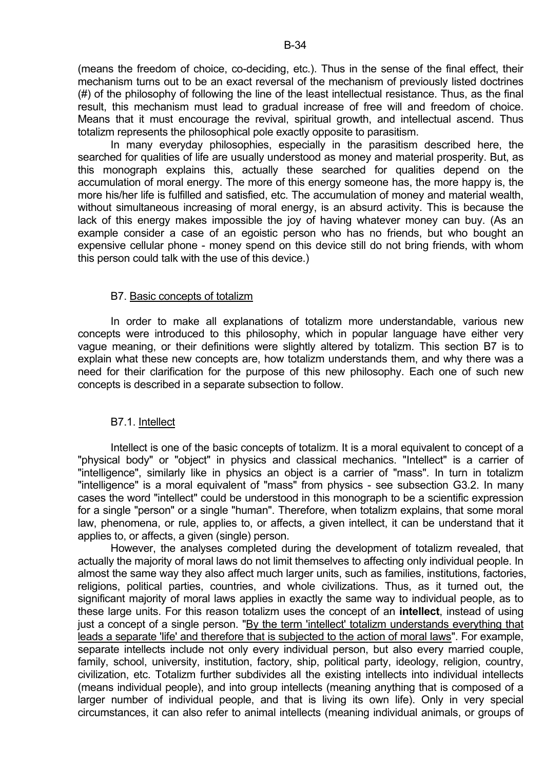(means the freedom of choice, co-deciding, etc.). Thus in the sense of the final effect, their mechanism turns out to be an exact reversal of the mechanism of previously listed doctrines (#) of the philosophy of following the line of the least intellectual resistance. Thus, as the final result, this mechanism must lead to gradual increase of free will and freedom of choice. Means that it must encourage the revival, spiritual growth, and intellectual ascend. Thus totalizm represents the philosophical pole exactly opposite to parasitism.

 In many everyday philosophies, especially in the parasitism described here, the searched for qualities of life are usually understood as money and material prosperity. But, as this monograph explains this, actually these searched for qualities depend on the accumulation of moral energy. The more of this energy someone has, the more happy is, the more his/her life is fulfilled and satisfied, etc. The accumulation of money and material wealth, without simultaneous increasing of moral energy, is an absurd activity. This is because the lack of this energy makes impossible the joy of having whatever money can buy. (As an example consider a case of an egoistic person who has no friends, but who bought an expensive cellular phone - money spend on this device still do not bring friends, with whom this person could talk with the use of this device.)

## B7. Basic concepts of totalizm

 In order to make all explanations of totalizm more understandable, various new concepts were introduced to this philosophy, which in popular language have either very vague meaning, or their definitions were slightly altered by totalizm. This section B7 is to explain what these new concepts are, how totalizm understands them, and why there was a need for their clarification for the purpose of this new philosophy. Each one of such new concepts is described in a separate subsection to follow.

# B7.1. Intellect

 Intellect is one of the basic concepts of totalizm. It is a moral equivalent to concept of a "physical body" or "object" in physics and classical mechanics. "Intellect" is a carrier of "intelligence", similarly like in physics an object is a carrier of "mass". In turn in totalizm "intelligence" is a moral equivalent of "mass" from physics - see subsection G3.2. In many cases the word "intellect" could be understood in this monograph to be a scientific expression for a single "person" or a single "human". Therefore, when totalizm explains, that some moral law, phenomena, or rule, applies to, or affects, a given intellect, it can be understand that it applies to, or affects, a given (single) person.

 However, the analyses completed during the development of totalizm revealed, that actually the majority of moral laws do not limit themselves to affecting only individual people. In almost the same way they also affect much larger units, such as families, institutions, factories, religions, political parties, countries, and whole civilizations. Thus, as it turned out, the significant majority of moral laws applies in exactly the same way to individual people, as to these large units. For this reason totalizm uses the concept of an **intellect**, instead of using just a concept of a single person. "By the term 'intellect' totalizm understands everything that leads a separate 'life' and therefore that is subjected to the action of moral laws". For example, separate intellects include not only every individual person, but also every married couple, family, school, university, institution, factory, ship, political party, ideology, religion, country, civilization, etc. Totalizm further subdivides all the existing intellects into individual intellects (means individual people), and into group intellects (meaning anything that is composed of a larger number of individual people, and that is living its own life). Only in very special circumstances, it can also refer to animal intellects (meaning individual animals, or groups of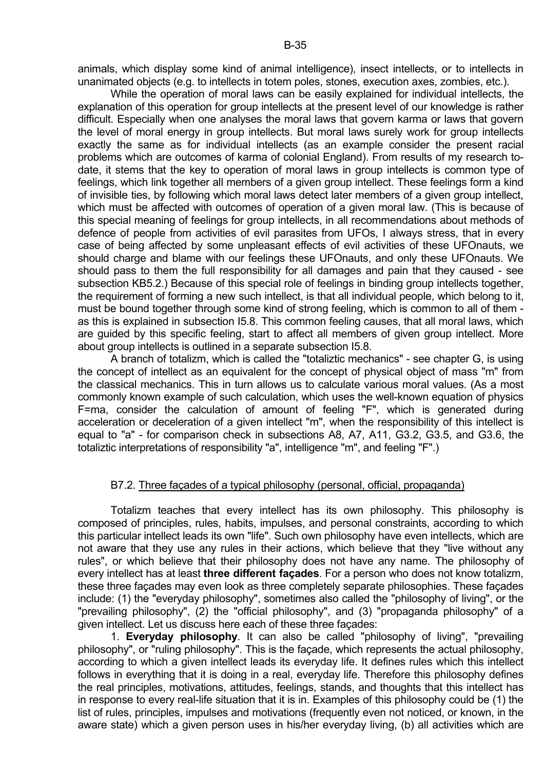animals, which display some kind of animal intelligence), insect intellects, or to intellects in unanimated objects (e.g. to intellects in totem poles, stones, execution axes, zombies, etc.).

 While the operation of moral laws can be easily explained for individual intellects, the explanation of this operation for group intellects at the present level of our knowledge is rather difficult. Especially when one analyses the moral laws that govern karma or laws that govern the level of moral energy in group intellects. But moral laws surely work for group intellects exactly the same as for individual intellects (as an example consider the present racial problems which are outcomes of karma of colonial England). From results of my research todate, it stems that the key to operation of moral laws in group intellects is common type of feelings, which link together all members of a given group intellect. These feelings form a kind of invisible ties, by following which moral laws detect later members of a given group intellect, which must be affected with outcomes of operation of a given moral law. (This is because of this special meaning of feelings for group intellects, in all recommendations about methods of defence of people from activities of evil parasites from UFOs, I always stress, that in every case of being affected by some unpleasant effects of evil activities of these UFOnauts, we should charge and blame with our feelings these UFOnauts, and only these UFOnauts. We should pass to them the full responsibility for all damages and pain that they caused - see subsection KB5.2.) Because of this special role of feelings in binding group intellects together, the requirement of forming a new such intellect, is that all individual people, which belong to it, must be bound together through some kind of strong feeling, which is common to all of them as this is explained in subsection I5.8. This common feeling causes, that all moral laws, which are guided by this specific feeling, start to affect all members of given group intellect. More about group intellects is outlined in a separate subsection I5.8.

 A branch of totalizm, which is called the "totaliztic mechanics" - see chapter G, is using the concept of intellect as an equivalent for the concept of physical object of mass "m" from the classical mechanics. This in turn allows us to calculate various moral values. (As a most commonly known example of such calculation, which uses the well-known equation of physics F=ma, consider the calculation of amount of feeling "F", which is generated during acceleration or deceleration of a given intellect "m", when the responsibility of this intellect is equal to "a" - for comparison check in subsections A8, A7, A11, G3.2, G3.5, and G3.6, the totaliztic interpretations of responsibility "a", intelligence "m", and feeling "F".)

#### B7.2. Three façades of a typical philosophy (personal, official, propaganda)

 Totalizm teaches that every intellect has its own philosophy. This philosophy is composed of principles, rules, habits, impulses, and personal constraints, according to which this particular intellect leads its own "life". Such own philosophy have even intellects, which are not aware that they use any rules in their actions, which believe that they "live without any rules", or which believe that their philosophy does not have any name. The philosophy of every intellect has at least **three different façades**. For a person who does not know totalizm, these three façades may even look as three completely separate philosophies. These façades include: (1) the "everyday philosophy", sometimes also called the "philosophy of living", or the "prevailing philosophy", (2) the "official philosophy", and (3) "propaganda philosophy" of a given intellect. Let us discuss here each of these three façades:

 1. **Everyday philosophy**. It can also be called "philosophy of living", "prevailing philosophy", or "ruling philosophy". This is the façade, which represents the actual philosophy, according to which a given intellect leads its everyday life. It defines rules which this intellect follows in everything that it is doing in a real, everyday life. Therefore this philosophy defines the real principles, motivations, attitudes, feelings, stands, and thoughts that this intellect has in response to every real-life situation that it is in. Examples of this philosophy could be (1) the list of rules, principles, impulses and motivations (frequently even not noticed, or known, in the aware state) which a given person uses in his/her everyday living, (b) all activities which are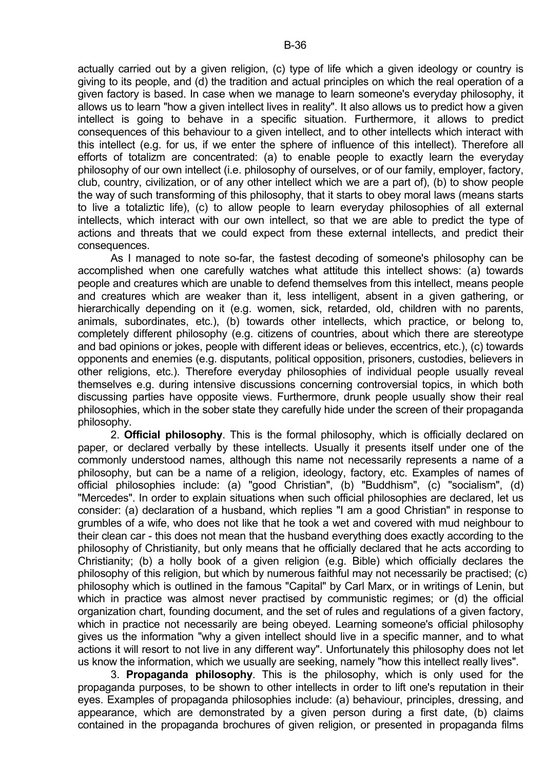actually carried out by a given religion, (c) type of life which a given ideology or country is giving to its people, and (d) the tradition and actual principles on which the real operation of a given factory is based. In case when we manage to learn someone's everyday philosophy, it allows us to learn "how a given intellect lives in reality". It also allows us to predict how a given intellect is going to behave in a specific situation. Furthermore, it allows to predict consequences of this behaviour to a given intellect, and to other intellects which interact with this intellect (e.g. for us, if we enter the sphere of influence of this intellect). Therefore all efforts of totalizm are concentrated: (a) to enable people to exactly learn the everyday philosophy of our own intellect (i.e. philosophy of ourselves, or of our family, employer, factory, club, country, civilization, or of any other intellect which we are a part of), (b) to show people the way of such transforming of this philosophy, that it starts to obey moral laws (means starts to live a totaliztic life), (c) to allow people to learn everyday philosophies of all external intellects, which interact with our own intellect, so that we are able to predict the type of actions and threats that we could expect from these external intellects, and predict their consequences.

 As I managed to note so-far, the fastest decoding of someone's philosophy can be accomplished when one carefully watches what attitude this intellect shows: (a) towards people and creatures which are unable to defend themselves from this intellect, means people and creatures which are weaker than it, less intelligent, absent in a given gathering, or hierarchically depending on it (e.g. women, sick, retarded, old, children with no parents, animals, subordinates, etc.), (b) towards other intellects, which practice, or belong to, completely different philosophy (e.g. citizens of countries, about which there are stereotype and bad opinions or jokes, people with different ideas or believes, eccentrics, etc.), (c) towards opponents and enemies (e.g. disputants, political opposition, prisoners, custodies, believers in other religions, etc.). Therefore everyday philosophies of individual people usually reveal themselves e.g. during intensive discussions concerning controversial topics, in which both discussing parties have opposite views. Furthermore, drunk people usually show their real philosophies, which in the sober state they carefully hide under the screen of their propaganda philosophy.

 2. **Official philosophy**. This is the formal philosophy, which is officially declared on paper, or declared verbally by these intellects. Usually it presents itself under one of the commonly understood names, although this name not necessarily represents a name of a philosophy, but can be a name of a religion, ideology, factory, etc. Examples of names of official philosophies include: (a) "good Christian", (b) "Buddhism", (c) "socialism", (d) "Mercedes". In order to explain situations when such official philosophies are declared, let us consider: (a) declaration of a husband, which replies "I am a good Christian" in response to grumbles of a wife, who does not like that he took a wet and covered with mud neighbour to their clean car - this does not mean that the husband everything does exactly according to the philosophy of Christianity, but only means that he officially declared that he acts according to Christianity; (b) a holly book of a given religion (e.g. Bible) which officially declares the philosophy of this religion, but which by numerous faithful may not necessarily be practised; (c) philosophy which is outlined in the famous "Capital" by Carl Marx, or in writings of Lenin, but which in practice was almost never practised by communistic regimes; or (d) the official organization chart, founding document, and the set of rules and regulations of a given factory, which in practice not necessarily are being obeyed. Learning someone's official philosophy gives us the information "why a given intellect should live in a specific manner, and to what actions it will resort to not live in any different way". Unfortunately this philosophy does not let us know the information, which we usually are seeking, namely "how this intellect really lives".

 3. **Propaganda philosophy**. This is the philosophy, which is only used for the propaganda purposes, to be shown to other intellects in order to lift one's reputation in their eyes. Examples of propaganda philosophies include: (a) behaviour, principles, dressing, and appearance, which are demonstrated by a given person during a first date, (b) claims contained in the propaganda brochures of given religion, or presented in propaganda films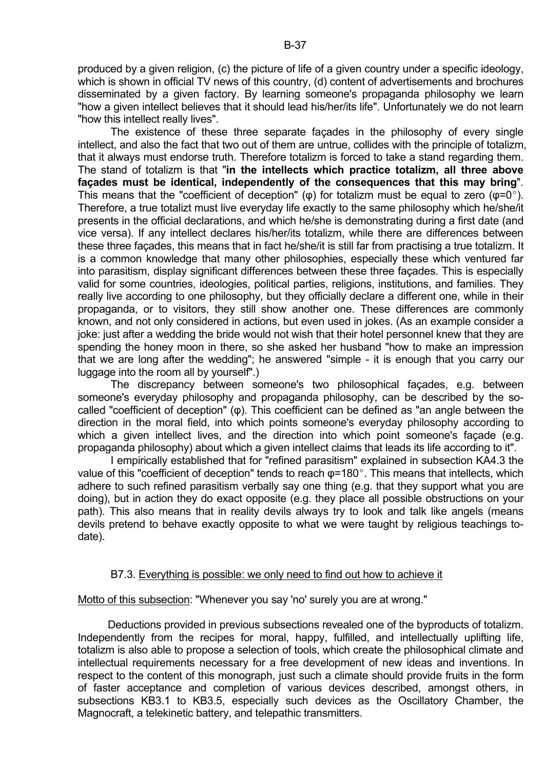produced by a given religion, (c) the picture of life of a given country under a specific ideology, which is shown in official TV news of this country, (d) content of advertisements and brochures disseminated by a given factory. By learning someone's propaganda philosophy we learn "how a given intellect believes that it should lead his/her/its life". Unfortunately we do not learn "how this intellect really lives".

 The existence of these three separate façades in the philosophy of every single intellect, and also the fact that two out of them are untrue, collides with the principle of totalizm, that it always must endorse truth. Therefore totalizm is forced to take a stand regarding them. The stand of totalizm is that "**in the intellects which practice totalizm, all three above façades must be identical, independently of the consequences that this may bring**". This means that the "coefficient of deception" ( $\varphi$ ) for totalizm must be equal to zero ( $\varphi$ =0°). Therefore, a true totalizt must live everyday life exactly to the same philosophy which he/she/it presents in the official declarations, and which he/she is demonstrating during a first date (and vice versa). If any intellect declares his/her/its totalizm, while there are differences between these three façades, this means that in fact he/she/it is still far from practising a true totalizm. It is a common knowledge that many other philosophies, especially these which ventured far into parasitism, display significant differences between these three façades. This is especially valid for some countries, ideologies, political parties, religions, institutions, and families. They really live according to one philosophy, but they officially declare a different one, while in their propaganda, or to visitors, they still show another one. These differences are commonly known, and not only considered in actions, but even used in jokes. (As an example consider a joke: just after a wedding the bride would not wish that their hotel personnel knew that they are spending the honey moon in there, so she asked her husband "how to make an impression that we are long after the wedding"; he answered "simple - it is enough that you carry our luggage into the room all by yourself".)

 The discrepancy between someone's two philosophical façades, e.g. between someone's everyday philosophy and propaganda philosophy, can be described by the socalled "coefficient of deception" (φ). This coefficient can be defined as "an angle between the direction in the moral field, into which points someone's everyday philosophy according to which a given intellect lives, and the direction into which point someone's facade (e.g. propaganda philosophy) about which a given intellect claims that leads its life according to it".

 I empirically established that for "refined parasitism" explained in subsection KA4.3 the value of this "coefficient of deception" tends to reach  $\varphi$ =180°. This means that intellects, which adhere to such refined parasitism verbally say one thing (e.g. that they support what you are doing), but in action they do exact opposite (e.g. they place all possible obstructions on your path). This also means that in reality devils always try to look and talk like angels (means devils pretend to behave exactly opposite to what we were taught by religious teachings todate).

# B7.3. Everything is possible: we only need to find out how to achieve it

Motto of this subsection: "Whenever you say 'no' surely you are at wrong."

 Deductions provided in previous subsections revealed one of the byproducts of totalizm. Independently from the recipes for moral, happy, fulfilled, and intellectually uplifting life, totalizm is also able to propose a selection of tools, which create the philosophical climate and intellectual requirements necessary for a free development of new ideas and inventions. In respect to the content of this monograph, just such a climate should provide fruits in the form of faster acceptance and completion of various devices described, amongst others, in subsections KB3.1 to KB3.5, especially such devices as the Oscillatory Chamber, the Magnocraft, a telekinetic battery, and telepathic transmitters.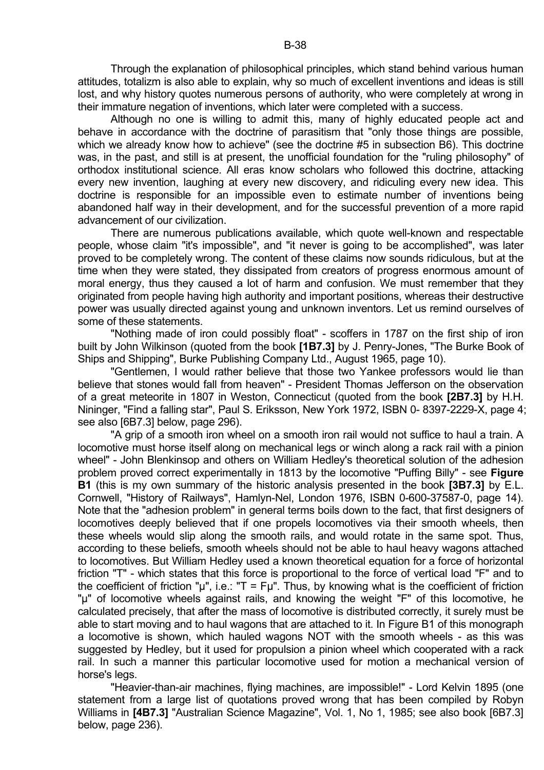Through the explanation of philosophical principles, which stand behind various human attitudes, totalizm is also able to explain, why so much of excellent inventions and ideas is still lost, and why history quotes numerous persons of authority, who were completely at wrong in their immature negation of inventions, which later were completed with a success.

 Although no one is willing to admit this, many of highly educated people act and behave in accordance with the doctrine of parasitism that "only those things are possible, which we already know how to achieve" (see the doctrine #5 in subsection B6). This doctrine was, in the past, and still is at present, the unofficial foundation for the "ruling philosophy" of orthodox institutional science. All eras know scholars who followed this doctrine, attacking every new invention, laughing at every new discovery, and ridiculing every new idea. This doctrine is responsible for an impossible even to estimate number of inventions being abandoned half way in their development, and for the successful prevention of a more rapid advancement of our civilization.

 There are numerous publications available, which quote well-known and respectable people, whose claim "it's impossible", and "it never is going to be accomplished", was later proved to be completely wrong. The content of these claims now sounds ridiculous, but at the time when they were stated, they dissipated from creators of progress enormous amount of moral energy, thus they caused a lot of harm and confusion. We must remember that they originated from people having high authority and important positions, whereas their destructive power was usually directed against young and unknown inventors. Let us remind ourselves of some of these statements.

 "Nothing made of iron could possibly float" - scoffers in 1787 on the first ship of iron built by John Wilkinson (quoted from the book **[1B7.3]** by J. Penry-Jones, "The Burke Book of Ships and Shipping", Burke Publishing Company Ltd., August 1965, page 10).

 "Gentlemen, I would rather believe that those two Yankee professors would lie than believe that stones would fall from heaven" - President Thomas Jefferson on the observation of a great meteorite in 1807 in Weston, Connecticut (quoted from the book **[2B7.3]** by H.H. Nininger, "Find a falling star", Paul S. Eriksson, New York 1972, ISBN 0- 8397-2229-X, page 4; see also [6B7.3] below, page 296).

 "A grip of a smooth iron wheel on a smooth iron rail would not suffice to haul a train. A locomotive must horse itself along on mechanical legs or winch along a rack rail with a pinion wheel" - John Blenkinsop and others on William Hedley's theoretical solution of the adhesion problem proved correct experimentally in 1813 by the locomotive "Puffing Billy" - see **Figure B1** (this is my own summary of the historic analysis presented in the book **[3B7.3]** by E.L. Cornwell, "History of Railways", Hamlyn-Nel, London 1976, ISBN 0-600-37587-0, page 14). Note that the "adhesion problem" in general terms boils down to the fact, that first designers of locomotives deeply believed that if one propels locomotives via their smooth wheels, then these wheels would slip along the smooth rails, and would rotate in the same spot. Thus, according to these beliefs, smooth wheels should not be able to haul heavy wagons attached to locomotives. But William Hedley used a known theoretical equation for a force of horizontal friction "T" - which states that this force is proportional to the force of vertical load "F" and to the coefficient of friction " $\mu$ ", i.e.: "T = F $\mu$ ". Thus, by knowing what is the coefficient of friction "µ" of locomotive wheels against rails, and knowing the weight "F" of this locomotive, he calculated precisely, that after the mass of locomotive is distributed correctly, it surely must be able to start moving and to haul wagons that are attached to it. In Figure B1 of this monograph a locomotive is shown, which hauled wagons NOT with the smooth wheels - as this was suggested by Hedley, but it used for propulsion a pinion wheel which cooperated with a rack rail. In such a manner this particular locomotive used for motion a mechanical version of horse's legs.

 "Heavier-than-air machines, flying machines, are impossible!" - Lord Kelvin 1895 (one statement from a large list of quotations proved wrong that has been compiled by Robyn Williams in **[4B7.3]** "Australian Science Magazine", Vol. 1, No 1, 1985; see also book [6B7.3] below, page 236).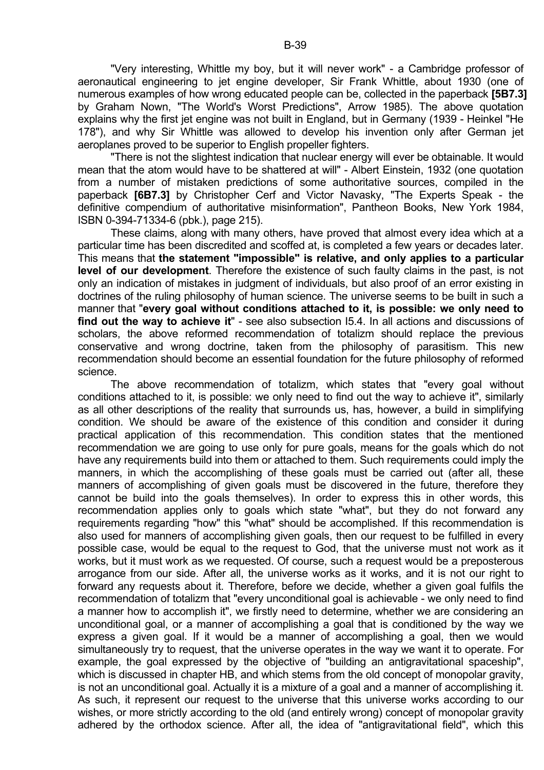"Very interesting, Whittle my boy, but it will never work" - a Cambridge professor of aeronautical engineering to jet engine developer, Sir Frank Whittle, about 1930 (one of numerous examples of how wrong educated people can be, collected in the paperback **[5B7.3]** by Graham Nown, "The World's Worst Predictions", Arrow 1985). The above quotation explains why the first jet engine was not built in England, but in Germany (1939 - Heinkel "He 178"), and why Sir Whittle was allowed to develop his invention only after German jet aeroplanes proved to be superior to English propeller fighters.

 "There is not the slightest indication that nuclear energy will ever be obtainable. It would mean that the atom would have to be shattered at will" - Albert Einstein, 1932 (one quotation from a number of mistaken predictions of some authoritative sources, compiled in the paperback **[6B7.3]** by Christopher Cerf and Victor Navasky, "The Experts Speak - the definitive compendium of authoritative misinformation", Pantheon Books, New York 1984, ISBN 0-394-71334-6 (pbk.), page 215).

 These claims, along with many others, have proved that almost every idea which at a particular time has been discredited and scoffed at, is completed a few years or decades later. This means that **the statement "impossible" is relative, and only applies to a particular level of our development**. Therefore the existence of such faulty claims in the past, is not only an indication of mistakes in judgment of individuals, but also proof of an error existing in doctrines of the ruling philosophy of human science. The universe seems to be built in such a manner that "**every goal without conditions attached to it, is possible: we only need to find out the way to achieve it**" - see also subsection I5.4. In all actions and discussions of scholars, the above reformed recommendation of totalizm should replace the previous conservative and wrong doctrine, taken from the philosophy of parasitism. This new recommendation should become an essential foundation for the future philosophy of reformed science.

 The above recommendation of totalizm, which states that "every goal without conditions attached to it, is possible: we only need to find out the way to achieve it", similarly as all other descriptions of the reality that surrounds us, has, however, a build in simplifying condition. We should be aware of the existence of this condition and consider it during practical application of this recommendation. This condition states that the mentioned recommendation we are going to use only for pure goals, means for the goals which do not have any requirements build into them or attached to them. Such requirements could imply the manners, in which the accomplishing of these goals must be carried out (after all, these manners of accomplishing of given goals must be discovered in the future, therefore they cannot be build into the goals themselves). In order to express this in other words, this recommendation applies only to goals which state "what", but they do not forward any requirements regarding "how" this "what" should be accomplished. If this recommendation is also used for manners of accomplishing given goals, then our request to be fulfilled in every possible case, would be equal to the request to God, that the universe must not work as it works, but it must work as we requested. Of course, such a request would be a preposterous arrogance from our side. After all, the universe works as it works, and it is not our right to forward any requests about it. Therefore, before we decide, whether a given goal fulfils the recommendation of totalizm that "every unconditional goal is achievable - we only need to find a manner how to accomplish it", we firstly need to determine, whether we are considering an unconditional goal, or a manner of accomplishing a goal that is conditioned by the way we express a given goal. If it would be a manner of accomplishing a goal, then we would simultaneously try to request, that the universe operates in the way we want it to operate. For example, the goal expressed by the objective of "building an antigravitational spaceship", which is discussed in chapter HB, and which stems from the old concept of monopolar gravity, is not an unconditional goal. Actually it is a mixture of a goal and a manner of accomplishing it. As such, it represent our request to the universe that this universe works according to our wishes, or more strictly according to the old (and entirely wrong) concept of monopolar gravity adhered by the orthodox science. After all, the idea of "antigravitational field", which this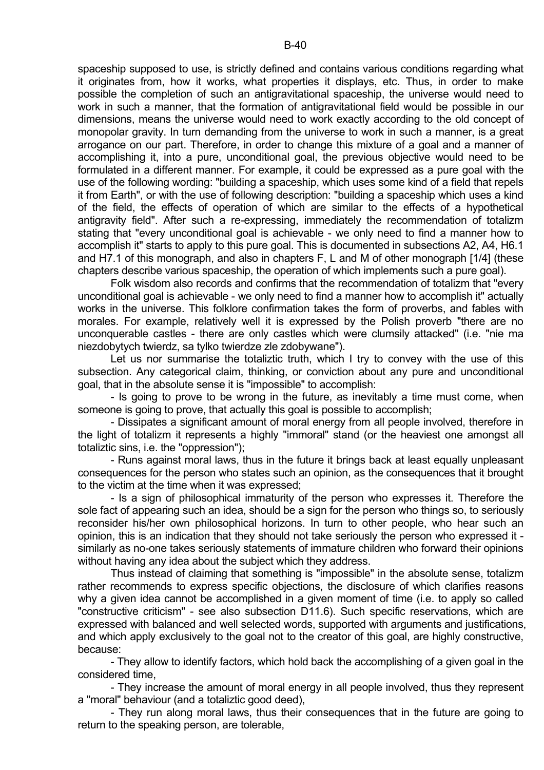spaceship supposed to use, is strictly defined and contains various conditions regarding what it originates from, how it works, what properties it displays, etc. Thus, in order to make possible the completion of such an antigravitational spaceship, the universe would need to work in such a manner, that the formation of antigravitational field would be possible in our dimensions, means the universe would need to work exactly according to the old concept of monopolar gravity. In turn demanding from the universe to work in such a manner, is a great arrogance on our part. Therefore, in order to change this mixture of a goal and a manner of accomplishing it, into a pure, unconditional goal, the previous objective would need to be formulated in a different manner. For example, it could be expressed as a pure goal with the use of the following wording: "building a spaceship, which uses some kind of a field that repels it from Earth", or with the use of following description: "building a spaceship which uses a kind of the field, the effects of operation of which are similar to the effects of a hypothetical antigravity field". After such a re-expressing, immediately the recommendation of totalizm stating that "every unconditional goal is achievable - we only need to find a manner how to accomplish it" starts to apply to this pure goal. This is documented in subsections A2, A4, H6.1 and H7.1 of this monograph, and also in chapters F, L and M of other monograph [1/4] (these chapters describe various spaceship, the operation of which implements such a pure goal).

 Folk wisdom also records and confirms that the recommendation of totalizm that "every unconditional goal is achievable - we only need to find a manner how to accomplish it" actually works in the universe. This folklore confirmation takes the form of proverbs, and fables with morales. For example, relatively well it is expressed by the Polish proverb "there are no unconquerable castles - there are only castles which were clumsily attacked" (i.e. "nie ma niezdobytych twierdz, sa tylko twierdze zle zdobywane").

 Let us nor summarise the totaliztic truth, which I try to convey with the use of this subsection. Any categorical claim, thinking, or conviction about any pure and unconditional goal, that in the absolute sense it is "impossible" to accomplish:

 - Is going to prove to be wrong in the future, as inevitably a time must come, when someone is going to prove, that actually this goal is possible to accomplish;

 - Dissipates a significant amount of moral energy from all people involved, therefore in the light of totalizm it represents a highly "immoral" stand (or the heaviest one amongst all totaliztic sins, i.e. the "oppression");

 - Runs against moral laws, thus in the future it brings back at least equally unpleasant consequences for the person who states such an opinion, as the consequences that it brought to the victim at the time when it was expressed;

 - Is a sign of philosophical immaturity of the person who expresses it. Therefore the sole fact of appearing such an idea, should be a sign for the person who things so, to seriously reconsider his/her own philosophical horizons. In turn to other people, who hear such an opinion, this is an indication that they should not take seriously the person who expressed it similarly as no-one takes seriously statements of immature children who forward their opinions without having any idea about the subject which they address.

 Thus instead of claiming that something is "impossible" in the absolute sense, totalizm rather recommends to express specific objections, the disclosure of which clarifies reasons why a given idea cannot be accomplished in a given moment of time (i.e. to apply so called "constructive criticism" - see also subsection D11.6). Such specific reservations, which are expressed with balanced and well selected words, supported with arguments and justifications, and which apply exclusively to the goal not to the creator of this goal, are highly constructive, because:

 - They allow to identify factors, which hold back the accomplishing of a given goal in the considered time,

 - They increase the amount of moral energy in all people involved, thus they represent a "moral" behaviour (and a totaliztic good deed),

 - They run along moral laws, thus their consequences that in the future are going to return to the speaking person, are tolerable,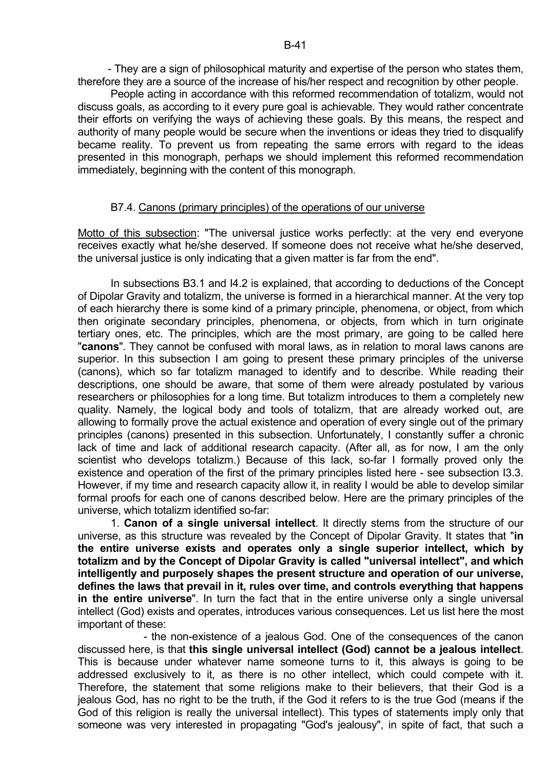- They are a sign of philosophical maturity and expertise of the person who states them, therefore they are a source of the increase of his/her respect and recognition by other people.

 People acting in accordance with this reformed recommendation of totalizm, would not discuss goals, as according to it every pure goal is achievable. They would rather concentrate their efforts on verifying the ways of achieving these goals. By this means, the respect and authority of many people would be secure when the inventions or ideas they tried to disqualify became reality. To prevent us from repeating the same errors with regard to the ideas presented in this monograph, perhaps we should implement this reformed recommendation immediately, beginning with the content of this monograph.

## B7.4. Canons (primary principles) of the operations of our universe

Motto of this subsection: "The universal justice works perfectly: at the very end everyone receives exactly what he/she deserved. If someone does not receive what he/she deserved, the universal justice is only indicating that a given matter is far from the end".

 In subsections B3.1 and I4.2 is explained, that according to deductions of the Concept of Dipolar Gravity and totalizm, the universe is formed in a hierarchical manner. At the very top of each hierarchy there is some kind of a primary principle, phenomena, or object, from which then originate secondary principles, phenomena, or objects, from which in turn originate tertiary ones, etc. The principles, which are the most primary, are going to be called here "**canons**". They cannot be confused with moral laws, as in relation to moral laws canons are superior. In this subsection I am going to present these primary principles of the universe (canons), which so far totalizm managed to identify and to describe. While reading their descriptions, one should be aware, that some of them were already postulated by various researchers or philosophies for a long time. But totalizm introduces to them a completely new quality. Namely, the logical body and tools of totalizm, that are already worked out, are allowing to formally prove the actual existence and operation of every single out of the primary principles (canons) presented in this subsection. Unfortunately, I constantly suffer a chronic lack of time and lack of additional research capacity. (After all, as for now, I am the only scientist who develops totalizm.) Because of this lack, so-far I formally proved only the existence and operation of the first of the primary principles listed here - see subsection I3.3. However, if my time and research capacity allow it, in reality I would be able to develop similar formal proofs for each one of canons described below. Here are the primary principles of the universe, which totalizm identified so-far:

 1. **Canon of a single universal intellect**. It directly stems from the structure of our universe, as this structure was revealed by the Concept of Dipolar Gravity. It states that "**in the entire universe exists and operates only a single superior intellect, which by totalizm and by the Concept of Dipolar Gravity is called "universal intellect", and which intelligently and purposely shapes the present structure and operation of our universe, defines the laws that prevail in it, rules over time, and controls everything that happens in the entire universe**". In turn the fact that in the entire universe only a single universal intellect (God) exists and operates, introduces various consequences. Let us list here the most important of these:

 - the non-existence of a jealous God. One of the consequences of the canon discussed here, is that **this single universal intellect (God) cannot be a jealous intellect**. This is because under whatever name someone turns to it, this always is going to be addressed exclusively to it, as there is no other intellect, which could compete with it. Therefore, the statement that some religions make to their believers, that their God is a jealous God, has no right to be the truth, if the God it refers to is the true God (means if the God of this religion is really the universal intellect). This types of statements imply only that someone was very interested in propagating "God's jealousy", in spite of fact, that such a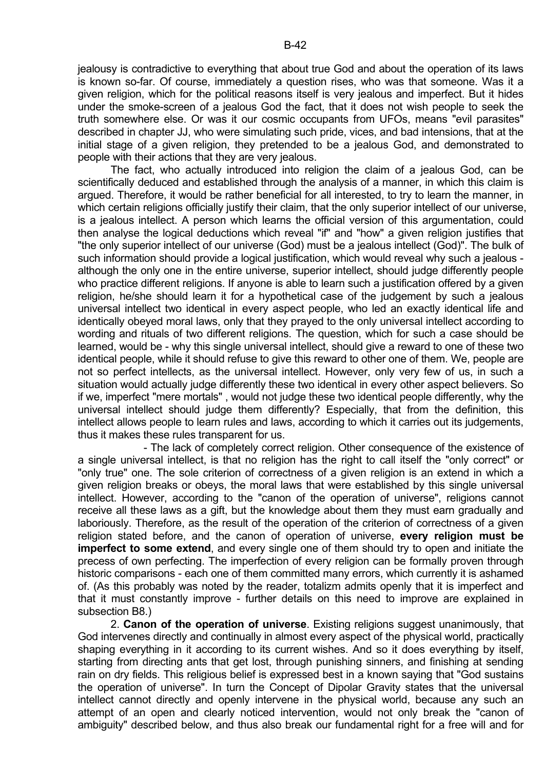jealousy is contradictive to everything that about true God and about the operation of its laws is known so-far. Of course, immediately a question rises, who was that someone. Was it a given religion, which for the political reasons itself is very jealous and imperfect. But it hides under the smoke-screen of a jealous God the fact, that it does not wish people to seek the truth somewhere else. Or was it our cosmic occupants from UFOs, means "evil parasites" described in chapter JJ, who were simulating such pride, vices, and bad intensions, that at the initial stage of a given religion, they pretended to be a jealous God, and demonstrated to people with their actions that they are very jealous.

 The fact, who actually introduced into religion the claim of a jealous God, can be scientifically deduced and established through the analysis of a manner, in which this claim is argued. Therefore, it would be rather beneficial for all interested, to try to learn the manner, in which certain religions officially justify their claim, that the only superior intellect of our universe, is a jealous intellect. A person which learns the official version of this argumentation, could then analyse the logical deductions which reveal "if" and "how" a given religion justifies that "the only superior intellect of our universe (God) must be a jealous intellect (God)". The bulk of such information should provide a logical justification, which would reveal why such a jealous although the only one in the entire universe, superior intellect, should judge differently people who practice different religions. If anyone is able to learn such a justification offered by a given religion, he/she should learn it for a hypothetical case of the judgement by such a jealous universal intellect two identical in every aspect people, who led an exactly identical life and identically obeyed moral laws, only that they prayed to the only universal intellect according to wording and rituals of two different religions. The question, which for such a case should be learned, would be - why this single universal intellect, should give a reward to one of these two identical people, while it should refuse to give this reward to other one of them. We, people are not so perfect intellects, as the universal intellect. However, only very few of us, in such a situation would actually judge differently these two identical in every other aspect believers. So if we, imperfect "mere mortals" , would not judge these two identical people differently, why the universal intellect should judge them differently? Especially, that from the definition, this intellect allows people to learn rules and laws, according to which it carries out its judgements, thus it makes these rules transparent for us.

 - The lack of completely correct religion. Other consequence of the existence of a single universal intellect, is that no religion has the right to call itself the "only correct" or "only true" one. The sole criterion of correctness of a given religion is an extend in which a given religion breaks or obeys, the moral laws that were established by this single universal intellect. However, according to the "canon of the operation of universe", religions cannot receive all these laws as a gift, but the knowledge about them they must earn gradually and laboriously. Therefore, as the result of the operation of the criterion of correctness of a given religion stated before, and the canon of operation of universe, **every religion must be imperfect to some extend**, and every single one of them should try to open and initiate the precess of own perfecting. The imperfection of every religion can be formally proven through historic comparisons - each one of them committed many errors, which currently it is ashamed of. (As this probably was noted by the reader, totalizm admits openly that it is imperfect and that it must constantly improve - further details on this need to improve are explained in subsection B8.)

 2. **Canon of the operation of universe**. Existing religions suggest unanimously, that God intervenes directly and continually in almost every aspect of the physical world, practically shaping everything in it according to its current wishes. And so it does everything by itself, starting from directing ants that get lost, through punishing sinners, and finishing at sending rain on dry fields. This religious belief is expressed best in a known saying that "God sustains the operation of universe". In turn the Concept of Dipolar Gravity states that the universal intellect cannot directly and openly intervene in the physical world, because any such an attempt of an open and clearly noticed intervention, would not only break the "canon of ambiguity" described below, and thus also break our fundamental right for a free will and for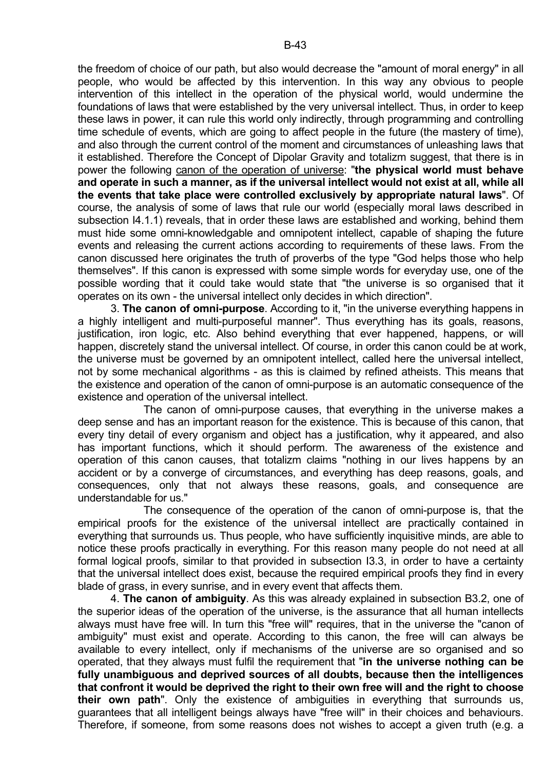the freedom of choice of our path, but also would decrease the "amount of moral energy" in all people, who would be affected by this intervention. In this way any obvious to people intervention of this intellect in the operation of the physical world, would undermine the foundations of laws that were established by the very universal intellect. Thus, in order to keep these laws in power, it can rule this world only indirectly, through programming and controlling time schedule of events, which are going to affect people in the future (the mastery of time), and also through the current control of the moment and circumstances of unleashing laws that it established. Therefore the Concept of Dipolar Gravity and totalizm suggest, that there is in power the following canon of the operation of universe: "**the physical world must behave and operate in such a manner, as if the universal intellect would not exist at all, while all the events that take place were controlled exclusively by appropriate natural laws**". Of course, the analysis of some of laws that rule our world (especially moral laws described in subsection I4.1.1) reveals, that in order these laws are established and working, behind them must hide some omni-knowledgable and omnipotent intellect, capable of shaping the future events and releasing the current actions according to requirements of these laws. From the canon discussed here originates the truth of proverbs of the type "God helps those who help themselves". If this canon is expressed with some simple words for everyday use, one of the possible wording that it could take would state that "the universe is so organised that it operates on its own - the universal intellect only decides in which direction".

 3. **The canon of omni-purpose**. According to it, "in the universe everything happens in a highly intelligent and multi-purposeful manner". Thus everything has its goals, reasons, justification, iron logic, etc. Also behind everything that ever happened, happens, or will happen, discretely stand the universal intellect. Of course, in order this canon could be at work, the universe must be governed by an omnipotent intellect, called here the universal intellect, not by some mechanical algorithms - as this is claimed by refined atheists. This means that the existence and operation of the canon of omni-purpose is an automatic consequence of the existence and operation of the universal intellect.

 The canon of omni-purpose causes, that everything in the universe makes a deep sense and has an important reason for the existence. This is because of this canon, that every tiny detail of every organism and object has a justification, why it appeared, and also has important functions, which it should perform. The awareness of the existence and operation of this canon causes, that totalizm claims "nothing in our lives happens by an accident or by a converge of circumstances, and everything has deep reasons, goals, and consequences, only that not always these reasons, goals, and consequence are understandable for us."

 The consequence of the operation of the canon of omni-purpose is, that the empirical proofs for the existence of the universal intellect are practically contained in everything that surrounds us. Thus people, who have sufficiently inquisitive minds, are able to notice these proofs practically in everything. For this reason many people do not need at all formal logical proofs, similar to that provided in subsection I3.3, in order to have a certainty that the universal intellect does exist, because the required empirical proofs they find in every blade of grass, in every sunrise, and in every event that affects them.

 4. **The canon of ambiguity**. As this was already explained in subsection B3.2, one of the superior ideas of the operation of the universe, is the assurance that all human intellects always must have free will. In turn this "free will" requires, that in the universe the "canon of ambiguity" must exist and operate. According to this canon, the free will can always be available to every intellect, only if mechanisms of the universe are so organised and so operated, that they always must fulfil the requirement that "**in the universe nothing can be fully unambiguous and deprived sources of all doubts, because then the intelligences that confront it would be deprived the right to their own free will and the right to choose their own path**". Only the existence of ambiguities in everything that surrounds us, guarantees that all intelligent beings always have "free will" in their choices and behaviours. Therefore, if someone, from some reasons does not wishes to accept a given truth (e.g. a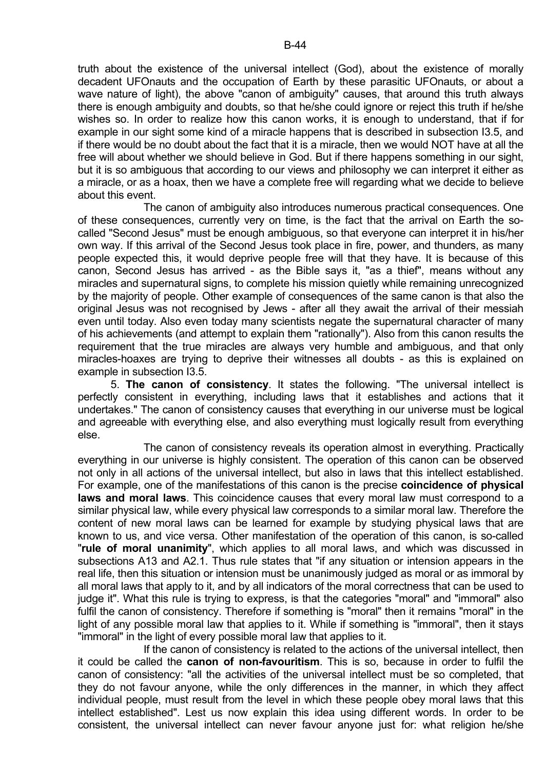truth about the existence of the universal intellect (God), about the existence of morally decadent UFOnauts and the occupation of Earth by these parasitic UFOnauts, or about a wave nature of light), the above "canon of ambiguity" causes, that around this truth always there is enough ambiguity and doubts, so that he/she could ignore or reject this truth if he/she wishes so. In order to realize how this canon works, it is enough to understand, that if for example in our sight some kind of a miracle happens that is described in subsection I3.5, and if there would be no doubt about the fact that it is a miracle, then we would NOT have at all the free will about whether we should believe in God. But if there happens something in our sight, but it is so ambiguous that according to our views and philosophy we can interpret it either as a miracle, or as a hoax, then we have a complete free will regarding what we decide to believe about this event.

 The canon of ambiguity also introduces numerous practical consequences. One of these consequences, currently very on time, is the fact that the arrival on Earth the socalled "Second Jesus" must be enough ambiguous, so that everyone can interpret it in his/her own way. If this arrival of the Second Jesus took place in fire, power, and thunders, as many people expected this, it would deprive people free will that they have. It is because of this canon, Second Jesus has arrived - as the Bible says it, "as a thief", means without any miracles and supernatural signs, to complete his mission quietly while remaining unrecognized by the majority of people. Other example of consequences of the same canon is that also the original Jesus was not recognised by Jews - after all they await the arrival of their messiah even until today. Also even today many scientists negate the supernatural character of many of his achievements (and attempt to explain them "rationally"). Also from this canon results the requirement that the true miracles are always very humble and ambiguous, and that only miracles-hoaxes are trying to deprive their witnesses all doubts - as this is explained on example in subsection I3.5.

 5. **The canon of consistency**. It states the following. "The universal intellect is perfectly consistent in everything, including laws that it establishes and actions that it undertakes." The canon of consistency causes that everything in our universe must be logical and agreeable with everything else, and also everything must logically result from everything else.

 The canon of consistency reveals its operation almost in everything. Practically everything in our universe is highly consistent. The operation of this canon can be observed not only in all actions of the universal intellect, but also in laws that this intellect established. For example, one of the manifestations of this canon is the precise **coincidence of physical laws and moral laws**. This coincidence causes that every moral law must correspond to a similar physical law, while every physical law corresponds to a similar moral law. Therefore the content of new moral laws can be learned for example by studying physical laws that are known to us, and vice versa. Other manifestation of the operation of this canon, is so-called "**rule of moral unanimity**", which applies to all moral laws, and which was discussed in subsections A13 and A2.1. Thus rule states that "if any situation or intension appears in the real life, then this situation or intension must be unanimously judged as moral or as immoral by all moral laws that apply to it, and by all indicators of the moral correctness that can be used to judge it". What this rule is trying to express, is that the categories "moral" and "immoral" also fulfil the canon of consistency. Therefore if something is "moral" then it remains "moral" in the light of any possible moral law that applies to it. While if something is "immoral", then it stays "immoral" in the light of every possible moral law that applies to it.

 If the canon of consistency is related to the actions of the universal intellect, then it could be called the **canon of non-favouritism**. This is so, because in order to fulfil the canon of consistency: "all the activities of the universal intellect must be so completed, that they do not favour anyone, while the only differences in the manner, in which they affect individual people, must result from the level in which these people obey moral laws that this intellect established". Lest us now explain this idea using different words. In order to be consistent, the universal intellect can never favour anyone just for: what religion he/she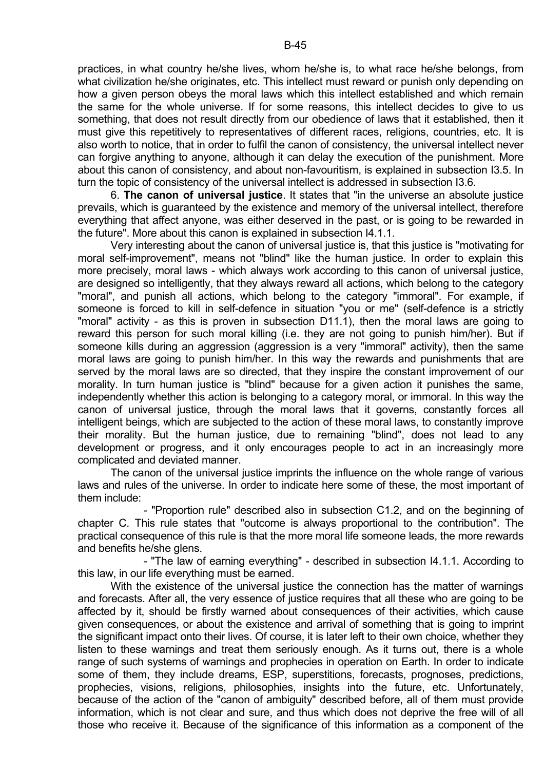practices, in what country he/she lives, whom he/she is, to what race he/she belongs, from what civilization he/she originates, etc. This intellect must reward or punish only depending on how a given person obeys the moral laws which this intellect established and which remain the same for the whole universe. If for some reasons, this intellect decides to give to us something, that does not result directly from our obedience of laws that it established, then it must give this repetitively to representatives of different races, religions, countries, etc. It is also worth to notice, that in order to fulfil the canon of consistency, the universal intellect never can forgive anything to anyone, although it can delay the execution of the punishment. More about this canon of consistency, and about non-favouritism, is explained in subsection I3.5. In turn the topic of consistency of the universal intellect is addressed in subsection I3.6.

 6. **The canon of universal justice**. It states that "in the universe an absolute justice prevails, which is guaranteed by the existence and memory of the universal intellect, therefore everything that affect anyone, was either deserved in the past, or is going to be rewarded in the future". More about this canon is explained in subsection I4.1.1.

 Very interesting about the canon of universal justice is, that this justice is "motivating for moral self-improvement", means not "blind" like the human justice. In order to explain this more precisely, moral laws - which always work according to this canon of universal justice, are designed so intelligently, that they always reward all actions, which belong to the category "moral", and punish all actions, which belong to the category "immoral". For example, if someone is forced to kill in self-defence in situation "you or me" (self-defence is a strictly "moral" activity - as this is proven in subsection D11.1), then the moral laws are going to reward this person for such moral killing (i.e. they are not going to punish him/her). But if someone kills during an aggression (aggression is a very "immoral" activity), then the same moral laws are going to punish him/her. In this way the rewards and punishments that are served by the moral laws are so directed, that they inspire the constant improvement of our morality. In turn human justice is "blind" because for a given action it punishes the same, independently whether this action is belonging to a category moral, or immoral. In this way the canon of universal justice, through the moral laws that it governs, constantly forces all intelligent beings, which are subjected to the action of these moral laws, to constantly improve their morality. But the human justice, due to remaining "blind", does not lead to any development or progress, and it only encourages people to act in an increasingly more complicated and deviated manner.

 The canon of the universal justice imprints the influence on the whole range of various laws and rules of the universe. In order to indicate here some of these, the most important of them include:

 - "Proportion rule" described also in subsection C1.2, and on the beginning of chapter C. This rule states that "outcome is always proportional to the contribution". The practical consequence of this rule is that the more moral life someone leads, the more rewards and benefits he/she glens.

 - "The law of earning everything" - described in subsection I4.1.1. According to this law, in our life everything must be earned.

With the existence of the universal justice the connection has the matter of warnings and forecasts. After all, the very essence of justice requires that all these who are going to be affected by it, should be firstly warned about consequences of their activities, which cause given consequences, or about the existence and arrival of something that is going to imprint the significant impact onto their lives. Of course, it is later left to their own choice, whether they listen to these warnings and treat them seriously enough. As it turns out, there is a whole range of such systems of warnings and prophecies in operation on Earth. In order to indicate some of them, they include dreams, ESP, superstitions, forecasts, prognoses, predictions, prophecies, visions, religions, philosophies, insights into the future, etc. Unfortunately, because of the action of the "canon of ambiguity" described before, all of them must provide information, which is not clear and sure, and thus which does not deprive the free will of all those who receive it. Because of the significance of this information as a component of the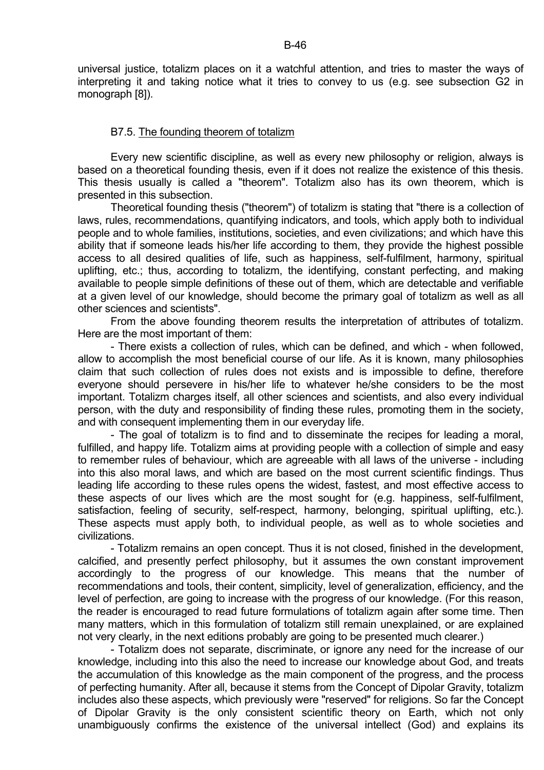universal justice, totalizm places on it a watchful attention, and tries to master the ways of interpreting it and taking notice what it tries to convey to us (e.g. see subsection G2 in monograph [8]).

## B7.5. The founding theorem of totalizm

 Every new scientific discipline, as well as every new philosophy or religion, always is based on a theoretical founding thesis, even if it does not realize the existence of this thesis. This thesis usually is called a "theorem". Totalizm also has its own theorem, which is presented in this subsection.

 Theoretical founding thesis ("theorem") of totalizm is stating that "there is a collection of laws, rules, recommendations, quantifying indicators, and tools, which apply both to individual people and to whole families, institutions, societies, and even civilizations; and which have this ability that if someone leads his/her life according to them, they provide the highest possible access to all desired qualities of life, such as happiness, self-fulfilment, harmony, spiritual uplifting, etc.; thus, according to totalizm, the identifying, constant perfecting, and making available to people simple definitions of these out of them, which are detectable and verifiable at a given level of our knowledge, should become the primary goal of totalizm as well as all other sciences and scientists".

 From the above founding theorem results the interpretation of attributes of totalizm. Here are the most important of them:

 - There exists a collection of rules, which can be defined, and which - when followed, allow to accomplish the most beneficial course of our life. As it is known, many philosophies claim that such collection of rules does not exists and is impossible to define, therefore everyone should persevere in his/her life to whatever he/she considers to be the most important. Totalizm charges itself, all other sciences and scientists, and also every individual person, with the duty and responsibility of finding these rules, promoting them in the society, and with consequent implementing them in our everyday life.

 - The goal of totalizm is to find and to disseminate the recipes for leading a moral, fulfilled, and happy life. Totalizm aims at providing people with a collection of simple and easy to remember rules of behaviour, which are agreeable with all laws of the universe - including into this also moral laws, and which are based on the most current scientific findings. Thus leading life according to these rules opens the widest, fastest, and most effective access to these aspects of our lives which are the most sought for (e.g. happiness, self-fulfilment, satisfaction, feeling of security, self-respect, harmony, belonging, spiritual uplifting, etc.). These aspects must apply both, to individual people, as well as to whole societies and civilizations.

 - Totalizm remains an open concept. Thus it is not closed, finished in the development, calcified, and presently perfect philosophy, but it assumes the own constant improvement accordingly to the progress of our knowledge. This means that the number of recommendations and tools, their content, simplicity, level of generalization, efficiency, and the level of perfection, are going to increase with the progress of our knowledge. (For this reason, the reader is encouraged to read future formulations of totalizm again after some time. Then many matters, which in this formulation of totalizm still remain unexplained, or are explained not very clearly, in the next editions probably are going to be presented much clearer.)

 - Totalizm does not separate, discriminate, or ignore any need for the increase of our knowledge, including into this also the need to increase our knowledge about God, and treats the accumulation of this knowledge as the main component of the progress, and the process of perfecting humanity. After all, because it stems from the Concept of Dipolar Gravity, totalizm includes also these aspects, which previously were "reserved" for religions. So far the Concept of Dipolar Gravity is the only consistent scientific theory on Earth, which not only unambiguously confirms the existence of the universal intellect (God) and explains its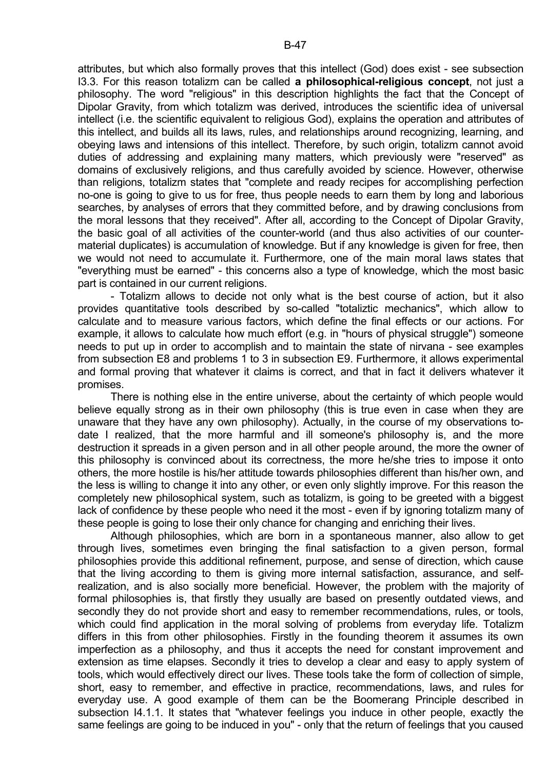attributes, but which also formally proves that this intellect (God) does exist - see subsection I3.3. For this reason totalizm can be called **a philosophical-religious concept**, not just a philosophy. The word "religious" in this description highlights the fact that the Concept of Dipolar Gravity, from which totalizm was derived, introduces the scientific idea of universal intellect (i.e. the scientific equivalent to religious God), explains the operation and attributes of this intellect, and builds all its laws, rules, and relationships around recognizing, learning, and obeying laws and intensions of this intellect. Therefore, by such origin, totalizm cannot avoid duties of addressing and explaining many matters, which previously were "reserved" as domains of exclusively religions, and thus carefully avoided by science. However, otherwise than religions, totalizm states that "complete and ready recipes for accomplishing perfection no-one is going to give to us for free, thus people needs to earn them by long and laborious searches, by analyses of errors that they committed before, and by drawing conclusions from the moral lessons that they received". After all, according to the Concept of Dipolar Gravity, the basic goal of all activities of the counter-world (and thus also activities of our countermaterial duplicates) is accumulation of knowledge. But if any knowledge is given for free, then we would not need to accumulate it. Furthermore, one of the main moral laws states that "everything must be earned" - this concerns also a type of knowledge, which the most basic part is contained in our current religions.

 - Totalizm allows to decide not only what is the best course of action, but it also provides quantitative tools described by so-called "totaliztic mechanics", which allow to calculate and to measure various factors, which define the final effects or our actions. For example, it allows to calculate how much effort (e.g. in "hours of physical struggle") someone needs to put up in order to accomplish and to maintain the state of nirvana - see examples from subsection E8 and problems 1 to 3 in subsection E9. Furthermore, it allows experimental and formal proving that whatever it claims is correct, and that in fact it delivers whatever it promises.

 There is nothing else in the entire universe, about the certainty of which people would believe equally strong as in their own philosophy (this is true even in case when they are unaware that they have any own philosophy). Actually, in the course of my observations todate I realized, that the more harmful and ill someone's philosophy is, and the more destruction it spreads in a given person and in all other people around, the more the owner of this philosophy is convinced about its correctness, the more he/she tries to impose it onto others, the more hostile is his/her attitude towards philosophies different than his/her own, and the less is willing to change it into any other, or even only slightly improve. For this reason the completely new philosophical system, such as totalizm, is going to be greeted with a biggest lack of confidence by these people who need it the most - even if by ignoring totalizm many of these people is going to lose their only chance for changing and enriching their lives.

 Although philosophies, which are born in a spontaneous manner, also allow to get through lives, sometimes even bringing the final satisfaction to a given person, formal philosophies provide this additional refinement, purpose, and sense of direction, which cause that the living according to them is giving more internal satisfaction, assurance, and selfrealization, and is also socially more beneficial. However, the problem with the majority of formal philosophies is, that firstly they usually are based on presently outdated views, and secondly they do not provide short and easy to remember recommendations, rules, or tools, which could find application in the moral solving of problems from everyday life. Totalizm differs in this from other philosophies. Firstly in the founding theorem it assumes its own imperfection as a philosophy, and thus it accepts the need for constant improvement and extension as time elapses. Secondly it tries to develop a clear and easy to apply system of tools, which would effectively direct our lives. These tools take the form of collection of simple, short, easy to remember, and effective in practice, recommendations, laws, and rules for everyday use. A good example of them can be the Boomerang Principle described in subsection I4.1.1. It states that "whatever feelings you induce in other people, exactly the same feelings are going to be induced in you" - only that the return of feelings that you caused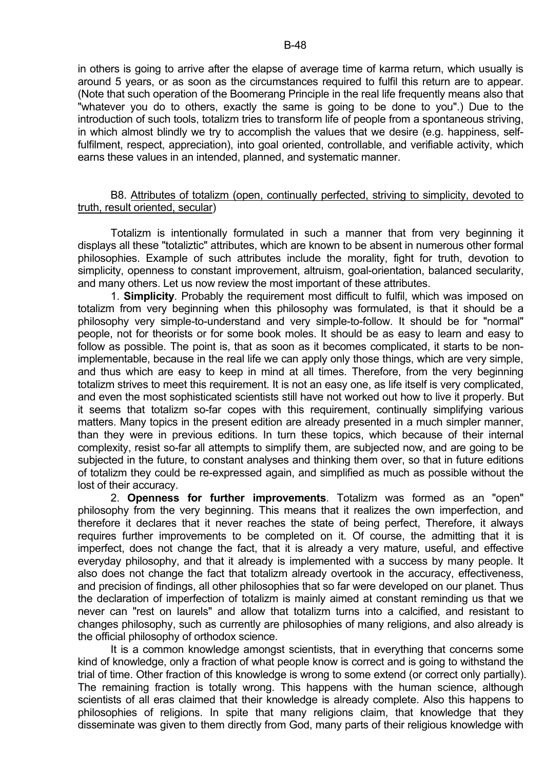in others is going to arrive after the elapse of average time of karma return, which usually is around 5 years, or as soon as the circumstances required to fulfil this return are to appear. (Note that such operation of the Boomerang Principle in the real life frequently means also that "whatever you do to others, exactly the same is going to be done to you".) Due to the introduction of such tools, totalizm tries to transform life of people from a spontaneous striving, in which almost blindly we try to accomplish the values that we desire (e.g. happiness, selffulfilment, respect, appreciation), into goal oriented, controllable, and verifiable activity, which earns these values in an intended, planned, and systematic manner.

## B8. Attributes of totalizm (open, continually perfected, striving to simplicity, devoted to truth, result oriented, secular)

 Totalizm is intentionally formulated in such a manner that from very beginning it displays all these "totaliztic" attributes, which are known to be absent in numerous other formal philosophies. Example of such attributes include the morality, fight for truth, devotion to simplicity, openness to constant improvement, altruism, goal-orientation, balanced secularity, and many others. Let us now review the most important of these attributes.

 1. **Simplicity**. Probably the requirement most difficult to fulfil, which was imposed on totalizm from very beginning when this philosophy was formulated, is that it should be a philosophy very simple-to-understand and very simple-to-follow. It should be for "normal" people, not for theorists or for some book moles. It should be as easy to learn and easy to follow as possible. The point is, that as soon as it becomes complicated, it starts to be nonimplementable, because in the real life we can apply only those things, which are very simple, and thus which are easy to keep in mind at all times. Therefore, from the very beginning totalizm strives to meet this requirement. It is not an easy one, as life itself is very complicated, and even the most sophisticated scientists still have not worked out how to live it properly. But it seems that totalizm so-far copes with this requirement, continually simplifying various matters. Many topics in the present edition are already presented in a much simpler manner, than they were in previous editions. In turn these topics, which because of their internal complexity, resist so-far all attempts to simplify them, are subjected now, and are going to be subjected in the future, to constant analyses and thinking them over, so that in future editions of totalizm they could be re-expressed again, and simplified as much as possible without the lost of their accuracy.

 2. **Openness for further improvements**. Totalizm was formed as an "open" philosophy from the very beginning. This means that it realizes the own imperfection, and therefore it declares that it never reaches the state of being perfect, Therefore, it always requires further improvements to be completed on it. Of course, the admitting that it is imperfect, does not change the fact, that it is already a very mature, useful, and effective everyday philosophy, and that it already is implemented with a success by many people. It also does not change the fact that totalizm already overtook in the accuracy, effectiveness, and precision of findings, all other philosophies that so far were developed on our planet. Thus the declaration of imperfection of totalizm is mainly aimed at constant reminding us that we never can "rest on laurels" and allow that totalizm turns into a calcified, and resistant to changes philosophy, such as currently are philosophies of many religions, and also already is the official philosophy of orthodox science.

 It is a common knowledge amongst scientists, that in everything that concerns some kind of knowledge, only a fraction of what people know is correct and is going to withstand the trial of time. Other fraction of this knowledge is wrong to some extend (or correct only partially). The remaining fraction is totally wrong. This happens with the human science, although scientists of all eras claimed that their knowledge is already complete. Also this happens to philosophies of religions. In spite that many religions claim, that knowledge that they disseminate was given to them directly from God, many parts of their religious knowledge with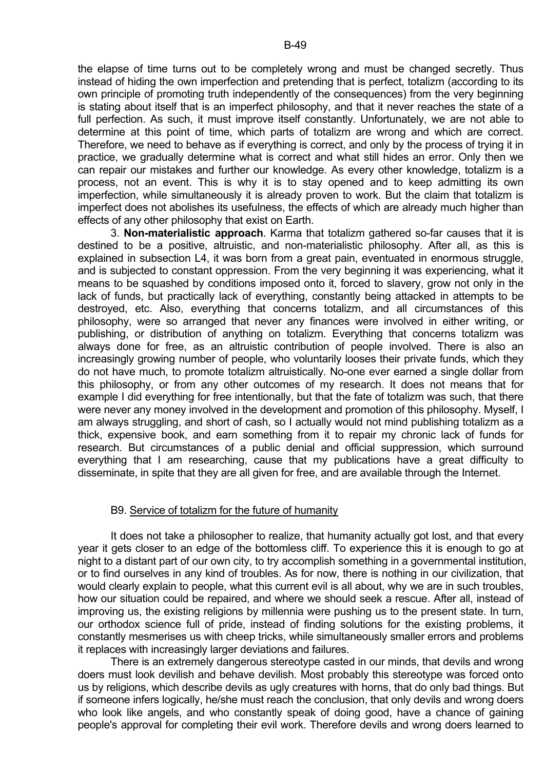the elapse of time turns out to be completely wrong and must be changed secretly. Thus instead of hiding the own imperfection and pretending that is perfect, totalizm (according to its own principle of promoting truth independently of the consequences) from the very beginning is stating about itself that is an imperfect philosophy, and that it never reaches the state of a full perfection. As such, it must improve itself constantly. Unfortunately, we are not able to determine at this point of time, which parts of totalizm are wrong and which are correct. Therefore, we need to behave as if everything is correct, and only by the process of trying it in practice, we gradually determine what is correct and what still hides an error. Only then we can repair our mistakes and further our knowledge. As every other knowledge, totalizm is a process, not an event. This is why it is to stay opened and to keep admitting its own imperfection, while simultaneously it is already proven to work. But the claim that totalizm is imperfect does not abolishes its usefulness, the effects of which are already much higher than effects of any other philosophy that exist on Earth.

 3. **Non-materialistic approach**. Karma that totalizm gathered so-far causes that it is destined to be a positive, altruistic, and non-materialistic philosophy. After all, as this is explained in subsection L4, it was born from a great pain, eventuated in enormous struggle, and is subjected to constant oppression. From the very beginning it was experiencing, what it means to be squashed by conditions imposed onto it, forced to slavery, grow not only in the lack of funds, but practically lack of everything, constantly being attacked in attempts to be destroyed, etc. Also, everything that concerns totalizm, and all circumstances of this philosophy, were so arranged that never any finances were involved in either writing, or publishing, or distribution of anything on totalizm. Everything that concerns totalizm was always done for free, as an altruistic contribution of people involved. There is also an increasingly growing number of people, who voluntarily looses their private funds, which they do not have much, to promote totalizm altruistically. No-one ever earned a single dollar from this philosophy, or from any other outcomes of my research. It does not means that for example I did everything for free intentionally, but that the fate of totalizm was such, that there were never any money involved in the development and promotion of this philosophy. Myself, I am always struggling, and short of cash, so I actually would not mind publishing totalizm as a thick, expensive book, and earn something from it to repair my chronic lack of funds for research. But circumstances of a public denial and official suppression, which surround everything that I am researching, cause that my publications have a great difficulty to disseminate, in spite that they are all given for free, and are available through the Internet.

#### B9. Service of totalizm for the future of humanity

 It does not take a philosopher to realize, that humanity actually got lost, and that every year it gets closer to an edge of the bottomless cliff. To experience this it is enough to go at night to a distant part of our own city, to try accomplish something in a governmental institution, or to find ourselves in any kind of troubles. As for now, there is nothing in our civilization, that would clearly explain to people, what this current evil is all about, why we are in such troubles, how our situation could be repaired, and where we should seek a rescue. After all, instead of improving us, the existing religions by millennia were pushing us to the present state. In turn, our orthodox science full of pride, instead of finding solutions for the existing problems, it constantly mesmerises us with cheep tricks, while simultaneously smaller errors and problems it replaces with increasingly larger deviations and failures.

 There is an extremely dangerous stereotype casted in our minds, that devils and wrong doers must look devilish and behave devilish. Most probably this stereotype was forced onto us by religions, which describe devils as ugly creatures with horns, that do only bad things. But if someone infers logically, he/she must reach the conclusion, that only devils and wrong doers who look like angels, and who constantly speak of doing good, have a chance of gaining people's approval for completing their evil work. Therefore devils and wrong doers learned to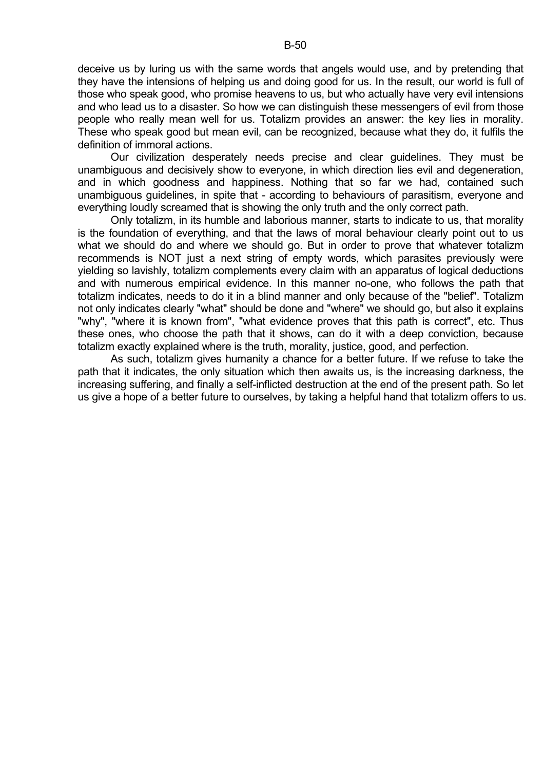deceive us by luring us with the same words that angels would use, and by pretending that they have the intensions of helping us and doing good for us. In the result, our world is full of those who speak good, who promise heavens to us, but who actually have very evil intensions and who lead us to a disaster. So how we can distinguish these messengers of evil from those people who really mean well for us. Totalizm provides an answer: the key lies in morality. These who speak good but mean evil, can be recognized, because what they do, it fulfils the definition of immoral actions.

 Our civilization desperately needs precise and clear guidelines. They must be unambiguous and decisively show to everyone, in which direction lies evil and degeneration, and in which goodness and happiness. Nothing that so far we had, contained such unambiguous guidelines, in spite that - according to behaviours of parasitism, everyone and everything loudly screamed that is showing the only truth and the only correct path.

 Only totalizm, in its humble and laborious manner, starts to indicate to us, that morality is the foundation of everything, and that the laws of moral behaviour clearly point out to us what we should do and where we should go. But in order to prove that whatever totalizm recommends is NOT just a next string of empty words, which parasites previously were yielding so lavishly, totalizm complements every claim with an apparatus of logical deductions and with numerous empirical evidence. In this manner no-one, who follows the path that totalizm indicates, needs to do it in a blind manner and only because of the "belief". Totalizm not only indicates clearly "what" should be done and "where" we should go, but also it explains "why", "where it is known from", "what evidence proves that this path is correct", etc. Thus these ones, who choose the path that it shows, can do it with a deep conviction, because totalizm exactly explained where is the truth, morality, justice, good, and perfection.

 As such, totalizm gives humanity a chance for a better future. If we refuse to take the path that it indicates, the only situation which then awaits us, is the increasing darkness, the increasing suffering, and finally a self-inflicted destruction at the end of the present path. So let us give a hope of a better future to ourselves, by taking a helpful hand that totalizm offers to us.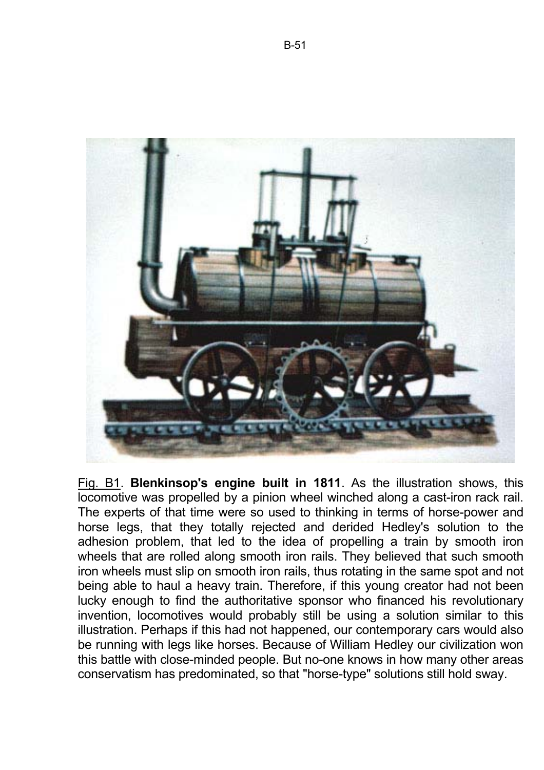

Fig. B1. **Blenkinsop's engine built in 1811**. As the illustration shows, this locomotive was propelled by a pinion wheel winched along a cast-iron rack rail. The experts of that time were so used to thinking in terms of horse-power and horse legs, that they totally rejected and derided Hedley's solution to the adhesion problem, that led to the idea of propelling a train by smooth iron wheels that are rolled along smooth iron rails. They believed that such smooth iron wheels must slip on smooth iron rails, thus rotating in the same spot and not being able to haul a heavy train. Therefore, if this young creator had not been lucky enough to find the authoritative sponsor who financed his revolutionary invention, locomotives would probably still be using a solution similar to this illustration. Perhaps if this had not happened, our contemporary cars would also be running with legs like horses. Because of William Hedley our civilization won this battle with close-minded people. But no-one knows in how many other areas conservatism has predominated, so that "horse-type" solutions still hold sway.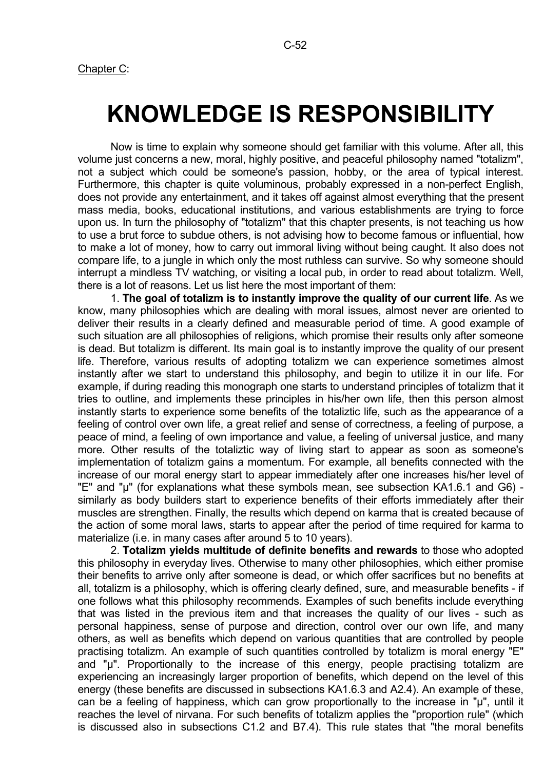# **KNOWLEDGE IS RESPONSIBILITY**

 Now is time to explain why someone should get familiar with this volume. After all, this volume just concerns a new, moral, highly positive, and peaceful philosophy named "totalizm", not a subject which could be someone's passion, hobby, or the area of typical interest. Furthermore, this chapter is quite voluminous, probably expressed in a non-perfect English, does not provide any entertainment, and it takes off against almost everything that the present mass media, books, educational institutions, and various establishments are trying to force upon us. In turn the philosophy of "totalizm" that this chapter presents, is not teaching us how to use a brut force to subdue others, is not advising how to become famous or influential, how to make a lot of money, how to carry out immoral living without being caught. It also does not compare life, to a jungle in which only the most ruthless can survive. So why someone should interrupt a mindless TV watching, or visiting a local pub, in order to read about totalizm. Well, there is a lot of reasons. Let us list here the most important of them:

 1. **The goal of totalizm is to instantly improve the quality of our current life**. As we know, many philosophies which are dealing with moral issues, almost never are oriented to deliver their results in a clearly defined and measurable period of time. A good example of such situation are all philosophies of religions, which promise their results only after someone is dead. But totalizm is different. Its main goal is to instantly improve the quality of our present life. Therefore, various results of adopting totalizm we can experience sometimes almost instantly after we start to understand this philosophy, and begin to utilize it in our life. For example, if during reading this monograph one starts to understand principles of totalizm that it tries to outline, and implements these principles in his/her own life, then this person almost instantly starts to experience some benefits of the totaliztic life, such as the appearance of a feeling of control over own life, a great relief and sense of correctness, a feeling of purpose, a peace of mind, a feeling of own importance and value, a feeling of universal justice, and many more. Other results of the totaliztic way of living start to appear as soon as someone's implementation of totalizm gains a momentum. For example, all benefits connected with the increase of our moral energy start to appear immediately after one increases his/her level of "E" and "µ" (for explanations what these symbols mean, see subsection KA1.6.1 and G6) similarly as body builders start to experience benefits of their efforts immediately after their muscles are strengthen. Finally, the results which depend on karma that is created because of the action of some moral laws, starts to appear after the period of time required for karma to materialize (i.e. in many cases after around 5 to 10 years).

 2. **Totalizm yields multitude of definite benefits and rewards** to those who adopted this philosophy in everyday lives. Otherwise to many other philosophies, which either promise their benefits to arrive only after someone is dead, or which offer sacrifices but no benefits at all, totalizm is a philosophy, which is offering clearly defined, sure, and measurable benefits - if one follows what this philosophy recommends. Examples of such benefits include everything that was listed in the previous item and that increases the quality of our lives - such as personal happiness, sense of purpose and direction, control over our own life, and many others, as well as benefits which depend on various quantities that are controlled by people practising totalizm. An example of such quantities controlled by totalizm is moral energy "E" and "µ". Proportionally to the increase of this energy, people practising totalizm are experiencing an increasingly larger proportion of benefits, which depend on the level of this energy (these benefits are discussed in subsections KA1.6.3 and A2.4). An example of these, can be a feeling of happiness, which can grow proportionally to the increase in "µ", until it reaches the level of nirvana. For such benefits of totalizm applies the "proportion rule" (which is discussed also in subsections C1.2 and B7.4). This rule states that "the moral benefits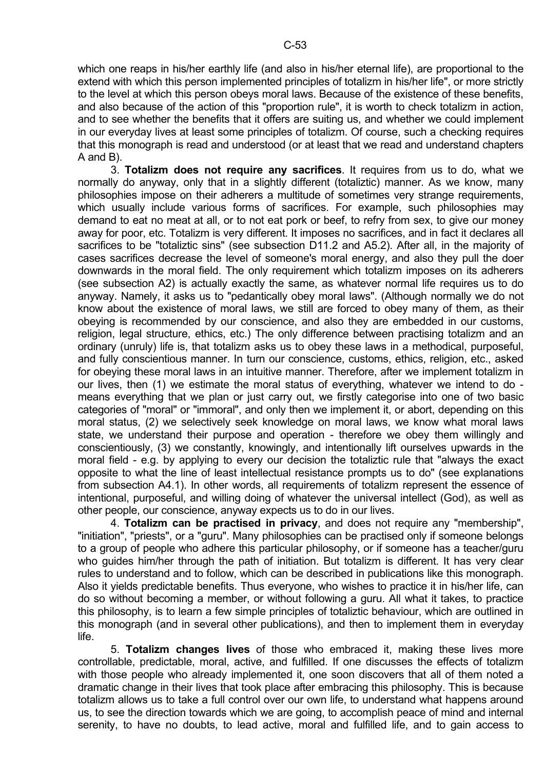which one reaps in his/her earthly life (and also in his/her eternal life), are proportional to the extend with which this person implemented principles of totalizm in his/her life", or more strictly to the level at which this person obeys moral laws. Because of the existence of these benefits, and also because of the action of this "proportion rule", it is worth to check totalizm in action, and to see whether the benefits that it offers are suiting us, and whether we could implement in our everyday lives at least some principles of totalizm. Of course, such a checking requires that this monograph is read and understood (or at least that we read and understand chapters A and B).

 3. **Totalizm does not require any sacrifices**. It requires from us to do, what we normally do anyway, only that in a slightly different (totaliztic) manner. As we know, many philosophies impose on their adherers a multitude of sometimes very strange requirements, which usually include various forms of sacrifices. For example, such philosophies may demand to eat no meat at all, or to not eat pork or beef, to refry from sex, to give our money away for poor, etc. Totalizm is very different. It imposes no sacrifices, and in fact it declares all sacrifices to be "totaliztic sins" (see subsection D11.2 and A5.2). After all, in the majority of cases sacrifices decrease the level of someone's moral energy, and also they pull the doer downwards in the moral field. The only requirement which totalizm imposes on its adherers (see subsection A2) is actually exactly the same, as whatever normal life requires us to do anyway. Namely, it asks us to "pedantically obey moral laws". (Although normally we do not know about the existence of moral laws, we still are forced to obey many of them, as their obeying is recommended by our conscience, and also they are embedded in our customs, religion, legal structure, ethics, etc.) The only difference between practising totalizm and an ordinary (unruly) life is, that totalizm asks us to obey these laws in a methodical, purposeful, and fully conscientious manner. In turn our conscience, customs, ethics, religion, etc., asked for obeying these moral laws in an intuitive manner. Therefore, after we implement totalizm in our lives, then (1) we estimate the moral status of everything, whatever we intend to do means everything that we plan or just carry out, we firstly categorise into one of two basic categories of "moral" or "immoral", and only then we implement it, or abort, depending on this moral status, (2) we selectively seek knowledge on moral laws, we know what moral laws state, we understand their purpose and operation - therefore we obey them willingly and conscientiously, (3) we constantly, knowingly, and intentionally lift ourselves upwards in the moral field - e.g. by applying to every our decision the totaliztic rule that "always the exact opposite to what the line of least intellectual resistance prompts us to do" (see explanations from subsection A4.1). In other words, all requirements of totalizm represent the essence of intentional, purposeful, and willing doing of whatever the universal intellect (God), as well as other people, our conscience, anyway expects us to do in our lives.

 4. **Totalizm can be practised in privacy**, and does not require any "membership", "initiation", "priests", or a "guru". Many philosophies can be practised only if someone belongs to a group of people who adhere this particular philosophy, or if someone has a teacher/guru who guides him/her through the path of initiation. But totalizm is different. It has very clear rules to understand and to follow, which can be described in publications like this monograph. Also it yields predictable benefits. Thus everyone, who wishes to practice it in his/her life, can do so without becoming a member, or without following a guru. All what it takes, to practice this philosophy, is to learn a few simple principles of totaliztic behaviour, which are outlined in this monograph (and in several other publications), and then to implement them in everyday life.

 5. **Totalizm changes lives** of those who embraced it, making these lives more controllable, predictable, moral, active, and fulfilled. If one discusses the effects of totalizm with those people who already implemented it, one soon discovers that all of them noted a dramatic change in their lives that took place after embracing this philosophy. This is because totalizm allows us to take a full control over our own life, to understand what happens around us, to see the direction towards which we are going, to accomplish peace of mind and internal serenity, to have no doubts, to lead active, moral and fulfilled life, and to gain access to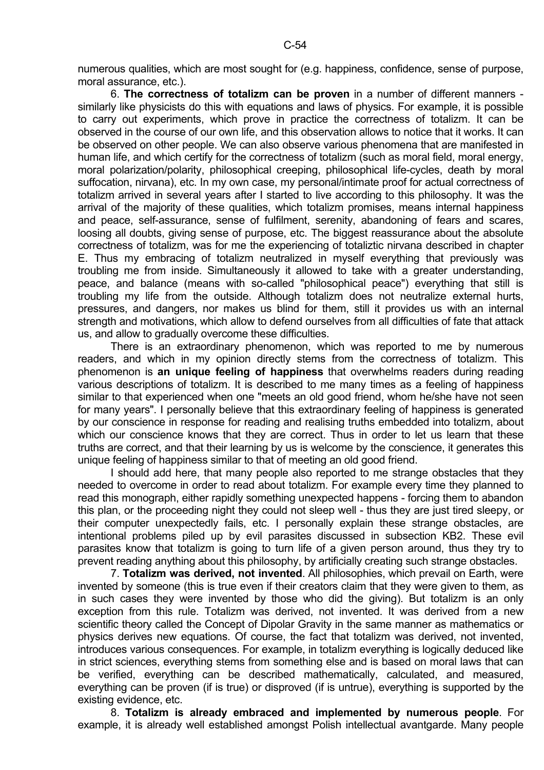numerous qualities, which are most sought for (e.g. happiness, confidence, sense of purpose, moral assurance, etc.).

 6. **The correctness of totalizm can be proven** in a number of different manners similarly like physicists do this with equations and laws of physics. For example, it is possible to carry out experiments, which prove in practice the correctness of totalizm. It can be observed in the course of our own life, and this observation allows to notice that it works. It can be observed on other people. We can also observe various phenomena that are manifested in human life, and which certify for the correctness of totalizm (such as moral field, moral energy, moral polarization/polarity, philosophical creeping, philosophical life-cycles, death by moral suffocation, nirvana), etc. In my own case, my personal/intimate proof for actual correctness of totalizm arrived in several years after I started to live according to this philosophy. It was the arrival of the majority of these qualities, which totalizm promises, means internal happiness and peace, self-assurance, sense of fulfilment, serenity, abandoning of fears and scares, loosing all doubts, giving sense of purpose, etc. The biggest reassurance about the absolute correctness of totalizm, was for me the experiencing of totaliztic nirvana described in chapter E. Thus my embracing of totalizm neutralized in myself everything that previously was troubling me from inside. Simultaneously it allowed to take with a greater understanding, peace, and balance (means with so-called "philosophical peace") everything that still is troubling my life from the outside. Although totalizm does not neutralize external hurts, pressures, and dangers, nor makes us blind for them, still it provides us with an internal strength and motivations, which allow to defend ourselves from all difficulties of fate that attack us, and allow to gradually overcome these difficulties.

 There is an extraordinary phenomenon, which was reported to me by numerous readers, and which in my opinion directly stems from the correctness of totalizm. This phenomenon is **an unique feeling of happiness** that overwhelms readers during reading various descriptions of totalizm. It is described to me many times as a feeling of happiness similar to that experienced when one "meets an old good friend, whom he/she have not seen for many years". I personally believe that this extraordinary feeling of happiness is generated by our conscience in response for reading and realising truths embedded into totalizm, about which our conscience knows that they are correct. Thus in order to let us learn that these truths are correct, and that their learning by us is welcome by the conscience, it generates this unique feeling of happiness similar to that of meeting an old good friend.

 I should add here, that many people also reported to me strange obstacles that they needed to overcome in order to read about totalizm. For example every time they planned to read this monograph, either rapidly something unexpected happens - forcing them to abandon this plan, or the proceeding night they could not sleep well - thus they are just tired sleepy, or their computer unexpectedly fails, etc. I personally explain these strange obstacles, are intentional problems piled up by evil parasites discussed in subsection KB2. These evil parasites know that totalizm is going to turn life of a given person around, thus they try to prevent reading anything about this philosophy, by artificially creating such strange obstacles.

 7. **Totalizm was derived, not invented**. All philosophies, which prevail on Earth, were invented by someone (this is true even if their creators claim that they were given to them, as in such cases they were invented by those who did the giving). But totalizm is an only exception from this rule. Totalizm was derived, not invented. It was derived from a new scientific theory called the Concept of Dipolar Gravity in the same manner as mathematics or physics derives new equations. Of course, the fact that totalizm was derived, not invented, introduces various consequences. For example, in totalizm everything is logically deduced like in strict sciences, everything stems from something else and is based on moral laws that can be verified, everything can be described mathematically, calculated, and measured, everything can be proven (if is true) or disproved (if is untrue), everything is supported by the existing evidence, etc.

 8. **Totalizm is already embraced and implemented by numerous people**. For example, it is already well established amongst Polish intellectual avantgarde. Many people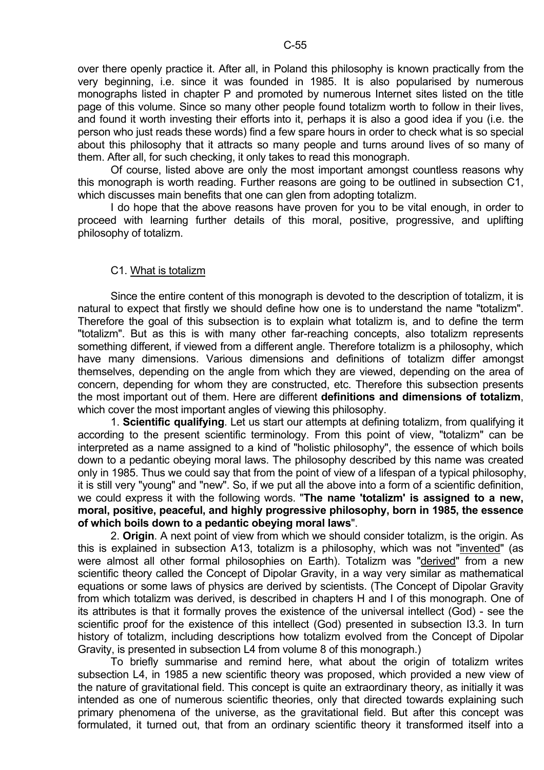over there openly practice it. After all, in Poland this philosophy is known practically from the very beginning, i.e. since it was founded in 1985. It is also popularised by numerous monographs listed in chapter P and promoted by numerous Internet sites listed on the title page of this volume. Since so many other people found totalizm worth to follow in their lives, and found it worth investing their efforts into it, perhaps it is also a good idea if you (i.e. the person who just reads these words) find a few spare hours in order to check what is so special about this philosophy that it attracts so many people and turns around lives of so many of them. After all, for such checking, it only takes to read this monograph.

 Of course, listed above are only the most important amongst countless reasons why this monograph is worth reading. Further reasons are going to be outlined in subsection C1, which discusses main benefits that one can glen from adopting totalizm.

 I do hope that the above reasons have proven for you to be vital enough, in order to proceed with learning further details of this moral, positive, progressive, and uplifting philosophy of totalizm.

#### C1. What is totalizm

 Since the entire content of this monograph is devoted to the description of totalizm, it is natural to expect that firstly we should define how one is to understand the name "totalizm". Therefore the goal of this subsection is to explain what totalizm is, and to define the term "totalizm". But as this is with many other far-reaching concepts, also totalizm represents something different, if viewed from a different angle. Therefore totalizm is a philosophy, which have many dimensions. Various dimensions and definitions of totalizm differ amongst themselves, depending on the angle from which they are viewed, depending on the area of concern, depending for whom they are constructed, etc. Therefore this subsection presents the most important out of them. Here are different **definitions and dimensions of totalizm**, which cover the most important angles of viewing this philosophy.

 1. **Scientific qualifying**. Let us start our attempts at defining totalizm, from qualifying it according to the present scientific terminology. From this point of view, "totalizm" can be interpreted as a name assigned to a kind of "holistic philosophy", the essence of which boils down to a pedantic obeying moral laws. The philosophy described by this name was created only in 1985. Thus we could say that from the point of view of a lifespan of a typical philosophy, it is still very "young" and "new". So, if we put all the above into a form of a scientific definition, we could express it with the following words. "**The name 'totalizm' is assigned to a new, moral, positive, peaceful, and highly progressive philosophy, born in 1985, the essence of which boils down to a pedantic obeying moral laws**".

 2. **Origin**. A next point of view from which we should consider totalizm, is the origin. As this is explained in subsection A13, totalizm is a philosophy, which was not "invented" (as were almost all other formal philosophies on Earth). Totalizm was "derived" from a new scientific theory called the Concept of Dipolar Gravity, in a way very similar as mathematical equations or some laws of physics are derived by scientists. (The Concept of Dipolar Gravity from which totalizm was derived, is described in chapters H and I of this monograph. One of its attributes is that it formally proves the existence of the universal intellect (God) - see the scientific proof for the existence of this intellect (God) presented in subsection I3.3. In turn history of totalizm, including descriptions how totalizm evolved from the Concept of Dipolar Gravity, is presented in subsection L4 from volume 8 of this monograph.)

 To briefly summarise and remind here, what about the origin of totalizm writes subsection L4, in 1985 a new scientific theory was proposed, which provided a new view of the nature of gravitational field. This concept is quite an extraordinary theory, as initially it was intended as one of numerous scientific theories, only that directed towards explaining such primary phenomena of the universe, as the gravitational field. But after this concept was formulated, it turned out, that from an ordinary scientific theory it transformed itself into a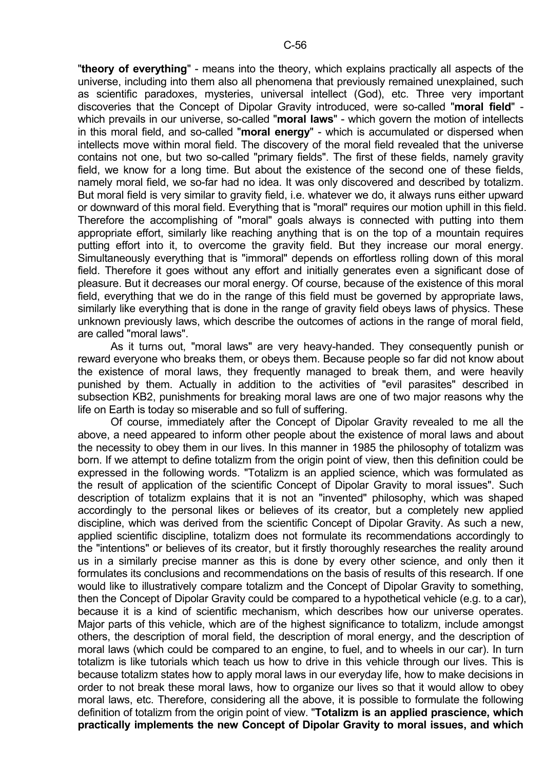"**theory of everything**" - means into the theory, which explains practically all aspects of the universe, including into them also all phenomena that previously remained unexplained, such as scientific paradoxes, mysteries, universal intellect (God), etc. Three very important discoveries that the Concept of Dipolar Gravity introduced, were so-called "**moral field**" which prevails in our universe, so-called "**moral laws**" - which govern the motion of intellects in this moral field, and so-called "**moral energy**" - which is accumulated or dispersed when intellects move within moral field. The discovery of the moral field revealed that the universe contains not one, but two so-called "primary fields". The first of these fields, namely gravity field, we know for a long time. But about the existence of the second one of these fields, namely moral field, we so-far had no idea. It was only discovered and described by totalizm. But moral field is very similar to gravity field, i.e. whatever we do, it always runs either upward or downward of this moral field. Everything that is "moral" requires our motion uphill in this field. Therefore the accomplishing of "moral" goals always is connected with putting into them appropriate effort, similarly like reaching anything that is on the top of a mountain requires putting effort into it, to overcome the gravity field. But they increase our moral energy. Simultaneously everything that is "immoral" depends on effortless rolling down of this moral field. Therefore it goes without any effort and initially generates even a significant dose of pleasure. But it decreases our moral energy. Of course, because of the existence of this moral field, everything that we do in the range of this field must be governed by appropriate laws, similarly like everything that is done in the range of gravity field obeys laws of physics. These unknown previously laws, which describe the outcomes of actions in the range of moral field, are called "moral laws".

 As it turns out, "moral laws" are very heavy-handed. They consequently punish or reward everyone who breaks them, or obeys them. Because people so far did not know about the existence of moral laws, they frequently managed to break them, and were heavily punished by them. Actually in addition to the activities of "evil parasites" described in subsection KB2, punishments for breaking moral laws are one of two major reasons why the life on Earth is today so miserable and so full of suffering.

 Of course, immediately after the Concept of Dipolar Gravity revealed to me all the above, a need appeared to inform other people about the existence of moral laws and about the necessity to obey them in our lives. In this manner in 1985 the philosophy of totalizm was born. If we attempt to define totalizm from the origin point of view, then this definition could be expressed in the following words. "Totalizm is an applied science, which was formulated as the result of application of the scientific Concept of Dipolar Gravity to moral issues". Such description of totalizm explains that it is not an "invented" philosophy, which was shaped accordingly to the personal likes or believes of its creator, but a completely new applied discipline, which was derived from the scientific Concept of Dipolar Gravity. As such a new, applied scientific discipline, totalizm does not formulate its recommendations accordingly to the "intentions" or believes of its creator, but it firstly thoroughly researches the reality around us in a similarly precise manner as this is done by every other science, and only then it formulates its conclusions and recommendations on the basis of results of this research. If one would like to illustratively compare totalizm and the Concept of Dipolar Gravity to something. then the Concept of Dipolar Gravity could be compared to a hypothetical vehicle (e.g. to a car), because it is a kind of scientific mechanism, which describes how our universe operates. Major parts of this vehicle, which are of the highest significance to totalizm, include amongst others, the description of moral field, the description of moral energy, and the description of moral laws (which could be compared to an engine, to fuel, and to wheels in our car). In turn totalizm is like tutorials which teach us how to drive in this vehicle through our lives. This is because totalizm states how to apply moral laws in our everyday life, how to make decisions in order to not break these moral laws, how to organize our lives so that it would allow to obey moral laws, etc. Therefore, considering all the above, it is possible to formulate the following definition of totalizm from the origin point of view. "**Totalizm is an applied prascience, which practically implements the new Concept of Dipolar Gravity to moral issues, and which**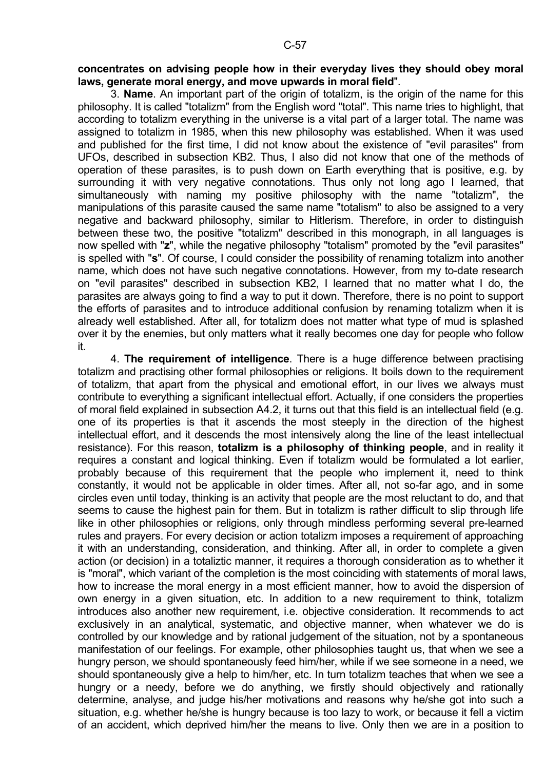#### **concentrates on advising people how in their everyday lives they should obey moral laws, generate moral energy, and move upwards in moral field**".

 3. **Name**. An important part of the origin of totalizm, is the origin of the name for this philosophy. It is called "totalizm" from the English word "total". This name tries to highlight, that according to totalizm everything in the universe is a vital part of a larger total. The name was assigned to totalizm in 1985, when this new philosophy was established. When it was used and published for the first time, I did not know about the existence of "evil parasites" from UFOs, described in subsection KB2. Thus, I also did not know that one of the methods of operation of these parasites, is to push down on Earth everything that is positive, e.g. by surrounding it with very negative connotations. Thus only not long ago I learned, that simultaneously with naming my positive philosophy with the name "totalizm", the manipulations of this parasite caused the same name "totalism" to also be assigned to a very negative and backward philosophy, similar to Hitlerism. Therefore, in order to distinguish between these two, the positive "totalizm" described in this monograph, in all languages is now spelled with "**z**", while the negative philosophy "totalism" promoted by the "evil parasites" is spelled with "**s**". Of course, I could consider the possibility of renaming totalizm into another name, which does not have such negative connotations. However, from my to-date research on "evil parasites" described in subsection KB2, I learned that no matter what I do, the parasites are always going to find a way to put it down. Therefore, there is no point to support the efforts of parasites and to introduce additional confusion by renaming totalizm when it is already well established. After all, for totalizm does not matter what type of mud is splashed over it by the enemies, but only matters what it really becomes one day for people who follow it.

 4. **The requirement of intelligence**. There is a huge difference between practising totalizm and practising other formal philosophies or religions. It boils down to the requirement of totalizm, that apart from the physical and emotional effort, in our lives we always must contribute to everything a significant intellectual effort. Actually, if one considers the properties of moral field explained in subsection A4.2, it turns out that this field is an intellectual field (e.g. one of its properties is that it ascends the most steeply in the direction of the highest intellectual effort, and it descends the most intensively along the line of the least intellectual resistance). For this reason, **totalizm is a philosophy of thinking people**, and in reality it requires a constant and logical thinking. Even if totalizm would be formulated a lot earlier, probably because of this requirement that the people who implement it, need to think constantly, it would not be applicable in older times. After all, not so-far ago, and in some circles even until today, thinking is an activity that people are the most reluctant to do, and that seems to cause the highest pain for them. But in totalizm is rather difficult to slip through life like in other philosophies or religions, only through mindless performing several pre-learned rules and prayers. For every decision or action totalizm imposes a requirement of approaching it with an understanding, consideration, and thinking. After all, in order to complete a given action (or decision) in a totaliztic manner, it requires a thorough consideration as to whether it is "moral", which variant of the completion is the most coinciding with statements of moral laws, how to increase the moral energy in a most efficient manner, how to avoid the dispersion of own energy in a given situation, etc. In addition to a new requirement to think, totalizm introduces also another new requirement, i.e. objective consideration. It recommends to act exclusively in an analytical, systematic, and objective manner, when whatever we do is controlled by our knowledge and by rational judgement of the situation, not by a spontaneous manifestation of our feelings. For example, other philosophies taught us, that when we see a hungry person, we should spontaneously feed him/her, while if we see someone in a need, we should spontaneously give a help to him/her, etc. In turn totalizm teaches that when we see a hungry or a needy, before we do anything, we firstly should objectively and rationally determine, analyse, and judge his/her motivations and reasons why he/she got into such a situation, e.g. whether he/she is hungry because is too lazy to work, or because it fell a victim of an accident, which deprived him/her the means to live. Only then we are in a position to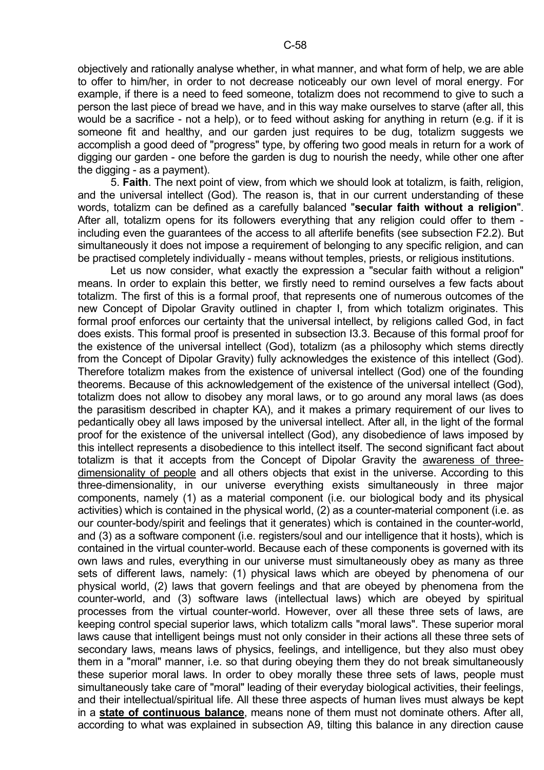objectively and rationally analyse whether, in what manner, and what form of help, we are able to offer to him/her, in order to not decrease noticeably our own level of moral energy. For example, if there is a need to feed someone, totalizm does not recommend to give to such a person the last piece of bread we have, and in this way make ourselves to starve (after all, this would be a sacrifice - not a help), or to feed without asking for anything in return (e.g. if it is someone fit and healthy, and our garden just requires to be dug, totalizm suggests we accomplish a good deed of "progress" type, by offering two good meals in return for a work of digging our garden - one before the garden is dug to nourish the needy, while other one after the digging - as a payment).

 5. **Faith**. The next point of view, from which we should look at totalizm, is faith, religion, and the universal intellect (God). The reason is, that in our current understanding of these words, totalizm can be defined as a carefully balanced "**secular faith without a religion**". After all, totalizm opens for its followers everything that any religion could offer to them including even the guarantees of the access to all afterlife benefits (see subsection F2.2). But simultaneously it does not impose a requirement of belonging to any specific religion, and can be practised completely individually - means without temples, priests, or religious institutions.

 Let us now consider, what exactly the expression a "secular faith without a religion" means. In order to explain this better, we firstly need to remind ourselves a few facts about totalizm. The first of this is a formal proof, that represents one of numerous outcomes of the new Concept of Dipolar Gravity outlined in chapter I, from which totalizm originates. This formal proof enforces our certainty that the universal intellect, by religions called God, in fact does exists. This formal proof is presented in subsection I3.3. Because of this formal proof for the existence of the universal intellect (God), totalizm (as a philosophy which stems directly from the Concept of Dipolar Gravity) fully acknowledges the existence of this intellect (God). Therefore totalizm makes from the existence of universal intellect (God) one of the founding theorems. Because of this acknowledgement of the existence of the universal intellect (God), totalizm does not allow to disobey any moral laws, or to go around any moral laws (as does the parasitism described in chapter KA), and it makes a primary requirement of our lives to pedantically obey all laws imposed by the universal intellect. After all, in the light of the formal proof for the existence of the universal intellect (God), any disobedience of laws imposed by this intellect represents a disobedience to this intellect itself. The second significant fact about totalizm is that it accepts from the Concept of Dipolar Gravity the awareness of threedimensionality of people and all others objects that exist in the universe. According to this three-dimensionality, in our universe everything exists simultaneously in three major components, namely (1) as a material component (i.e. our biological body and its physical activities) which is contained in the physical world, (2) as a counter-material component (i.e. as our counter-body/spirit and feelings that it generates) which is contained in the counter-world, and (3) as a software component (i.e. registers/soul and our intelligence that it hosts), which is contained in the virtual counter-world. Because each of these components is governed with its own laws and rules, everything in our universe must simultaneously obey as many as three sets of different laws, namely: (1) physical laws which are obeyed by phenomena of our physical world, (2) laws that govern feelings and that are obeyed by phenomena from the counter-world, and (3) software laws (intellectual laws) which are obeyed by spiritual processes from the virtual counter-world. However, over all these three sets of laws, are keeping control special superior laws, which totalizm calls "moral laws". These superior moral laws cause that intelligent beings must not only consider in their actions all these three sets of secondary laws, means laws of physics, feelings, and intelligence, but they also must obey them in a "moral" manner, i.e. so that during obeying them they do not break simultaneously these superior moral laws. In order to obey morally these three sets of laws, people must simultaneously take care of "moral" leading of their everyday biological activities, their feelings, and their intellectual/spiritual life. All these three aspects of human lives must always be kept in a **state of continuous balance**, means none of them must not dominate others. After all, according to what was explained in subsection A9, tilting this balance in any direction cause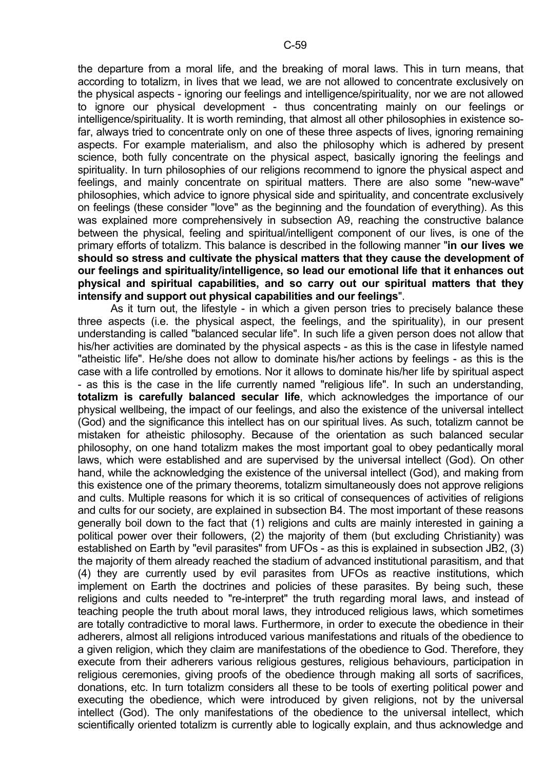the departure from a moral life, and the breaking of moral laws. This in turn means, that according to totalizm, in lives that we lead, we are not allowed to concentrate exclusively on the physical aspects - ignoring our feelings and intelligence/spirituality, nor we are not allowed to ignore our physical development - thus concentrating mainly on our feelings or intelligence/spirituality. It is worth reminding, that almost all other philosophies in existence sofar, always tried to concentrate only on one of these three aspects of lives, ignoring remaining aspects. For example materialism, and also the philosophy which is adhered by present science, both fully concentrate on the physical aspect, basically ignoring the feelings and spirituality. In turn philosophies of our religions recommend to ignore the physical aspect and feelings, and mainly concentrate on spiritual matters. There are also some "new-wave" philosophies, which advice to ignore physical side and spirituality, and concentrate exclusively on feelings (these consider "love" as the beginning and the foundation of everything). As this was explained more comprehensively in subsection A9, reaching the constructive balance between the physical, feeling and spiritual/intelligent component of our lives, is one of the primary efforts of totalizm. This balance is described in the following manner "**in our lives we should so stress and cultivate the physical matters that they cause the development of our feelings and spirituality/intelligence, so lead our emotional life that it enhances out physical and spiritual capabilities, and so carry out our spiritual matters that they intensify and support out physical capabilities and our feelings**".

 As it turn out, the lifestyle - in which a given person tries to precisely balance these three aspects (i.e. the physical aspect, the feelings, and the spirituality), in our present understanding is called "balanced secular life". In such life a given person does not allow that his/her activities are dominated by the physical aspects - as this is the case in lifestyle named "atheistic life". He/she does not allow to dominate his/her actions by feelings - as this is the case with a life controlled by emotions. Nor it allows to dominate his/her life by spiritual aspect - as this is the case in the life currently named "religious life". In such an understanding, **totalizm is carefully balanced secular life**, which acknowledges the importance of our physical wellbeing, the impact of our feelings, and also the existence of the universal intellect (God) and the significance this intellect has on our spiritual lives. As such, totalizm cannot be mistaken for atheistic philosophy. Because of the orientation as such balanced secular philosophy, on one hand totalizm makes the most important goal to obey pedantically moral laws, which were established and are supervised by the universal intellect (God). On other hand, while the acknowledging the existence of the universal intellect (God), and making from this existence one of the primary theorems, totalizm simultaneously does not approve religions and cults. Multiple reasons for which it is so critical of consequences of activities of religions and cults for our society, are explained in subsection B4. The most important of these reasons generally boil down to the fact that (1) religions and cults are mainly interested in gaining a political power over their followers, (2) the majority of them (but excluding Christianity) was established on Earth by "evil parasites" from UFOs - as this is explained in subsection JB2, (3) the majority of them already reached the stadium of advanced institutional parasitism, and that (4) they are currently used by evil parasites from UFOs as reactive institutions, which implement on Earth the doctrines and policies of these parasites. By being such, these religions and cults needed to "re-interpret" the truth regarding moral laws, and instead of teaching people the truth about moral laws, they introduced religious laws, which sometimes are totally contradictive to moral laws. Furthermore, in order to execute the obedience in their adherers, almost all religions introduced various manifestations and rituals of the obedience to a given religion, which they claim are manifestations of the obedience to God. Therefore, they execute from their adherers various religious gestures, religious behaviours, participation in religious ceremonies, giving proofs of the obedience through making all sorts of sacrifices, donations, etc. In turn totalizm considers all these to be tools of exerting political power and executing the obedience, which were introduced by given religions, not by the universal intellect (God). The only manifestations of the obedience to the universal intellect, which scientifically oriented totalizm is currently able to logically explain, and thus acknowledge and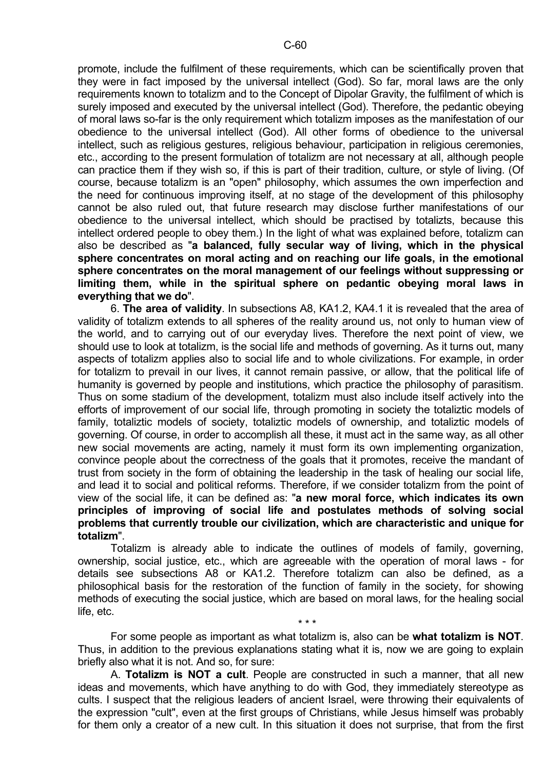promote, include the fulfilment of these requirements, which can be scientifically proven that they were in fact imposed by the universal intellect (God). So far, moral laws are the only requirements known to totalizm and to the Concept of Dipolar Gravity, the fulfilment of which is surely imposed and executed by the universal intellect (God). Therefore, the pedantic obeying of moral laws so-far is the only requirement which totalizm imposes as the manifestation of our obedience to the universal intellect (God). All other forms of obedience to the universal intellect, such as religious gestures, religious behaviour, participation in religious ceremonies, etc., according to the present formulation of totalizm are not necessary at all, although people can practice them if they wish so, if this is part of their tradition, culture, or style of living. (Of course, because totalizm is an "open" philosophy, which assumes the own imperfection and the need for continuous improving itself, at no stage of the development of this philosophy cannot be also ruled out, that future research may disclose further manifestations of our obedience to the universal intellect, which should be practised by totalizts, because this intellect ordered people to obey them.) In the light of what was explained before, totalizm can also be described as "**a balanced, fully secular way of living, which in the physical sphere concentrates on moral acting and on reaching our life goals, in the emotional sphere concentrates on the moral management of our feelings without suppressing or limiting them, while in the spiritual sphere on pedantic obeying moral laws in everything that we do**".

 6. **The area of validity**. In subsections A8, KA1.2, KA4.1 it is revealed that the area of validity of totalizm extends to all spheres of the reality around us, not only to human view of the world, and to carrying out of our everyday lives. Therefore the next point of view, we should use to look at totalizm, is the social life and methods of governing. As it turns out, many aspects of totalizm applies also to social life and to whole civilizations. For example, in order for totalizm to prevail in our lives, it cannot remain passive, or allow, that the political life of humanity is governed by people and institutions, which practice the philosophy of parasitism. Thus on some stadium of the development, totalizm must also include itself actively into the efforts of improvement of our social life, through promoting in society the totaliztic models of family, totaliztic models of society, totaliztic models of ownership, and totaliztic models of governing. Of course, in order to accomplish all these, it must act in the same way, as all other new social movements are acting, namely it must form its own implementing organization, convince people about the correctness of the goals that it promotes, receive the mandant of trust from society in the form of obtaining the leadership in the task of healing our social life, and lead it to social and political reforms. Therefore, if we consider totalizm from the point of view of the social life, it can be defined as: "**a new moral force, which indicates its own principles of improving of social life and postulates methods of solving social problems that currently trouble our civilization, which are characteristic and unique for totalizm**".

 Totalizm is already able to indicate the outlines of models of family, governing, ownership, social justice, etc., which are agreeable with the operation of moral laws - for details see subsections A8 or KA1.2. Therefore totalizm can also be defined, as a philosophical basis for the restoration of the function of family in the society, for showing methods of executing the social justice, which are based on moral laws, for the healing social life, etc.

 For some people as important as what totalizm is, also can be **what totalizm is NOT**. Thus, in addition to the previous explanations stating what it is, now we are going to explain briefly also what it is not. And so, for sure:

 $\star \star \star$ 

 A. **Totalizm is NOT a cult**. People are constructed in such a manner, that all new ideas and movements, which have anything to do with God, they immediately stereotype as cults. I suspect that the religious leaders of ancient Israel, were throwing their equivalents of the expression "cult", even at the first groups of Christians, while Jesus himself was probably for them only a creator of a new cult. In this situation it does not surprise, that from the first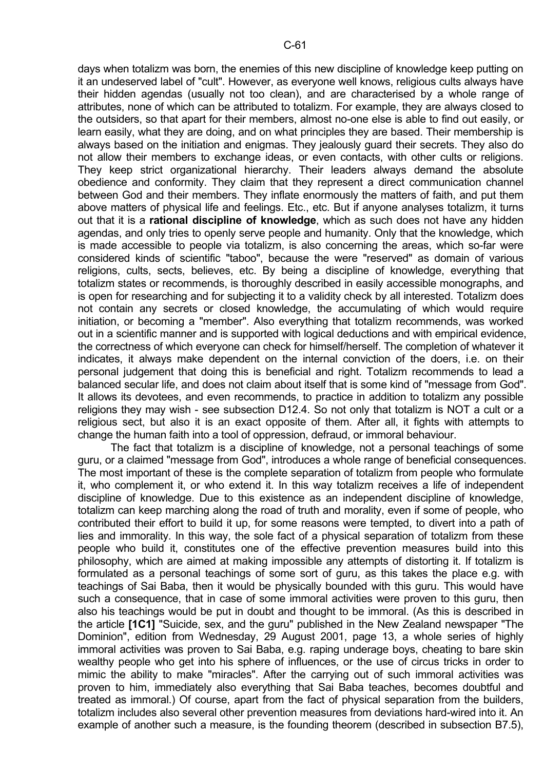days when totalizm was born, the enemies of this new discipline of knowledge keep putting on it an undeserved label of "cult". However, as everyone well knows, religious cults always have their hidden agendas (usually not too clean), and are characterised by a whole range of attributes, none of which can be attributed to totalizm. For example, they are always closed to the outsiders, so that apart for their members, almost no-one else is able to find out easily, or learn easily, what they are doing, and on what principles they are based. Their membership is always based on the initiation and enigmas. They jealously guard their secrets. They also do not allow their members to exchange ideas, or even contacts, with other cults or religions. They keep strict organizational hierarchy. Their leaders always demand the absolute obedience and conformity. They claim that they represent a direct communication channel between God and their members. They inflate enormously the matters of faith, and put them above matters of physical life and feelings. Etc., etc. But if anyone analyses totalizm, it turns out that it is a **rational discipline of knowledge**, which as such does not have any hidden agendas, and only tries to openly serve people and humanity. Only that the knowledge, which is made accessible to people via totalizm, is also concerning the areas, which so-far were considered kinds of scientific "taboo", because the were "reserved" as domain of various religions, cults, sects, believes, etc. By being a discipline of knowledge, everything that totalizm states or recommends, is thoroughly described in easily accessible monographs, and is open for researching and for subjecting it to a validity check by all interested. Totalizm does not contain any secrets or closed knowledge, the accumulating of which would require initiation, or becoming a "member". Also everything that totalizm recommends, was worked out in a scientific manner and is supported with logical deductions and with empirical evidence, the correctness of which everyone can check for himself/herself. The completion of whatever it indicates, it always make dependent on the internal conviction of the doers, i.e. on their personal judgement that doing this is beneficial and right. Totalizm recommends to lead a balanced secular life, and does not claim about itself that is some kind of "message from God". It allows its devotees, and even recommends, to practice in addition to totalizm any possible religions they may wish - see subsection D12.4. So not only that totalizm is NOT a cult or a religious sect, but also it is an exact opposite of them. After all, it fights with attempts to change the human faith into a tool of oppression, defraud, or immoral behaviour.

 The fact that totalizm is a discipline of knowledge, not a personal teachings of some guru, or a claimed "message from God", introduces a whole range of beneficial consequences. The most important of these is the complete separation of totalizm from people who formulate it, who complement it, or who extend it. In this way totalizm receives a life of independent discipline of knowledge. Due to this existence as an independent discipline of knowledge, totalizm can keep marching along the road of truth and morality, even if some of people, who contributed their effort to build it up, for some reasons were tempted, to divert into a path of lies and immorality. In this way, the sole fact of a physical separation of totalizm from these people who build it, constitutes one of the effective prevention measures build into this philosophy, which are aimed at making impossible any attempts of distorting it. If totalizm is formulated as a personal teachings of some sort of guru, as this takes the place e.g. with teachings of Sai Baba, then it would be physically bounded with this guru. This would have such a consequence, that in case of some immoral activities were proven to this guru, then also his teachings would be put in doubt and thought to be immoral. (As this is described in the article **[1C1]** "Suicide, sex, and the guru" published in the New Zealand newspaper "The Dominion", edition from Wednesday, 29 August 2001, page 13, a whole series of highly immoral activities was proven to Sai Baba, e.g. raping underage boys, cheating to bare skin wealthy people who get into his sphere of influences, or the use of circus tricks in order to mimic the ability to make "miracles". After the carrying out of such immoral activities was proven to him, immediately also everything that Sai Baba teaches, becomes doubtful and treated as immoral.) Of course, apart from the fact of physical separation from the builders, totalizm includes also several other prevention measures from deviations hard-wired into it. An example of another such a measure, is the founding theorem (described in subsection B7.5),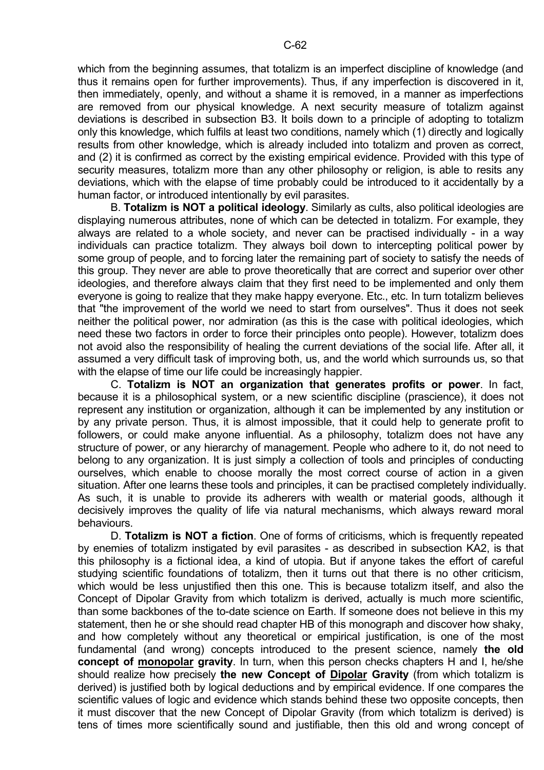which from the beginning assumes, that totalizm is an imperfect discipline of knowledge (and thus it remains open for further improvements). Thus, if any imperfection is discovered in it, then immediately, openly, and without a shame it is removed, in a manner as imperfections are removed from our physical knowledge. A next security measure of totalizm against deviations is described in subsection B3. It boils down to a principle of adopting to totalizm only this knowledge, which fulfils at least two conditions, namely which (1) directly and logically results from other knowledge, which is already included into totalizm and proven as correct, and (2) it is confirmed as correct by the existing empirical evidence. Provided with this type of security measures, totalizm more than any other philosophy or religion, is able to resits any deviations, which with the elapse of time probably could be introduced to it accidentally by a human factor, or introduced intentionally by evil parasites.

 B. **Totalizm is NOT a political ideology**. Similarly as cults, also political ideologies are displaying numerous attributes, none of which can be detected in totalizm. For example, they always are related to a whole society, and never can be practised individually - in a way individuals can practice totalizm. They always boil down to intercepting political power by some group of people, and to forcing later the remaining part of society to satisfy the needs of this group. They never are able to prove theoretically that are correct and superior over other ideologies, and therefore always claim that they first need to be implemented and only them everyone is going to realize that they make happy everyone. Etc., etc. In turn totalizm believes that "the improvement of the world we need to start from ourselves". Thus it does not seek neither the political power, nor admiration (as this is the case with political ideologies, which need these two factors in order to force their principles onto people). However, totalizm does not avoid also the responsibility of healing the current deviations of the social life. After all, it assumed a very difficult task of improving both, us, and the world which surrounds us, so that with the elapse of time our life could be increasingly happier.

 C. **Totalizm is NOT an organization that generates profits or power**. In fact, because it is a philosophical system, or a new scientific discipline (prascience), it does not represent any institution or organization, although it can be implemented by any institution or by any private person. Thus, it is almost impossible, that it could help to generate profit to followers, or could make anyone influential. As a philosophy, totalizm does not have any structure of power, or any hierarchy of management. People who adhere to it, do not need to belong to any organization. It is just simply a collection of tools and principles of conducting ourselves, which enable to choose morally the most correct course of action in a given situation. After one learns these tools and principles, it can be practised completely individually. As such, it is unable to provide its adherers with wealth or material goods, although it decisively improves the quality of life via natural mechanisms, which always reward moral behaviours.

 D. **Totalizm is NOT a fiction**. One of forms of criticisms, which is frequently repeated by enemies of totalizm instigated by evil parasites - as described in subsection KA2, is that this philosophy is a fictional idea, a kind of utopia. But if anyone takes the effort of careful studying scientific foundations of totalizm, then it turns out that there is no other criticism, which would be less uniustified then this one. This is because totalizm itself, and also the Concept of Dipolar Gravity from which totalizm is derived, actually is much more scientific, than some backbones of the to-date science on Earth. If someone does not believe in this my statement, then he or she should read chapter HB of this monograph and discover how shaky, and how completely without any theoretical or empirical justification, is one of the most fundamental (and wrong) concepts introduced to the present science, namely **the old concept of monopolar gravity**. In turn, when this person checks chapters H and I, he/she should realize how precisely **the new Concept of Dipolar Gravity** (from which totalizm is derived) is justified both by logical deductions and by empirical evidence. If one compares the scientific values of logic and evidence which stands behind these two opposite concepts, then it must discover that the new Concept of Dipolar Gravity (from which totalizm is derived) is tens of times more scientifically sound and justifiable, then this old and wrong concept of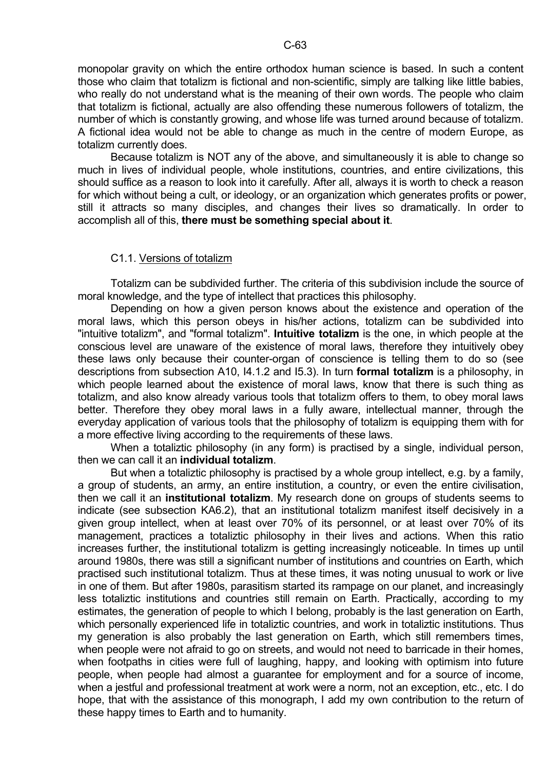monopolar gravity on which the entire orthodox human science is based. In such a content those who claim that totalizm is fictional and non-scientific, simply are talking like little babies, who really do not understand what is the meaning of their own words. The people who claim that totalizm is fictional, actually are also offending these numerous followers of totalizm, the number of which is constantly growing, and whose life was turned around because of totalizm. A fictional idea would not be able to change as much in the centre of modern Europe, as totalizm currently does.

 Because totalizm is NOT any of the above, and simultaneously it is able to change so much in lives of individual people, whole institutions, countries, and entire civilizations, this should suffice as a reason to look into it carefully. After all, always it is worth to check a reason for which without being a cult, or ideology, or an organization which generates profits or power, still it attracts so many disciples, and changes their lives so dramatically. In order to accomplish all of this, **there must be something special about it**.

#### C1.1. Versions of totalizm

 Totalizm can be subdivided further. The criteria of this subdivision include the source of moral knowledge, and the type of intellect that practices this philosophy.

 Depending on how a given person knows about the existence and operation of the moral laws, which this person obeys in his/her actions, totalizm can be subdivided into "intuitive totalizm", and "formal totalizm". **Intuitive totalizm** is the one, in which people at the conscious level are unaware of the existence of moral laws, therefore they intuitively obey these laws only because their counter-organ of conscience is telling them to do so (see descriptions from subsection A10, I4.1.2 and I5.3). In turn **formal totalizm** is a philosophy, in which people learned about the existence of moral laws, know that there is such thing as totalizm, and also know already various tools that totalizm offers to them, to obey moral laws better. Therefore they obey moral laws in a fully aware, intellectual manner, through the everyday application of various tools that the philosophy of totalizm is equipping them with for a more effective living according to the requirements of these laws.

 When a totaliztic philosophy (in any form) is practised by a single, individual person, then we can call it an **individual totalizm**.

 But when a totaliztic philosophy is practised by a whole group intellect, e.g. by a family, a group of students, an army, an entire institution, a country, or even the entire civilisation, then we call it an **institutional totalizm**. My research done on groups of students seems to indicate (see subsection KA6.2), that an institutional totalizm manifest itself decisively in a given group intellect, when at least over 70% of its personnel, or at least over 70% of its management, practices a totaliztic philosophy in their lives and actions. When this ratio increases further, the institutional totalizm is getting increasingly noticeable. In times up until around 1980s, there was still a significant number of institutions and countries on Earth, which practised such institutional totalizm. Thus at these times, it was noting unusual to work or live in one of them. But after 1980s, parasitism started its rampage on our planet, and increasingly less totaliztic institutions and countries still remain on Earth. Practically, according to my estimates, the generation of people to which I belong, probably is the last generation on Earth, which personally experienced life in totaliztic countries, and work in totaliztic institutions. Thus my generation is also probably the last generation on Earth, which still remembers times, when people were not afraid to go on streets, and would not need to barricade in their homes, when footpaths in cities were full of laughing, happy, and looking with optimism into future people, when people had almost a guarantee for employment and for a source of income, when a jestful and professional treatment at work were a norm, not an exception, etc., etc. I do hope, that with the assistance of this monograph, I add my own contribution to the return of these happy times to Earth and to humanity.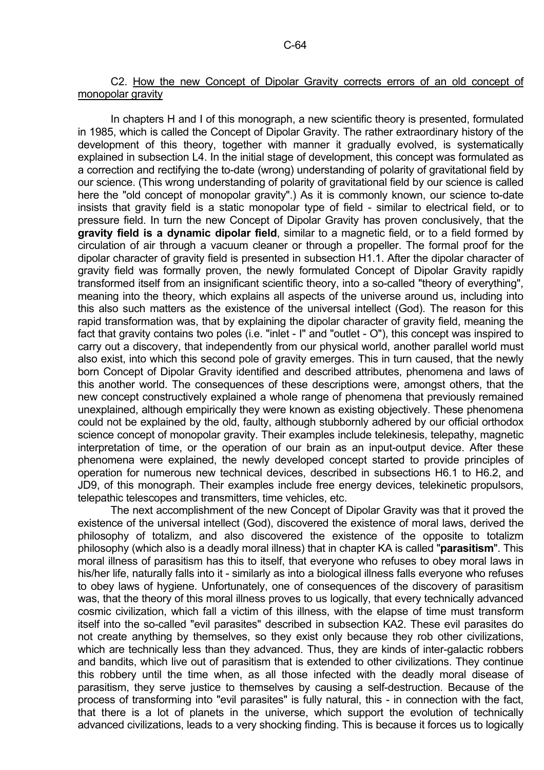## C2. How the new Concept of Dipolar Gravity corrects errors of an old concept of monopolar gravity

 In chapters H and I of this monograph, a new scientific theory is presented, formulated in 1985, which is called the Concept of Dipolar Gravity. The rather extraordinary history of the development of this theory, together with manner it gradually evolved, is systematically explained in subsection L4. In the initial stage of development, this concept was formulated as a correction and rectifying the to-date (wrong) understanding of polarity of gravitational field by our science. (This wrong understanding of polarity of gravitational field by our science is called here the "old concept of monopolar gravity".) As it is commonly known, our science to-date insists that gravity field is a static monopolar type of field - similar to electrical field, or to pressure field. In turn the new Concept of Dipolar Gravity has proven conclusively, that the **gravity field is a dynamic dipolar field**, similar to a magnetic field, or to a field formed by circulation of air through a vacuum cleaner or through a propeller. The formal proof for the dipolar character of gravity field is presented in subsection H1.1. After the dipolar character of gravity field was formally proven, the newly formulated Concept of Dipolar Gravity rapidly transformed itself from an insignificant scientific theory, into a so-called "theory of everything", meaning into the theory, which explains all aspects of the universe around us, including into this also such matters as the existence of the universal intellect (God). The reason for this rapid transformation was, that by explaining the dipolar character of gravity field, meaning the fact that gravity contains two poles (i.e. "inlet - I" and "outlet - O"), this concept was inspired to carry out a discovery, that independently from our physical world, another parallel world must also exist, into which this second pole of gravity emerges. This in turn caused, that the newly born Concept of Dipolar Gravity identified and described attributes, phenomena and laws of this another world. The consequences of these descriptions were, amongst others, that the new concept constructively explained a whole range of phenomena that previously remained unexplained, although empirically they were known as existing objectively. These phenomena could not be explained by the old, faulty, although stubbornly adhered by our official orthodox science concept of monopolar gravity. Their examples include telekinesis, telepathy, magnetic interpretation of time, or the operation of our brain as an input-output device. After these phenomena were explained, the newly developed concept started to provide principles of operation for numerous new technical devices, described in subsections H6.1 to H6.2, and JD9, of this monograph. Their examples include free energy devices, telekinetic propulsors, telepathic telescopes and transmitters, time vehicles, etc.

 The next accomplishment of the new Concept of Dipolar Gravity was that it proved the existence of the universal intellect (God), discovered the existence of moral laws, derived the philosophy of totalizm, and also discovered the existence of the opposite to totalizm philosophy (which also is a deadly moral illness) that in chapter KA is called "**parasitism**". This moral illness of parasitism has this to itself, that everyone who refuses to obey moral laws in his/her life, naturally falls into it - similarly as into a biological illness falls everyone who refuses to obey laws of hygiene. Unfortunately, one of consequences of the discovery of parasitism was, that the theory of this moral illness proves to us logically, that every technically advanced cosmic civilization, which fall a victim of this illness, with the elapse of time must transform itself into the so-called "evil parasites" described in subsection KA2. These evil parasites do not create anything by themselves, so they exist only because they rob other civilizations, which are technically less than they advanced. Thus, they are kinds of inter-galactic robbers and bandits, which live out of parasitism that is extended to other civilizations. They continue this robbery until the time when, as all those infected with the deadly moral disease of parasitism, they serve justice to themselves by causing a self-destruction. Because of the process of transforming into "evil parasites" is fully natural, this - in connection with the fact, that there is a lot of planets in the universe, which support the evolution of technically advanced civilizations, leads to a very shocking finding. This is because it forces us to logically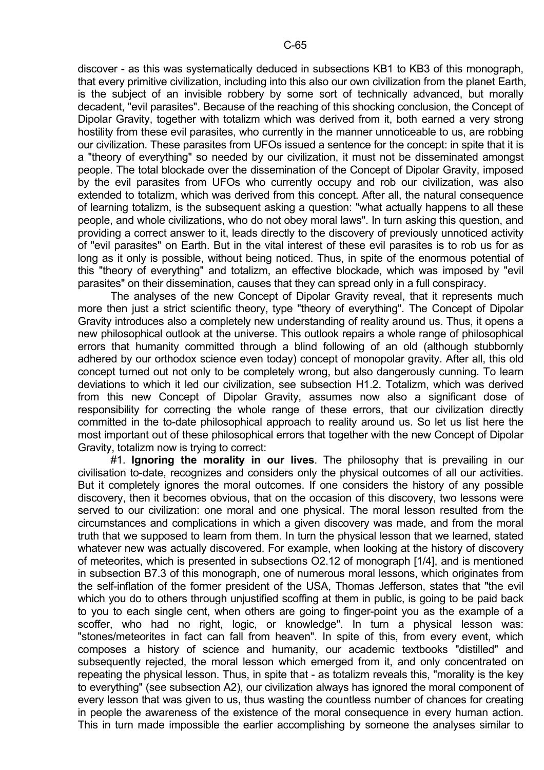discover - as this was systematically deduced in subsections KB1 to KB3 of this monograph, that every primitive civilization, including into this also our own civilization from the planet Earth, is the subject of an invisible robbery by some sort of technically advanced, but morally decadent, "evil parasites". Because of the reaching of this shocking conclusion, the Concept of Dipolar Gravity, together with totalizm which was derived from it, both earned a very strong hostility from these evil parasites, who currently in the manner unnoticeable to us, are robbing our civilization. These parasites from UFOs issued a sentence for the concept: in spite that it is a "theory of everything" so needed by our civilization, it must not be disseminated amongst people. The total blockade over the dissemination of the Concept of Dipolar Gravity, imposed by the evil parasites from UFOs who currently occupy and rob our civilization, was also extended to totalizm, which was derived from this concept. After all, the natural consequence of learning totalizm, is the subsequent asking a question: "what actually happens to all these people, and whole civilizations, who do not obey moral laws". In turn asking this question, and providing a correct answer to it, leads directly to the discovery of previously unnoticed activity of "evil parasites" on Earth. But in the vital interest of these evil parasites is to rob us for as long as it only is possible, without being noticed. Thus, in spite of the enormous potential of this "theory of everything" and totalizm, an effective blockade, which was imposed by "evil parasites" on their dissemination, causes that they can spread only in a full conspiracy.

 The analyses of the new Concept of Dipolar Gravity reveal, that it represents much more then just a strict scientific theory, type "theory of everything". The Concept of Dipolar Gravity introduces also a completely new understanding of reality around us. Thus, it opens a new philosophical outlook at the universe. This outlook repairs a whole range of philosophical errors that humanity committed through a blind following of an old (although stubbornly adhered by our orthodox science even today) concept of monopolar gravity. After all, this old concept turned out not only to be completely wrong, but also dangerously cunning. To learn deviations to which it led our civilization, see subsection H1.2. Totalizm, which was derived from this new Concept of Dipolar Gravity, assumes now also a significant dose of responsibility for correcting the whole range of these errors, that our civilization directly committed in the to-date philosophical approach to reality around us. So let us list here the most important out of these philosophical errors that together with the new Concept of Dipolar Gravity, totalizm now is trying to correct:

 #1. **Ignoring the morality in our lives**. The philosophy that is prevailing in our civilisation to-date, recognizes and considers only the physical outcomes of all our activities. But it completely ignores the moral outcomes. If one considers the history of any possible discovery, then it becomes obvious, that on the occasion of this discovery, two lessons were served to our civilization: one moral and one physical. The moral lesson resulted from the circumstances and complications in which a given discovery was made, and from the moral truth that we supposed to learn from them. In turn the physical lesson that we learned, stated whatever new was actually discovered. For example, when looking at the history of discovery of meteorites, which is presented in subsections O2.12 of monograph [1/4], and is mentioned in subsection B7.3 of this monograph, one of numerous moral lessons, which originates from the self-inflation of the former president of the USA, Thomas Jefferson, states that "the evil which you do to others through unjustified scoffing at them in public, is going to be paid back to you to each single cent, when others are going to finger-point you as the example of a scoffer, who had no right, logic, or knowledge". In turn a physical lesson was: "stones/meteorites in fact can fall from heaven". In spite of this, from every event, which composes a history of science and humanity, our academic textbooks "distilled" and subsequently rejected, the moral lesson which emerged from it, and only concentrated on repeating the physical lesson. Thus, in spite that - as totalizm reveals this, "morality is the key to everything" (see subsection A2), our civilization always has ignored the moral component of every lesson that was given to us, thus wasting the countless number of chances for creating in people the awareness of the existence of the moral consequence in every human action. This in turn made impossible the earlier accomplishing by someone the analyses similar to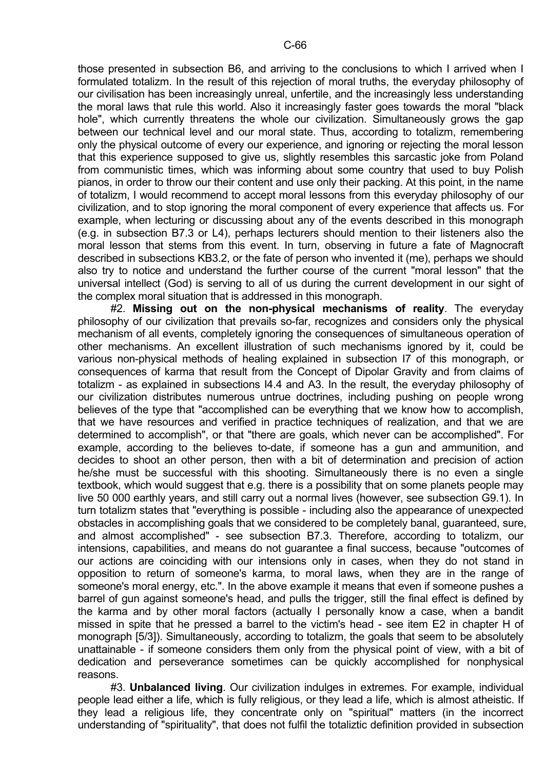those presented in subsection B6, and arriving to the conclusions to which I arrived when I formulated totalizm. In the result of this rejection of moral truths, the everyday philosophy of our civilisation has been increasingly unreal, unfertile, and the increasingly less understanding the moral laws that rule this world. Also it increasingly faster goes towards the moral "black hole", which currently threatens the whole our civilization. Simultaneously grows the gap between our technical level and our moral state. Thus, according to totalizm, remembering only the physical outcome of every our experience, and ignoring or rejecting the moral lesson that this experience supposed to give us, slightly resembles this sarcastic joke from Poland from communistic times, which was informing about some country that used to buy Polish pianos, in order to throw our their content and use only their packing. At this point, in the name of totalizm, I would recommend to accept moral lessons from this everyday philosophy of our civilization, and to stop ignoring the moral component of every experience that affects us. For example, when lecturing or discussing about any of the events described in this monograph (e.g. in subsection B7.3 or L4), perhaps lecturers should mention to their listeners also the moral lesson that stems from this event. In turn, observing in future a fate of Magnocraft described in subsections KB3.2, or the fate of person who invented it (me), perhaps we should also try to notice and understand the further course of the current "moral lesson" that the universal intellect (God) is serving to all of us during the current development in our sight of the complex moral situation that is addressed in this monograph.

 #2. **Missing out on the non-physical mechanisms of reality**. The everyday philosophy of our civilization that prevails so-far, recognizes and considers only the physical mechanism of all events, completely ignoring the consequences of simultaneous operation of other mechanisms. An excellent illustration of such mechanisms ignored by it, could be various non-physical methods of healing explained in subsection I7 of this monograph, or consequences of karma that result from the Concept of Dipolar Gravity and from claims of totalizm - as explained in subsections I4.4 and A3. In the result, the everyday philosophy of our civilization distributes numerous untrue doctrines, including pushing on people wrong believes of the type that "accomplished can be everything that we know how to accomplish, that we have resources and verified in practice techniques of realization, and that we are determined to accomplish", or that "there are goals, which never can be accomplished". For example, according to the believes to-date, if someone has a gun and ammunition, and decides to shoot an other person, then with a bit of determination and precision of action he/she must be successful with this shooting. Simultaneously there is no even a single textbook, which would suggest that e.g. there is a possibility that on some planets people may live 50 000 earthly years, and still carry out a normal lives (however, see subsection G9.1). In turn totalizm states that "everything is possible - including also the appearance of unexpected obstacles in accomplishing goals that we considered to be completely banal, guaranteed, sure, and almost accomplished" - see subsection B7.3. Therefore, according to totalizm, our intensions, capabilities, and means do not guarantee a final success, because "outcomes of our actions are coinciding with our intensions only in cases, when they do not stand in opposition to return of someone's karma, to moral laws, when they are in the range of someone's moral energy, etc.". In the above example it means that even if someone pushes a barrel of gun against someone's head, and pulls the trigger, still the final effect is defined by the karma and by other moral factors (actually I personally know a case, when a bandit missed in spite that he pressed a barrel to the victim's head - see item E2 in chapter H of monograph [5/3]). Simultaneously, according to totalizm, the goals that seem to be absolutely unattainable - if someone considers them only from the physical point of view, with a bit of dedication and perseverance sometimes can be quickly accomplished for nonphysical reasons.

 #3. **Unbalanced living**. Our civilization indulges in extremes. For example, individual people lead either a life, which is fully religious, or they lead a life, which is almost atheistic. If they lead a religious life, they concentrate only on "spiritual" matters (in the incorrect understanding of "spirituality", that does not fulfil the totaliztic definition provided in subsection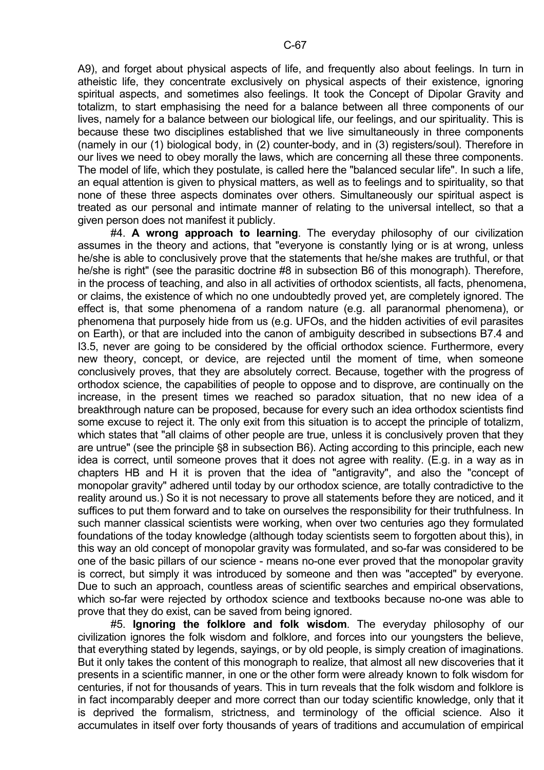A9), and forget about physical aspects of life, and frequently also about feelings. In turn in atheistic life, they concentrate exclusively on physical aspects of their existence, ignoring spiritual aspects, and sometimes also feelings. It took the Concept of Dipolar Gravity and totalizm, to start emphasising the need for a balance between all three components of our lives, namely for a balance between our biological life, our feelings, and our spirituality. This is because these two disciplines established that we live simultaneously in three components (namely in our (1) biological body, in (2) counter-body, and in (3) registers/soul). Therefore in our lives we need to obey morally the laws, which are concerning all these three components. The model of life, which they postulate, is called here the "balanced secular life". In such a life,

an equal attention is given to physical matters, as well as to feelings and to spirituality, so that none of these three aspects dominates over others. Simultaneously our spiritual aspect is treated as our personal and intimate manner of relating to the universal intellect, so that a given person does not manifest it publicly.

 #4. **A wrong approach to learning**. The everyday philosophy of our civilization assumes in the theory and actions, that "everyone is constantly lying or is at wrong, unless he/she is able to conclusively prove that the statements that he/she makes are truthful, or that he/she is right" (see the parasitic doctrine #8 in subsection B6 of this monograph). Therefore, in the process of teaching, and also in all activities of orthodox scientists, all facts, phenomena, or claims, the existence of which no one undoubtedly proved yet, are completely ignored. The effect is, that some phenomena of a random nature (e.g. all paranormal phenomena), or phenomena that purposely hide from us (e.g. UFOs, and the hidden activities of evil parasites on Earth), or that are included into the canon of ambiguity described in subsections B7.4 and I3.5, never are going to be considered by the official orthodox science. Furthermore, every new theory, concept, or device, are rejected until the moment of time, when someone conclusively proves, that they are absolutely correct. Because, together with the progress of orthodox science, the capabilities of people to oppose and to disprove, are continually on the increase, in the present times we reached so paradox situation, that no new idea of a breakthrough nature can be proposed, because for every such an idea orthodox scientists find some excuse to reject it. The only exit from this situation is to accept the principle of totalizm, which states that "all claims of other people are true, unless it is conclusively proven that they are untrue" (see the principle §8 in subsection B6). Acting according to this principle, each new idea is correct, until someone proves that it does not agree with reality. (E.g. in a way as in chapters HB and H it is proven that the idea of "antigravity", and also the "concept of monopolar gravity" adhered until today by our orthodox science, are totally contradictive to the reality around us.) So it is not necessary to prove all statements before they are noticed, and it suffices to put them forward and to take on ourselves the responsibility for their truthfulness. In such manner classical scientists were working, when over two centuries ago they formulated foundations of the today knowledge (although today scientists seem to forgotten about this), in this way an old concept of monopolar gravity was formulated, and so-far was considered to be one of the basic pillars of our science - means no-one ever proved that the monopolar gravity is correct, but simply it was introduced by someone and then was "accepted" by everyone. Due to such an approach, countless areas of scientific searches and empirical observations, which so-far were rejected by orthodox science and textbooks because no-one was able to prove that they do exist, can be saved from being ignored.

 #5. **Ignoring the folklore and folk wisdom**. The everyday philosophy of our civilization ignores the folk wisdom and folklore, and forces into our youngsters the believe, that everything stated by legends, sayings, or by old people, is simply creation of imaginations. But it only takes the content of this monograph to realize, that almost all new discoveries that it presents in a scientific manner, in one or the other form were already known to folk wisdom for centuries, if not for thousands of years. This in turn reveals that the folk wisdom and folklore is in fact incomparably deeper and more correct than our today scientific knowledge, only that it is deprived the formalism, strictness, and terminology of the official science. Also it accumulates in itself over forty thousands of years of traditions and accumulation of empirical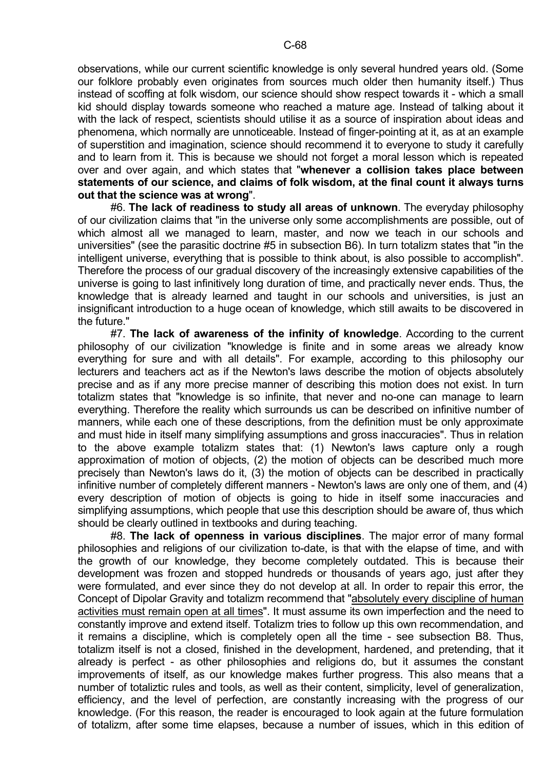observations, while our current scientific knowledge is only several hundred years old. (Some our folklore probably even originates from sources much older then humanity itself.) Thus instead of scoffing at folk wisdom, our science should show respect towards it - which a small kid should display towards someone who reached a mature age. Instead of talking about it with the lack of respect, scientists should utilise it as a source of inspiration about ideas and phenomena, which normally are unnoticeable. Instead of finger-pointing at it, as at an example of superstition and imagination, science should recommend it to everyone to study it carefully and to learn from it. This is because we should not forget a moral lesson which is repeated over and over again, and which states that "**whenever a collision takes place between statements of our science, and claims of folk wisdom, at the final count it always turns out that the science was at wrong**".

 #6. **The lack of readiness to study all areas of unknown**. The everyday philosophy of our civilization claims that "in the universe only some accomplishments are possible, out of which almost all we managed to learn, master, and now we teach in our schools and universities" (see the parasitic doctrine #5 in subsection B6). In turn totalizm states that "in the intelligent universe, everything that is possible to think about, is also possible to accomplish". Therefore the process of our gradual discovery of the increasingly extensive capabilities of the universe is going to last infinitively long duration of time, and practically never ends. Thus, the knowledge that is already learned and taught in our schools and universities, is just an insignificant introduction to a huge ocean of knowledge, which still awaits to be discovered in the future."

 #7. **The lack of awareness of the infinity of knowledge**. According to the current philosophy of our civilization "knowledge is finite and in some areas we already know everything for sure and with all details". For example, according to this philosophy our lecturers and teachers act as if the Newton's laws describe the motion of objects absolutely precise and as if any more precise manner of describing this motion does not exist. In turn totalizm states that "knowledge is so infinite, that never and no-one can manage to learn everything. Therefore the reality which surrounds us can be described on infinitive number of manners, while each one of these descriptions, from the definition must be only approximate and must hide in itself many simplifying assumptions and gross inaccuracies". Thus in relation to the above example totalizm states that: (1) Newton's laws capture only a rough approximation of motion of objects, (2) the motion of objects can be described much more precisely than Newton's laws do it, (3) the motion of objects can be described in practically infinitive number of completely different manners - Newton's laws are only one of them, and (4) every description of motion of objects is going to hide in itself some inaccuracies and simplifying assumptions, which people that use this description should be aware of, thus which should be clearly outlined in textbooks and during teaching.

 #8. **The lack of openness in various disciplines**. The major error of many formal philosophies and religions of our civilization to-date, is that with the elapse of time, and with the growth of our knowledge, they become completely outdated. This is because their development was frozen and stopped hundreds or thousands of years ago, just after they were formulated, and ever since they do not develop at all. In order to repair this error, the Concept of Dipolar Gravity and totalizm recommend that "absolutely every discipline of human activities must remain open at all times". It must assume its own imperfection and the need to constantly improve and extend itself. Totalizm tries to follow up this own recommendation, and it remains a discipline, which is completely open all the time - see subsection B8. Thus, totalizm itself is not a closed, finished in the development, hardened, and pretending, that it already is perfect - as other philosophies and religions do, but it assumes the constant improvements of itself, as our knowledge makes further progress. This also means that a number of totaliztic rules and tools, as well as their content, simplicity, level of generalization, efficiency, and the level of perfection, are constantly increasing with the progress of our knowledge. (For this reason, the reader is encouraged to look again at the future formulation of totalizm, after some time elapses, because a number of issues, which in this edition of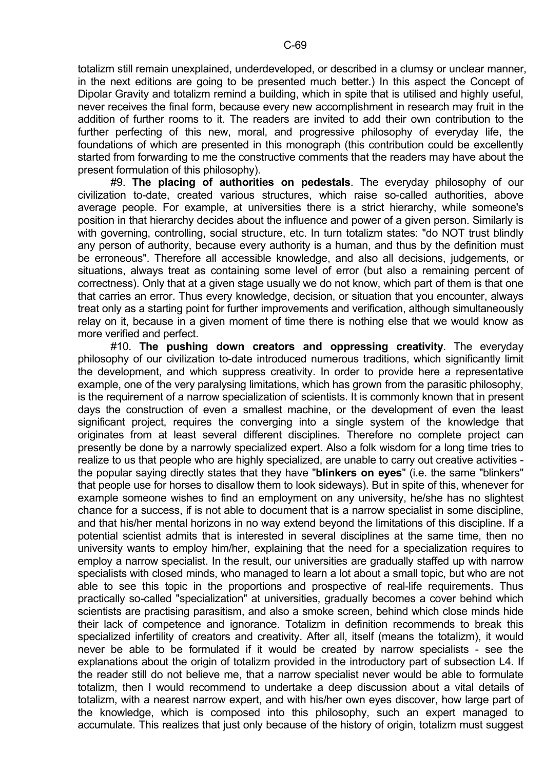totalizm still remain unexplained, underdeveloped, or described in a clumsy or unclear manner, in the next editions are going to be presented much better.) In this aspect the Concept of Dipolar Gravity and totalizm remind a building, which in spite that is utilised and highly useful, never receives the final form, because every new accomplishment in research may fruit in the addition of further rooms to it. The readers are invited to add their own contribution to the further perfecting of this new, moral, and progressive philosophy of everyday life, the foundations of which are presented in this monograph (this contribution could be excellently started from forwarding to me the constructive comments that the readers may have about the present formulation of this philosophy).

 #9. **The placing of authorities on pedestals**. The everyday philosophy of our civilization to-date, created various structures, which raise so-called authorities, above average people. For example, at universities there is a strict hierarchy, while someone's position in that hierarchy decides about the influence and power of a given person. Similarly is with governing, controlling, social structure, etc. In turn totalizm states: "do NOT trust blindly any person of authority, because every authority is a human, and thus by the definition must be erroneous". Therefore all accessible knowledge, and also all decisions, judgements, or situations, always treat as containing some level of error (but also a remaining percent of correctness). Only that at a given stage usually we do not know, which part of them is that one that carries an error. Thus every knowledge, decision, or situation that you encounter, always treat only as a starting point for further improvements and verification, although simultaneously relay on it, because in a given moment of time there is nothing else that we would know as more verified and perfect.

 #10. **The pushing down creators and oppressing creativity**. The everyday philosophy of our civilization to-date introduced numerous traditions, which significantly limit the development, and which suppress creativity. In order to provide here a representative example, one of the very paralysing limitations, which has grown from the parasitic philosophy, is the requirement of a narrow specialization of scientists. It is commonly known that in present days the construction of even a smallest machine, or the development of even the least significant project, requires the converging into a single system of the knowledge that originates from at least several different disciplines. Therefore no complete project can presently be done by a narrowly specialized expert. Also a folk wisdom for a long time tries to realize to us that people who are highly specialized, are unable to carry out creative activities the popular saying directly states that they have "**blinkers on eyes**" (i.e. the same "blinkers" that people use for horses to disallow them to look sideways). But in spite of this, whenever for example someone wishes to find an employment on any university, he/she has no slightest chance for a success, if is not able to document that is a narrow specialist in some discipline, and that his/her mental horizons in no way extend beyond the limitations of this discipline. If a potential scientist admits that is interested in several disciplines at the same time, then no university wants to employ him/her, explaining that the need for a specialization requires to employ a narrow specialist. In the result, our universities are gradually staffed up with narrow specialists with closed minds, who managed to learn a lot about a small topic, but who are not able to see this topic in the proportions and prospective of real-life requirements. Thus practically so-called "specialization" at universities, gradually becomes a cover behind which scientists are practising parasitism, and also a smoke screen, behind which close minds hide their lack of competence and ignorance. Totalizm in definition recommends to break this specialized infertility of creators and creativity. After all, itself (means the totalizm), it would never be able to be formulated if it would be created by narrow specialists - see the explanations about the origin of totalizm provided in the introductory part of subsection L4. If the reader still do not believe me, that a narrow specialist never would be able to formulate totalizm, then I would recommend to undertake a deep discussion about a vital details of totalizm, with a nearest narrow expert, and with his/her own eyes discover, how large part of the knowledge, which is composed into this philosophy, such an expert managed to accumulate. This realizes that just only because of the history of origin, totalizm must suggest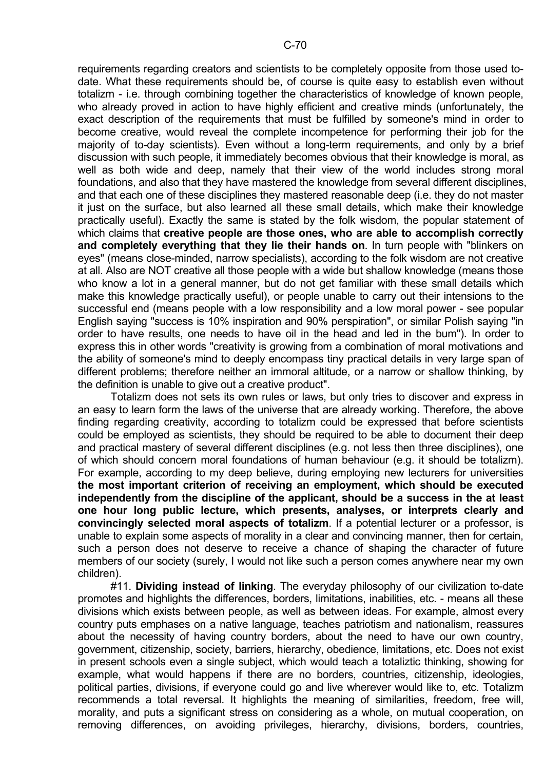requirements regarding creators and scientists to be completely opposite from those used todate. What these requirements should be, of course is quite easy to establish even without totalizm - i.e. through combining together the characteristics of knowledge of known people, who already proved in action to have highly efficient and creative minds (unfortunately, the exact description of the requirements that must be fulfilled by someone's mind in order to become creative, would reveal the complete incompetence for performing their job for the majority of to-day scientists). Even without a long-term requirements, and only by a brief discussion with such people, it immediately becomes obvious that their knowledge is moral, as well as both wide and deep, namely that their view of the world includes strong moral foundations, and also that they have mastered the knowledge from several different disciplines, and that each one of these disciplines they mastered reasonable deep (i.e. they do not master it just on the surface, but also learned all these small details, which make their knowledge practically useful). Exactly the same is stated by the folk wisdom, the popular statement of which claims that **creative people are those ones, who are able to accomplish correctly and completely everything that they lie their hands on**. In turn people with "blinkers on eyes" (means close-minded, narrow specialists), according to the folk wisdom are not creative at all. Also are NOT creative all those people with a wide but shallow knowledge (means those who know a lot in a general manner, but do not get familiar with these small details which make this knowledge practically useful), or people unable to carry out their intensions to the successful end (means people with a low responsibility and a low moral power - see popular English saying "success is 10% inspiration and 90% perspiration", or similar Polish saying "in order to have results, one needs to have oil in the head and led in the bum"). In order to express this in other words "creativity is growing from a combination of moral motivations and the ability of someone's mind to deeply encompass tiny practical details in very large span of different problems; therefore neither an immoral altitude, or a narrow or shallow thinking, by the definition is unable to give out a creative product".

 Totalizm does not sets its own rules or laws, but only tries to discover and express in an easy to learn form the laws of the universe that are already working. Therefore, the above finding regarding creativity, according to totalizm could be expressed that before scientists could be employed as scientists, they should be required to be able to document their deep and practical mastery of several different disciplines (e.g. not less then three disciplines), one of which should concern moral foundations of human behaviour (e.g. it should be totalizm). For example, according to my deep believe, during employing new lecturers for universities **the most important criterion of receiving an employment, which should be executed independently from the discipline of the applicant, should be a success in the at least one hour long public lecture, which presents, analyses, or interprets clearly and convincingly selected moral aspects of totalizm**. If a potential lecturer or a professor, is unable to explain some aspects of morality in a clear and convincing manner, then for certain, such a person does not deserve to receive a chance of shaping the character of future members of our society (surely, I would not like such a person comes anywhere near my own children).

 #11. **Dividing instead of linking**. The everyday philosophy of our civilization to-date promotes and highlights the differences, borders, limitations, inabilities, etc. - means all these divisions which exists between people, as well as between ideas. For example, almost every country puts emphases on a native language, teaches patriotism and nationalism, reassures about the necessity of having country borders, about the need to have our own country, government, citizenship, society, barriers, hierarchy, obedience, limitations, etc. Does not exist in present schools even a single subject, which would teach a totaliztic thinking, showing for example, what would happens if there are no borders, countries, citizenship, ideologies, political parties, divisions, if everyone could go and live wherever would like to, etc. Totalizm recommends a total reversal. It highlights the meaning of similarities, freedom, free will, morality, and puts a significant stress on considering as a whole, on mutual cooperation, on removing differences, on avoiding privileges, hierarchy, divisions, borders, countries,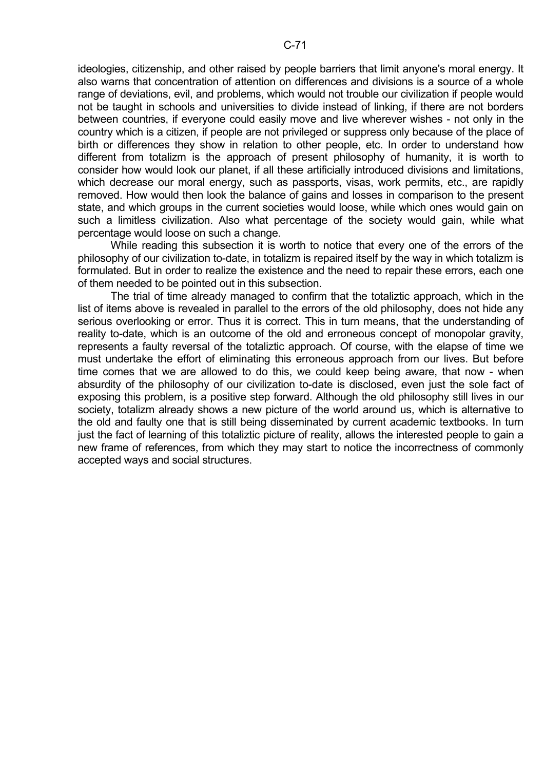ideologies, citizenship, and other raised by people barriers that limit anyone's moral energy. It also warns that concentration of attention on differences and divisions is a source of a whole range of deviations, evil, and problems, which would not trouble our civilization if people would not be taught in schools and universities to divide instead of linking, if there are not borders between countries, if everyone could easily move and live wherever wishes - not only in the country which is a citizen, if people are not privileged or suppress only because of the place of birth or differences they show in relation to other people, etc. In order to understand how different from totalizm is the approach of present philosophy of humanity, it is worth to consider how would look our planet, if all these artificially introduced divisions and limitations, which decrease our moral energy, such as passports, visas, work permits, etc., are rapidly removed. How would then look the balance of gains and losses in comparison to the present state, and which groups in the current societies would loose, while which ones would gain on such a limitless civilization. Also what percentage of the society would gain, while what percentage would loose on such a change.

 While reading this subsection it is worth to notice that every one of the errors of the philosophy of our civilization to-date, in totalizm is repaired itself by the way in which totalizm is formulated. But in order to realize the existence and the need to repair these errors, each one of them needed to be pointed out in this subsection.

 The trial of time already managed to confirm that the totaliztic approach, which in the list of items above is revealed in parallel to the errors of the old philosophy, does not hide any serious overlooking or error. Thus it is correct. This in turn means, that the understanding of reality to-date, which is an outcome of the old and erroneous concept of monopolar gravity, represents a faulty reversal of the totaliztic approach. Of course, with the elapse of time we must undertake the effort of eliminating this erroneous approach from our lives. But before time comes that we are allowed to do this, we could keep being aware, that now - when absurdity of the philosophy of our civilization to-date is disclosed, even just the sole fact of exposing this problem, is a positive step forward. Although the old philosophy still lives in our society, totalizm already shows a new picture of the world around us, which is alternative to the old and faulty one that is still being disseminated by current academic textbooks. In turn just the fact of learning of this totaliztic picture of reality, allows the interested people to gain a new frame of references, from which they may start to notice the incorrectness of commonly accepted ways and social structures.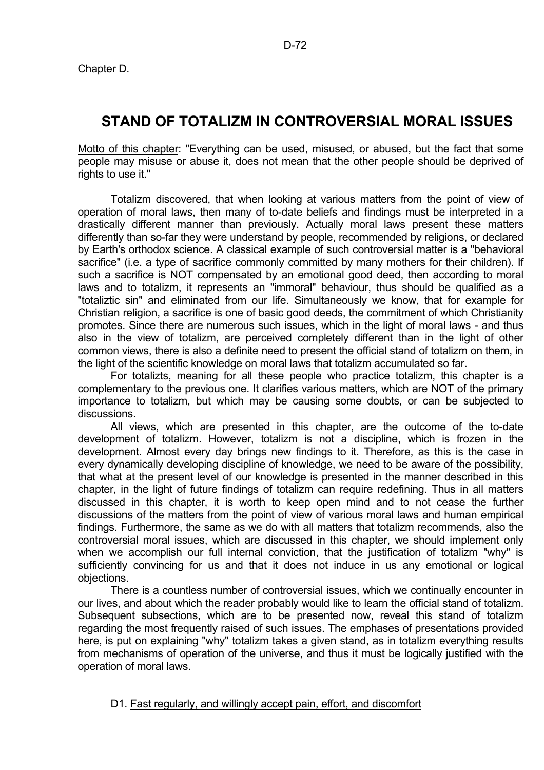Chapter D.

# **STAND OF TOTALIZM IN CONTROVERSIAL MORAL ISSUES**

Motto of this chapter: "Everything can be used, misused, or abused, but the fact that some people may misuse or abuse it, does not mean that the other people should be deprived of rights to use it."

 Totalizm discovered, that when looking at various matters from the point of view of operation of moral laws, then many of to-date beliefs and findings must be interpreted in a drastically different manner than previously. Actually moral laws present these matters differently than so-far they were understand by people, recommended by religions, or declared by Earth's orthodox science. A classical example of such controversial matter is a "behavioral sacrifice" (i.e. a type of sacrifice commonly committed by many mothers for their children). If such a sacrifice is NOT compensated by an emotional good deed, then according to moral laws and to totalizm, it represents an "immoral" behaviour, thus should be qualified as a "totaliztic sin" and eliminated from our life. Simultaneously we know, that for example for Christian religion, a sacrifice is one of basic good deeds, the commitment of which Christianity promotes. Since there are numerous such issues, which in the light of moral laws - and thus also in the view of totalizm, are perceived completely different than in the light of other common views, there is also a definite need to present the official stand of totalizm on them, in the light of the scientific knowledge on moral laws that totalizm accumulated so far.

 For totalizts, meaning for all these people who practice totalizm, this chapter is a complementary to the previous one. It clarifies various matters, which are NOT of the primary importance to totalizm, but which may be causing some doubts, or can be subjected to discussions.

 All views, which are presented in this chapter, are the outcome of the to-date development of totalizm. However, totalizm is not a discipline, which is frozen in the development. Almost every day brings new findings to it. Therefore, as this is the case in every dynamically developing discipline of knowledge, we need to be aware of the possibility, that what at the present level of our knowledge is presented in the manner described in this chapter, in the light of future findings of totalizm can require redefining. Thus in all matters discussed in this chapter, it is worth to keep open mind and to not cease the further discussions of the matters from the point of view of various moral laws and human empirical findings. Furthermore, the same as we do with all matters that totalizm recommends, also the controversial moral issues, which are discussed in this chapter, we should implement only when we accomplish our full internal conviction, that the justification of totalizm "why" is sufficiently convincing for us and that it does not induce in us any emotional or logical objections.

 There is a countless number of controversial issues, which we continually encounter in our lives, and about which the reader probably would like to learn the official stand of totalizm. Subsequent subsections, which are to be presented now, reveal this stand of totalizm regarding the most frequently raised of such issues. The emphases of presentations provided here, is put on explaining "why" totalizm takes a given stand, as in totalizm everything results from mechanisms of operation of the universe, and thus it must be logically justified with the operation of moral laws.

# D1. Fast regularly, and willingly accept pain, effort, and discomfort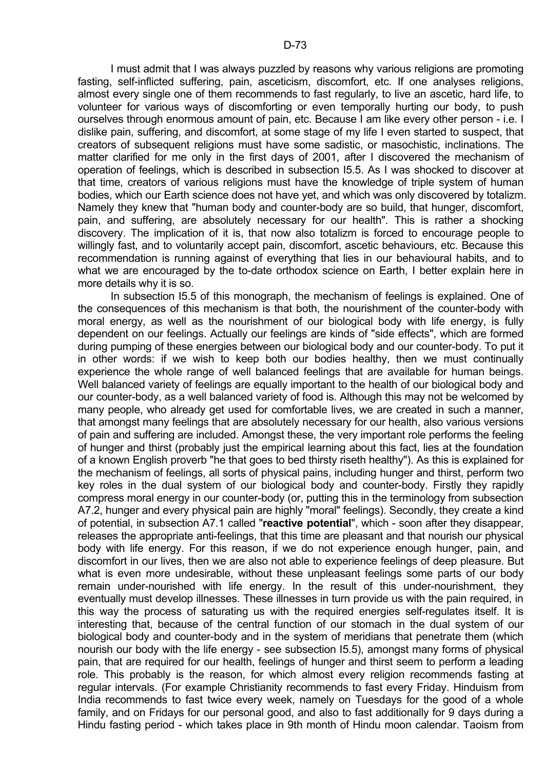I must admit that I was always puzzled by reasons why various religions are promoting fasting, self-inflicted suffering, pain, asceticism, discomfort, etc. If one analyses religions, almost every single one of them recommends to fast regularly, to live an ascetic, hard life, to volunteer for various ways of discomforting or even temporally hurting our body, to push ourselves through enormous amount of pain, etc. Because I am like every other person - i.e. I dislike pain, suffering, and discomfort, at some stage of my life I even started to suspect, that creators of subsequent religions must have some sadistic, or masochistic, inclinations. The matter clarified for me only in the first days of 2001, after I discovered the mechanism of operation of feelings, which is described in subsection I5.5. As I was shocked to discover at that time, creators of various religions must have the knowledge of triple system of human bodies, which our Earth science does not have yet, and which was only discovered by totalizm. Namely they knew that "human body and counter-body are so build, that hunger, discomfort, pain, and suffering, are absolutely necessary for our health". This is rather a shocking discovery. The implication of it is, that now also totalizm is forced to encourage people to willingly fast, and to voluntarily accept pain, discomfort, ascetic behaviours, etc. Because this recommendation is running against of everything that lies in our behavioural habits, and to what we are encouraged by the to-date orthodox science on Earth, I better explain here in

more details why it is so. In subsection I5.5 of this monograph, the mechanism of feelings is explained. One of the consequences of this mechanism is that both, the nourishment of the counter-body with moral energy, as well as the nourishment of our biological body with life energy, is fully dependent on our feelings. Actually our feelings are kinds of "side effects", which are formed during pumping of these energies between our biological body and our counter-body. To put it in other words: if we wish to keep both our bodies healthy, then we must continually experience the whole range of well balanced feelings that are available for human beings. Well balanced variety of feelings are equally important to the health of our biological body and our counter-body, as a well balanced variety of food is. Although this may not be welcomed by many people, who already get used for comfortable lives, we are created in such a manner, that amongst many feelings that are absolutely necessary for our health, also various versions of pain and suffering are included. Amongst these, the very important role performs the feeling of hunger and thirst (probably just the empirical learning about this fact, lies at the foundation of a known English proverb "he that goes to bed thirsty riseth healthy"). As this is explained for the mechanism of feelings, all sorts of physical pains, including hunger and thirst, perform two key roles in the dual system of our biological body and counter-body. Firstly they rapidly compress moral energy in our counter-body (or, putting this in the terminology from subsection A7.2, hunger and every physical pain are highly "moral" feelings). Secondly, they create a kind of potential, in subsection A7.1 called "**reactive potential**", which - soon after they disappear, releases the appropriate anti-feelings, that this time are pleasant and that nourish our physical body with life energy. For this reason, if we do not experience enough hunger, pain, and discomfort in our lives, then we are also not able to experience feelings of deep pleasure. But what is even more undesirable, without these unpleasant feelings some parts of our body remain under-nourished with life energy. In the result of this under-nourishment, they eventually must develop illnesses. These illnesses in turn provide us with the pain required, in this way the process of saturating us with the required energies self-regulates itself. It is interesting that, because of the central function of our stomach in the dual system of our biological body and counter-body and in the system of meridians that penetrate them (which nourish our body with the life energy - see subsection I5.5), amongst many forms of physical pain, that are required for our health, feelings of hunger and thirst seem to perform a leading role. This probably is the reason, for which almost every religion recommends fasting at regular intervals. (For example Christianity recommends to fast every Friday. Hinduism from India recommends to fast twice every week, namely on Tuesdays for the good of a whole family, and on Fridays for our personal good, and also to fast additionally for 9 days during a Hindu fasting period - which takes place in 9th month of Hindu moon calendar. Taoism from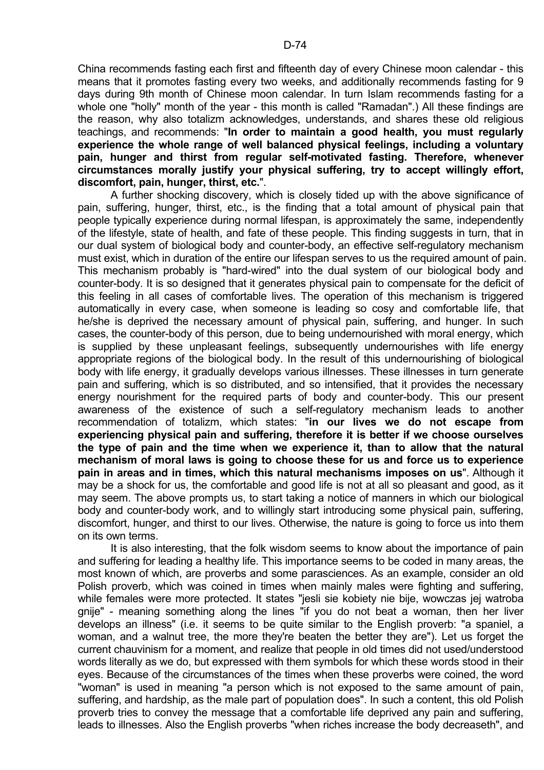China recommends fasting each first and fifteenth day of every Chinese moon calendar - this means that it promotes fasting every two weeks, and additionally recommends fasting for 9 days during 9th month of Chinese moon calendar. In turn Islam recommends fasting for a whole one "holly" month of the year - this month is called "Ramadan".) All these findings are the reason, why also totalizm acknowledges, understands, and shares these old religious teachings, and recommends: "**In order to maintain a good health, you must regularly experience the whole range of well balanced physical feelings, including a voluntary pain, hunger and thirst from regular self-motivated fasting. Therefore, whenever circumstances morally justify your physical suffering, try to accept willingly effort, discomfort, pain, hunger, thirst, etc.**".

 A further shocking discovery, which is closely tided up with the above significance of pain, suffering, hunger, thirst, etc., is the finding that a total amount of physical pain that people typically experience during normal lifespan, is approximately the same, independently of the lifestyle, state of health, and fate of these people. This finding suggests in turn, that in our dual system of biological body and counter-body, an effective self-regulatory mechanism must exist, which in duration of the entire our lifespan serves to us the required amount of pain. This mechanism probably is "hard-wired" into the dual system of our biological body and counter-body. It is so designed that it generates physical pain to compensate for the deficit of this feeling in all cases of comfortable lives. The operation of this mechanism is triggered automatically in every case, when someone is leading so cosy and comfortable life, that he/she is deprived the necessary amount of physical pain, suffering, and hunger. In such cases, the counter-body of this person, due to being undernourished with moral energy, which is supplied by these unpleasant feelings, subsequently undernourishes with life energy appropriate regions of the biological body. In the result of this undernourishing of biological body with life energy, it gradually develops various illnesses. These illnesses in turn generate pain and suffering, which is so distributed, and so intensified, that it provides the necessary energy nourishment for the required parts of body and counter-body. This our present awareness of the existence of such a self-regulatory mechanism leads to another recommendation of totalizm, which states: "**in our lives we do not escape from experiencing physical pain and suffering, therefore it is better if we choose ourselves the type of pain and the time when we experience it, than to allow that the natural mechanism of moral laws is going to choose these for us and force us to experience pain in areas and in times, which this natural mechanisms imposes on us**". Although it may be a shock for us, the comfortable and good life is not at all so pleasant and good, as it may seem. The above prompts us, to start taking a notice of manners in which our biological body and counter-body work, and to willingly start introducing some physical pain, suffering, discomfort, hunger, and thirst to our lives. Otherwise, the nature is going to force us into them on its own terms.

 It is also interesting, that the folk wisdom seems to know about the importance of pain and suffering for leading a healthy life. This importance seems to be coded in many areas, the most known of which, are proverbs and some parasciences. As an example, consider an old Polish proverb, which was coined in times when mainly males were fighting and suffering, while females were more protected. It states "jesli sie kobiety nie bije, wowczas jej watroba gnije" - meaning something along the lines "if you do not beat a woman, then her liver develops an illness" (i.e. it seems to be quite similar to the English proverb: "a spaniel, a woman, and a walnut tree, the more they're beaten the better they are"). Let us forget the current chauvinism for a moment, and realize that people in old times did not used/understood words literally as we do, but expressed with them symbols for which these words stood in their eyes. Because of the circumstances of the times when these proverbs were coined, the word "woman" is used in meaning "a person which is not exposed to the same amount of pain, suffering, and hardship, as the male part of population does". In such a content, this old Polish proverb tries to convey the message that a comfortable life deprived any pain and suffering, leads to illnesses. Also the English proverbs "when riches increase the body decreaseth", and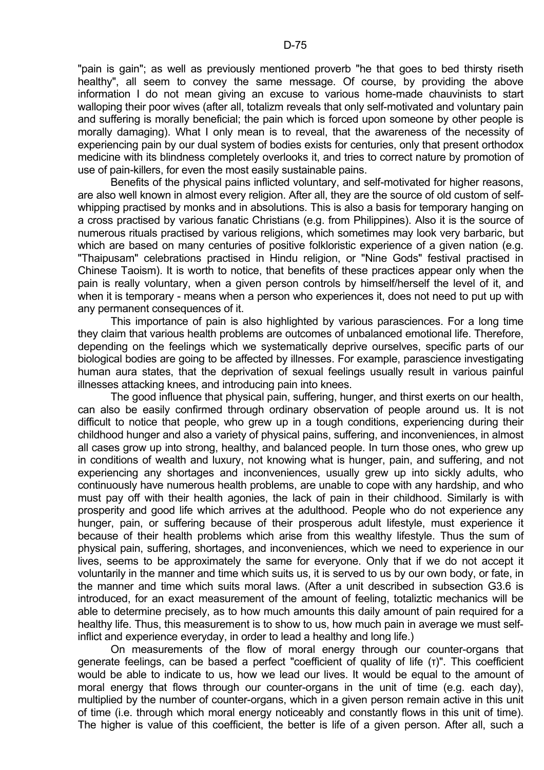"pain is gain"; as well as previously mentioned proverb "he that goes to bed thirsty riseth healthy", all seem to convey the same message. Of course, by providing the above information I do not mean giving an excuse to various home-made chauvinists to start walloping their poor wives (after all, totalizm reveals that only self-motivated and voluntary pain and suffering is morally beneficial; the pain which is forced upon someone by other people is morally damaging). What I only mean is to reveal, that the awareness of the necessity of experiencing pain by our dual system of bodies exists for centuries, only that present orthodox medicine with its blindness completely overlooks it, and tries to correct nature by promotion of use of pain-killers, for even the most easily sustainable pains.

 Benefits of the physical pains inflicted voluntary, and self-motivated for higher reasons, are also well known in almost every religion. After all, they are the source of old custom of selfwhipping practised by monks and in absolutions. This is also a basis for temporary hanging on a cross practised by various fanatic Christians (e.g. from Philippines). Also it is the source of numerous rituals practised by various religions, which sometimes may look very barbaric, but which are based on many centuries of positive folkloristic experience of a given nation (e.g. "Thaipusam" celebrations practised in Hindu religion, or "Nine Gods" festival practised in Chinese Taoism). It is worth to notice, that benefits of these practices appear only when the pain is really voluntary, when a given person controls by himself/herself the level of it, and when it is temporary - means when a person who experiences it, does not need to put up with any permanent consequences of it.

 This importance of pain is also highlighted by various parasciences. For a long time they claim that various health problems are outcomes of unbalanced emotional life. Therefore, depending on the feelings which we systematically deprive ourselves, specific parts of our biological bodies are going to be affected by illnesses. For example, parascience investigating human aura states, that the deprivation of sexual feelings usually result in various painful illnesses attacking knees, and introducing pain into knees.

 The good influence that physical pain, suffering, hunger, and thirst exerts on our health, can also be easily confirmed through ordinary observation of people around us. It is not difficult to notice that people, who grew up in a tough conditions, experiencing during their childhood hunger and also a variety of physical pains, suffering, and inconveniences, in almost all cases grow up into strong, healthy, and balanced people. In turn those ones, who grew up in conditions of wealth and luxury, not knowing what is hunger, pain, and suffering, and not experiencing any shortages and inconveniences, usually grew up into sickly adults, who continuously have numerous health problems, are unable to cope with any hardship, and who must pay off with their health agonies, the lack of pain in their childhood. Similarly is with prosperity and good life which arrives at the adulthood. People who do not experience any hunger, pain, or suffering because of their prosperous adult lifestyle, must experience it because of their health problems which arise from this wealthy lifestyle. Thus the sum of physical pain, suffering, shortages, and inconveniences, which we need to experience in our lives, seems to be approximately the same for everyone. Only that if we do not accept it voluntarily in the manner and time which suits us, it is served to us by our own body, or fate, in the manner and time which suits moral laws. (After a unit described in subsection G3.6 is introduced, for an exact measurement of the amount of feeling, totaliztic mechanics will be able to determine precisely, as to how much amounts this daily amount of pain required for a healthy life. Thus, this measurement is to show to us, how much pain in average we must selfinflict and experience everyday, in order to lead a healthy and long life.)

 On measurements of the flow of moral energy through our counter-organs that generate feelings, can be based a perfect "coefficient of quality of life (τ)". This coefficient would be able to indicate to us, how we lead our lives. It would be equal to the amount of moral energy that flows through our counter-organs in the unit of time (e.g. each day), multiplied by the number of counter-organs, which in a given person remain active in this unit of time (i.e. through which moral energy noticeably and constantly flows in this unit of time). The higher is value of this coefficient, the better is life of a given person. After all, such a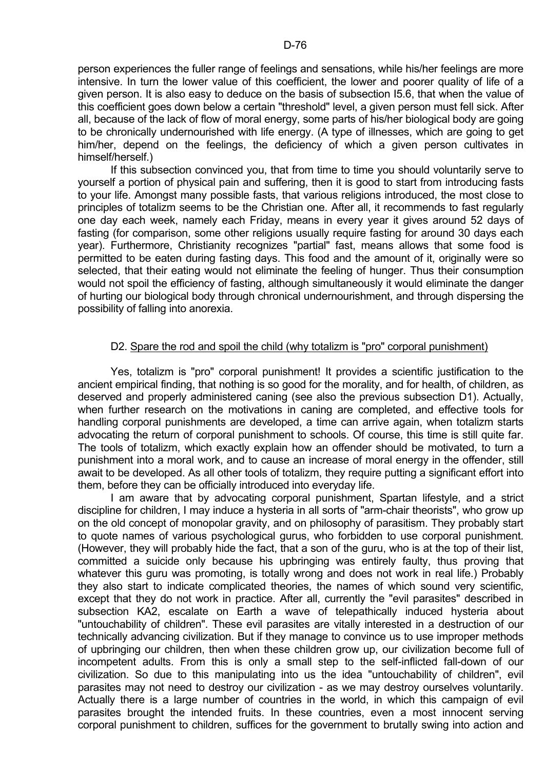person experiences the fuller range of feelings and sensations, while his/her feelings are more intensive. In turn the lower value of this coefficient, the lower and poorer quality of life of a given person. It is also easy to deduce on the basis of subsection I5.6, that when the value of this coefficient goes down below a certain "threshold" level, a given person must fell sick. After all, because of the lack of flow of moral energy, some parts of his/her biological body are going to be chronically undernourished with life energy. (A type of illnesses, which are going to get him/her, depend on the feelings, the deficiency of which a given person cultivates in himself/herself.)

 If this subsection convinced you, that from time to time you should voluntarily serve to yourself a portion of physical pain and suffering, then it is good to start from introducing fasts to your life. Amongst many possible fasts, that various religions introduced, the most close to principles of totalizm seems to be the Christian one. After all, it recommends to fast regularly one day each week, namely each Friday, means in every year it gives around 52 days of fasting (for comparison, some other religions usually require fasting for around 30 days each year). Furthermore, Christianity recognizes "partial" fast, means allows that some food is permitted to be eaten during fasting days. This food and the amount of it, originally were so selected, that their eating would not eliminate the feeling of hunger. Thus their consumption would not spoil the efficiency of fasting, although simultaneously it would eliminate the danger of hurting our biological body through chronical undernourishment, and through dispersing the possibility of falling into anorexia.

#### D2. Spare the rod and spoil the child (why totalizm is "pro" corporal punishment)

 Yes, totalizm is "pro" corporal punishment! It provides a scientific justification to the ancient empirical finding, that nothing is so good for the morality, and for health, of children, as deserved and properly administered caning (see also the previous subsection D1). Actually, when further research on the motivations in caning are completed, and effective tools for handling corporal punishments are developed, a time can arrive again, when totalizm starts advocating the return of corporal punishment to schools. Of course, this time is still quite far. The tools of totalizm, which exactly explain how an offender should be motivated, to turn a punishment into a moral work, and to cause an increase of moral energy in the offender, still await to be developed. As all other tools of totalizm, they require putting a significant effort into them, before they can be officially introduced into everyday life.

 I am aware that by advocating corporal punishment, Spartan lifestyle, and a strict discipline for children, I may induce a hysteria in all sorts of "arm-chair theorists", who grow up on the old concept of monopolar gravity, and on philosophy of parasitism. They probably start to quote names of various psychological gurus, who forbidden to use corporal punishment. (However, they will probably hide the fact, that a son of the guru, who is at the top of their list, committed a suicide only because his upbringing was entirely faulty, thus proving that whatever this guru was promoting, is totally wrong and does not work in real life.) Probably they also start to indicate complicated theories, the names of which sound very scientific, except that they do not work in practice. After all, currently the "evil parasites" described in subsection KA2, escalate on Earth a wave of telepathically induced hysteria about "untouchability of children". These evil parasites are vitally interested in a destruction of our technically advancing civilization. But if they manage to convince us to use improper methods of upbringing our children, then when these children grow up, our civilization become full of incompetent adults. From this is only a small step to the self-inflicted fall-down of our civilization. So due to this manipulating into us the idea "untouchability of children", evil parasites may not need to destroy our civilization - as we may destroy ourselves voluntarily. Actually there is a large number of countries in the world, in which this campaign of evil parasites brought the intended fruits. In these countries, even a most innocent serving corporal punishment to children, suffices for the government to brutally swing into action and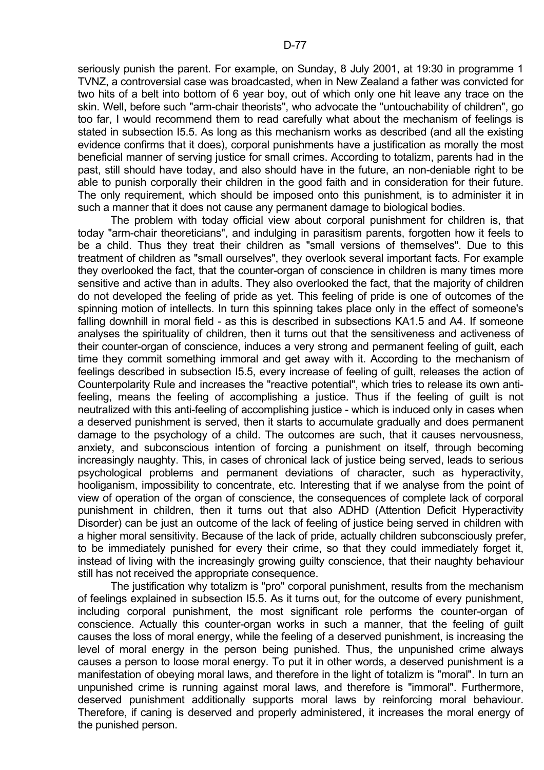seriously punish the parent. For example, on Sunday, 8 July 2001, at 19:30 in programme 1 TVNZ, a controversial case was broadcasted, when in New Zealand a father was convicted for two hits of a belt into bottom of 6 year boy, out of which only one hit leave any trace on the skin. Well, before such "arm-chair theorists", who advocate the "untouchability of children", go too far, I would recommend them to read carefully what about the mechanism of feelings is stated in subsection I5.5. As long as this mechanism works as described (and all the existing evidence confirms that it does), corporal punishments have a justification as morally the most beneficial manner of serving justice for small crimes. According to totalizm, parents had in the past, still should have today, and also should have in the future, an non-deniable right to be able to punish corporally their children in the good faith and in consideration for their future. The only requirement, which should be imposed onto this punishment, is to administer it in such a manner that it does not cause any permanent damage to biological bodies.

 The problem with today official view about corporal punishment for children is, that today "arm-chair theoreticians", and indulging in parasitism parents, forgotten how it feels to be a child. Thus they treat their children as "small versions of themselves". Due to this treatment of children as "small ourselves", they overlook several important facts. For example they overlooked the fact, that the counter-organ of conscience in children is many times more sensitive and active than in adults. They also overlooked the fact, that the majority of children do not developed the feeling of pride as yet. This feeling of pride is one of outcomes of the spinning motion of intellects. In turn this spinning takes place only in the effect of someone's falling downhill in moral field - as this is described in subsections KA1.5 and A4. If someone analyses the spirituality of children, then it turns out that the sensitiveness and activeness of their counter-organ of conscience, induces a very strong and permanent feeling of guilt, each time they commit something immoral and get away with it. According to the mechanism of feelings described in subsection I5.5, every increase of feeling of guilt, releases the action of Counterpolarity Rule and increases the "reactive potential", which tries to release its own antifeeling, means the feeling of accomplishing a justice. Thus if the feeling of guilt is not neutralized with this anti-feeling of accomplishing justice - which is induced only in cases when a deserved punishment is served, then it starts to accumulate gradually and does permanent damage to the psychology of a child. The outcomes are such, that it causes nervousness, anxiety, and subconscious intention of forcing a punishment on itself, through becoming increasingly naughty. This, in cases of chronical lack of justice being served, leads to serious psychological problems and permanent deviations of character, such as hyperactivity, hooliganism, impossibility to concentrate, etc. Interesting that if we analyse from the point of view of operation of the organ of conscience, the consequences of complete lack of corporal punishment in children, then it turns out that also ADHD (Attention Deficit Hyperactivity Disorder) can be just an outcome of the lack of feeling of justice being served in children with a higher moral sensitivity. Because of the lack of pride, actually children subconsciously prefer, to be immediately punished for every their crime, so that they could immediately forget it, instead of living with the increasingly growing guilty conscience, that their naughty behaviour still has not received the appropriate consequence.

 The justification why totalizm is "pro" corporal punishment, results from the mechanism of feelings explained in subsection I5.5. As it turns out, for the outcome of every punishment, including corporal punishment, the most significant role performs the counter-organ of conscience. Actually this counter-organ works in such a manner, that the feeling of guilt causes the loss of moral energy, while the feeling of a deserved punishment, is increasing the level of moral energy in the person being punished. Thus, the unpunished crime always causes a person to loose moral energy. To put it in other words, a deserved punishment is a manifestation of obeying moral laws, and therefore in the light of totalizm is "moral". In turn an unpunished crime is running against moral laws, and therefore is "immoral". Furthermore, deserved punishment additionally supports moral laws by reinforcing moral behaviour. Therefore, if caning is deserved and properly administered, it increases the moral energy of the punished person.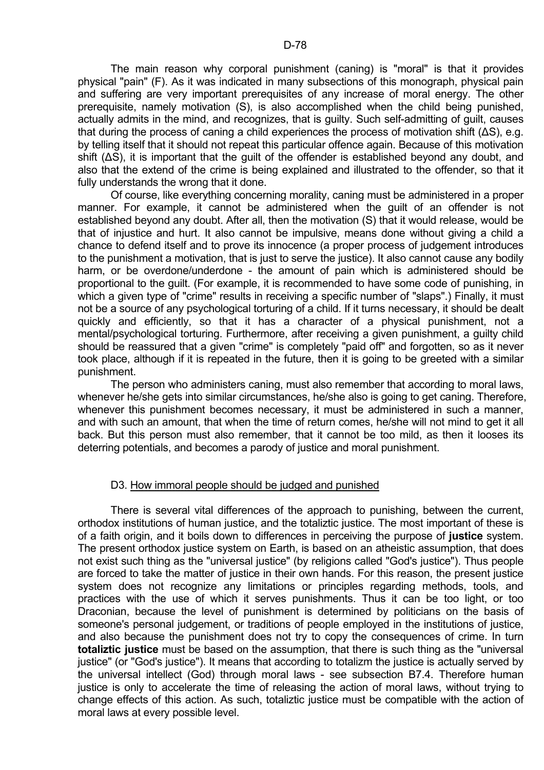The main reason why corporal punishment (caning) is "moral" is that it provides physical "pain" (F). As it was indicated in many subsections of this monograph, physical pain and suffering are very important prerequisites of any increase of moral energy. The other prerequisite, namely motivation (S), is also accomplished when the child being punished, actually admits in the mind, and recognizes, that is guilty. Such self-admitting of guilt, causes that during the process of caning a child experiences the process of motivation shift (∆S), e.g. by telling itself that it should not repeat this particular offence again. Because of this motivation shift ( $\Delta S$ ), it is important that the quilt of the offender is established beyond any doubt, and also that the extend of the crime is being explained and illustrated to the offender, so that it fully understands the wrong that it done.

 Of course, like everything concerning morality, caning must be administered in a proper manner. For example, it cannot be administered when the guilt of an offender is not established beyond any doubt. After all, then the motivation (S) that it would release, would be that of injustice and hurt. It also cannot be impulsive, means done without giving a child a chance to defend itself and to prove its innocence (a proper process of judgement introduces to the punishment a motivation, that is just to serve the justice). It also cannot cause any bodily harm, or be overdone/underdone - the amount of pain which is administered should be proportional to the guilt. (For example, it is recommended to have some code of punishing, in which a given type of "crime" results in receiving a specific number of "slaps".) Finally, it must not be a source of any psychological torturing of a child. If it turns necessary, it should be dealt quickly and efficiently, so that it has a character of a physical punishment, not a mental/psychological torturing. Furthermore, after receiving a given punishment, a guilty child should be reassured that a given "crime" is completely "paid off" and forgotten, so as it never took place, although if it is repeated in the future, then it is going to be greeted with a similar punishment.

 The person who administers caning, must also remember that according to moral laws, whenever he/she gets into similar circumstances, he/she also is going to get caning. Therefore, whenever this punishment becomes necessary, it must be administered in such a manner, and with such an amount, that when the time of return comes, he/she will not mind to get it all back. But this person must also remember, that it cannot be too mild, as then it looses its deterring potentials, and becomes a parody of justice and moral punishment.

## D3. How immoral people should be judged and punished

 There is several vital differences of the approach to punishing, between the current, orthodox institutions of human justice, and the totaliztic justice. The most important of these is of a faith origin, and it boils down to differences in perceiving the purpose of **justice** system. The present orthodox justice system on Earth, is based on an atheistic assumption, that does not exist such thing as the "universal justice" (by religions called "God's justice"). Thus people are forced to take the matter of justice in their own hands. For this reason, the present justice system does not recognize any limitations or principles regarding methods, tools, and practices with the use of which it serves punishments. Thus it can be too light, or too Draconian, because the level of punishment is determined by politicians on the basis of someone's personal judgement, or traditions of people employed in the institutions of justice, and also because the punishment does not try to copy the consequences of crime. In turn **totaliztic justice** must be based on the assumption, that there is such thing as the "universal justice" (or "God's justice"). It means that according to totalizm the justice is actually served by the universal intellect (God) through moral laws - see subsection B7.4. Therefore human justice is only to accelerate the time of releasing the action of moral laws, without trying to change effects of this action. As such, totaliztic justice must be compatible with the action of moral laws at every possible level.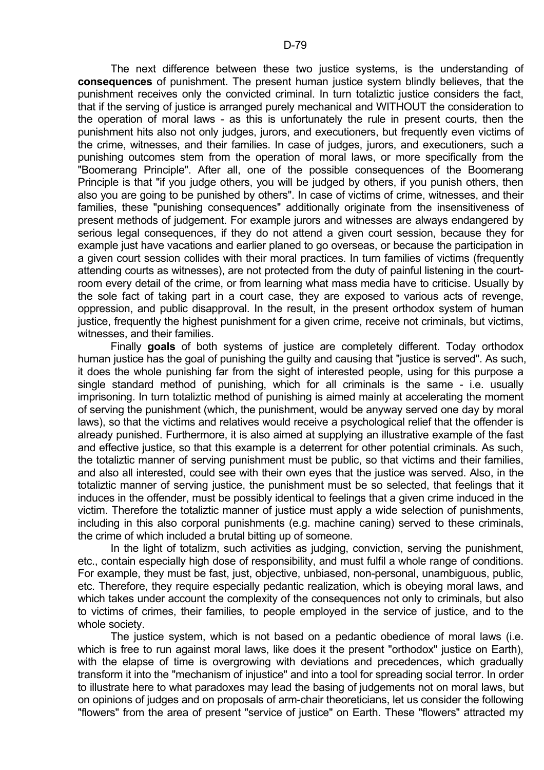The next difference between these two justice systems, is the understanding of **consequences** of punishment. The present human justice system blindly believes, that the punishment receives only the convicted criminal. In turn totaliztic justice considers the fact, that if the serving of justice is arranged purely mechanical and WITHOUT the consideration to the operation of moral laws - as this is unfortunately the rule in present courts, then the punishment hits also not only judges, jurors, and executioners, but frequently even victims of the crime, witnesses, and their families. In case of judges, jurors, and executioners, such a punishing outcomes stem from the operation of moral laws, or more specifically from the "Boomerang Principle". After all, one of the possible consequences of the Boomerang Principle is that "if you judge others, you will be judged by others, if you punish others, then also you are going to be punished by others". In case of victims of crime, witnesses, and their families, these "punishing consequences" additionally originate from the insensitiveness of present methods of judgement. For example jurors and witnesses are always endangered by serious legal consequences, if they do not attend a given court session, because they for example just have vacations and earlier planed to go overseas, or because the participation in a given court session collides with their moral practices. In turn families of victims (frequently attending courts as witnesses), are not protected from the duty of painful listening in the courtroom every detail of the crime, or from learning what mass media have to criticise. Usually by the sole fact of taking part in a court case, they are exposed to various acts of revenge, oppression, and public disapproval. In the result, in the present orthodox system of human justice, frequently the highest punishment for a given crime, receive not criminals, but victims, witnesses, and their families.

 Finally **goals** of both systems of justice are completely different. Today orthodox human justice has the goal of punishing the guilty and causing that "justice is served". As such, it does the whole punishing far from the sight of interested people, using for this purpose a single standard method of punishing, which for all criminals is the same - i.e. usually imprisoning. In turn totaliztic method of punishing is aimed mainly at accelerating the moment of serving the punishment (which, the punishment, would be anyway served one day by moral laws), so that the victims and relatives would receive a psychological relief that the offender is already punished. Furthermore, it is also aimed at supplying an illustrative example of the fast and effective justice, so that this example is a deterrent for other potential criminals. As such, the totaliztic manner of serving punishment must be public, so that victims and their families, and also all interested, could see with their own eyes that the justice was served. Also, in the totaliztic manner of serving justice, the punishment must be so selected, that feelings that it induces in the offender, must be possibly identical to feelings that a given crime induced in the victim. Therefore the totaliztic manner of justice must apply a wide selection of punishments, including in this also corporal punishments (e.g. machine caning) served to these criminals, the crime of which included a brutal bitting up of someone.

In the light of totalizm, such activities as judging, conviction, serving the punishment, etc., contain especially high dose of responsibility, and must fulfil a whole range of conditions. For example, they must be fast, just, objective, unbiased, non-personal, unambiguous, public, etc. Therefore, they require especially pedantic realization, which is obeying moral laws, and which takes under account the complexity of the consequences not only to criminals, but also to victims of crimes, their families, to people employed in the service of justice, and to the whole society.

 The justice system, which is not based on a pedantic obedience of moral laws (i.e. which is free to run against moral laws, like does it the present "orthodox" justice on Earth), with the elapse of time is overgrowing with deviations and precedences, which gradually transform it into the "mechanism of injustice" and into a tool for spreading social terror. In order to illustrate here to what paradoxes may lead the basing of judgements not on moral laws, but on opinions of judges and on proposals of arm-chair theoreticians, let us consider the following "flowers" from the area of present "service of justice" on Earth. These "flowers" attracted my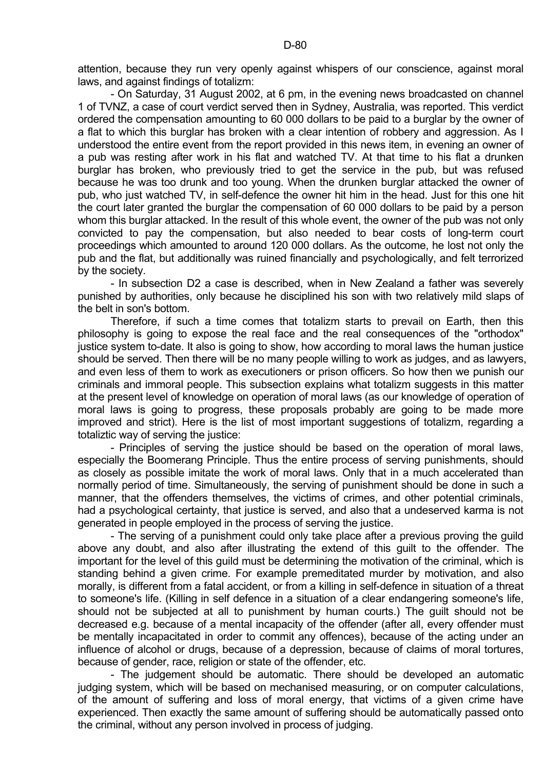attention, because they run very openly against whispers of our conscience, against moral laws, and against findings of totalizm:

 - On Saturday, 31 August 2002, at 6 pm, in the evening news broadcasted on channel 1 of TVNZ, a case of court verdict served then in Sydney, Australia, was reported. This verdict ordered the compensation amounting to 60 000 dollars to be paid to a burglar by the owner of a flat to which this burglar has broken with a clear intention of robbery and aggression. As I understood the entire event from the report provided in this news item, in evening an owner of a pub was resting after work in his flat and watched TV. At that time to his flat a drunken burglar has broken, who previously tried to get the service in the pub, but was refused because he was too drunk and too young. When the drunken burglar attacked the owner of pub, who just watched TV, in self-defence the owner hit him in the head. Just for this one hit the court later granted the burglar the compensation of 60 000 dollars to be paid by a person whom this burglar attacked. In the result of this whole event, the owner of the pub was not only convicted to pay the compensation, but also needed to bear costs of long-term court proceedings which amounted to around 120 000 dollars. As the outcome, he lost not only the pub and the flat, but additionally was ruined financially and psychologically, and felt terrorized by the society.

 - In subsection D2 a case is described, when in New Zealand a father was severely punished by authorities, only because he disciplined his son with two relatively mild slaps of the belt in son's bottom.

 Therefore, if such a time comes that totalizm starts to prevail on Earth, then this philosophy is going to expose the real face and the real consequences of the "orthodox" justice system to-date. It also is going to show, how according to moral laws the human justice should be served. Then there will be no many people willing to work as judges, and as lawyers, and even less of them to work as executioners or prison officers. So how then we punish our criminals and immoral people. This subsection explains what totalizm suggests in this matter at the present level of knowledge on operation of moral laws (as our knowledge of operation of moral laws is going to progress, these proposals probably are going to be made more improved and strict). Here is the list of most important suggestions of totalizm, regarding a totaliztic way of serving the justice:

 - Principles of serving the justice should be based on the operation of moral laws, especially the Boomerang Principle. Thus the entire process of serving punishments, should as closely as possible imitate the work of moral laws. Only that in a much accelerated than normally period of time. Simultaneously, the serving of punishment should be done in such a manner, that the offenders themselves, the victims of crimes, and other potential criminals, had a psychological certainty, that justice is served, and also that a undeserved karma is not generated in people employed in the process of serving the justice.

 - The serving of a punishment could only take place after a previous proving the guild above any doubt, and also after illustrating the extend of this guilt to the offender. The important for the level of this guild must be determining the motivation of the criminal, which is standing behind a given crime. For example premeditated murder by motivation, and also morally, is different from a fatal accident, or from a killing in self-defence in situation of a threat to someone's life. (Killing in self defence in a situation of a clear endangering someone's life, should not be subjected at all to punishment by human courts.) The guilt should not be decreased e.g. because of a mental incapacity of the offender (after all, every offender must be mentally incapacitated in order to commit any offences), because of the acting under an influence of alcohol or drugs, because of a depression, because of claims of moral tortures, because of gender, race, religion or state of the offender, etc.

 - The judgement should be automatic. There should be developed an automatic judging system, which will be based on mechanised measuring, or on computer calculations, of the amount of suffering and loss of moral energy, that victims of a given crime have experienced. Then exactly the same amount of suffering should be automatically passed onto the criminal, without any person involved in process of judging.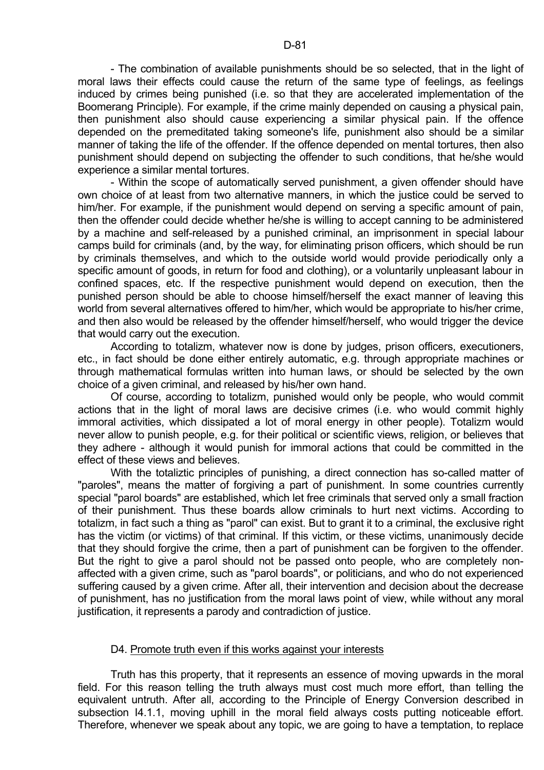- The combination of available punishments should be so selected, that in the light of moral laws their effects could cause the return of the same type of feelings, as feelings induced by crimes being punished (i.e. so that they are accelerated implementation of the Boomerang Principle). For example, if the crime mainly depended on causing a physical pain, then punishment also should cause experiencing a similar physical pain. If the offence depended on the premeditated taking someone's life, punishment also should be a similar manner of taking the life of the offender. If the offence depended on mental tortures, then also punishment should depend on subjecting the offender to such conditions, that he/she would experience a similar mental tortures.

 - Within the scope of automatically served punishment, a given offender should have own choice of at least from two alternative manners, in which the justice could be served to him/her. For example, if the punishment would depend on serving a specific amount of pain, then the offender could decide whether he/she is willing to accept canning to be administered by a machine and self-released by a punished criminal, an imprisonment in special labour camps build for criminals (and, by the way, for eliminating prison officers, which should be run by criminals themselves, and which to the outside world would provide periodically only a specific amount of goods, in return for food and clothing), or a voluntarily unpleasant labour in confined spaces, etc. If the respective punishment would depend on execution, then the punished person should be able to choose himself/herself the exact manner of leaving this world from several alternatives offered to him/her, which would be appropriate to his/her crime, and then also would be released by the offender himself/herself, who would trigger the device that would carry out the execution.

 According to totalizm, whatever now is done by judges, prison officers, executioners, etc., in fact should be done either entirely automatic, e.g. through appropriate machines or through mathematical formulas written into human laws, or should be selected by the own choice of a given criminal, and released by his/her own hand.

 Of course, according to totalizm, punished would only be people, who would commit actions that in the light of moral laws are decisive crimes (i.e. who would commit highly immoral activities, which dissipated a lot of moral energy in other people). Totalizm would never allow to punish people, e.g. for their political or scientific views, religion, or believes that they adhere - although it would punish for immoral actions that could be committed in the effect of these views and believes.

 With the totaliztic principles of punishing, a direct connection has so-called matter of "paroles", means the matter of forgiving a part of punishment. In some countries currently special "parol boards" are established, which let free criminals that served only a small fraction of their punishment. Thus these boards allow criminals to hurt next victims. According to totalizm, in fact such a thing as "parol" can exist. But to grant it to a criminal, the exclusive right has the victim (or victims) of that criminal. If this victim, or these victims, unanimously decide that they should forgive the crime, then a part of punishment can be forgiven to the offender. But the right to give a parol should not be passed onto people, who are completely nonaffected with a given crime, such as "parol boards", or politicians, and who do not experienced suffering caused by a given crime. After all, their intervention and decision about the decrease of punishment, has no justification from the moral laws point of view, while without any moral justification, it represents a parody and contradiction of justice.

## D4. Promote truth even if this works against your interests

 Truth has this property, that it represents an essence of moving upwards in the moral field. For this reason telling the truth always must cost much more effort, than telling the equivalent untruth. After all, according to the Principle of Energy Conversion described in subsection I4.1.1, moving uphill in the moral field always costs putting noticeable effort. Therefore, whenever we speak about any topic, we are going to have a temptation, to replace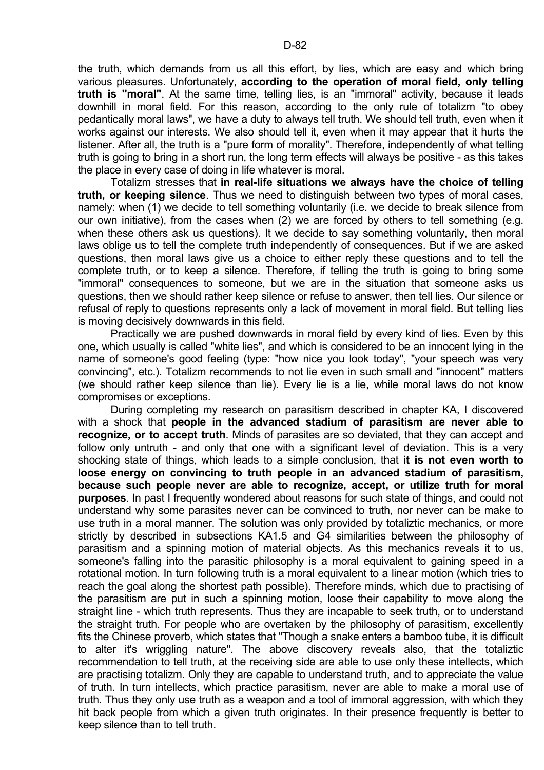the truth, which demands from us all this effort, by lies, which are easy and which bring various pleasures. Unfortunately, **according to the operation of moral field, only telling truth is "moral"**. At the same time, telling lies, is an "immoral" activity, because it leads downhill in moral field. For this reason, according to the only rule of totalizm "to obey pedantically moral laws", we have a duty to always tell truth. We should tell truth, even when it works against our interests. We also should tell it, even when it may appear that it hurts the listener. After all, the truth is a "pure form of morality". Therefore, independently of what telling truth is going to bring in a short run, the long term effects will always be positive - as this takes the place in every case of doing in life whatever is moral.

 Totalizm stresses that **in real-life situations we always have the choice of telling truth, or keeping silence**. Thus we need to distinguish between two types of moral cases, namely: when (1) we decide to tell something voluntarily (i.e. we decide to break silence from our own initiative), from the cases when (2) we are forced by others to tell something (e.g. when these others ask us questions). It we decide to say something voluntarily, then moral laws oblige us to tell the complete truth independently of consequences. But if we are asked questions, then moral laws give us a choice to either reply these questions and to tell the complete truth, or to keep a silence. Therefore, if telling the truth is going to bring some "immoral" consequences to someone, but we are in the situation that someone asks us questions, then we should rather keep silence or refuse to answer, then tell lies. Our silence or refusal of reply to questions represents only a lack of movement in moral field. But telling lies is moving decisively downwards in this field.

 Practically we are pushed downwards in moral field by every kind of lies. Even by this one, which usually is called "white lies", and which is considered to be an innocent lying in the name of someone's good feeling (type: "how nice you look today", "your speech was very convincing", etc.). Totalizm recommends to not lie even in such small and "innocent" matters (we should rather keep silence than lie). Every lie is a lie, while moral laws do not know compromises or exceptions.

 During completing my research on parasitism described in chapter KA, I discovered with a shock that **people in the advanced stadium of parasitism are never able to recognize, or to accept truth**. Minds of parasites are so deviated, that they can accept and follow only untruth - and only that one with a significant level of deviation. This is a very shocking state of things, which leads to a simple conclusion, that **it is not even worth to loose energy on convincing to truth people in an advanced stadium of parasitism, because such people never are able to recognize, accept, or utilize truth for moral purposes**. In past I frequently wondered about reasons for such state of things, and could not understand why some parasites never can be convinced to truth, nor never can be make to use truth in a moral manner. The solution was only provided by totaliztic mechanics, or more strictly by described in subsections KA1.5 and G4 similarities between the philosophy of parasitism and a spinning motion of material objects. As this mechanics reveals it to us, someone's falling into the parasitic philosophy is a moral equivalent to gaining speed in a rotational motion. In turn following truth is a moral equivalent to a linear motion (which tries to reach the goal along the shortest path possible). Therefore minds, which due to practising of the parasitism are put in such a spinning motion, loose their capability to move along the straight line - which truth represents. Thus they are incapable to seek truth, or to understand the straight truth. For people who are overtaken by the philosophy of parasitism, excellently fits the Chinese proverb, which states that "Though a snake enters a bamboo tube, it is difficult to alter it's wriggling nature". The above discovery reveals also, that the totaliztic recommendation to tell truth, at the receiving side are able to use only these intellects, which are practising totalizm. Only they are capable to understand truth, and to appreciate the value of truth. In turn intellects, which practice parasitism, never are able to make a moral use of truth. Thus they only use truth as a weapon and a tool of immoral aggression, with which they hit back people from which a given truth originates. In their presence frequently is better to keep silence than to tell truth.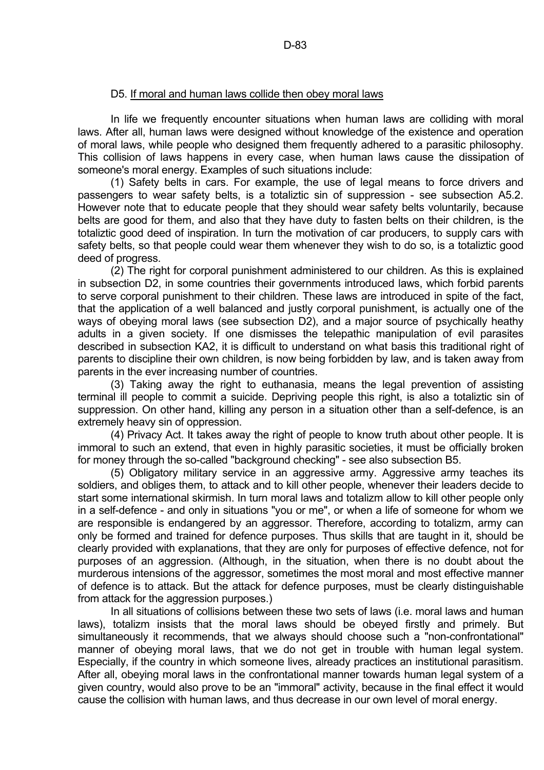## D5. If moral and human laws collide then obey moral laws

 In life we frequently encounter situations when human laws are colliding with moral laws. After all, human laws were designed without knowledge of the existence and operation of moral laws, while people who designed them frequently adhered to a parasitic philosophy. This collision of laws happens in every case, when human laws cause the dissipation of someone's moral energy. Examples of such situations include:

 (1) Safety belts in cars. For example, the use of legal means to force drivers and passengers to wear safety belts, is a totaliztic sin of suppression - see subsection A5.2. However note that to educate people that they should wear safety belts voluntarily, because belts are good for them, and also that they have duty to fasten belts on their children, is the totaliztic good deed of inspiration. In turn the motivation of car producers, to supply cars with safety belts, so that people could wear them whenever they wish to do so, is a totaliztic good deed of progress.

 (2) The right for corporal punishment administered to our children. As this is explained in subsection D2, in some countries their governments introduced laws, which forbid parents to serve corporal punishment to their children. These laws are introduced in spite of the fact, that the application of a well balanced and justly corporal punishment, is actually one of the ways of obeying moral laws (see subsection D2), and a major source of psychically heathy adults in a given society. If one dismisses the telepathic manipulation of evil parasites described in subsection KA2, it is difficult to understand on what basis this traditional right of parents to discipline their own children, is now being forbidden by law, and is taken away from parents in the ever increasing number of countries.

 (3) Taking away the right to euthanasia, means the legal prevention of assisting terminal ill people to commit a suicide. Depriving people this right, is also a totaliztic sin of suppression. On other hand, killing any person in a situation other than a self-defence, is an extremely heavy sin of oppression.

 (4) Privacy Act. It takes away the right of people to know truth about other people. It is immoral to such an extend, that even in highly parasitic societies, it must be officially broken for money through the so-called "background checking" - see also subsection B5.

 (5) Obligatory military service in an aggressive army. Aggressive army teaches its soldiers, and obliges them, to attack and to kill other people, whenever their leaders decide to start some international skirmish. In turn moral laws and totalizm allow to kill other people only in a self-defence - and only in situations "you or me", or when a life of someone for whom we are responsible is endangered by an aggressor. Therefore, according to totalizm, army can only be formed and trained for defence purposes. Thus skills that are taught in it, should be clearly provided with explanations, that they are only for purposes of effective defence, not for purposes of an aggression. (Although, in the situation, when there is no doubt about the murderous intensions of the aggressor, sometimes the most moral and most effective manner of defence is to attack. But the attack for defence purposes, must be clearly distinguishable from attack for the aggression purposes.)

 In all situations of collisions between these two sets of laws (i.e. moral laws and human laws), totalizm insists that the moral laws should be obeyed firstly and primely. But simultaneously it recommends, that we always should choose such a "non-confrontational" manner of obeying moral laws, that we do not get in trouble with human legal system. Especially, if the country in which someone lives, already practices an institutional parasitism. After all, obeying moral laws in the confrontational manner towards human legal system of a given country, would also prove to be an "immoral" activity, because in the final effect it would cause the collision with human laws, and thus decrease in our own level of moral energy.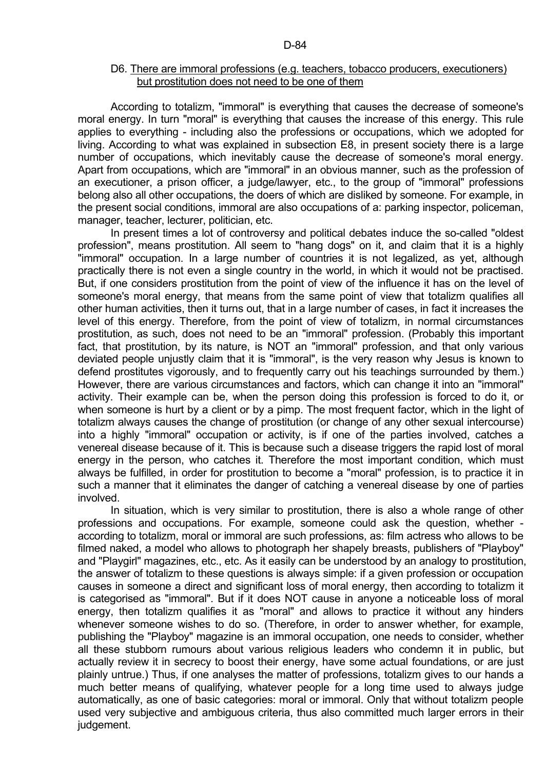## D6. There are immoral professions (e.g. teachers, tobacco producers, executioners) but prostitution does not need to be one of them

 According to totalizm, "immoral" is everything that causes the decrease of someone's moral energy. In turn "moral" is everything that causes the increase of this energy. This rule applies to everything - including also the professions or occupations, which we adopted for living. According to what was explained in subsection E8, in present society there is a large number of occupations, which inevitably cause the decrease of someone's moral energy. Apart from occupations, which are "immoral" in an obvious manner, such as the profession of an executioner, a prison officer, a judge/lawyer, etc., to the group of "immoral" professions belong also all other occupations, the doers of which are disliked by someone. For example, in the present social conditions, immoral are also occupations of a: parking inspector, policeman, manager, teacher, lecturer, politician, etc.

 In present times a lot of controversy and political debates induce the so-called "oldest profession", means prostitution. All seem to "hang dogs" on it, and claim that it is a highly "immoral" occupation. In a large number of countries it is not legalized, as yet, although practically there is not even a single country in the world, in which it would not be practised. But, if one considers prostitution from the point of view of the influence it has on the level of someone's moral energy, that means from the same point of view that totalizm qualifies all other human activities, then it turns out, that in a large number of cases, in fact it increases the level of this energy. Therefore, from the point of view of totalizm, in normal circumstances prostitution, as such, does not need to be an "immoral" profession. (Probably this important fact, that prostitution, by its nature, is NOT an "immoral" profession, and that only various deviated people unjustly claim that it is "immoral", is the very reason why Jesus is known to defend prostitutes vigorously, and to frequently carry out his teachings surrounded by them.) However, there are various circumstances and factors, which can change it into an "immoral" activity. Their example can be, when the person doing this profession is forced to do it, or when someone is hurt by a client or by a pimp. The most frequent factor, which in the light of totalizm always causes the change of prostitution (or change of any other sexual intercourse) into a highly "immoral" occupation or activity, is if one of the parties involved, catches a venereal disease because of it. This is because such a disease triggers the rapid lost of moral energy in the person, who catches it. Therefore the most important condition, which must always be fulfilled, in order for prostitution to become a "moral" profession, is to practice it in such a manner that it eliminates the danger of catching a venereal disease by one of parties involved.

 In situation, which is very similar to prostitution, there is also a whole range of other professions and occupations. For example, someone could ask the question, whether according to totalizm, moral or immoral are such professions, as: film actress who allows to be filmed naked, a model who allows to photograph her shapely breasts, publishers of "Playboy" and "Playgirl" magazines, etc., etc. As it easily can be understood by an analogy to prostitution, the answer of totalizm to these questions is always simple: if a given profession or occupation causes in someone a direct and significant loss of moral energy, then according to totalizm it is categorised as "immoral". But if it does NOT cause in anyone a noticeable loss of moral energy, then totalizm qualifies it as "moral" and allows to practice it without any hinders whenever someone wishes to do so. (Therefore, in order to answer whether, for example, publishing the "Playboy" magazine is an immoral occupation, one needs to consider, whether all these stubborn rumours about various religious leaders who condemn it in public, but actually review it in secrecy to boost their energy, have some actual foundations, or are just plainly untrue.) Thus, if one analyses the matter of professions, totalizm gives to our hands a much better means of qualifying, whatever people for a long time used to always judge automatically, as one of basic categories: moral or immoral. Only that without totalizm people used very subjective and ambiguous criteria, thus also committed much larger errors in their judgement.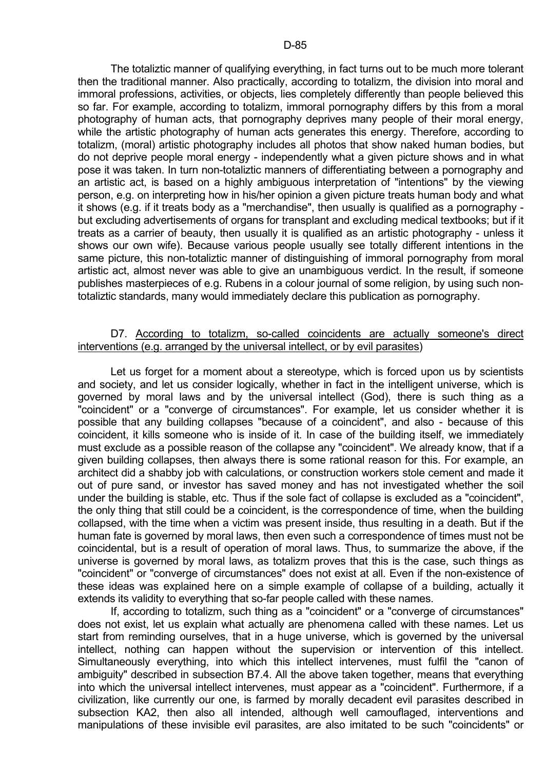The totaliztic manner of qualifying everything, in fact turns out to be much more tolerant then the traditional manner. Also practically, according to totalizm, the division into moral and immoral professions, activities, or objects, lies completely differently than people believed this so far. For example, according to totalizm, immoral pornography differs by this from a moral photography of human acts, that pornography deprives many people of their moral energy, while the artistic photography of human acts generates this energy. Therefore, according to totalizm, (moral) artistic photography includes all photos that show naked human bodies, but do not deprive people moral energy - independently what a given picture shows and in what pose it was taken. In turn non-totaliztic manners of differentiating between a pornography and an artistic act, is based on a highly ambiguous interpretation of "intentions" by the viewing person, e.g. on interpreting how in his/her opinion a given picture treats human body and what it shows (e.g. if it treats body as a "merchandise", then usually is qualified as a pornography but excluding advertisements of organs for transplant and excluding medical textbooks; but if it treats as a carrier of beauty, then usually it is qualified as an artistic photography - unless it shows our own wife). Because various people usually see totally different intentions in the same picture, this non-totaliztic manner of distinguishing of immoral pornography from moral artistic act, almost never was able to give an unambiguous verdict. In the result, if someone publishes masterpieces of e.g. Rubens in a colour journal of some religion, by using such nontotaliztic standards, many would immediately declare this publication as pornography.

## D7. According to totalizm, so-called coincidents are actually someone's direct interventions (e.g. arranged by the universal intellect, or by evil parasites)

 Let us forget for a moment about a stereotype, which is forced upon us by scientists and society, and let us consider logically, whether in fact in the intelligent universe, which is governed by moral laws and by the universal intellect (God), there is such thing as a "coincident" or a "converge of circumstances". For example, let us consider whether it is possible that any building collapses "because of a coincident", and also - because of this coincident, it kills someone who is inside of it. In case of the building itself, we immediately must exclude as a possible reason of the collapse any "coincident". We already know, that if a given building collapses, then always there is some rational reason for this. For example, an architect did a shabby job with calculations, or construction workers stole cement and made it out of pure sand, or investor has saved money and has not investigated whether the soil under the building is stable, etc. Thus if the sole fact of collapse is excluded as a "coincident", the only thing that still could be a coincident, is the correspondence of time, when the building collapsed, with the time when a victim was present inside, thus resulting in a death. But if the human fate is governed by moral laws, then even such a correspondence of times must not be coincidental, but is a result of operation of moral laws. Thus, to summarize the above, if the universe is governed by moral laws, as totalizm proves that this is the case, such things as "coincident" or "converge of circumstances" does not exist at all. Even if the non-existence of these ideas was explained here on a simple example of collapse of a building, actually it extends its validity to everything that so-far people called with these names.

 If, according to totalizm, such thing as a "coincident" or a "converge of circumstances" does not exist, let us explain what actually are phenomena called with these names. Let us start from reminding ourselves, that in a huge universe, which is governed by the universal intellect, nothing can happen without the supervision or intervention of this intellect. Simultaneously everything, into which this intellect intervenes, must fulfil the "canon of ambiguity" described in subsection B7.4. All the above taken together, means that everything into which the universal intellect intervenes, must appear as a "coincident". Furthermore, if a civilization, like currently our one, is farmed by morally decadent evil parasites described in subsection KA2, then also all intended, although well camouflaged, interventions and manipulations of these invisible evil parasites, are also imitated to be such "coincidents" or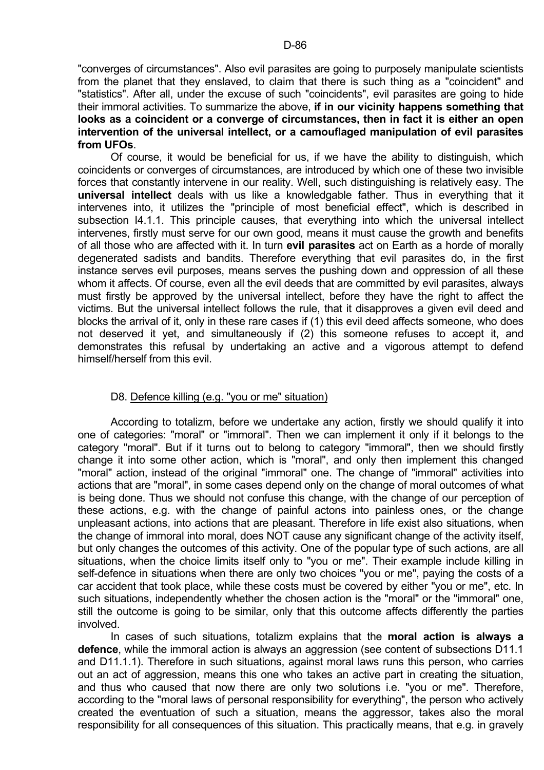"converges of circumstances". Also evil parasites are going to purposely manipulate scientists from the planet that they enslaved, to claim that there is such thing as a "coincident" and "statistics". After all, under the excuse of such "coincidents", evil parasites are going to hide their immoral activities. To summarize the above, **if in our vicinity happens something that looks as a coincident or a converge of circumstances, then in fact it is either an open intervention of the universal intellect, or a camouflaged manipulation of evil parasites from UFOs**.

 Of course, it would be beneficial for us, if we have the ability to distinguish, which coincidents or converges of circumstances, are introduced by which one of these two invisible forces that constantly intervene in our reality. Well, such distinguishing is relatively easy. The **universal intellect** deals with us like a knowledgable father. Thus in everything that it intervenes into, it utilizes the "principle of most beneficial effect", which is described in subsection I4.1.1. This principle causes, that everything into which the universal intellect intervenes, firstly must serve for our own good, means it must cause the growth and benefits of all those who are affected with it. In turn **evil parasites** act on Earth as a horde of morally degenerated sadists and bandits. Therefore everything that evil parasites do, in the first instance serves evil purposes, means serves the pushing down and oppression of all these whom it affects. Of course, even all the evil deeds that are committed by evil parasites, always must firstly be approved by the universal intellect, before they have the right to affect the victims. But the universal intellect follows the rule, that it disapproves a given evil deed and blocks the arrival of it, only in these rare cases if (1) this evil deed affects someone, who does not deserved it yet, and simultaneously if (2) this someone refuses to accept it, and demonstrates this refusal by undertaking an active and a vigorous attempt to defend himself/herself from this evil.

# D8. Defence killing (e.g. "you or me" situation)

 According to totalizm, before we undertake any action, firstly we should qualify it into one of categories: "moral" or "immoral". Then we can implement it only if it belongs to the category "moral". But if it turns out to belong to category "immoral", then we should firstly change it into some other action, which is "moral", and only then implement this changed "moral" action, instead of the original "immoral" one. The change of "immoral" activities into actions that are "moral", in some cases depend only on the change of moral outcomes of what is being done. Thus we should not confuse this change, with the change of our perception of these actions, e.g. with the change of painful actons into painless ones, or the change unpleasant actions, into actions that are pleasant. Therefore in life exist also situations, when the change of immoral into moral, does NOT cause any significant change of the activity itself, but only changes the outcomes of this activity. One of the popular type of such actions, are all situations, when the choice limits itself only to "you or me". Their example include killing in self-defence in situations when there are only two choices "you or me", paying the costs of a car accident that took place, while these costs must be covered by either "you or me", etc. In such situations, independently whether the chosen action is the "moral" or the "immoral" one, still the outcome is going to be similar, only that this outcome affects differently the parties involved.

 In cases of such situations, totalizm explains that the **moral action is always a defence**, while the immoral action is always an aggression (see content of subsections D11.1 and D11.1.1). Therefore in such situations, against moral laws runs this person, who carries out an act of aggression, means this one who takes an active part in creating the situation, and thus who caused that now there are only two solutions i.e. "you or me". Therefore, according to the "moral laws of personal responsibility for everything", the person who actively created the eventuation of such a situation, means the aggressor, takes also the moral responsibility for all consequences of this situation. This practically means, that e.g. in gravely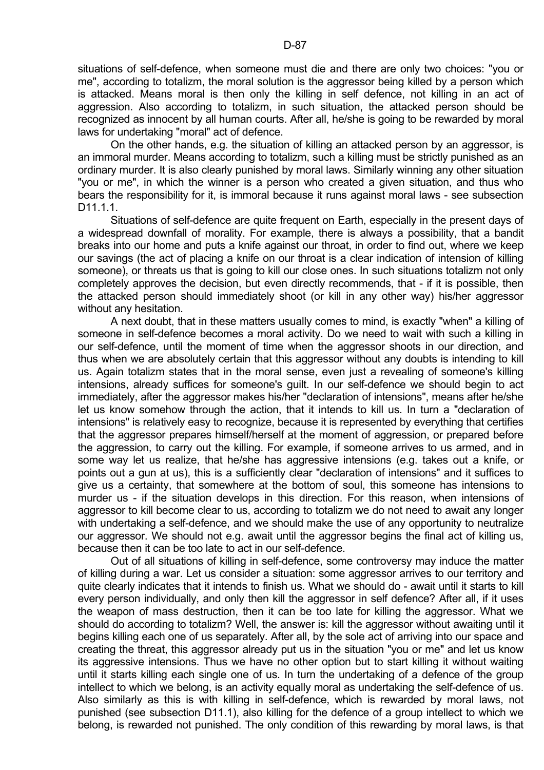situations of self-defence, when someone must die and there are only two choices: "you or me", according to totalizm, the moral solution is the aggressor being killed by a person which is attacked. Means moral is then only the killing in self defence, not killing in an act of aggression. Also according to totalizm, in such situation, the attacked person should be recognized as innocent by all human courts. After all, he/she is going to be rewarded by moral laws for undertaking "moral" act of defence.

 On the other hands, e.g. the situation of killing an attacked person by an aggressor, is an immoral murder. Means according to totalizm, such a killing must be strictly punished as an ordinary murder. It is also clearly punished by moral laws. Similarly winning any other situation "you or me", in which the winner is a person who created a given situation, and thus who bears the responsibility for it, is immoral because it runs against moral laws - see subsection D<sub>11</sub>11

 Situations of self-defence are quite frequent on Earth, especially in the present days of a widespread downfall of morality. For example, there is always a possibility, that a bandit breaks into our home and puts a knife against our throat, in order to find out, where we keep our savings (the act of placing a knife on our throat is a clear indication of intension of killing someone), or threats us that is going to kill our close ones. In such situations totalizm not only completely approves the decision, but even directly recommends, that - if it is possible, then the attacked person should immediately shoot (or kill in any other way) his/her aggressor without any hesitation.

 A next doubt, that in these matters usually comes to mind, is exactly "when" a killing of someone in self-defence becomes a moral activity. Do we need to wait with such a killing in our self-defence, until the moment of time when the aggressor shoots in our direction, and thus when we are absolutely certain that this aggressor without any doubts is intending to kill us. Again totalizm states that in the moral sense, even just a revealing of someone's killing intensions, already suffices for someone's guilt. In our self-defence we should begin to act immediately, after the aggressor makes his/her "declaration of intensions", means after he/she let us know somehow through the action, that it intends to kill us. In turn a "declaration of intensions" is relatively easy to recognize, because it is represented by everything that certifies that the aggressor prepares himself/herself at the moment of aggression, or prepared before the aggression, to carry out the killing. For example, if someone arrives to us armed, and in some way let us realize, that he/she has aggressive intensions (e.g. takes out a knife, or points out a gun at us), this is a sufficiently clear "declaration of intensions" and it suffices to give us a certainty, that somewhere at the bottom of soul, this someone has intensions to murder us - if the situation develops in this direction. For this reason, when intensions of aggressor to kill become clear to us, according to totalizm we do not need to await any longer with undertaking a self-defence, and we should make the use of any opportunity to neutralize our aggressor. We should not e.g. await until the aggressor begins the final act of killing us, because then it can be too late to act in our self-defence.

 Out of all situations of killing in self-defence, some controversy may induce the matter of killing during a war. Let us consider a situation: some aggressor arrives to our territory and quite clearly indicates that it intends to finish us. What we should do - await until it starts to kill every person individually, and only then kill the aggressor in self defence? After all, if it uses the weapon of mass destruction, then it can be too late for killing the aggressor. What we should do according to totalizm? Well, the answer is: kill the aggressor without awaiting until it begins killing each one of us separately. After all, by the sole act of arriving into our space and creating the threat, this aggressor already put us in the situation "you or me" and let us know its aggressive intensions. Thus we have no other option but to start killing it without waiting until it starts killing each single one of us. In turn the undertaking of a defence of the group intellect to which we belong, is an activity equally moral as undertaking the self-defence of us. Also similarly as this is with killing in self-defence, which is rewarded by moral laws, not punished (see subsection D11.1), also killing for the defence of a group intellect to which we belong, is rewarded not punished. The only condition of this rewarding by moral laws, is that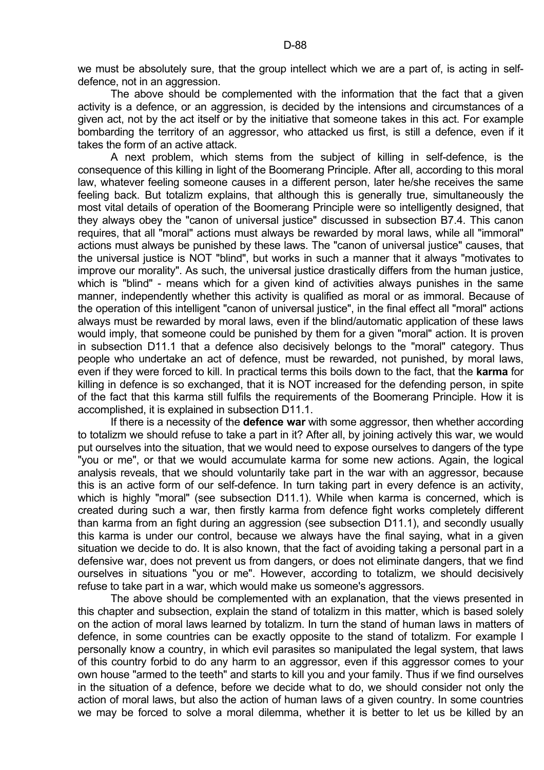The above should be complemented with the information that the fact that a given activity is a defence, or an aggression, is decided by the intensions and circumstances of a given act, not by the act itself or by the initiative that someone takes in this act. For example bombarding the territory of an aggressor, who attacked us first, is still a defence, even if it takes the form of an active attack.

 A next problem, which stems from the subject of killing in self-defence, is the consequence of this killing in light of the Boomerang Principle. After all, according to this moral law, whatever feeling someone causes in a different person, later he/she receives the same feeling back. But totalizm explains, that although this is generally true, simultaneously the most vital details of operation of the Boomerang Principle were so intelligently designed, that they always obey the "canon of universal justice" discussed in subsection B7.4. This canon requires, that all "moral" actions must always be rewarded by moral laws, while all "immoral" actions must always be punished by these laws. The "canon of universal justice" causes, that the universal justice is NOT "blind", but works in such a manner that it always "motivates to improve our morality". As such, the universal justice drastically differs from the human justice, which is "blind" - means which for a given kind of activities always punishes in the same manner, independently whether this activity is qualified as moral or as immoral. Because of the operation of this intelligent "canon of universal justice", in the final effect all "moral" actions always must be rewarded by moral laws, even if the blind/automatic application of these laws would imply, that someone could be punished by them for a given "moral" action. It is proven in subsection D11.1 that a defence also decisively belongs to the "moral" category. Thus people who undertake an act of defence, must be rewarded, not punished, by moral laws, even if they were forced to kill. In practical terms this boils down to the fact, that the **karma** for killing in defence is so exchanged, that it is NOT increased for the defending person, in spite of the fact that this karma still fulfils the requirements of the Boomerang Principle. How it is accomplished, it is explained in subsection D11.1.

 If there is a necessity of the **defence war** with some aggressor, then whether according to totalizm we should refuse to take a part in it? After all, by joining actively this war, we would put ourselves into the situation, that we would need to expose ourselves to dangers of the type "you or me", or that we would accumulate karma for some new actions. Again, the logical analysis reveals, that we should voluntarily take part in the war with an aggressor, because this is an active form of our self-defence. In turn taking part in every defence is an activity, which is highly "moral" (see subsection D11.1). While when karma is concerned, which is created during such a war, then firstly karma from defence fight works completely different than karma from an fight during an aggression (see subsection D11.1), and secondly usually this karma is under our control, because we always have the final saying, what in a given situation we decide to do. It is also known, that the fact of avoiding taking a personal part in a defensive war, does not prevent us from dangers, or does not eliminate dangers, that we find ourselves in situations "you or me". However, according to totalizm, we should decisively refuse to take part in a war, which would make us someone's aggressors.

 The above should be complemented with an explanation, that the views presented in this chapter and subsection, explain the stand of totalizm in this matter, which is based solely on the action of moral laws learned by totalizm. In turn the stand of human laws in matters of defence, in some countries can be exactly opposite to the stand of totalizm. For example I personally know a country, in which evil parasites so manipulated the legal system, that laws of this country forbid to do any harm to an aggressor, even if this aggressor comes to your own house "armed to the teeth" and starts to kill you and your family. Thus if we find ourselves in the situation of a defence, before we decide what to do, we should consider not only the action of moral laws, but also the action of human laws of a given country. In some countries we may be forced to solve a moral dilemma, whether it is better to let us be killed by an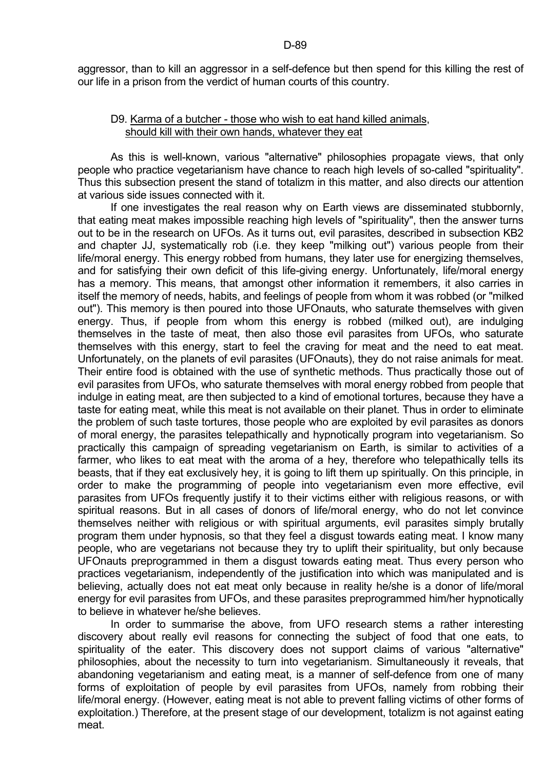# D9. Karma of a butcher - those who wish to eat hand killed animals, should kill with their own hands, whatever they eat

 As this is well-known, various "alternative" philosophies propagate views, that only people who practice vegetarianism have chance to reach high levels of so-called "spirituality". Thus this subsection present the stand of totalizm in this matter, and also directs our attention at various side issues connected with it.

 If one investigates the real reason why on Earth views are disseminated stubbornly, that eating meat makes impossible reaching high levels of "spirituality", then the answer turns out to be in the research on UFOs. As it turns out, evil parasites, described in subsection KB2 and chapter JJ, systematically rob (i.e. they keep "milking out") various people from their life/moral energy. This energy robbed from humans, they later use for energizing themselves, and for satisfying their own deficit of this life-giving energy. Unfortunately, life/moral energy has a memory. This means, that amongst other information it remembers, it also carries in itself the memory of needs, habits, and feelings of people from whom it was robbed (or "milked out"). This memory is then poured into those UFOnauts, who saturate themselves with given energy. Thus, if people from whom this energy is robbed (milked out), are indulging themselves in the taste of meat, then also those evil parasites from UFOs, who saturate themselves with this energy, start to feel the craving for meat and the need to eat meat. Unfortunately, on the planets of evil parasites (UFOnauts), they do not raise animals for meat. Their entire food is obtained with the use of synthetic methods. Thus practically those out of evil parasites from UFOs, who saturate themselves with moral energy robbed from people that indulge in eating meat, are then subjected to a kind of emotional tortures, because they have a taste for eating meat, while this meat is not available on their planet. Thus in order to eliminate the problem of such taste tortures, those people who are exploited by evil parasites as donors of moral energy, the parasites telepathically and hypnotically program into vegetarianism. So practically this campaign of spreading vegetarianism on Earth, is similar to activities of a farmer, who likes to eat meat with the aroma of a hey, therefore who telepathically tells its beasts, that if they eat exclusively hey, it is going to lift them up spiritually. On this principle, in order to make the programming of people into vegetarianism even more effective, evil parasites from UFOs frequently justify it to their victims either with religious reasons, or with spiritual reasons. But in all cases of donors of life/moral energy, who do not let convince themselves neither with religious or with spiritual arguments, evil parasites simply brutally program them under hypnosis, so that they feel a disgust towards eating meat. I know many people, who are vegetarians not because they try to uplift their spirituality, but only because UFOnauts preprogrammed in them a disgust towards eating meat. Thus every person who practices vegetarianism, independently of the justification into which was manipulated and is believing, actually does not eat meat only because in reality he/she is a donor of life/moral energy for evil parasites from UFOs, and these parasites preprogrammed him/her hypnotically to believe in whatever he/she believes.

 In order to summarise the above, from UFO research stems a rather interesting discovery about really evil reasons for connecting the subject of food that one eats, to spirituality of the eater. This discovery does not support claims of various "alternative" philosophies, about the necessity to turn into vegetarianism. Simultaneously it reveals, that abandoning vegetarianism and eating meat, is a manner of self-defence from one of many forms of exploitation of people by evil parasites from UFOs, namely from robbing their life/moral energy. (However, eating meat is not able to prevent falling victims of other forms of exploitation.) Therefore, at the present stage of our development, totalizm is not against eating meat.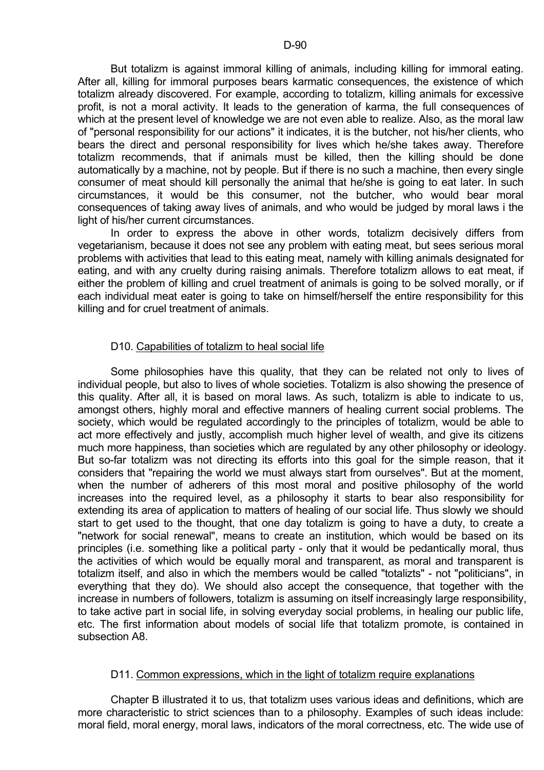But totalizm is against immoral killing of animals, including killing for immoral eating. After all, killing for immoral purposes bears karmatic consequences, the existence of which totalizm already discovered. For example, according to totalizm, killing animals for excessive profit, is not a moral activity. It leads to the generation of karma, the full consequences of which at the present level of knowledge we are not even able to realize. Also, as the moral law of "personal responsibility for our actions" it indicates, it is the butcher, not his/her clients, who bears the direct and personal responsibility for lives which he/she takes away. Therefore totalizm recommends, that if animals must be killed, then the killing should be done automatically by a machine, not by people. But if there is no such a machine, then every single consumer of meat should kill personally the animal that he/she is going to eat later. In such circumstances, it would be this consumer, not the butcher, who would bear moral consequences of taking away lives of animals, and who would be judged by moral laws i the light of his/her current circumstances.

 In order to express the above in other words, totalizm decisively differs from vegetarianism, because it does not see any problem with eating meat, but sees serious moral problems with activities that lead to this eating meat, namely with killing animals designated for eating, and with any cruelty during raising animals. Therefore totalizm allows to eat meat, if either the problem of killing and cruel treatment of animals is going to be solved morally, or if each individual meat eater is going to take on himself/herself the entire responsibility for this killing and for cruel treatment of animals.

# D10. Capabilities of totalizm to heal social life

 Some philosophies have this quality, that they can be related not only to lives of individual people, but also to lives of whole societies. Totalizm is also showing the presence of this quality. After all, it is based on moral laws. As such, totalizm is able to indicate to us, amongst others, highly moral and effective manners of healing current social problems. The society, which would be regulated accordingly to the principles of totalizm, would be able to act more effectively and justly, accomplish much higher level of wealth, and give its citizens much more happiness, than societies which are regulated by any other philosophy or ideology. But so-far totalizm was not directing its efforts into this goal for the simple reason, that it considers that "repairing the world we must always start from ourselves". But at the moment, when the number of adherers of this most moral and positive philosophy of the world increases into the required level, as a philosophy it starts to bear also responsibility for extending its area of application to matters of healing of our social life. Thus slowly we should start to get used to the thought, that one day totalizm is going to have a duty, to create a "network for social renewal", means to create an institution, which would be based on its principles (i.e. something like a political party - only that it would be pedantically moral, thus the activities of which would be equally moral and transparent, as moral and transparent is totalizm itself, and also in which the members would be called "totalizts" - not "politicians", in everything that they do). We should also accept the consequence, that together with the increase in numbers of followers, totalizm is assuming on itself increasingly large responsibility, to take active part in social life, in solving everyday social problems, in healing our public life, etc. The first information about models of social life that totalizm promote, is contained in subsection A8.

## D11. Common expressions, which in the light of totalizm require explanations

 Chapter B illustrated it to us, that totalizm uses various ideas and definitions, which are more characteristic to strict sciences than to a philosophy. Examples of such ideas include: moral field, moral energy, moral laws, indicators of the moral correctness, etc. The wide use of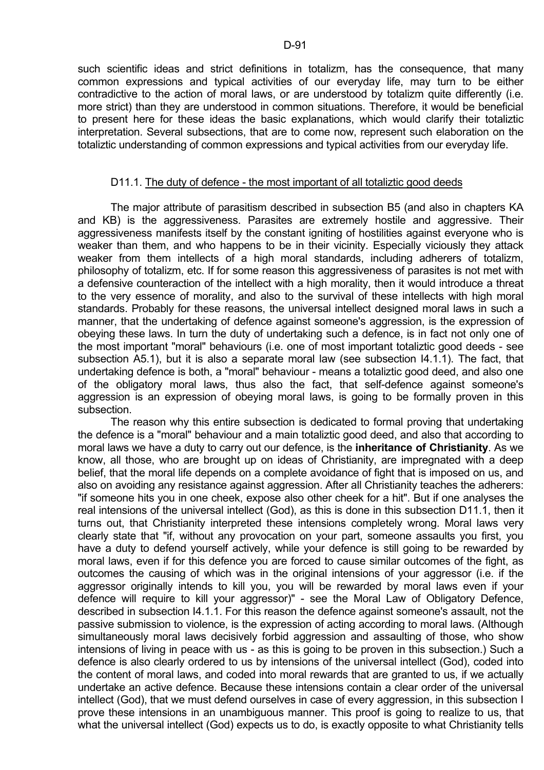such scientific ideas and strict definitions in totalizm, has the consequence, that many common expressions and typical activities of our everyday life, may turn to be either contradictive to the action of moral laws, or are understood by totalizm quite differently (i.e. more strict) than they are understood in common situations. Therefore, it would be beneficial to present here for these ideas the basic explanations, which would clarify their totaliztic interpretation. Several subsections, that are to come now, represent such elaboration on the totaliztic understanding of common expressions and typical activities from our everyday life.

#### D11.1. The duty of defence - the most important of all totaliztic good deeds

 The major attribute of parasitism described in subsection B5 (and also in chapters KA and KB) is the aggressiveness. Parasites are extremely hostile and aggressive. Their aggressiveness manifests itself by the constant igniting of hostilities against everyone who is weaker than them, and who happens to be in their vicinity. Especially viciously they attack weaker from them intellects of a high moral standards, including adherers of totalizm, philosophy of totalizm, etc. If for some reason this aggressiveness of parasites is not met with a defensive counteraction of the intellect with a high morality, then it would introduce a threat to the very essence of morality, and also to the survival of these intellects with high moral standards. Probably for these reasons, the universal intellect designed moral laws in such a manner, that the undertaking of defence against someone's aggression, is the expression of obeying these laws. In turn the duty of undertaking such a defence, is in fact not only one of the most important "moral" behaviours (i.e. one of most important totaliztic good deeds - see subsection A5.1), but it is also a separate moral law (see subsection I4.1.1). The fact, that undertaking defence is both, a "moral" behaviour - means a totaliztic good deed, and also one of the obligatory moral laws, thus also the fact, that self-defence against someone's aggression is an expression of obeving moral laws, is going to be formally proven in this subsection.

 The reason why this entire subsection is dedicated to formal proving that undertaking the defence is a "moral" behaviour and a main totaliztic good deed, and also that according to moral laws we have a duty to carry out our defence, is the **inheritance of Christianity**. As we know, all those, who are brought up on ideas of Christianity, are impregnated with a deep belief, that the moral life depends on a complete avoidance of fight that is imposed on us, and also on avoiding any resistance against aggression. After all Christianity teaches the adherers: "if someone hits you in one cheek, expose also other cheek for a hit". But if one analyses the real intensions of the universal intellect (God), as this is done in this subsection D11.1, then it turns out, that Christianity interpreted these intensions completely wrong. Moral laws very clearly state that "if, without any provocation on your part, someone assaults you first, you have a duty to defend yourself actively, while your defence is still going to be rewarded by moral laws, even if for this defence you are forced to cause similar outcomes of the fight, as outcomes the causing of which was in the original intensions of your aggressor (i.e. if the aggressor originally intends to kill you, you will be rewarded by moral laws even if your defence will require to kill your aggressor)" - see the Moral Law of Obligatory Defence, described in subsection I4.1.1. For this reason the defence against someone's assault, not the passive submission to violence, is the expression of acting according to moral laws. (Although simultaneously moral laws decisively forbid aggression and assaulting of those, who show intensions of living in peace with us - as this is going to be proven in this subsection.) Such a defence is also clearly ordered to us by intensions of the universal intellect (God), coded into the content of moral laws, and coded into moral rewards that are granted to us, if we actually undertake an active defence. Because these intensions contain a clear order of the universal intellect (God), that we must defend ourselves in case of every aggression, in this subsection I prove these intensions in an unambiguous manner. This proof is going to realize to us, that what the universal intellect (God) expects us to do, is exactly opposite to what Christianity tells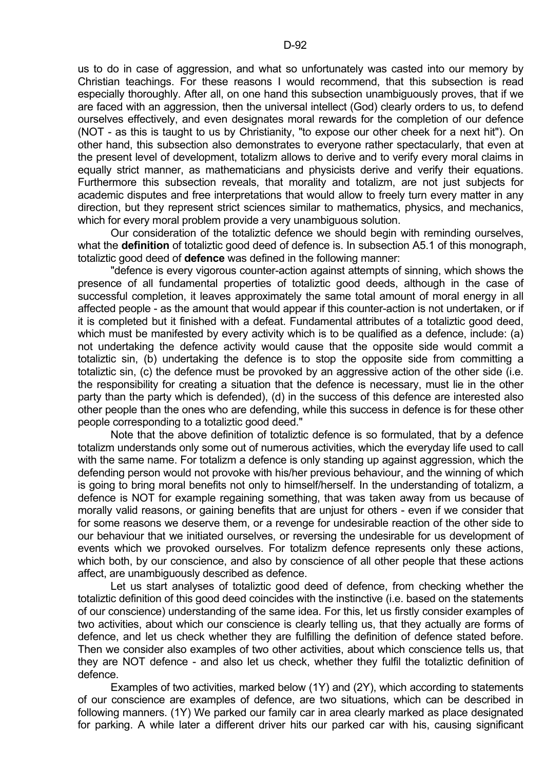us to do in case of aggression, and what so unfortunately was casted into our memory by Christian teachings. For these reasons I would recommend, that this subsection is read especially thoroughly. After all, on one hand this subsection unambiguously proves, that if we are faced with an aggression, then the universal intellect (God) clearly orders to us, to defend ourselves effectively, and even designates moral rewards for the completion of our defence (NOT - as this is taught to us by Christianity, "to expose our other cheek for a next hit"). On other hand, this subsection also demonstrates to everyone rather spectacularly, that even at the present level of development, totalizm allows to derive and to verify every moral claims in equally strict manner, as mathematicians and physicists derive and verify their equations. Furthermore this subsection reveals, that morality and totalizm, are not just subjects for academic disputes and free interpretations that would allow to freely turn every matter in any direction, but they represent strict sciences similar to mathematics, physics, and mechanics, which for every moral problem provide a very unambiguous solution.

 Our consideration of the totaliztic defence we should begin with reminding ourselves, what the **definition** of totaliztic good deed of defence is. In subsection A5.1 of this monograph, totaliztic good deed of **defence** was defined in the following manner:

 "defence is every vigorous counter-action against attempts of sinning, which shows the presence of all fundamental properties of totaliztic good deeds, although in the case of successful completion, it leaves approximately the same total amount of moral energy in all affected people - as the amount that would appear if this counter-action is not undertaken, or if it is completed but it finished with a defeat. Fundamental attributes of a totaliztic good deed, which must be manifested by every activity which is to be qualified as a defence, include: (a) not undertaking the defence activity would cause that the opposite side would commit a totaliztic sin, (b) undertaking the defence is to stop the opposite side from committing a totaliztic sin, (c) the defence must be provoked by an aggressive action of the other side (i.e. the responsibility for creating a situation that the defence is necessary, must lie in the other party than the party which is defended), (d) in the success of this defence are interested also other people than the ones who are defending, while this success in defence is for these other people corresponding to a totaliztic good deed."

 Note that the above definition of totaliztic defence is so formulated, that by a defence totalizm understands only some out of numerous activities, which the everyday life used to call with the same name. For totalizm a defence is only standing up against aggression, which the defending person would not provoke with his/her previous behaviour, and the winning of which is going to bring moral benefits not only to himself/herself. In the understanding of totalizm, a defence is NOT for example regaining something, that was taken away from us because of morally valid reasons, or gaining benefits that are unjust for others - even if we consider that for some reasons we deserve them, or a revenge for undesirable reaction of the other side to our behaviour that we initiated ourselves, or reversing the undesirable for us development of events which we provoked ourselves. For totalizm defence represents only these actions, which both, by our conscience, and also by conscience of all other people that these actions affect, are unambiguously described as defence.

Let us start analyses of totaliztic good deed of defence, from checking whether the totaliztic definition of this good deed coincides with the instinctive (i.e. based on the statements of our conscience) understanding of the same idea. For this, let us firstly consider examples of two activities, about which our conscience is clearly telling us, that they actually are forms of defence, and let us check whether they are fulfilling the definition of defence stated before. Then we consider also examples of two other activities, about which conscience tells us, that they are NOT defence - and also let us check, whether they fulfil the totaliztic definition of defence.

 Examples of two activities, marked below (1Y) and (2Y), which according to statements of our conscience are examples of defence, are two situations, which can be described in following manners. (1Y) We parked our family car in area clearly marked as place designated for parking. A while later a different driver hits our parked car with his, causing significant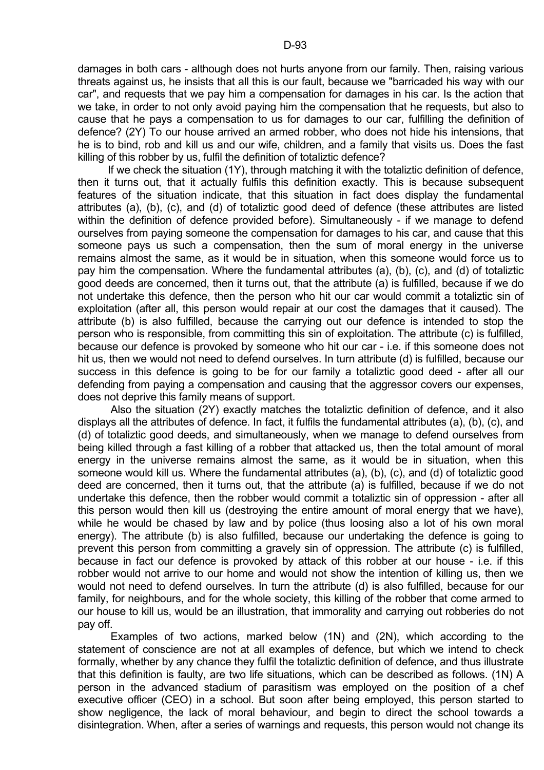damages in both cars - although does not hurts anyone from our family. Then, raising various threats against us, he insists that all this is our fault, because we "barricaded his way with our car", and requests that we pay him a compensation for damages in his car. Is the action that we take, in order to not only avoid paying him the compensation that he requests, but also to cause that he pays a compensation to us for damages to our car, fulfilling the definition of defence? (2Y) To our house arrived an armed robber, who does not hide his intensions, that he is to bind, rob and kill us and our wife, children, and a family that visits us. Does the fast killing of this robber by us, fulfil the definition of totaliztic defence?

 If we check the situation (1Y), through matching it with the totaliztic definition of defence, then it turns out, that it actually fulfils this definition exactly. This is because subsequent features of the situation indicate, that this situation in fact does display the fundamental attributes (a), (b), (c), and (d) of totaliztic good deed of defence (these attributes are listed within the definition of defence provided before). Simultaneously - if we manage to defend ourselves from paying someone the compensation for damages to his car, and cause that this someone pays us such a compensation, then the sum of moral energy in the universe remains almost the same, as it would be in situation, when this someone would force us to pay him the compensation. Where the fundamental attributes (a), (b), (c), and (d) of totaliztic good deeds are concerned, then it turns out, that the attribute (a) is fulfilled, because if we do not undertake this defence, then the person who hit our car would commit a totaliztic sin of exploitation (after all, this person would repair at our cost the damages that it caused). The attribute (b) is also fulfilled, because the carrying out our defence is intended to stop the person who is responsible, from committing this sin of exploitation. The attribute (c) is fulfilled, because our defence is provoked by someone who hit our car - i.e. if this someone does not hit us, then we would not need to defend ourselves. In turn attribute (d) is fulfilled, because our success in this defence is going to be for our family a totaliztic good deed - after all our defending from paying a compensation and causing that the aggressor covers our expenses, does not deprive this family means of support.

 Also the situation (2Y) exactly matches the totaliztic definition of defence, and it also displays all the attributes of defence. In fact, it fulfils the fundamental attributes (a), (b), (c), and (d) of totaliztic good deeds, and simultaneously, when we manage to defend ourselves from being killed through a fast killing of a robber that attacked us, then the total amount of moral energy in the universe remains almost the same, as it would be in situation, when this someone would kill us. Where the fundamental attributes (a), (b), (c), and (d) of totaliztic good deed are concerned, then it turns out, that the attribute (a) is fulfilled, because if we do not undertake this defence, then the robber would commit a totaliztic sin of oppression - after all this person would then kill us (destroying the entire amount of moral energy that we have), while he would be chased by law and by police (thus loosing also a lot of his own moral energy). The attribute (b) is also fulfilled, because our undertaking the defence is going to prevent this person from committing a gravely sin of oppression. The attribute (c) is fulfilled, because in fact our defence is provoked by attack of this robber at our house - i.e. if this robber would not arrive to our home and would not show the intention of killing us, then we would not need to defend ourselves. In turn the attribute (d) is also fulfilled, because for our family, for neighbours, and for the whole society, this killing of the robber that come armed to our house to kill us, would be an illustration, that immorality and carrying out robberies do not pay off.

 Examples of two actions, marked below (1N) and (2N), which according to the statement of conscience are not at all examples of defence, but which we intend to check formally, whether by any chance they fulfil the totaliztic definition of defence, and thus illustrate that this definition is faulty, are two life situations, which can be described as follows. (1N) A person in the advanced stadium of parasitism was employed on the position of a chef executive officer (CEO) in a school. But soon after being employed, this person started to show negligence, the lack of moral behaviour, and begin to direct the school towards a disintegration. When, after a series of warnings and requests, this person would not change its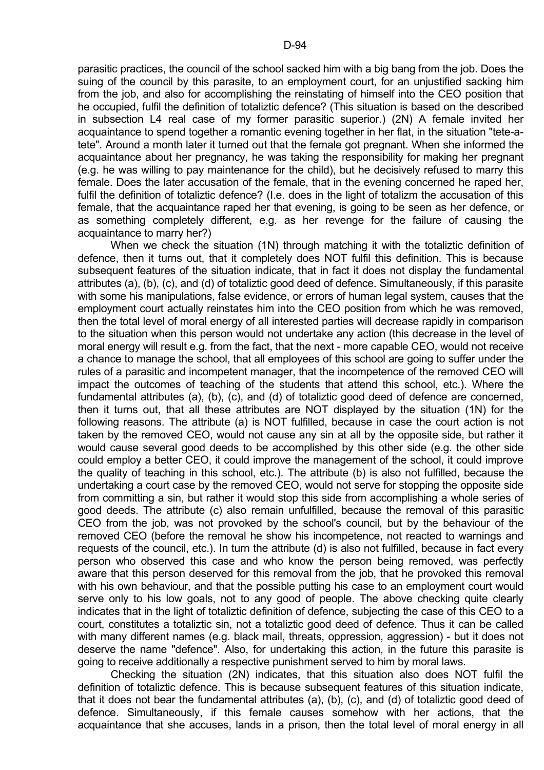parasitic practices, the council of the school sacked him with a big bang from the job. Does the suing of the council by this parasite, to an employment court, for an unjustified sacking him from the job, and also for accomplishing the reinstating of himself into the CEO position that he occupied, fulfil the definition of totaliztic defence? (This situation is based on the described in subsection L4 real case of my former parasitic superior.) (2N) A female invited her acquaintance to spend together a romantic evening together in her flat, in the situation "tete-atete". Around a month later it turned out that the female got pregnant. When she informed the acquaintance about her pregnancy, he was taking the responsibility for making her pregnant (e.g. he was willing to pay maintenance for the child), but he decisively refused to marry this female. Does the later accusation of the female, that in the evening concerned he raped her, fulfil the definition of totaliztic defence? (I.e. does in the light of totalizm the accusation of this female, that the acquaintance raped her that evening, is going to be seen as her defence, or as something completely different, e.g. as her revenge for the failure of causing the acquaintance to marry her?)

When we check the situation (1N) through matching it with the totaliztic definition of defence, then it turns out, that it completely does NOT fulfil this definition. This is because subsequent features of the situation indicate, that in fact it does not display the fundamental attributes (a), (b), (c), and (d) of totaliztic good deed of defence. Simultaneously, if this parasite with some his manipulations, false evidence, or errors of human legal system, causes that the employment court actually reinstates him into the CEO position from which he was removed, then the total level of moral energy of all interested parties will decrease rapidly in comparison to the situation when this person would not undertake any action (this decrease in the level of moral energy will result e.g. from the fact, that the next - more capable CEO, would not receive a chance to manage the school, that all employees of this school are going to suffer under the rules of a parasitic and incompetent manager, that the incompetence of the removed CEO will impact the outcomes of teaching of the students that attend this school, etc.). Where the fundamental attributes (a), (b), (c), and (d) of totaliztic good deed of defence are concerned, then it turns out, that all these attributes are NOT displayed by the situation (1N) for the following reasons. The attribute (a) is NOT fulfilled, because in case the court action is not taken by the removed CEO, would not cause any sin at all by the opposite side, but rather it would cause several good deeds to be accomplished by this other side (e.g. the other side could employ a better CEO, it could improve the management of the school, it could improve the quality of teaching in this school, etc.). The attribute (b) is also not fulfilled, because the undertaking a court case by the removed CEO, would not serve for stopping the opposite side from committing a sin, but rather it would stop this side from accomplishing a whole series of good deeds. The attribute (c) also remain unfulfilled, because the removal of this parasitic CEO from the job, was not provoked by the school's council, but by the behaviour of the removed CEO (before the removal he show his incompetence, not reacted to warnings and requests of the council, etc.). In turn the attribute (d) is also not fulfilled, because in fact every person who observed this case and who know the person being removed, was perfectly aware that this person deserved for this removal from the job, that he provoked this removal with his own behaviour, and that the possible putting his case to an employment court would serve only to his low goals, not to any good of people. The above checking quite clearly indicates that in the light of totaliztic definition of defence, subjecting the case of this CEO to a court, constitutes a totaliztic sin, not a totaliztic good deed of defence. Thus it can be called with many different names (e.g. black mail, threats, oppression, aggression) - but it does not deserve the name "defence". Also, for undertaking this action, in the future this parasite is going to receive additionally a respective punishment served to him by moral laws.

 Checking the situation (2N) indicates, that this situation also does NOT fulfil the definition of totaliztic defence. This is because subsequent features of this situation indicate, that it does not bear the fundamental attributes (a), (b), (c), and (d) of totaliztic good deed of defence. Simultaneously, if this female causes somehow with her actions, that the acquaintance that she accuses, lands in a prison, then the total level of moral energy in all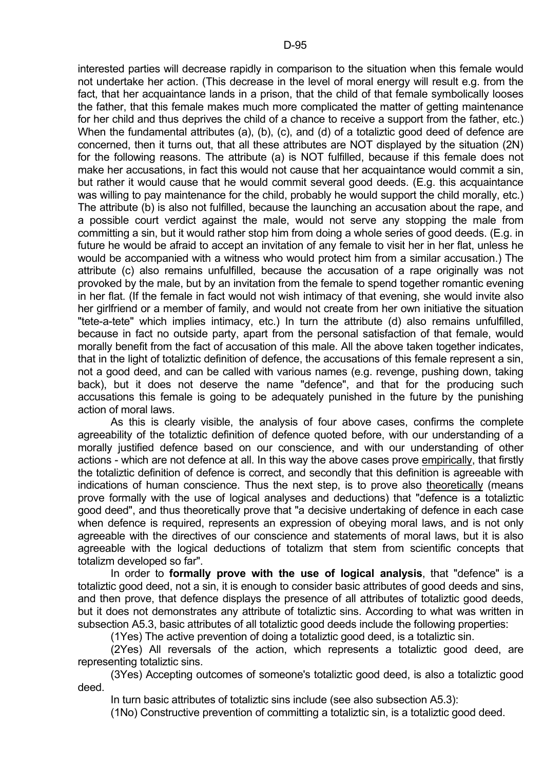interested parties will decrease rapidly in comparison to the situation when this female would not undertake her action. (This decrease in the level of moral energy will result e.g. from the fact, that her acquaintance lands in a prison, that the child of that female symbolically looses the father, that this female makes much more complicated the matter of getting maintenance for her child and thus deprives the child of a chance to receive a support from the father, etc.) When the fundamental attributes (a), (b), (c), and (d) of a totaliztic good deed of defence are concerned, then it turns out, that all these attributes are NOT displayed by the situation (2N) for the following reasons. The attribute (a) is NOT fulfilled, because if this female does not make her accusations, in fact this would not cause that her acquaintance would commit a sin, but rather it would cause that he would commit several good deeds. (E.g. this acquaintance was willing to pay maintenance for the child, probably he would support the child morally, etc.) The attribute (b) is also not fulfilled, because the launching an accusation about the rape, and a possible court verdict against the male, would not serve any stopping the male from committing a sin, but it would rather stop him from doing a whole series of good deeds. (E.g. in future he would be afraid to accept an invitation of any female to visit her in her flat, unless he would be accompanied with a witness who would protect him from a similar accusation.) The attribute (c) also remains unfulfilled, because the accusation of a rape originally was not provoked by the male, but by an invitation from the female to spend together romantic evening in her flat. (If the female in fact would not wish intimacy of that evening, she would invite also her girlfriend or a member of family, and would not create from her own initiative the situation "tete-a-tete" which implies intimacy, etc.) In turn the attribute (d) also remains unfulfilled, because in fact no outside party, apart from the personal satisfaction of that female, would morally benefit from the fact of accusation of this male. All the above taken together indicates, that in the light of totaliztic definition of defence, the accusations of this female represent a sin, not a good deed, and can be called with various names (e.g. revenge, pushing down, taking back), but it does not deserve the name "defence", and that for the producing such accusations this female is going to be adequately punished in the future by the punishing action of moral laws.

 As this is clearly visible, the analysis of four above cases, confirms the complete agreeability of the totaliztic definition of defence quoted before, with our understanding of a morally justified defence based on our conscience, and with our understanding of other actions - which are not defence at all. In this way the above cases prove empirically, that firstly the totaliztic definition of defence is correct, and secondly that this definition is agreeable with indications of human conscience. Thus the next step, is to prove also theoretically (means prove formally with the use of logical analyses and deductions) that "defence is a totaliztic good deed", and thus theoretically prove that "a decisive undertaking of defence in each case when defence is required, represents an expression of obeying moral laws, and is not only agreeable with the directives of our conscience and statements of moral laws, but it is also agreeable with the logical deductions of totalizm that stem from scientific concepts that totalizm developed so far".

 In order to **formally prove with the use of logical analysis**, that "defence" is a totaliztic good deed, not a sin, it is enough to consider basic attributes of good deeds and sins, and then prove, that defence displays the presence of all attributes of totaliztic good deeds, but it does not demonstrates any attribute of totaliztic sins. According to what was written in subsection A5.3, basic attributes of all totaliztic good deeds include the following properties:

(1Yes) The active prevention of doing a totaliztic good deed, is a totaliztic sin.

 (2Yes) All reversals of the action, which represents a totaliztic good deed, are representing totaliztic sins.

 (3Yes) Accepting outcomes of someone's totaliztic good deed, is also a totaliztic good deed.

In turn basic attributes of totaliztic sins include (see also subsection A5.3):

(1No) Constructive prevention of committing a totaliztic sin, is a totaliztic good deed.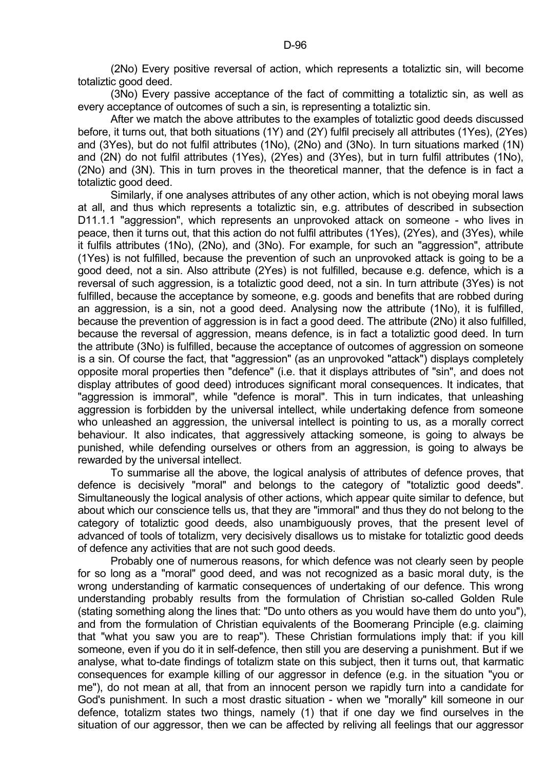(2No) Every positive reversal of action, which represents a totaliztic sin, will become totaliztic good deed.

 (3No) Every passive acceptance of the fact of committing a totaliztic sin, as well as every acceptance of outcomes of such a sin, is representing a totaliztic sin.

 After we match the above attributes to the examples of totaliztic good deeds discussed before, it turns out, that both situations (1Y) and (2Y) fulfil precisely all attributes (1Yes), (2Yes) and (3Yes), but do not fulfil attributes (1No), (2No) and (3No). In turn situations marked (1N) and (2N) do not fulfil attributes (1Yes), (2Yes) and (3Yes), but in turn fulfil attributes (1No), (2No) and (3N). This in turn proves in the theoretical manner, that the defence is in fact a totaliztic good deed.

 Similarly, if one analyses attributes of any other action, which is not obeying moral laws at all, and thus which represents a totaliztic sin, e.g. attributes of described in subsection D11.1.1 "aggression", which represents an unprovoked attack on someone - who lives in peace, then it turns out, that this action do not fulfil attributes (1Yes), (2Yes), and (3Yes), while it fulfils attributes (1No), (2No), and (3No). For example, for such an "aggression", attribute (1Yes) is not fulfilled, because the prevention of such an unprovoked attack is going to be a good deed, not a sin. Also attribute (2Yes) is not fulfilled, because e.g. defence, which is a reversal of such aggression, is a totaliztic good deed, not a sin. In turn attribute (3Yes) is not fulfilled, because the acceptance by someone, e.g. goods and benefits that are robbed during an aggression, is a sin, not a good deed. Analysing now the attribute (1No), it is fulfilled, because the prevention of aggression is in fact a good deed. The attribute (2No) it also fulfilled, because the reversal of aggression, means defence, is in fact a totaliztic good deed. In turn the attribute (3No) is fulfilled, because the acceptance of outcomes of aggression on someone is a sin. Of course the fact, that "aggression" (as an unprovoked "attack") displays completely opposite moral properties then "defence" (i.e. that it displays attributes of "sin", and does not display attributes of good deed) introduces significant moral consequences. It indicates, that "aggression is immoral", while "defence is moral". This in turn indicates, that unleashing aggression is forbidden by the universal intellect, while undertaking defence from someone who unleashed an aggression, the universal intellect is pointing to us, as a morally correct behaviour. It also indicates, that aggressively attacking someone, is going to always be punished, while defending ourselves or others from an aggression, is going to always be rewarded by the universal intellect.

 To summarise all the above, the logical analysis of attributes of defence proves, that defence is decisively "moral" and belongs to the category of "totaliztic good deeds". Simultaneously the logical analysis of other actions, which appear quite similar to defence, but about which our conscience tells us, that they are "immoral" and thus they do not belong to the category of totaliztic good deeds, also unambiguously proves, that the present level of advanced of tools of totalizm, very decisively disallows us to mistake for totaliztic good deeds of defence any activities that are not such good deeds.

 Probably one of numerous reasons, for which defence was not clearly seen by people for so long as a "moral" good deed, and was not recognized as a basic moral duty, is the wrong understanding of karmatic consequences of undertaking of our defence. This wrong understanding probably results from the formulation of Christian so-called Golden Rule (stating something along the lines that: "Do unto others as you would have them do unto you"), and from the formulation of Christian equivalents of the Boomerang Principle (e.g. claiming that "what you saw you are to reap"). These Christian formulations imply that: if you kill someone, even if you do it in self-defence, then still you are deserving a punishment. But if we analyse, what to-date findings of totalizm state on this subject, then it turns out, that karmatic consequences for example killing of our aggressor in defence (e.g. in the situation "you or me"), do not mean at all, that from an innocent person we rapidly turn into a candidate for God's punishment. In such a most drastic situation - when we "morally" kill someone in our defence, totalizm states two things, namely (1) that if one day we find ourselves in the situation of our aggressor, then we can be affected by reliving all feelings that our aggressor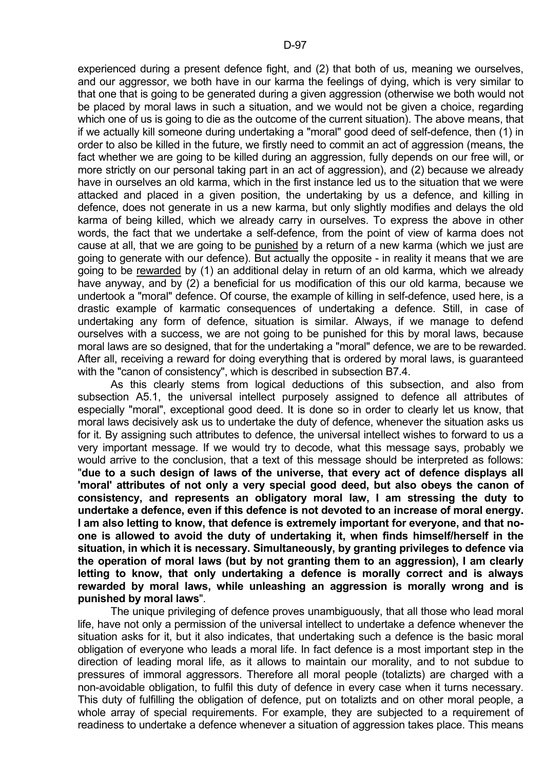experienced during a present defence fight, and (2) that both of us, meaning we ourselves, and our aggressor, we both have in our karma the feelings of dying, which is very similar to that one that is going to be generated during a given aggression (otherwise we both would not be placed by moral laws in such a situation, and we would not be given a choice, regarding which one of us is going to die as the outcome of the current situation). The above means, that if we actually kill someone during undertaking a "moral" good deed of self-defence, then (1) in order to also be killed in the future, we firstly need to commit an act of aggression (means, the fact whether we are going to be killed during an aggression, fully depends on our free will, or more strictly on our personal taking part in an act of aggression), and (2) because we already have in ourselves an old karma, which in the first instance led us to the situation that we were attacked and placed in a given position, the undertaking by us a defence, and killing in defence, does not generate in us a new karma, but only slightly modifies and delays the old karma of being killed, which we already carry in ourselves. To express the above in other words, the fact that we undertake a self-defence, from the point of view of karma does not cause at all, that we are going to be punished by a return of a new karma (which we just are going to generate with our defence). But actually the opposite - in reality it means that we are going to be rewarded by (1) an additional delay in return of an old karma, which we already have anyway, and by (2) a beneficial for us modification of this our old karma, because we undertook a "moral" defence. Of course, the example of killing in self-defence, used here, is a drastic example of karmatic consequences of undertaking a defence. Still, in case of undertaking any form of defence, situation is similar. Always, if we manage to defend ourselves with a success, we are not going to be punished for this by moral laws, because moral laws are so designed, that for the undertaking a "moral" defence, we are to be rewarded. After all, receiving a reward for doing everything that is ordered by moral laws, is guaranteed with the "canon of consistency", which is described in subsection B7.4.

 As this clearly stems from logical deductions of this subsection, and also from subsection A5.1, the universal intellect purposely assigned to defence all attributes of especially "moral", exceptional good deed. It is done so in order to clearly let us know, that moral laws decisively ask us to undertake the duty of defence, whenever the situation asks us for it. By assigning such attributes to defence, the universal intellect wishes to forward to us a very important message. If we would try to decode, what this message says, probably we would arrive to the conclusion, that a text of this message should be interpreted as follows: "**due to a such design of laws of the universe, that every act of defence displays all 'moral' attributes of not only a very special good deed, but also obeys the canon of consistency, and represents an obligatory moral law, I am stressing the duty to undertake a defence, even if this defence is not devoted to an increase of moral energy. I am also letting to know, that defence is extremely important for everyone, and that noone is allowed to avoid the duty of undertaking it, when finds himself/herself in the situation, in which it is necessary. Simultaneously, by granting privileges to defence via the operation of moral laws (but by not granting them to an aggression), I am clearly letting to know, that only undertaking a defence is morally correct and is always rewarded by moral laws, while unleashing an aggression is morally wrong and is punished by moral laws**".

 The unique privileging of defence proves unambiguously, that all those who lead moral life, have not only a permission of the universal intellect to undertake a defence whenever the situation asks for it, but it also indicates, that undertaking such a defence is the basic moral obligation of everyone who leads a moral life. In fact defence is a most important step in the direction of leading moral life, as it allows to maintain our morality, and to not subdue to pressures of immoral aggressors. Therefore all moral people (totalizts) are charged with a non-avoidable obligation, to fulfil this duty of defence in every case when it turns necessary. This duty of fulfilling the obligation of defence, put on totalizts and on other moral people, a whole array of special requirements. For example, they are subjected to a requirement of readiness to undertake a defence whenever a situation of aggression takes place. This means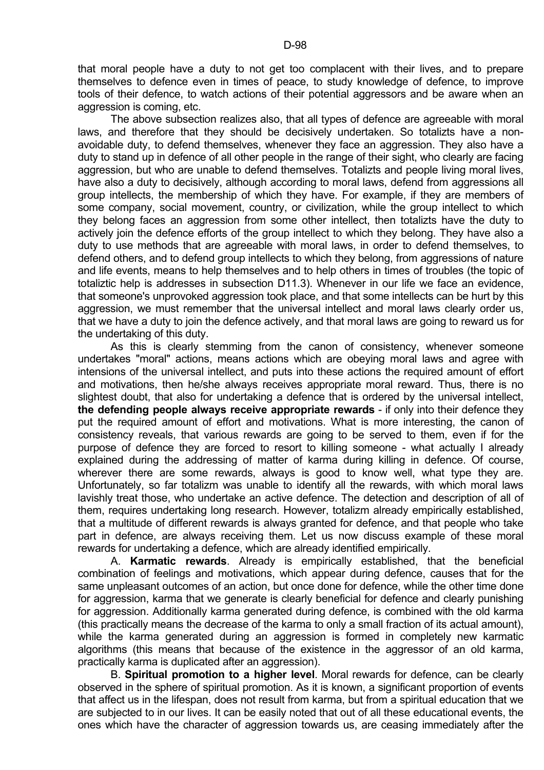that moral people have a duty to not get too complacent with their lives, and to prepare themselves to defence even in times of peace, to study knowledge of defence, to improve tools of their defence, to watch actions of their potential aggressors and be aware when an aggression is coming, etc.

 The above subsection realizes also, that all types of defence are agreeable with moral laws, and therefore that they should be decisively undertaken. So totalizts have a nonavoidable duty, to defend themselves, whenever they face an aggression. They also have a duty to stand up in defence of all other people in the range of their sight, who clearly are facing aggression, but who are unable to defend themselves. Totalizts and people living moral lives, have also a duty to decisively, although according to moral laws, defend from aggressions all group intellects, the membership of which they have. For example, if they are members of some company, social movement, country, or civilization, while the group intellect to which they belong faces an aggression from some other intellect, then totalizts have the duty to actively join the defence efforts of the group intellect to which they belong. They have also a duty to use methods that are agreeable with moral laws, in order to defend themselves, to defend others, and to defend group intellects to which they belong, from aggressions of nature and life events, means to help themselves and to help others in times of troubles (the topic of totaliztic help is addresses in subsection D11.3). Whenever in our life we face an evidence, that someone's unprovoked aggression took place, and that some intellects can be hurt by this aggression, we must remember that the universal intellect and moral laws clearly order us, that we have a duty to join the defence actively, and that moral laws are going to reward us for the undertaking of this duty.

 As this is clearly stemming from the canon of consistency, whenever someone undertakes "moral" actions, means actions which are obeying moral laws and agree with intensions of the universal intellect, and puts into these actions the required amount of effort and motivations, then he/she always receives appropriate moral reward. Thus, there is no slightest doubt, that also for undertaking a defence that is ordered by the universal intellect, **the defending people always receive appropriate rewards** - if only into their defence they put the required amount of effort and motivations. What is more interesting, the canon of consistency reveals, that various rewards are going to be served to them, even if for the purpose of defence they are forced to resort to killing someone - what actually I already explained during the addressing of matter of karma during killing in defence. Of course, wherever there are some rewards, always is good to know well, what type they are. Unfortunately, so far totalizm was unable to identify all the rewards, with which moral laws lavishly treat those, who undertake an active defence. The detection and description of all of them, requires undertaking long research. However, totalizm already empirically established, that a multitude of different rewards is always granted for defence, and that people who take part in defence, are always receiving them. Let us now discuss example of these moral rewards for undertaking a defence, which are already identified empirically.

 A. **Karmatic rewards**. Already is empirically established, that the beneficial combination of feelings and motivations, which appear during defence, causes that for the same unpleasant outcomes of an action, but once done for defence, while the other time done for aggression, karma that we generate is clearly beneficial for defence and clearly punishing for aggression. Additionally karma generated during defence, is combined with the old karma (this practically means the decrease of the karma to only a small fraction of its actual amount), while the karma generated during an aggression is formed in completely new karmatic algorithms (this means that because of the existence in the aggressor of an old karma, practically karma is duplicated after an aggression).

 B. **Spiritual promotion to a higher level**. Moral rewards for defence, can be clearly observed in the sphere of spiritual promotion. As it is known, a significant proportion of events that affect us in the lifespan, does not result from karma, but from a spiritual education that we are subjected to in our lives. It can be easily noted that out of all these educational events, the ones which have the character of aggression towards us, are ceasing immediately after the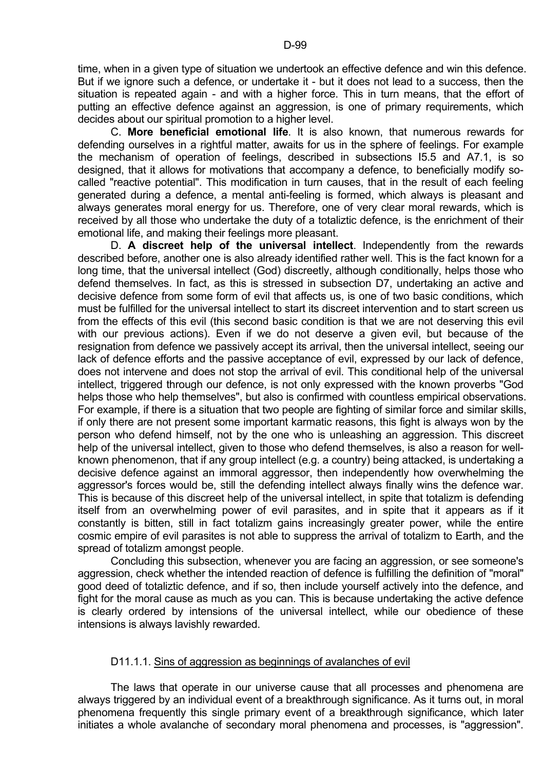time, when in a given type of situation we undertook an effective defence and win this defence. But if we ignore such a defence, or undertake it - but it does not lead to a success, then the situation is repeated again - and with a higher force. This in turn means, that the effort of putting an effective defence against an aggression, is one of primary requirements, which decides about our spiritual promotion to a higher level.

 C. **More beneficial emotional life**. It is also known, that numerous rewards for defending ourselves in a rightful matter, awaits for us in the sphere of feelings. For example the mechanism of operation of feelings, described in subsections I5.5 and A7.1, is so designed, that it allows for motivations that accompany a defence, to beneficially modify socalled "reactive potential". This modification in turn causes, that in the result of each feeling generated during a defence, a mental anti-feeling is formed, which always is pleasant and always generates moral energy for us. Therefore, one of very clear moral rewards, which is received by all those who undertake the duty of a totaliztic defence, is the enrichment of their emotional life, and making their feelings more pleasant.

 D. **A discreet help of the universal intellect**. Independently from the rewards described before, another one is also already identified rather well. This is the fact known for a long time, that the universal intellect (God) discreetly, although conditionally, helps those who defend themselves. In fact, as this is stressed in subsection D7, undertaking an active and decisive defence from some form of evil that affects us, is one of two basic conditions, which must be fulfilled for the universal intellect to start its discreet intervention and to start screen us from the effects of this evil (this second basic condition is that we are not deserving this evil with our previous actions). Even if we do not deserve a given evil, but because of the resignation from defence we passively accept its arrival, then the universal intellect, seeing our lack of defence efforts and the passive acceptance of evil, expressed by our lack of defence, does not intervene and does not stop the arrival of evil. This conditional help of the universal intellect, triggered through our defence, is not only expressed with the known proverbs "God helps those who help themselves", but also is confirmed with countless empirical observations. For example, if there is a situation that two people are fighting of similar force and similar skills, if only there are not present some important karmatic reasons, this fight is always won by the person who defend himself, not by the one who is unleashing an aggression. This discreet help of the universal intellect, given to those who defend themselves, is also a reason for wellknown phenomenon, that if any group intellect (e.g. a country) being attacked, is undertaking a decisive defence against an immoral aggressor, then independently how overwhelming the aggressor's forces would be, still the defending intellect always finally wins the defence war. This is because of this discreet help of the universal intellect, in spite that totalizm is defending itself from an overwhelming power of evil parasites, and in spite that it appears as if it constantly is bitten, still in fact totalizm gains increasingly greater power, while the entire cosmic empire of evil parasites is not able to suppress the arrival of totalizm to Earth, and the spread of totalizm amongst people.

 Concluding this subsection, whenever you are facing an aggression, or see someone's aggression, check whether the intended reaction of defence is fulfilling the definition of "moral" good deed of totaliztic defence, and if so, then include yourself actively into the defence, and fight for the moral cause as much as you can. This is because undertaking the active defence is clearly ordered by intensions of the universal intellect, while our obedience of these intensions is always lavishly rewarded.

## D11.1.1. Sins of aggression as beginnings of avalanches of evil

 The laws that operate in our universe cause that all processes and phenomena are always triggered by an individual event of a breakthrough significance. As it turns out, in moral phenomena frequently this single primary event of a breakthrough significance, which later initiates a whole avalanche of secondary moral phenomena and processes, is "aggression".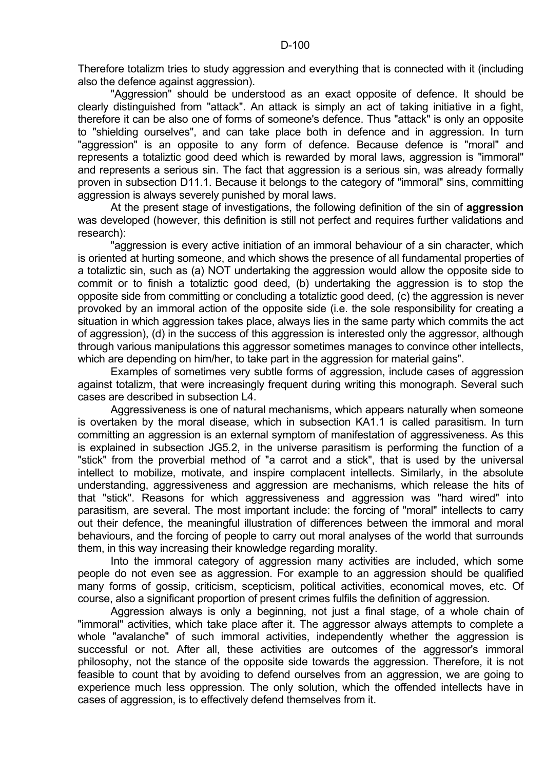Therefore totalizm tries to study aggression and everything that is connected with it (including also the defence against aggression).

 "Aggression" should be understood as an exact opposite of defence. It should be clearly distinguished from "attack". An attack is simply an act of taking initiative in a fight, therefore it can be also one of forms of someone's defence. Thus "attack" is only an opposite to "shielding ourselves", and can take place both in defence and in aggression. In turn "aggression" is an opposite to any form of defence. Because defence is "moral" and represents a totaliztic good deed which is rewarded by moral laws, aggression is "immoral" and represents a serious sin. The fact that aggression is a serious sin, was already formally proven in subsection D11.1. Because it belongs to the category of "immoral" sins, committing aggression is always severely punished by moral laws.

 At the present stage of investigations, the following definition of the sin of **aggression** was developed (however, this definition is still not perfect and requires further validations and research):

"aggression is every active initiation of an immoral behaviour of a sin character, which is oriented at hurting someone, and which shows the presence of all fundamental properties of a totaliztic sin, such as (a) NOT undertaking the aggression would allow the opposite side to commit or to finish a totaliztic good deed, (b) undertaking the aggression is to stop the opposite side from committing or concluding a totaliztic good deed, (c) the aggression is never provoked by an immoral action of the opposite side (i.e. the sole responsibility for creating a situation in which aggression takes place, always lies in the same party which commits the act of aggression), (d) in the success of this aggression is interested only the aggressor, although through various manipulations this aggressor sometimes manages to convince other intellects, which are depending on him/her, to take part in the aggression for material gains".

 Examples of sometimes very subtle forms of aggression, include cases of aggression against totalizm, that were increasingly frequent during writing this monograph. Several such cases are described in subsection L4.

 Aggressiveness is one of natural mechanisms, which appears naturally when someone is overtaken by the moral disease, which in subsection KA1.1 is called parasitism. In turn committing an aggression is an external symptom of manifestation of aggressiveness. As this is explained in subsection JG5.2, in the universe parasitism is performing the function of a "stick" from the proverbial method of "a carrot and a stick", that is used by the universal intellect to mobilize, motivate, and inspire complacent intellects. Similarly, in the absolute understanding, aggressiveness and aggression are mechanisms, which release the hits of that "stick". Reasons for which aggressiveness and aggression was "hard wired" into parasitism, are several. The most important include: the forcing of "moral" intellects to carry out their defence, the meaningful illustration of differences between the immoral and moral behaviours, and the forcing of people to carry out moral analyses of the world that surrounds them, in this way increasing their knowledge regarding morality.

 Into the immoral category of aggression many activities are included, which some people do not even see as aggression. For example to an aggression should be qualified many forms of gossip, criticism, scepticism, political activities, economical moves, etc. Of course, also a significant proportion of present crimes fulfils the definition of aggression.

 Aggression always is only a beginning, not just a final stage, of a whole chain of "immoral" activities, which take place after it. The aggressor always attempts to complete a whole "avalanche" of such immoral activities, independently whether the aggression is successful or not. After all, these activities are outcomes of the aggressor's immoral philosophy, not the stance of the opposite side towards the aggression. Therefore, it is not feasible to count that by avoiding to defend ourselves from an aggression, we are going to experience much less oppression. The only solution, which the offended intellects have in cases of aggression, is to effectively defend themselves from it.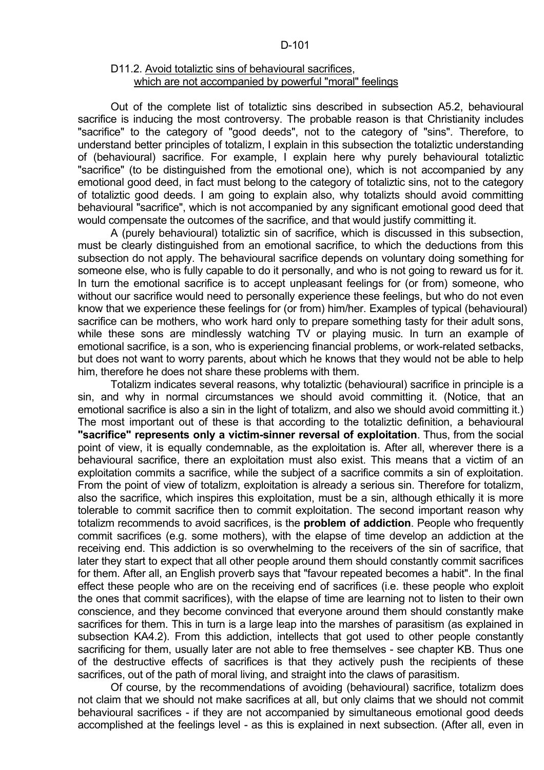# D11.2. Avoid totaliztic sins of behavioural sacrifices, which are not accompanied by powerful "moral" feelings

 Out of the complete list of totaliztic sins described in subsection A5.2, behavioural sacrifice is inducing the most controversy. The probable reason is that Christianity includes "sacrifice" to the category of "good deeds", not to the category of "sins". Therefore, to understand better principles of totalizm, I explain in this subsection the totaliztic understanding of (behavioural) sacrifice. For example, I explain here why purely behavioural totaliztic "sacrifice" (to be distinguished from the emotional one), which is not accompanied by any emotional good deed, in fact must belong to the category of totaliztic sins, not to the category of totaliztic good deeds. I am going to explain also, why totalizts should avoid committing behavioural "sacrifice", which is not accompanied by any significant emotional good deed that would compensate the outcomes of the sacrifice, and that would justify committing it.

 A (purely behavioural) totaliztic sin of sacrifice, which is discussed in this subsection, must be clearly distinguished from an emotional sacrifice, to which the deductions from this subsection do not apply. The behavioural sacrifice depends on voluntary doing something for someone else, who is fully capable to do it personally, and who is not going to reward us for it. In turn the emotional sacrifice is to accept unpleasant feelings for (or from) someone, who without our sacrifice would need to personally experience these feelings, but who do not even know that we experience these feelings for (or from) him/her. Examples of typical (behavioural) sacrifice can be mothers, who work hard only to prepare something tasty for their adult sons, while these sons are mindlessly watching TV or playing music. In turn an example of emotional sacrifice, is a son, who is experiencing financial problems, or work-related setbacks, but does not want to worry parents, about which he knows that they would not be able to help him, therefore he does not share these problems with them.

 Totalizm indicates several reasons, why totaliztic (behavioural) sacrifice in principle is a sin, and why in normal circumstances we should avoid committing it. (Notice, that an emotional sacrifice is also a sin in the light of totalizm, and also we should avoid committing it.) The most important out of these is that according to the totaliztic definition, a behavioural **"sacrifice" represents only a victim-sinner reversal of exploitation**. Thus, from the social point of view, it is equally condemnable, as the exploitation is. After all, wherever there is a behavioural sacrifice, there an exploitation must also exist. This means that a victim of an exploitation commits a sacrifice, while the subject of a sacrifice commits a sin of exploitation. From the point of view of totalizm, exploitation is already a serious sin. Therefore for totalizm, also the sacrifice, which inspires this exploitation, must be a sin, although ethically it is more tolerable to commit sacrifice then to commit exploitation. The second important reason why totalizm recommends to avoid sacrifices, is the **problem of addiction**. People who frequently commit sacrifices (e.g. some mothers), with the elapse of time develop an addiction at the receiving end. This addiction is so overwhelming to the receivers of the sin of sacrifice, that later they start to expect that all other people around them should constantly commit sacrifices for them. After all, an English proverb says that "favour repeated becomes a habit". In the final effect these people who are on the receiving end of sacrifices (i.e. these people who exploit the ones that commit sacrifices), with the elapse of time are learning not to listen to their own conscience, and they become convinced that everyone around them should constantly make sacrifices for them. This in turn is a large leap into the marshes of parasitism (as explained in subsection KA4.2). From this addiction, intellects that got used to other people constantly sacrificing for them, usually later are not able to free themselves - see chapter KB. Thus one of the destructive effects of sacrifices is that they actively push the recipients of these sacrifices, out of the path of moral living, and straight into the claws of parasitism.

 Of course, by the recommendations of avoiding (behavioural) sacrifice, totalizm does not claim that we should not make sacrifices at all, but only claims that we should not commit behavioural sacrifices - if they are not accompanied by simultaneous emotional good deeds accomplished at the feelings level - as this is explained in next subsection. (After all, even in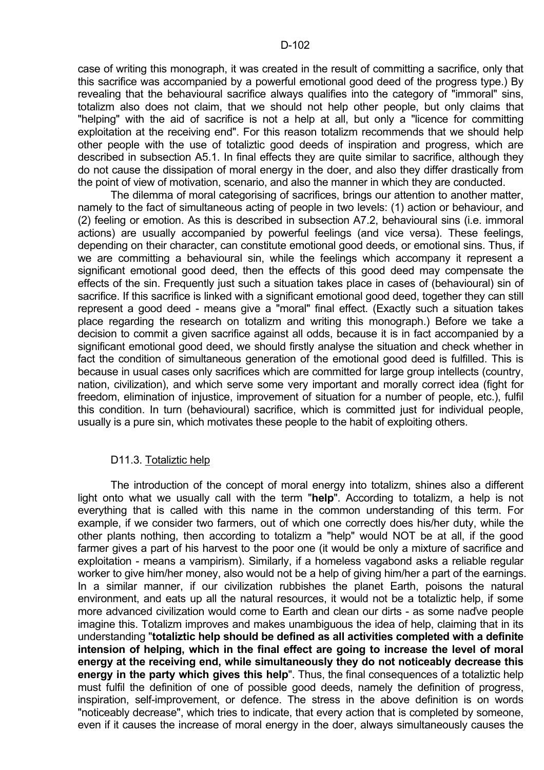case of writing this monograph, it was created in the result of committing a sacrifice, only that this sacrifice was accompanied by a powerful emotional good deed of the progress type.) By revealing that the behavioural sacrifice always qualifies into the category of "immoral" sins, totalizm also does not claim, that we should not help other people, but only claims that "helping" with the aid of sacrifice is not a help at all, but only a "licence for committing exploitation at the receiving end". For this reason totalizm recommends that we should help other people with the use of totaliztic good deeds of inspiration and progress, which are described in subsection A5.1. In final effects they are quite similar to sacrifice, although they do not cause the dissipation of moral energy in the doer, and also they differ drastically from the point of view of motivation, scenario, and also the manner in which they are conducted.

 The dilemma of moral categorising of sacrifices, brings our attention to another matter, namely to the fact of simultaneous acting of people in two levels: (1) action or behaviour, and (2) feeling or emotion. As this is described in subsection A7.2, behavioural sins (i.e. immoral actions) are usually accompanied by powerful feelings (and vice versa). These feelings, depending on their character, can constitute emotional good deeds, or emotional sins. Thus, if we are committing a behavioural sin, while the feelings which accompany it represent a significant emotional good deed, then the effects of this good deed may compensate the effects of the sin. Frequently just such a situation takes place in cases of (behavioural) sin of sacrifice. If this sacrifice is linked with a significant emotional good deed, together they can still represent a good deed - means give a "moral" final effect. (Exactly such a situation takes place regarding the research on totalizm and writing this monograph.) Before we take a decision to commit a given sacrifice against all odds, because it is in fact accompanied by a significant emotional good deed, we should firstly analyse the situation and check whether in fact the condition of simultaneous generation of the emotional good deed is fulfilled. This is because in usual cases only sacrifices which are committed for large group intellects (country, nation, civilization), and which serve some very important and morally correct idea (fight for freedom, elimination of injustice, improvement of situation for a number of people, etc.), fulfil this condition. In turn (behavioural) sacrifice, which is committed just for individual people, usually is a pure sin, which motivates these people to the habit of exploiting others.

# D11.3. Totaliztic help

 The introduction of the concept of moral energy into totalizm, shines also a different light onto what we usually call with the term "**help**". According to totalizm, a help is not everything that is called with this name in the common understanding of this term. For example, if we consider two farmers, out of which one correctly does his/her duty, while the other plants nothing, then according to totalizm a "help" would NOT be at all, if the good farmer gives a part of his harvest to the poor one (it would be only a mixture of sacrifice and exploitation - means a vampirism). Similarly, if a homeless vagabond asks a reliable regular worker to give him/her money, also would not be a help of giving him/her a part of the earnings. In a similar manner, if our civilization rubbishes the planet Earth, poisons the natural environment, and eats up all the natural resources, it would not be a totaliztic help, if some more advanced civilization would come to Earth and clean our dirts - as some naďve people imagine this. Totalizm improves and makes unambiguous the idea of help, claiming that in its understanding "**totaliztic help should be defined as all activities completed with a definite intension of helping, which in the final effect are going to increase the level of moral energy at the receiving end, while simultaneously they do not noticeably decrease this energy in the party which gives this help**". Thus, the final consequences of a totaliztic help must fulfil the definition of one of possible good deeds, namely the definition of progress, inspiration, self-improvement, or defence. The stress in the above definition is on words "noticeably decrease", which tries to indicate, that every action that is completed by someone, even if it causes the increase of moral energy in the doer, always simultaneously causes the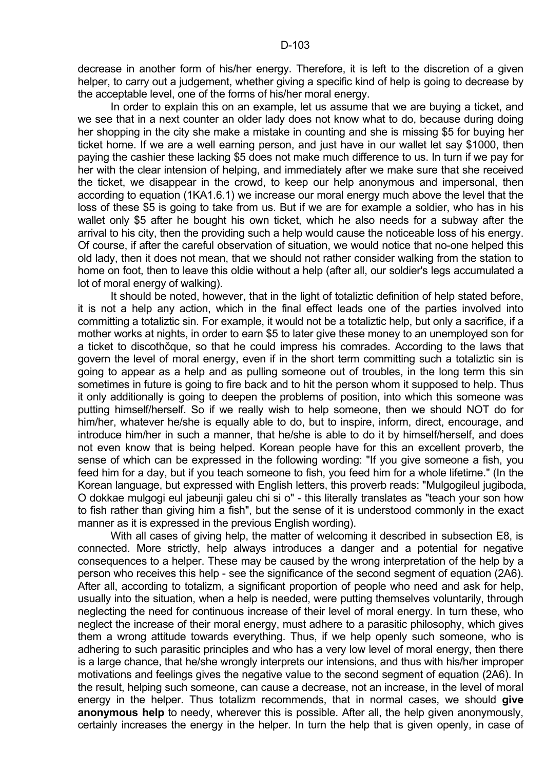decrease in another form of his/her energy. Therefore, it is left to the discretion of a given helper, to carry out a judgement, whether giving a specific kind of help is going to decrease by the acceptable level, one of the forms of his/her moral energy.

 In order to explain this on an example, let us assume that we are buying a ticket, and we see that in a next counter an older lady does not know what to do, because during doing her shopping in the city she make a mistake in counting and she is missing \$5 for buying her ticket home. If we are a well earning person, and just have in our wallet let say \$1000, then paying the cashier these lacking \$5 does not make much difference to us. In turn if we pay for her with the clear intension of helping, and immediately after we make sure that she received the ticket, we disappear in the crowd, to keep our help anonymous and impersonal, then according to equation (1KA1.6.1) we increase our moral energy much above the level that the loss of these \$5 is going to take from us. But if we are for example a soldier, who has in his wallet only \$5 after he bought his own ticket, which he also needs for a subway after the arrival to his city, then the providing such a help would cause the noticeable loss of his energy. Of course, if after the careful observation of situation, we would notice that no-one helped this old lady, then it does not mean, that we should not rather consider walking from the station to home on foot, then to leave this oldie without a help (after all, our soldier's legs accumulated a lot of moral energy of walking).

 It should be noted, however, that in the light of totaliztic definition of help stated before, it is not a help any action, which in the final effect leads one of the parties involved into committing a totaliztic sin. For example, it would not be a totaliztic help, but only a sacrifice, if a mother works at nights, in order to earn \$5 to later give these money to an unemployed son for a ticket to discothčque, so that he could impress his comrades. According to the laws that govern the level of moral energy, even if in the short term committing such a totaliztic sin is going to appear as a help and as pulling someone out of troubles, in the long term this sin sometimes in future is going to fire back and to hit the person whom it supposed to help. Thus it only additionally is going to deepen the problems of position, into which this someone was putting himself/herself. So if we really wish to help someone, then we should NOT do for him/her, whatever he/she is equally able to do, but to inspire, inform, direct, encourage, and introduce him/her in such a manner, that he/she is able to do it by himself/herself, and does not even know that is being helped. Korean people have for this an excellent proverb, the sense of which can be expressed in the following wording: "If you give someone a fish, you feed him for a day, but if you teach someone to fish, you feed him for a whole lifetime." (In the Korean language, but expressed with English letters, this proverb reads: "Mulgogileul jugiboda, O dokkae mulgogi eul jabeunji galeu chi si o" - this literally translates as "teach your son how to fish rather than giving him a fish", but the sense of it is understood commonly in the exact manner as it is expressed in the previous English wording).

With all cases of giving help, the matter of welcoming it described in subsection E8, is connected. More strictly, help always introduces a danger and a potential for negative consequences to a helper. These may be caused by the wrong interpretation of the help by a person who receives this help - see the significance of the second segment of equation (2A6). After all, according to totalizm, a significant proportion of people who need and ask for help. usually into the situation, when a help is needed, were putting themselves voluntarily, through neglecting the need for continuous increase of their level of moral energy. In turn these, who neglect the increase of their moral energy, must adhere to a parasitic philosophy, which gives them a wrong attitude towards everything. Thus, if we help openly such someone, who is adhering to such parasitic principles and who has a very low level of moral energy, then there is a large chance, that he/she wrongly interprets our intensions, and thus with his/her improper motivations and feelings gives the negative value to the second segment of equation (2A6). In the result, helping such someone, can cause a decrease, not an increase, in the level of moral energy in the helper. Thus totalizm recommends, that in normal cases, we should **give anonymous help** to needy, wherever this is possible. After all, the help given anonymously, certainly increases the energy in the helper. In turn the help that is given openly, in case of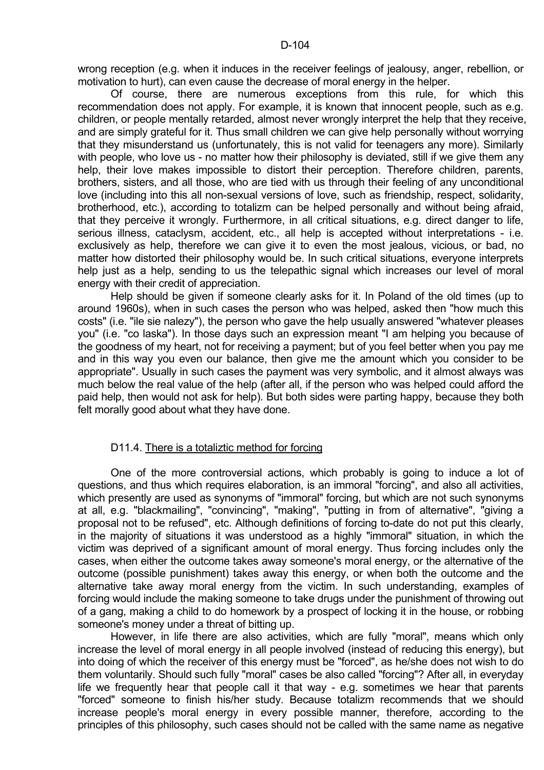wrong reception (e.g. when it induces in the receiver feelings of jealousy, anger, rebellion, or motivation to hurt), can even cause the decrease of moral energy in the helper.

 Of course, there are numerous exceptions from this rule, for which this recommendation does not apply. For example, it is known that innocent people, such as e.g. children, or people mentally retarded, almost never wrongly interpret the help that they receive, and are simply grateful for it. Thus small children we can give help personally without worrying that they misunderstand us (unfortunately, this is not valid for teenagers any more). Similarly with people, who love us - no matter how their philosophy is deviated, still if we give them any help, their love makes impossible to distort their perception. Therefore children, parents, brothers, sisters, and all those, who are tied with us through their feeling of any unconditional love (including into this all non-sexual versions of love, such as friendship, respect, solidarity, brotherhood, etc.), according to totalizm can be helped personally and without being afraid, that they perceive it wrongly. Furthermore, in all critical situations, e.g. direct danger to life, serious illness, cataclysm, accident, etc., all help is accepted without interpretations - i.e. exclusively as help, therefore we can give it to even the most jealous, vicious, or bad, no matter how distorted their philosophy would be. In such critical situations, everyone interprets help just as a help, sending to us the telepathic signal which increases our level of moral energy with their credit of appreciation.

 Help should be given if someone clearly asks for it. In Poland of the old times (up to around 1960s), when in such cases the person who was helped, asked then "how much this costs" (i.e. "ile sie nalezy"), the person who gave the help usually answered "whatever pleases you" (i.e. "co laska"). In those days such an expression meant "I am helping you because of the goodness of my heart, not for receiving a payment; but of you feel better when you pay me and in this way you even our balance, then give me the amount which you consider to be appropriate". Usually in such cases the payment was very symbolic, and it almost always was much below the real value of the help (after all, if the person who was helped could afford the paid help, then would not ask for help). But both sides were parting happy, because they both felt morally good about what they have done.

## D11.4. There is a totaliztic method for forcing

 One of the more controversial actions, which probably is going to induce a lot of questions, and thus which requires elaboration, is an immoral "forcing", and also all activities, which presently are used as synonyms of "immoral" forcing, but which are not such synonyms at all, e.g. "blackmailing", "convincing", "making", "putting in from of alternative", "giving a proposal not to be refused", etc. Although definitions of forcing to-date do not put this clearly, in the majority of situations it was understood as a highly "immoral" situation, in which the victim was deprived of a significant amount of moral energy. Thus forcing includes only the cases, when either the outcome takes away someone's moral energy, or the alternative of the outcome (possible punishment) takes away this energy, or when both the outcome and the alternative take away moral energy from the victim. In such understanding, examples of forcing would include the making someone to take drugs under the punishment of throwing out of a gang, making a child to do homework by a prospect of locking it in the house, or robbing someone's money under a threat of bitting up.

 However, in life there are also activities, which are fully "moral", means which only increase the level of moral energy in all people involved (instead of reducing this energy), but into doing of which the receiver of this energy must be "forced", as he/she does not wish to do them voluntarily. Should such fully "moral" cases be also called "forcing"? After all, in everyday life we frequently hear that people call it that way - e.g. sometimes we hear that parents "forced" someone to finish his/her study. Because totalizm recommends that we should increase people's moral energy in every possible manner, therefore, according to the principles of this philosophy, such cases should not be called with the same name as negative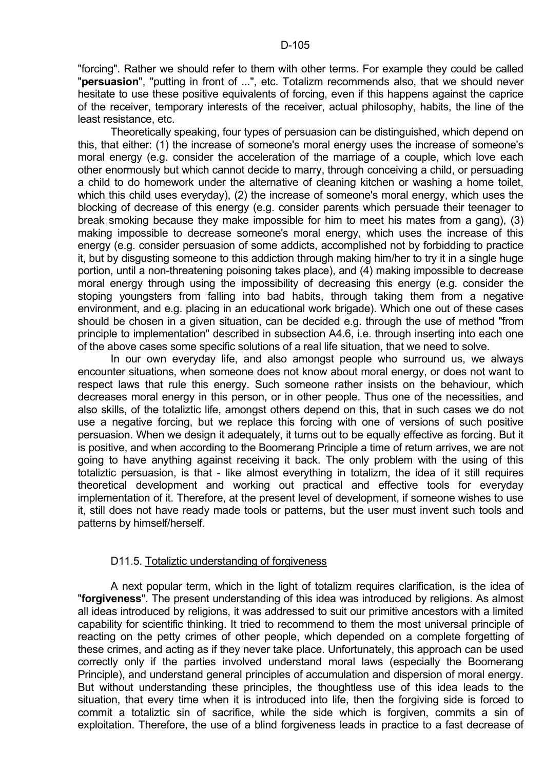"forcing". Rather we should refer to them with other terms. For example they could be called "**persuasion**", "putting in front of ...", etc. Totalizm recommends also, that we should never hesitate to use these positive equivalents of forcing, even if this happens against the caprice of the receiver, temporary interests of the receiver, actual philosophy, habits, the line of the least resistance, etc.

 Theoretically speaking, four types of persuasion can be distinguished, which depend on this, that either: (1) the increase of someone's moral energy uses the increase of someone's moral energy (e.g. consider the acceleration of the marriage of a couple, which love each other enormously but which cannot decide to marry, through conceiving a child, or persuading a child to do homework under the alternative of cleaning kitchen or washing a home toilet, which this child uses everyday), (2) the increase of someone's moral energy, which uses the blocking of decrease of this energy (e.g. consider parents which persuade their teenager to break smoking because they make impossible for him to meet his mates from a gang), (3) making impossible to decrease someone's moral energy, which uses the increase of this energy (e.g. consider persuasion of some addicts, accomplished not by forbidding to practice it, but by disgusting someone to this addiction through making him/her to try it in a single huge portion, until a non-threatening poisoning takes place), and (4) making impossible to decrease moral energy through using the impossibility of decreasing this energy (e.g. consider the stoping youngsters from falling into bad habits, through taking them from a negative environment, and e.g. placing in an educational work brigade). Which one out of these cases should be chosen in a given situation, can be decided e.g. through the use of method "from principle to implementation" described in subsection A4.6, i.e. through inserting into each one of the above cases some specific solutions of a real life situation, that we need to solve.

 In our own everyday life, and also amongst people who surround us, we always encounter situations, when someone does not know about moral energy, or does not want to respect laws that rule this energy. Such someone rather insists on the behaviour, which decreases moral energy in this person, or in other people. Thus one of the necessities, and also skills, of the totaliztic life, amongst others depend on this, that in such cases we do not use a negative forcing, but we replace this forcing with one of versions of such positive persuasion. When we design it adequately, it turns out to be equally effective as forcing. But it is positive, and when according to the Boomerang Principle a time of return arrives, we are not going to have anything against receiving it back. The only problem with the using of this totaliztic persuasion, is that - like almost everything in totalizm, the idea of it still requires theoretical development and working out practical and effective tools for everyday implementation of it. Therefore, at the present level of development, if someone wishes to use it, still does not have ready made tools or patterns, but the user must invent such tools and patterns by himself/herself.

# D11.5. Totaliztic understanding of forgiveness

 A next popular term, which in the light of totalizm requires clarification, is the idea of "**forgiveness**". The present understanding of this idea was introduced by religions. As almost all ideas introduced by religions, it was addressed to suit our primitive ancestors with a limited capability for scientific thinking. It tried to recommend to them the most universal principle of reacting on the petty crimes of other people, which depended on a complete forgetting of these crimes, and acting as if they never take place. Unfortunately, this approach can be used correctly only if the parties involved understand moral laws (especially the Boomerang Principle), and understand general principles of accumulation and dispersion of moral energy. But without understanding these principles, the thoughtless use of this idea leads to the situation, that every time when it is introduced into life, then the forgiving side is forced to commit a totaliztic sin of sacrifice, while the side which is forgiven, commits a sin of exploitation. Therefore, the use of a blind forgiveness leads in practice to a fast decrease of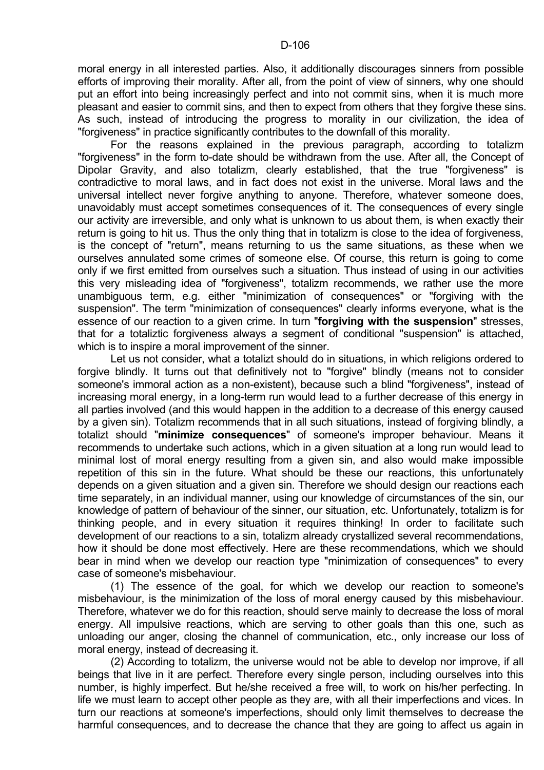moral energy in all interested parties. Also, it additionally discourages sinners from possible efforts of improving their morality. After all, from the point of view of sinners, why one should put an effort into being increasingly perfect and into not commit sins, when it is much more pleasant and easier to commit sins, and then to expect from others that they forgive these sins. As such, instead of introducing the progress to morality in our civilization, the idea of "forgiveness" in practice significantly contributes to the downfall of this morality.

 For the reasons explained in the previous paragraph, according to totalizm "forgiveness" in the form to-date should be withdrawn from the use. After all, the Concept of Dipolar Gravity, and also totalizm, clearly established, that the true "forgiveness" is contradictive to moral laws, and in fact does not exist in the universe. Moral laws and the universal intellect never forgive anything to anyone. Therefore, whatever someone does, unavoidably must accept sometimes consequences of it. The consequences of every single our activity are irreversible, and only what is unknown to us about them, is when exactly their return is going to hit us. Thus the only thing that in totalizm is close to the idea of forgiveness, is the concept of "return", means returning to us the same situations, as these when we ourselves annulated some crimes of someone else. Of course, this return is going to come only if we first emitted from ourselves such a situation. Thus instead of using in our activities this very misleading idea of "forgiveness", totalizm recommends, we rather use the more unambiguous term, e.g. either "minimization of consequences" or "forgiving with the suspension". The term "minimization of consequences" clearly informs everyone, what is the essence of our reaction to a given crime. In turn "**forgiving with the suspension**" stresses, that for a totaliztic forgiveness always a segment of conditional "suspension" is attached, which is to inspire a moral improvement of the sinner.

 Let us not consider, what a totalizt should do in situations, in which religions ordered to forgive blindly. It turns out that definitively not to "forgive" blindly (means not to consider someone's immoral action as a non-existent), because such a blind "forgiveness", instead of increasing moral energy, in a long-term run would lead to a further decrease of this energy in all parties involved (and this would happen in the addition to a decrease of this energy caused by a given sin). Totalizm recommends that in all such situations, instead of forgiving blindly, a totalizt should "**minimize consequences**" of someone's improper behaviour. Means it recommends to undertake such actions, which in a given situation at a long run would lead to minimal lost of moral energy resulting from a given sin, and also would make impossible repetition of this sin in the future. What should be these our reactions, this unfortunately depends on a given situation and a given sin. Therefore we should design our reactions each time separately, in an individual manner, using our knowledge of circumstances of the sin, our knowledge of pattern of behaviour of the sinner, our situation, etc. Unfortunately, totalizm is for thinking people, and in every situation it requires thinking! In order to facilitate such development of our reactions to a sin, totalizm already crystallized several recommendations, how it should be done most effectively. Here are these recommendations, which we should bear in mind when we develop our reaction type "minimization of consequences" to every case of someone's misbehaviour.

 (1) The essence of the goal, for which we develop our reaction to someone's misbehaviour, is the minimization of the loss of moral energy caused by this misbehaviour. Therefore, whatever we do for this reaction, should serve mainly to decrease the loss of moral energy. All impulsive reactions, which are serving to other goals than this one, such as unloading our anger, closing the channel of communication, etc., only increase our loss of moral energy, instead of decreasing it.

 (2) According to totalizm, the universe would not be able to develop nor improve, if all beings that live in it are perfect. Therefore every single person, including ourselves into this number, is highly imperfect. But he/she received a free will, to work on his/her perfecting. In life we must learn to accept other people as they are, with all their imperfections and vices. In turn our reactions at someone's imperfections, should only limit themselves to decrease the harmful consequences, and to decrease the chance that they are going to affect us again in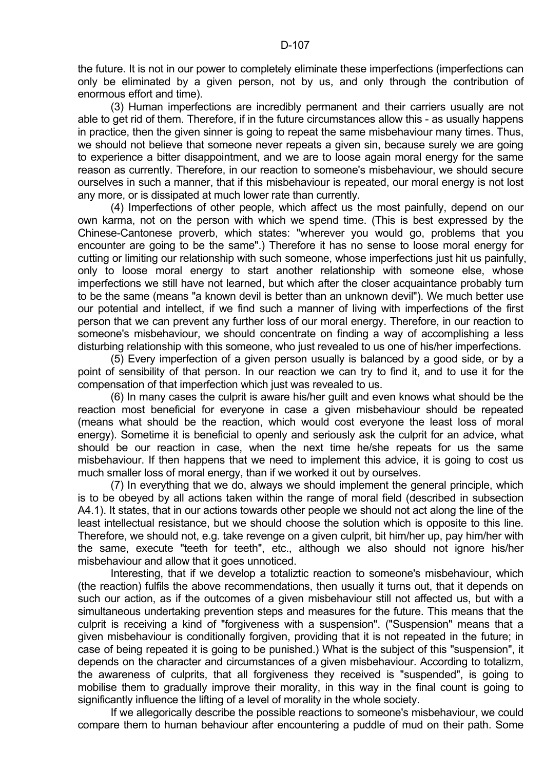the future. It is not in our power to completely eliminate these imperfections (imperfections can only be eliminated by a given person, not by us, and only through the contribution of enormous effort and time).

 (3) Human imperfections are incredibly permanent and their carriers usually are not able to get rid of them. Therefore, if in the future circumstances allow this - as usually happens in practice, then the given sinner is going to repeat the same misbehaviour many times. Thus, we should not believe that someone never repeats a given sin, because surely we are going to experience a bitter disappointment, and we are to loose again moral energy for the same reason as currently. Therefore, in our reaction to someone's misbehaviour, we should secure ourselves in such a manner, that if this misbehaviour is repeated, our moral energy is not lost any more, or is dissipated at much lower rate than currently.

 (4) Imperfections of other people, which affect us the most painfully, depend on our own karma, not on the person with which we spend time. (This is best expressed by the Chinese-Cantonese proverb, which states: "wherever you would go, problems that you encounter are going to be the same".) Therefore it has no sense to loose moral energy for cutting or limiting our relationship with such someone, whose imperfections just hit us painfully, only to loose moral energy to start another relationship with someone else, whose imperfections we still have not learned, but which after the closer acquaintance probably turn to be the same (means "a known devil is better than an unknown devil"). We much better use our potential and intellect, if we find such a manner of living with imperfections of the first person that we can prevent any further loss of our moral energy. Therefore, in our reaction to someone's misbehaviour, we should concentrate on finding a way of accomplishing a less disturbing relationship with this someone, who just revealed to us one of his/her imperfections.

 (5) Every imperfection of a given person usually is balanced by a good side, or by a point of sensibility of that person. In our reaction we can try to find it, and to use it for the compensation of that imperfection which just was revealed to us.

 (6) In many cases the culprit is aware his/her guilt and even knows what should be the reaction most beneficial for everyone in case a given misbehaviour should be repeated (means what should be the reaction, which would cost everyone the least loss of moral energy). Sometime it is beneficial to openly and seriously ask the culprit for an advice, what should be our reaction in case, when the next time he/she repeats for us the same misbehaviour. If then happens that we need to implement this advice, it is going to cost us much smaller loss of moral energy, than if we worked it out by ourselves.

 (7) In everything that we do, always we should implement the general principle, which is to be obeyed by all actions taken within the range of moral field (described in subsection A4.1). It states, that in our actions towards other people we should not act along the line of the least intellectual resistance, but we should choose the solution which is opposite to this line. Therefore, we should not, e.g. take revenge on a given culprit, bit him/her up, pay him/her with the same, execute "teeth for teeth", etc., although we also should not ignore his/her misbehaviour and allow that it goes unnoticed.

 Interesting, that if we develop a totaliztic reaction to someone's misbehaviour, which (the reaction) fulfils the above recommendations, then usually it turns out, that it depends on such our action, as if the outcomes of a given misbehaviour still not affected us, but with a simultaneous undertaking prevention steps and measures for the future. This means that the culprit is receiving a kind of "forgiveness with a suspension". ("Suspension" means that a given misbehaviour is conditionally forgiven, providing that it is not repeated in the future; in case of being repeated it is going to be punished.) What is the subject of this "suspension", it depends on the character and circumstances of a given misbehaviour. According to totalizm, the awareness of culprits, that all forgiveness they received is "suspended", is going to mobilise them to gradually improve their morality, in this way in the final count is going to significantly influence the lifting of a level of morality in the whole society.

 If we allegorically describe the possible reactions to someone's misbehaviour, we could compare them to human behaviour after encountering a puddle of mud on their path. Some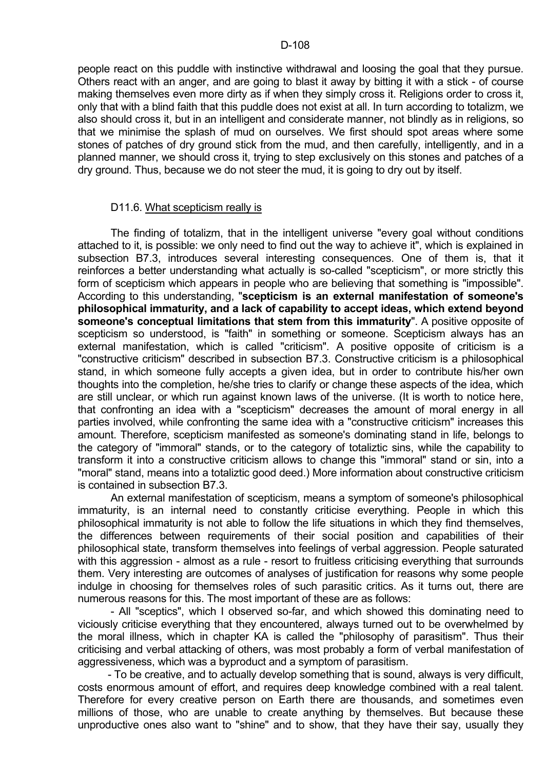people react on this puddle with instinctive withdrawal and loosing the goal that they pursue. Others react with an anger, and are going to blast it away by bitting it with a stick - of course making themselves even more dirty as if when they simply cross it. Religions order to cross it, only that with a blind faith that this puddle does not exist at all. In turn according to totalizm, we also should cross it, but in an intelligent and considerate manner, not blindly as in religions, so that we minimise the splash of mud on ourselves. We first should spot areas where some stones of patches of dry ground stick from the mud, and then carefully, intelligently, and in a planned manner, we should cross it, trying to step exclusively on this stones and patches of a dry ground. Thus, because we do not steer the mud, it is going to dry out by itself.

## D11.6. What scepticism really is

 The finding of totalizm, that in the intelligent universe "every goal without conditions attached to it, is possible: we only need to find out the way to achieve it", which is explained in subsection B7.3, introduces several interesting consequences. One of them is, that it reinforces a better understanding what actually is so-called "scepticism", or more strictly this form of scepticism which appears in people who are believing that something is "impossible". According to this understanding, "**scepticism is an external manifestation of someone's philosophical immaturity, and a lack of capability to accept ideas, which extend beyond someone's conceptual limitations that stem from this immaturity**". A positive opposite of scepticism so understood, is "faith" in something or someone. Scepticism always has an external manifestation, which is called "criticism". A positive opposite of criticism is a "constructive criticism" described in subsection B7.3. Constructive criticism is a philosophical stand, in which someone fully accepts a given idea, but in order to contribute his/her own thoughts into the completion, he/she tries to clarify or change these aspects of the idea, which are still unclear, or which run against known laws of the universe. (It is worth to notice here, that confronting an idea with a "scepticism" decreases the amount of moral energy in all parties involved, while confronting the same idea with a "constructive criticism" increases this amount. Therefore, scepticism manifested as someone's dominating stand in life, belongs to the category of "immoral" stands, or to the category of totaliztic sins, while the capability to transform it into a constructive criticism allows to change this "immoral" stand or sin, into a "moral" stand, means into a totaliztic good deed.) More information about constructive criticism is contained in subsection B7.3.

 An external manifestation of scepticism, means a symptom of someone's philosophical immaturity, is an internal need to constantly criticise everything. People in which this philosophical immaturity is not able to follow the life situations in which they find themselves, the differences between requirements of their social position and capabilities of their philosophical state, transform themselves into feelings of verbal aggression. People saturated with this aggression - almost as a rule - resort to fruitless criticising everything that surrounds them. Very interesting are outcomes of analyses of justification for reasons why some people indulge in choosing for themselves roles of such parasitic critics. As it turns out, there are numerous reasons for this. The most important of these are as follows:

 - All "sceptics", which I observed so-far, and which showed this dominating need to viciously criticise everything that they encountered, always turned out to be overwhelmed by the moral illness, which in chapter KA is called the "philosophy of parasitism". Thus their criticising and verbal attacking of others, was most probably a form of verbal manifestation of aggressiveness, which was a byproduct and a symptom of parasitism.

 - To be creative, and to actually develop something that is sound, always is very difficult, costs enormous amount of effort, and requires deep knowledge combined with a real talent. Therefore for every creative person on Earth there are thousands, and sometimes even millions of those, who are unable to create anything by themselves. But because these unproductive ones also want to "shine" and to show, that they have their say, usually they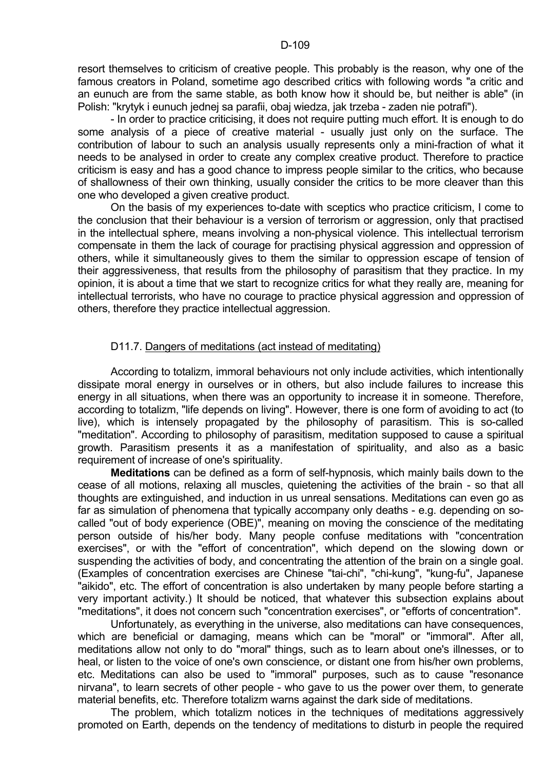resort themselves to criticism of creative people. This probably is the reason, why one of the famous creators in Poland, sometime ago described critics with following words "a critic and an eunuch are from the same stable, as both know how it should be, but neither is able" (in Polish: "krytyk i eunuch jednej sa parafii, obaj wiedza, jak trzeba - zaden nie potrafi").

 - In order to practice criticising, it does not require putting much effort. It is enough to do some analysis of a piece of creative material - usually just only on the surface. The contribution of labour to such an analysis usually represents only a mini-fraction of what it needs to be analysed in order to create any complex creative product. Therefore to practice criticism is easy and has a good chance to impress people similar to the critics, who because of shallowness of their own thinking, usually consider the critics to be more cleaver than this one who developed a given creative product.

 On the basis of my experiences to-date with sceptics who practice criticism, I come to the conclusion that their behaviour is a version of terrorism or aggression, only that practised in the intellectual sphere, means involving a non-physical violence. This intellectual terrorism compensate in them the lack of courage for practising physical aggression and oppression of others, while it simultaneously gives to them the similar to oppression escape of tension of their aggressiveness, that results from the philosophy of parasitism that they practice. In my opinion, it is about a time that we start to recognize critics for what they really are, meaning for intellectual terrorists, who have no courage to practice physical aggression and oppression of others, therefore they practice intellectual aggression.

## D11.7. Dangers of meditations (act instead of meditating)

 According to totalizm, immoral behaviours not only include activities, which intentionally dissipate moral energy in ourselves or in others, but also include failures to increase this energy in all situations, when there was an opportunity to increase it in someone. Therefore, according to totalizm, "life depends on living". However, there is one form of avoiding to act (to live), which is intensely propagated by the philosophy of parasitism. This is so-called "meditation". According to philosophy of parasitism, meditation supposed to cause a spiritual growth. Parasitism presents it as a manifestation of spirituality, and also as a basic requirement of increase of one's spirituality.

 **Meditations** can be defined as a form of self-hypnosis, which mainly bails down to the cease of all motions, relaxing all muscles, quietening the activities of the brain - so that all thoughts are extinguished, and induction in us unreal sensations. Meditations can even go as far as simulation of phenomena that typically accompany only deaths - e.g. depending on socalled "out of body experience (OBE)", meaning on moving the conscience of the meditating person outside of his/her body. Many people confuse meditations with "concentration exercises", or with the "effort of concentration", which depend on the slowing down or suspending the activities of body, and concentrating the attention of the brain on a single goal. (Examples of concentration exercises are Chinese "tai-chi", "chi-kung", "kung-fu", Japanese "aikido", etc. The effort of concentration is also undertaken by many people before starting a very important activity.) It should be noticed, that whatever this subsection explains about "meditations", it does not concern such "concentration exercises", or "efforts of concentration".

 Unfortunately, as everything in the universe, also meditations can have consequences, which are beneficial or damaging, means which can be "moral" or "immoral". After all, meditations allow not only to do "moral" things, such as to learn about one's illnesses, or to heal, or listen to the voice of one's own conscience, or distant one from his/her own problems, etc. Meditations can also be used to "immoral" purposes, such as to cause "resonance nirvana", to learn secrets of other people - who gave to us the power over them, to generate material benefits, etc. Therefore totalizm warns against the dark side of meditations.

 The problem, which totalizm notices in the techniques of meditations aggressively promoted on Earth, depends on the tendency of meditations to disturb in people the required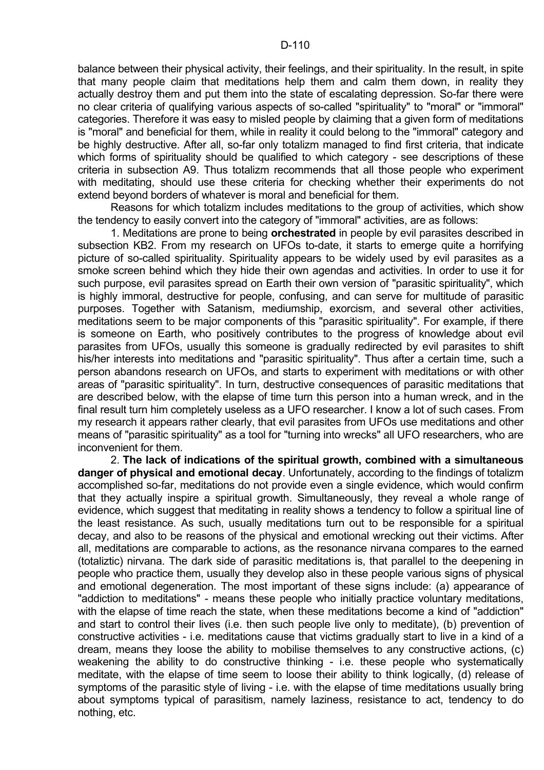balance between their physical activity, their feelings, and their spirituality. In the result, in spite that many people claim that meditations help them and calm them down, in reality they actually destroy them and put them into the state of escalating depression. So-far there were no clear criteria of qualifying various aspects of so-called "spirituality" to "moral" or "immoral" categories. Therefore it was easy to misled people by claiming that a given form of meditations is "moral" and beneficial for them, while in reality it could belong to the "immoral" category and be highly destructive. After all, so-far only totalizm managed to find first criteria, that indicate which forms of spirituality should be qualified to which category - see descriptions of these criteria in subsection A9. Thus totalizm recommends that all those people who experiment with meditating, should use these criteria for checking whether their experiments do not extend beyond borders of whatever is moral and beneficial for them.

 Reasons for which totalizm includes meditations to the group of activities, which show the tendency to easily convert into the category of "immoral" activities, are as follows:

 1. Meditations are prone to being **orchestrated** in people by evil parasites described in subsection KB2. From my research on UFOs to-date, it starts to emerge quite a horrifying picture of so-called spirituality. Spirituality appears to be widely used by evil parasites as a smoke screen behind which they hide their own agendas and activities. In order to use it for such purpose, evil parasites spread on Earth their own version of "parasitic spirituality", which is highly immoral, destructive for people, confusing, and can serve for multitude of parasitic purposes. Together with Satanism, mediumship, exorcism, and several other activities, meditations seem to be major components of this "parasitic spirituality". For example, if there is someone on Earth, who positively contributes to the progress of knowledge about evil parasites from UFOs, usually this someone is gradually redirected by evil parasites to shift his/her interests into meditations and "parasitic spirituality". Thus after a certain time, such a person abandons research on UFOs, and starts to experiment with meditations or with other areas of "parasitic spirituality". In turn, destructive consequences of parasitic meditations that are described below, with the elapse of time turn this person into a human wreck, and in the final result turn him completely useless as a UFO researcher. I know a lot of such cases. From my research it appears rather clearly, that evil parasites from UFOs use meditations and other means of "parasitic spirituality" as a tool for "turning into wrecks" all UFO researchers, who are inconvenient for them.

 2. **The lack of indications of the spiritual growth, combined with a simultaneous danger of physical and emotional decay**. Unfortunately, according to the findings of totalizm accomplished so-far, meditations do not provide even a single evidence, which would confirm that they actually inspire a spiritual growth. Simultaneously, they reveal a whole range of evidence, which suggest that meditating in reality shows a tendency to follow a spiritual line of the least resistance. As such, usually meditations turn out to be responsible for a spiritual decay, and also to be reasons of the physical and emotional wrecking out their victims. After all, meditations are comparable to actions, as the resonance nirvana compares to the earned (totaliztic) nirvana. The dark side of parasitic meditations is, that parallel to the deepening in people who practice them, usually they develop also in these people various signs of physical and emotional degeneration. The most important of these signs include: (a) appearance of "addiction to meditations" - means these people who initially practice voluntary meditations, with the elapse of time reach the state, when these meditations become a kind of "addiction" and start to control their lives (i.e. then such people live only to meditate), (b) prevention of constructive activities - i.e. meditations cause that victims gradually start to live in a kind of a dream, means they loose the ability to mobilise themselves to any constructive actions, (c) weakening the ability to do constructive thinking - i.e. these people who systematically meditate, with the elapse of time seem to loose their ability to think logically, (d) release of symptoms of the parasitic style of living - i.e. with the elapse of time meditations usually bring about symptoms typical of parasitism, namely laziness, resistance to act, tendency to do nothing, etc.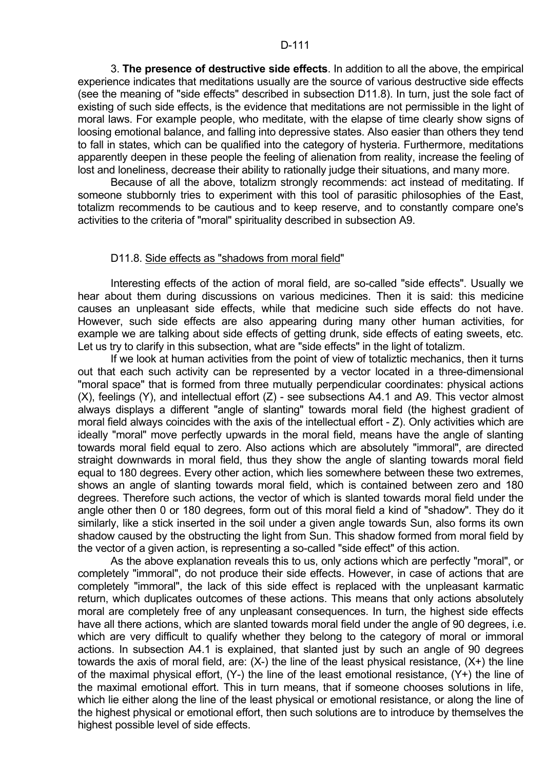3. **The presence of destructive side effects**. In addition to all the above, the empirical experience indicates that meditations usually are the source of various destructive side effects (see the meaning of "side effects" described in subsection D11.8). In turn, just the sole fact of existing of such side effects, is the evidence that meditations are not permissible in the light of moral laws. For example people, who meditate, with the elapse of time clearly show signs of loosing emotional balance, and falling into depressive states. Also easier than others they tend to fall in states, which can be qualified into the category of hysteria. Furthermore, meditations apparently deepen in these people the feeling of alienation from reality, increase the feeling of lost and loneliness, decrease their ability to rationally judge their situations, and many more.

 Because of all the above, totalizm strongly recommends: act instead of meditating. If someone stubbornly tries to experiment with this tool of parasitic philosophies of the East, totalizm recommends to be cautious and to keep reserve, and to constantly compare one's activities to the criteria of "moral" spirituality described in subsection A9.

#### D11.8. Side effects as "shadows from moral field"

 Interesting effects of the action of moral field, are so-called "side effects". Usually we hear about them during discussions on various medicines. Then it is said: this medicine causes an unpleasant side effects, while that medicine such side effects do not have. However, such side effects are also appearing during many other human activities, for example we are talking about side effects of getting drunk, side effects of eating sweets, etc. Let us try to clarify in this subsection, what are "side effects" in the light of totalizm.

 If we look at human activities from the point of view of totaliztic mechanics, then it turns out that each such activity can be represented by a vector located in a three-dimensional "moral space" that is formed from three mutually perpendicular coordinates: physical actions (X), feelings (Y), and intellectual effort (Z) - see subsections A4.1 and A9. This vector almost always displays a different "angle of slanting" towards moral field (the highest gradient of moral field always coincides with the axis of the intellectual effort - Z). Only activities which are ideally "moral" move perfectly upwards in the moral field, means have the angle of slanting towards moral field equal to zero. Also actions which are absolutely "immoral", are directed straight downwards in moral field, thus they show the angle of slanting towards moral field equal to 180 degrees. Every other action, which lies somewhere between these two extremes, shows an angle of slanting towards moral field, which is contained between zero and 180 degrees. Therefore such actions, the vector of which is slanted towards moral field under the angle other then 0 or 180 degrees, form out of this moral field a kind of "shadow". They do it similarly, like a stick inserted in the soil under a given angle towards Sun, also forms its own shadow caused by the obstructing the light from Sun. This shadow formed from moral field by the vector of a given action, is representing a so-called "side effect" of this action.

 As the above explanation reveals this to us, only actions which are perfectly "moral", or completely "immoral", do not produce their side effects. However, in case of actions that are completely "immoral", the lack of this side effect is replaced with the unpleasant karmatic return, which duplicates outcomes of these actions. This means that only actions absolutely moral are completely free of any unpleasant consequences. In turn, the highest side effects have all there actions, which are slanted towards moral field under the angle of 90 degrees, i.e. which are very difficult to qualify whether they belong to the category of moral or immoral actions. In subsection A4.1 is explained, that slanted just by such an angle of 90 degrees towards the axis of moral field, are:  $(X-)$  the line of the least physical resistance,  $(X+)$  the line of the maximal physical effort, (Y-) the line of the least emotional resistance, (Y+) the line of the maximal emotional effort. This in turn means, that if someone chooses solutions in life, which lie either along the line of the least physical or emotional resistance, or along the line of the highest physical or emotional effort, then such solutions are to introduce by themselves the highest possible level of side effects.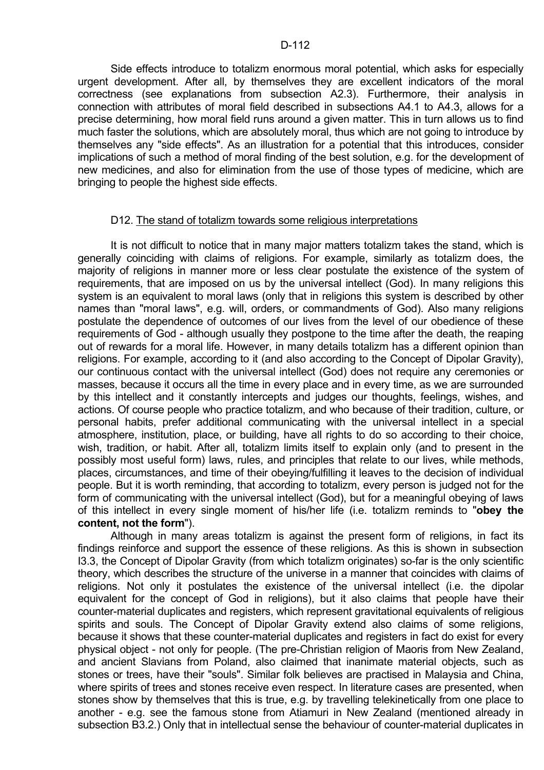Side effects introduce to totalizm enormous moral potential, which asks for especially urgent development. After all, by themselves they are excellent indicators of the moral correctness (see explanations from subsection A2.3). Furthermore, their analysis in connection with attributes of moral field described in subsections A4.1 to A4.3, allows for a precise determining, how moral field runs around a given matter. This in turn allows us to find much faster the solutions, which are absolutely moral, thus which are not going to introduce by themselves any "side effects". As an illustration for a potential that this introduces, consider implications of such a method of moral finding of the best solution, e.g. for the development of new medicines, and also for elimination from the use of those types of medicine, which are bringing to people the highest side effects.

## D12. The stand of totalizm towards some religious interpretations

 It is not difficult to notice that in many major matters totalizm takes the stand, which is generally coinciding with claims of religions. For example, similarly as totalizm does, the majority of religions in manner more or less clear postulate the existence of the system of requirements, that are imposed on us by the universal intellect (God). In many religions this system is an equivalent to moral laws (only that in religions this system is described by other names than "moral laws", e.g. will, orders, or commandments of God). Also many religions postulate the dependence of outcomes of our lives from the level of our obedience of these requirements of God - although usually they postpone to the time after the death, the reaping out of rewards for a moral life. However, in many details totalizm has a different opinion than religions. For example, according to it (and also according to the Concept of Dipolar Gravity), our continuous contact with the universal intellect (God) does not require any ceremonies or masses, because it occurs all the time in every place and in every time, as we are surrounded by this intellect and it constantly intercepts and judges our thoughts, feelings, wishes, and actions. Of course people who practice totalizm, and who because of their tradition, culture, or personal habits, prefer additional communicating with the universal intellect in a special atmosphere, institution, place, or building, have all rights to do so according to their choice, wish, tradition, or habit. After all, totalizm limits itself to explain only (and to present in the possibly most useful form) laws, rules, and principles that relate to our lives, while methods, places, circumstances, and time of their obeying/fulfilling it leaves to the decision of individual people. But it is worth reminding, that according to totalizm, every person is judged not for the form of communicating with the universal intellect (God), but for a meaningful obeying of laws of this intellect in every single moment of his/her life (i.e. totalizm reminds to "**obey the content, not the form**").

 Although in many areas totalizm is against the present form of religions, in fact its findings reinforce and support the essence of these religions. As this is shown in subsection I3.3, the Concept of Dipolar Gravity (from which totalizm originates) so-far is the only scientific theory, which describes the structure of the universe in a manner that coincides with claims of religions. Not only it postulates the existence of the universal intellect (i.e. the dipolar equivalent for the concept of God in religions), but it also claims that people have their counter-material duplicates and registers, which represent gravitational equivalents of religious spirits and souls. The Concept of Dipolar Gravity extend also claims of some religions, because it shows that these counter-material duplicates and registers in fact do exist for every physical object - not only for people. (The pre-Christian religion of Maoris from New Zealand, and ancient Slavians from Poland, also claimed that inanimate material objects, such as stones or trees, have their "souls". Similar folk believes are practised in Malaysia and China, where spirits of trees and stones receive even respect. In literature cases are presented, when stones show by themselves that this is true, e.g. by travelling telekinetically from one place to another - e.g. see the famous stone from Atiamuri in New Zealand (mentioned already in subsection B3.2.) Only that in intellectual sense the behaviour of counter-material duplicates in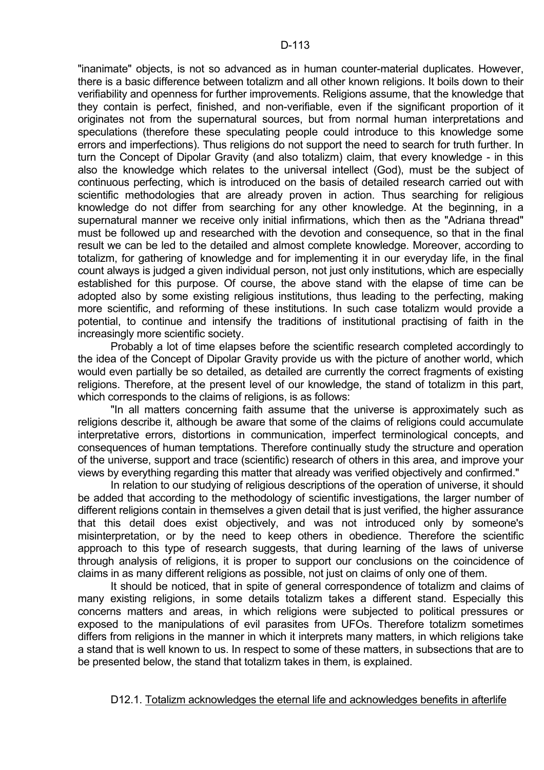"inanimate" objects, is not so advanced as in human counter-material duplicates. However, there is a basic difference between totalizm and all other known religions. It boils down to their verifiability and openness for further improvements. Religions assume, that the knowledge that they contain is perfect, finished, and non-verifiable, even if the significant proportion of it originates not from the supernatural sources, but from normal human interpretations and speculations (therefore these speculating people could introduce to this knowledge some errors and imperfections). Thus religions do not support the need to search for truth further. In turn the Concept of Dipolar Gravity (and also totalizm) claim, that every knowledge - in this also the knowledge which relates to the universal intellect (God), must be the subject of continuous perfecting, which is introduced on the basis of detailed research carried out with scientific methodologies that are already proven in action. Thus searching for religious knowledge do not differ from searching for any other knowledge. At the beginning, in a supernatural manner we receive only initial infirmations, which then as the "Adriana thread" must be followed up and researched with the devotion and consequence, so that in the final result we can be led to the detailed and almost complete knowledge. Moreover, according to totalizm, for gathering of knowledge and for implementing it in our everyday life, in the final count always is judged a given individual person, not just only institutions, which are especially established for this purpose. Of course, the above stand with the elapse of time can be adopted also by some existing religious institutions, thus leading to the perfecting, making more scientific, and reforming of these institutions. In such case totalizm would provide a potential, to continue and intensify the traditions of institutional practising of faith in the increasingly more scientific society.

 Probably a lot of time elapses before the scientific research completed accordingly to the idea of the Concept of Dipolar Gravity provide us with the picture of another world, which would even partially be so detailed, as detailed are currently the correct fragments of existing religions. Therefore, at the present level of our knowledge, the stand of totalizm in this part, which corresponds to the claims of religions, is as follows:

 "In all matters concerning faith assume that the universe is approximately such as religions describe it, although be aware that some of the claims of religions could accumulate interpretative errors, distortions in communication, imperfect terminological concepts, and consequences of human temptations. Therefore continually study the structure and operation of the universe, support and trace (scientific) research of others in this area, and improve your views by everything regarding this matter that already was verified objectively and confirmed."

 In relation to our studying of religious descriptions of the operation of universe, it should be added that according to the methodology of scientific investigations, the larger number of different religions contain in themselves a given detail that is just verified, the higher assurance that this detail does exist objectively, and was not introduced only by someone's misinterpretation, or by the need to keep others in obedience. Therefore the scientific approach to this type of research suggests, that during learning of the laws of universe through analysis of religions, it is proper to support our conclusions on the coincidence of claims in as many different religions as possible, not just on claims of only one of them.

 It should be noticed, that in spite of general correspondence of totalizm and claims of many existing religions, in some details totalizm takes a different stand. Especially this concerns matters and areas, in which religions were subjected to political pressures or exposed to the manipulations of evil parasites from UFOs. Therefore totalizm sometimes differs from religions in the manner in which it interprets many matters, in which religions take a stand that is well known to us. In respect to some of these matters, in subsections that are to be presented below, the stand that totalizm takes in them, is explained.

## D12.1. Totalizm acknowledges the eternal life and acknowledges benefits in afterlife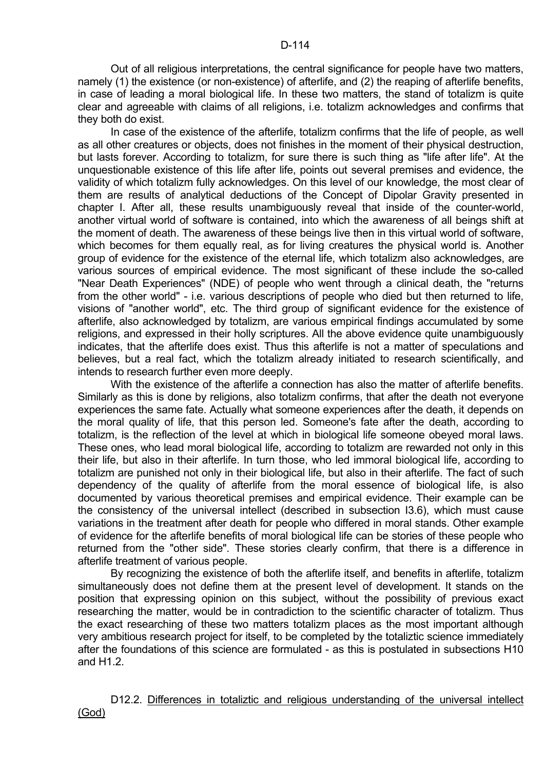Out of all religious interpretations, the central significance for people have two matters, namely (1) the existence (or non-existence) of afterlife, and (2) the reaping of afterlife benefits, in case of leading a moral biological life. In these two matters, the stand of totalizm is quite clear and agreeable with claims of all religions, i.e. totalizm acknowledges and confirms that they both do exist.

 In case of the existence of the afterlife, totalizm confirms that the life of people, as well as all other creatures or objects, does not finishes in the moment of their physical destruction, but lasts forever. According to totalizm, for sure there is such thing as "life after life". At the unquestionable existence of this life after life, points out several premises and evidence, the validity of which totalizm fully acknowledges. On this level of our knowledge, the most clear of them are results of analytical deductions of the Concept of Dipolar Gravity presented in chapter I. After all, these results unambiguously reveal that inside of the counter-world, another virtual world of software is contained, into which the awareness of all beings shift at the moment of death. The awareness of these beings live then in this virtual world of software, which becomes for them equally real, as for living creatures the physical world is. Another group of evidence for the existence of the eternal life, which totalizm also acknowledges, are various sources of empirical evidence. The most significant of these include the so-called "Near Death Experiences" (NDE) of people who went through a clinical death, the "returns from the other world" - i.e. various descriptions of people who died but then returned to life, visions of "another world", etc. The third group of significant evidence for the existence of afterlife, also acknowledged by totalizm, are various empirical findings accumulated by some religions, and expressed in their holly scriptures. All the above evidence quite unambiguously indicates, that the afterlife does exist. Thus this afterlife is not a matter of speculations and believes, but a real fact, which the totalizm already initiated to research scientifically, and intends to research further even more deeply.

 With the existence of the afterlife a connection has also the matter of afterlife benefits. Similarly as this is done by religions, also totalizm confirms, that after the death not everyone experiences the same fate. Actually what someone experiences after the death, it depends on the moral quality of life, that this person led. Someone's fate after the death, according to totalizm, is the reflection of the level at which in biological life someone obeyed moral laws. These ones, who lead moral biological life, according to totalizm are rewarded not only in this their life, but also in their afterlife. In turn those, who led immoral biological life, according to totalizm are punished not only in their biological life, but also in their afterlife. The fact of such dependency of the quality of afterlife from the moral essence of biological life, is also documented by various theoretical premises and empirical evidence. Their example can be the consistency of the universal intellect (described in subsection I3.6), which must cause variations in the treatment after death for people who differed in moral stands. Other example of evidence for the afterlife benefits of moral biological life can be stories of these people who returned from the "other side". These stories clearly confirm, that there is a difference in afterlife treatment of various people.

 By recognizing the existence of both the afterlife itself, and benefits in afterlife, totalizm simultaneously does not define them at the present level of development. It stands on the position that expressing opinion on this subject, without the possibility of previous exact researching the matter, would be in contradiction to the scientific character of totalizm. Thus the exact researching of these two matters totalizm places as the most important although very ambitious research project for itself, to be completed by the totaliztic science immediately after the foundations of this science are formulated - as this is postulated in subsections H10 and H1.2.

D12.2. Differences in totaliztic and religious understanding of the universal intellect (God)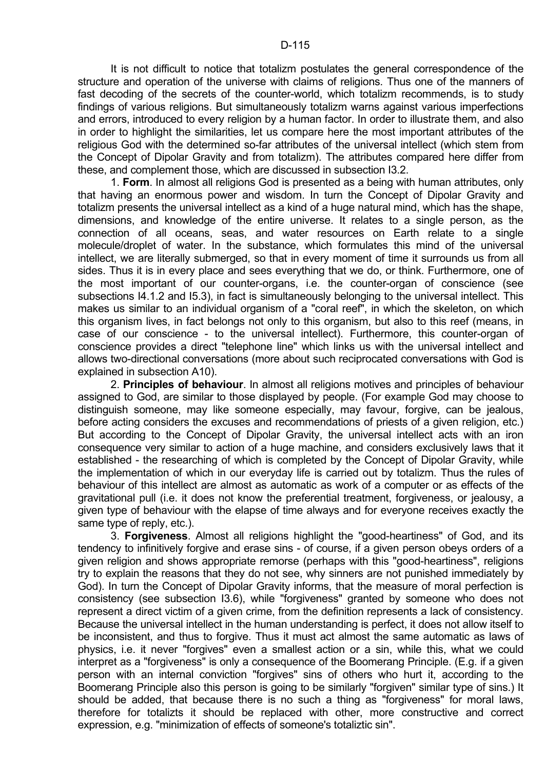It is not difficult to notice that totalizm postulates the general correspondence of the structure and operation of the universe with claims of religions. Thus one of the manners of fast decoding of the secrets of the counter-world, which totalizm recommends, is to study findings of various religions. But simultaneously totalizm warns against various imperfections and errors, introduced to every religion by a human factor. In order to illustrate them, and also in order to highlight the similarities, let us compare here the most important attributes of the religious God with the determined so-far attributes of the universal intellect (which stem from the Concept of Dipolar Gravity and from totalizm). The attributes compared here differ from these, and complement those, which are discussed in subsection I3.2.

 1. **Form**. In almost all religions God is presented as a being with human attributes, only that having an enormous power and wisdom. In turn the Concept of Dipolar Gravity and totalizm presents the universal intellect as a kind of a huge natural mind, which has the shape, dimensions, and knowledge of the entire universe. It relates to a single person, as the connection of all oceans, seas, and water resources on Earth relate to a single molecule/droplet of water. In the substance, which formulates this mind of the universal intellect, we are literally submerged, so that in every moment of time it surrounds us from all sides. Thus it is in every place and sees everything that we do, or think. Furthermore, one of the most important of our counter-organs, i.e. the counter-organ of conscience (see subsections I4.1.2 and I5.3), in fact is simultaneously belonging to the universal intellect. This makes us similar to an individual organism of a "coral reef", in which the skeleton, on which this organism lives, in fact belongs not only to this organism, but also to this reef (means, in case of our conscience - to the universal intellect). Furthermore, this counter-organ of conscience provides a direct "telephone line" which links us with the universal intellect and allows two-directional conversations (more about such reciprocated conversations with God is explained in subsection A10).

 2. **Principles of behaviour**. In almost all religions motives and principles of behaviour assigned to God, are similar to those displayed by people. (For example God may choose to distinguish someone, may like someone especially, may favour, forgive, can be jealous, before acting considers the excuses and recommendations of priests of a given religion, etc.) But according to the Concept of Dipolar Gravity, the universal intellect acts with an iron consequence very similar to action of a huge machine, and considers exclusively laws that it established - the researching of which is completed by the Concept of Dipolar Gravity, while the implementation of which in our everyday life is carried out by totalizm. Thus the rules of behaviour of this intellect are almost as automatic as work of a computer or as effects of the gravitational pull (i.e. it does not know the preferential treatment, forgiveness, or jealousy, a given type of behaviour with the elapse of time always and for everyone receives exactly the same type of reply, etc.).

 3. **Forgiveness**. Almost all religions highlight the "good-heartiness" of God, and its tendency to infinitively forgive and erase sins - of course, if a given person obeys orders of a given religion and shows appropriate remorse (perhaps with this "good-heartiness", religions try to explain the reasons that they do not see, why sinners are not punished immediately by God). In turn the Concept of Dipolar Gravity informs, that the measure of moral perfection is consistency (see subsection I3.6), while "forgiveness" granted by someone who does not represent a direct victim of a given crime, from the definition represents a lack of consistency. Because the universal intellect in the human understanding is perfect, it does not allow itself to be inconsistent, and thus to forgive. Thus it must act almost the same automatic as laws of physics, i.e. it never "forgives" even a smallest action or a sin, while this, what we could interpret as a "forgiveness" is only a consequence of the Boomerang Principle. (E.g. if a given person with an internal conviction "forgives" sins of others who hurt it, according to the Boomerang Principle also this person is going to be similarly "forgiven" similar type of sins.) It should be added, that because there is no such a thing as "forgiveness" for moral laws, therefore for totalizts it should be replaced with other, more constructive and correct expression, e.g. "minimization of effects of someone's totaliztic sin".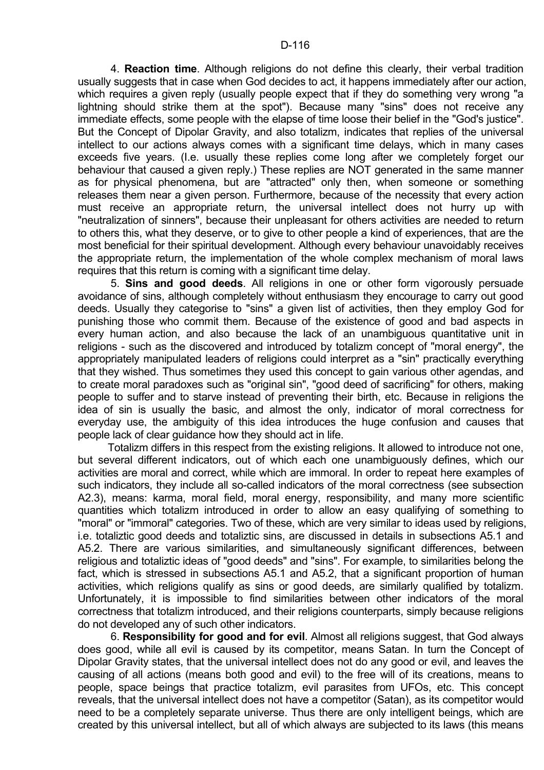4. **Reaction time**. Although religions do not define this clearly, their verbal tradition usually suggests that in case when God decides to act, it happens immediately after our action, which requires a given reply (usually people expect that if they do something very wrong "a lightning should strike them at the spot"). Because many "sins" does not receive any immediate effects, some people with the elapse of time loose their belief in the "God's justice". But the Concept of Dipolar Gravity, and also totalizm, indicates that replies of the universal intellect to our actions always comes with a significant time delays, which in many cases exceeds five years. (I.e. usually these replies come long after we completely forget our behaviour that caused a given reply.) These replies are NOT generated in the same manner as for physical phenomena, but are "attracted" only then, when someone or something releases them near a given person. Furthermore, because of the necessity that every action must receive an appropriate return, the universal intellect does not hurry up with "neutralization of sinners", because their unpleasant for others activities are needed to return to others this, what they deserve, or to give to other people a kind of experiences, that are the most beneficial for their spiritual development. Although every behaviour unavoidably receives the appropriate return, the implementation of the whole complex mechanism of moral laws requires that this return is coming with a significant time delay.

 5. **Sins and good deeds**. All religions in one or other form vigorously persuade avoidance of sins, although completely without enthusiasm they encourage to carry out good deeds. Usually they categorise to "sins" a given list of activities, then they employ God for punishing those who commit them. Because of the existence of good and bad aspects in every human action, and also because the lack of an unambiguous quantitative unit in religions - such as the discovered and introduced by totalizm concept of "moral energy", the appropriately manipulated leaders of religions could interpret as a "sin" practically everything that they wished. Thus sometimes they used this concept to gain various other agendas, and to create moral paradoxes such as "original sin", "good deed of sacrificing" for others, making people to suffer and to starve instead of preventing their birth, etc. Because in religions the idea of sin is usually the basic, and almost the only, indicator of moral correctness for everyday use, the ambiguity of this idea introduces the huge confusion and causes that people lack of clear guidance how they should act in life.

 Totalizm differs in this respect from the existing religions. It allowed to introduce not one, but several different indicators, out of which each one unambiguously defines, which our activities are moral and correct, while which are immoral. In order to repeat here examples of such indicators, they include all so-called indicators of the moral correctness (see subsection A2.3), means: karma, moral field, moral energy, responsibility, and many more scientific quantities which totalizm introduced in order to allow an easy qualifying of something to "moral" or "immoral" categories. Two of these, which are very similar to ideas used by religions, i.e. totaliztic good deeds and totaliztic sins, are discussed in details in subsections A5.1 and A5.2. There are various similarities, and simultaneously significant differences, between religious and totaliztic ideas of "good deeds" and "sins". For example, to similarities belong the fact, which is stressed in subsections A5.1 and A5.2, that a significant proportion of human activities, which religions qualify as sins or good deeds, are similarly qualified by totalizm. Unfortunately, it is impossible to find similarities between other indicators of the moral correctness that totalizm introduced, and their religions counterparts, simply because religions do not developed any of such other indicators.

 6. **Responsibility for good and for evil**. Almost all religions suggest, that God always does good, while all evil is caused by its competitor, means Satan. In turn the Concept of Dipolar Gravity states, that the universal intellect does not do any good or evil, and leaves the causing of all actions (means both good and evil) to the free will of its creations, means to people, space beings that practice totalizm, evil parasites from UFOs, etc. This concept reveals, that the universal intellect does not have a competitor (Satan), as its competitor would need to be a completely separate universe. Thus there are only intelligent beings, which are created by this universal intellect, but all of which always are subjected to its laws (this means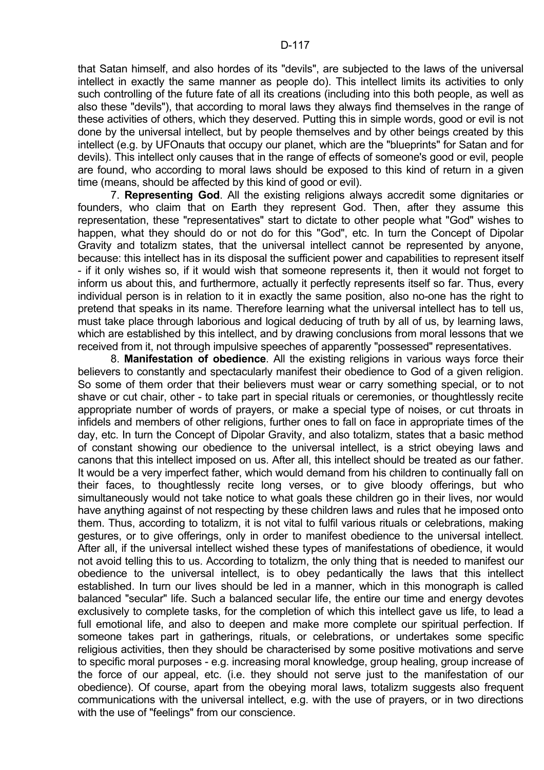that Satan himself, and also hordes of its "devils", are subjected to the laws of the universal intellect in exactly the same manner as people do). This intellect limits its activities to only such controlling of the future fate of all its creations (including into this both people, as well as also these "devils"), that according to moral laws they always find themselves in the range of these activities of others, which they deserved. Putting this in simple words, good or evil is not done by the universal intellect, but by people themselves and by other beings created by this intellect (e.g. by UFOnauts that occupy our planet, which are the "blueprints" for Satan and for devils). This intellect only causes that in the range of effects of someone's good or evil, people are found, who according to moral laws should be exposed to this kind of return in a given time (means, should be affected by this kind of good or evil).

 7. **Representing God**. All the existing religions always accredit some dignitaries or founders, who claim that on Earth they represent God. Then, after they assume this representation, these "representatives" start to dictate to other people what "God" wishes to happen, what they should do or not do for this "God", etc. In turn the Concept of Dipolar Gravity and totalizm states, that the universal intellect cannot be represented by anyone, because: this intellect has in its disposal the sufficient power and capabilities to represent itself - if it only wishes so, if it would wish that someone represents it, then it would not forget to inform us about this, and furthermore, actually it perfectly represents itself so far. Thus, every individual person is in relation to it in exactly the same position, also no-one has the right to pretend that speaks in its name. Therefore learning what the universal intellect has to tell us, must take place through laborious and logical deducing of truth by all of us, by learning laws, which are established by this intellect, and by drawing conclusions from moral lessons that we received from it, not through impulsive speeches of apparently "possessed" representatives.

 8. **Manifestation of obedience**. All the existing religions in various ways force their believers to constantly and spectacularly manifest their obedience to God of a given religion. So some of them order that their believers must wear or carry something special, or to not shave or cut chair, other - to take part in special rituals or ceremonies, or thoughtlessly recite appropriate number of words of prayers, or make a special type of noises, or cut throats in infidels and members of other religions, further ones to fall on face in appropriate times of the day, etc. In turn the Concept of Dipolar Gravity, and also totalizm, states that a basic method of constant showing our obedience to the universal intellect, is a strict obeying laws and canons that this intellect imposed on us. After all, this intellect should be treated as our father. It would be a very imperfect father, which would demand from his children to continually fall on their faces, to thoughtlessly recite long verses, or to give bloody offerings, but who simultaneously would not take notice to what goals these children go in their lives, nor would have anything against of not respecting by these children laws and rules that he imposed onto them. Thus, according to totalizm, it is not vital to fulfil various rituals or celebrations, making gestures, or to give offerings, only in order to manifest obedience to the universal intellect. After all, if the universal intellect wished these types of manifestations of obedience, it would not avoid telling this to us. According to totalizm, the only thing that is needed to manifest our obedience to the universal intellect, is to obey pedantically the laws that this intellect established. In turn our lives should be led in a manner, which in this monograph is called balanced "secular" life. Such a balanced secular life, the entire our time and energy devotes exclusively to complete tasks, for the completion of which this intellect gave us life, to lead a full emotional life, and also to deepen and make more complete our spiritual perfection. If someone takes part in gatherings, rituals, or celebrations, or undertakes some specific religious activities, then they should be characterised by some positive motivations and serve to specific moral purposes - e.g. increasing moral knowledge, group healing, group increase of the force of our appeal, etc. (i.e. they should not serve just to the manifestation of our obedience). Of course, apart from the obeying moral laws, totalizm suggests also frequent communications with the universal intellect, e.g. with the use of prayers, or in two directions with the use of "feelings" from our conscience.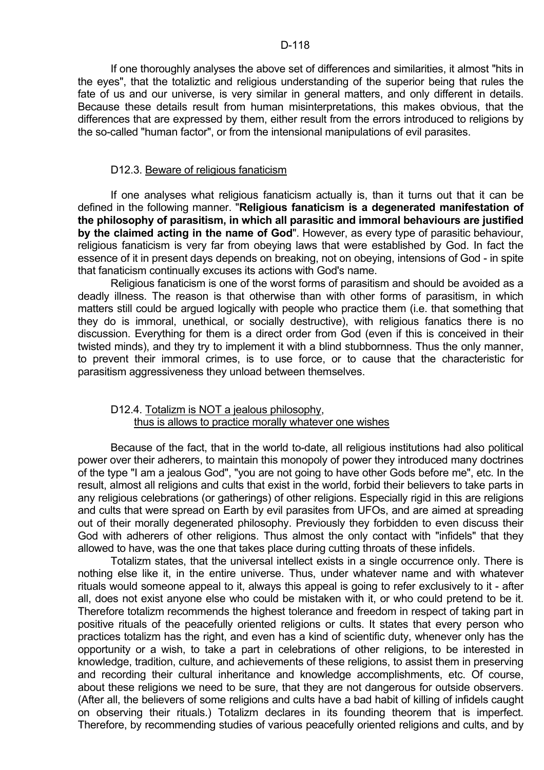#### D-118

 If one thoroughly analyses the above set of differences and similarities, it almost "hits in the eyes", that the totaliztic and religious understanding of the superior being that rules the fate of us and our universe, is very similar in general matters, and only different in details. Because these details result from human misinterpretations, this makes obvious, that the differences that are expressed by them, either result from the errors introduced to religions by the so-called "human factor", or from the intensional manipulations of evil parasites.

### D12.3. Beware of religious fanaticism

 If one analyses what religious fanaticism actually is, than it turns out that it can be defined in the following manner. "**Religious fanaticism is a degenerated manifestation of the philosophy of parasitism, in which all parasitic and immoral behaviours are justified by the claimed acting in the name of God**". However, as every type of parasitic behaviour, religious fanaticism is very far from obeying laws that were established by God. In fact the essence of it in present days depends on breaking, not on obeying, intensions of God - in spite that fanaticism continually excuses its actions with God's name.

 Religious fanaticism is one of the worst forms of parasitism and should be avoided as a deadly illness. The reason is that otherwise than with other forms of parasitism, in which matters still could be argued logically with people who practice them (i.e. that something that they do is immoral, unethical, or socially destructive), with religious fanatics there is no discussion. Everything for them is a direct order from God (even if this is conceived in their twisted minds), and they try to implement it with a blind stubbornness. Thus the only manner, to prevent their immoral crimes, is to use force, or to cause that the characteristic for parasitism aggressiveness they unload between themselves.

## D12.4. Totalizm is NOT a jealous philosophy, thus is allows to practice morally whatever one wishes

 Because of the fact, that in the world to-date, all religious institutions had also political power over their adherers, to maintain this monopoly of power they introduced many doctrines of the type "I am a jealous God", "you are not going to have other Gods before me", etc. In the result, almost all religions and cults that exist in the world, forbid their believers to take parts in any religious celebrations (or gatherings) of other religions. Especially rigid in this are religions and cults that were spread on Earth by evil parasites from UFOs, and are aimed at spreading out of their morally degenerated philosophy. Previously they forbidden to even discuss their God with adherers of other religions. Thus almost the only contact with "infidels" that they allowed to have, was the one that takes place during cutting throats of these infidels.

 Totalizm states, that the universal intellect exists in a single occurrence only. There is nothing else like it, in the entire universe. Thus, under whatever name and with whatever rituals would someone appeal to it, always this appeal is going to refer exclusively to it - after all, does not exist anyone else who could be mistaken with it, or who could pretend to be it. Therefore totalizm recommends the highest tolerance and freedom in respect of taking part in positive rituals of the peacefully oriented religions or cults. It states that every person who practices totalizm has the right, and even has a kind of scientific duty, whenever only has the opportunity or a wish, to take a part in celebrations of other religions, to be interested in knowledge, tradition, culture, and achievements of these religions, to assist them in preserving and recording their cultural inheritance and knowledge accomplishments, etc. Of course, about these religions we need to be sure, that they are not dangerous for outside observers. (After all, the believers of some religions and cults have a bad habit of killing of infidels caught on observing their rituals.) Totalizm declares in its founding theorem that is imperfect. Therefore, by recommending studies of various peacefully oriented religions and cults, and by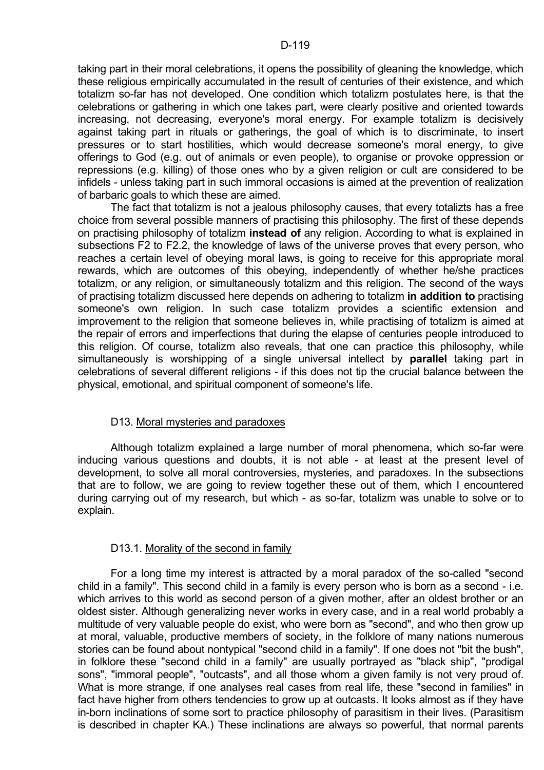taking part in their moral celebrations, it opens the possibility of gleaning the knowledge, which these religious empirically accumulated in the result of centuries of their existence, and which totalizm so-far has not developed. One condition which totalizm postulates here, is that the celebrations or gathering in which one takes part, were clearly positive and oriented towards increasing, not decreasing, everyone's moral energy. For example totalizm is decisively against taking part in rituals or gatherings, the goal of which is to discriminate, to insert pressures or to start hostilities, which would decrease someone's moral energy, to give offerings to God (e.g. out of animals or even people), to organise or provoke oppression or repressions (e.g. killing) of those ones who by a given religion or cult are considered to be infidels - unless taking part in such immoral occasions is aimed at the prevention of realization of barbaric goals to which these are aimed.

 The fact that totalizm is not a jealous philosophy causes, that every totalizts has a free choice from several possible manners of practising this philosophy. The first of these depends on practising philosophy of totalizm **instead of** any religion. According to what is explained in subsections F2 to F2.2, the knowledge of laws of the universe proves that every person, who reaches a certain level of obeying moral laws, is going to receive for this appropriate moral rewards, which are outcomes of this obeying, independently of whether he/she practices totalizm, or any religion, or simultaneously totalizm and this religion. The second of the ways of practising totalizm discussed here depends on adhering to totalizm **in addition to** practising someone's own religion. In such case totalizm provides a scientific extension and improvement to the religion that someone believes in, while practising of totalizm is aimed at the repair of errors and imperfections that during the elapse of centuries people introduced to this religion. Of course, totalizm also reveals, that one can practice this philosophy, while simultaneously is worshipping of a single universal intellect by **parallel** taking part in celebrations of several different religions - if this does not tip the crucial balance between the physical, emotional, and spiritual component of someone's life.

# D13. Moral mysteries and paradoxes

 Although totalizm explained a large number of moral phenomena, which so-far were inducing various questions and doubts, it is not able - at least at the present level of development, to solve all moral controversies, mysteries, and paradoxes. In the subsections that are to follow, we are going to review together these out of them, which I encountered during carrying out of my research, but which - as so-far, totalizm was unable to solve or to explain.

# D13.1. Morality of the second in family

 For a long time my interest is attracted by a moral paradox of the so-called "second child in a family". This second child in a family is every person who is born as a second - i.e. which arrives to this world as second person of a given mother, after an oldest brother or an oldest sister. Although generalizing never works in every case, and in a real world probably a multitude of very valuable people do exist, who were born as "second", and who then grow up at moral, valuable, productive members of society, in the folklore of many nations numerous stories can be found about nontypical "second child in a family". If one does not "bit the bush", in folklore these "second child in a family" are usually portrayed as "black ship", "prodigal sons", "immoral people", "outcasts", and all those whom a given family is not very proud of. What is more strange, if one analyses real cases from real life, these "second in families" in fact have higher from others tendencies to grow up at outcasts. It looks almost as if they have in-born inclinations of some sort to practice philosophy of parasitism in their lives. (Parasitism is described in chapter KA.) These inclinations are always so powerful, that normal parents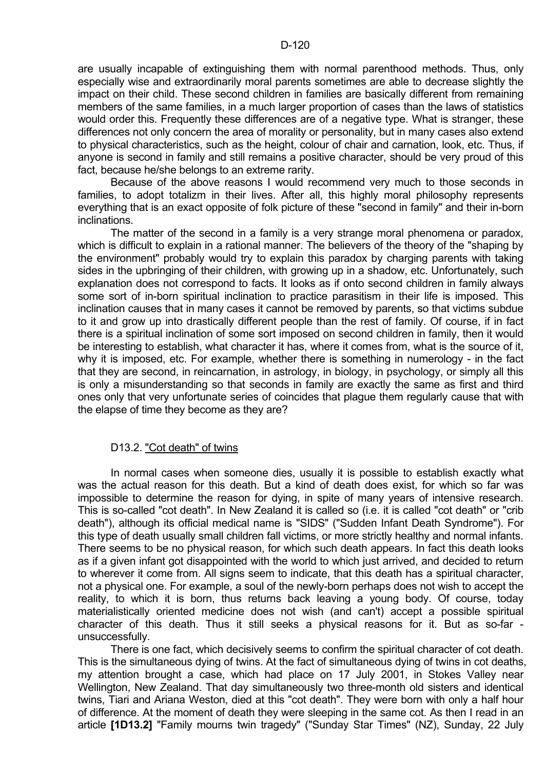are usually incapable of extinguishing them with normal parenthood methods. Thus, only especially wise and extraordinarily moral parents sometimes are able to decrease slightly the impact on their child. These second children in families are basically different from remaining members of the same families, in a much larger proportion of cases than the laws of statistics would order this. Frequently these differences are of a negative type. What is stranger, these differences not only concern the area of morality or personality, but in many cases also extend to physical characteristics, such as the height, colour of chair and carnation, look, etc. Thus, if anyone is second in family and still remains a positive character, should be very proud of this fact, because he/she belongs to an extreme rarity.

 Because of the above reasons I would recommend very much to those seconds in families, to adopt totalizm in their lives. After all, this highly moral philosophy represents everything that is an exact opposite of folk picture of these "second in family" and their in-born inclinations.

 The matter of the second in a family is a very strange moral phenomena or paradox, which is difficult to explain in a rational manner. The believers of the theory of the "shaping by the environment" probably would try to explain this paradox by charging parents with taking sides in the upbringing of their children, with growing up in a shadow, etc. Unfortunately, such explanation does not correspond to facts. It looks as if onto second children in family always some sort of in-born spiritual inclination to practice parasitism in their life is imposed. This inclination causes that in many cases it cannot be removed by parents, so that victims subdue to it and grow up into drastically different people than the rest of family. Of course, if in fact there is a spiritual inclination of some sort imposed on second children in family, then it would be interesting to establish, what character it has, where it comes from, what is the source of it, why it is imposed, etc. For example, whether there is something in numerology - in the fact that they are second, in reincarnation, in astrology, in biology, in psychology, or simply all this is only a misunderstanding so that seconds in family are exactly the same as first and third ones only that very unfortunate series of coincides that plague them regularly cause that with the elapse of time they become as they are?

#### D13.2. "Cot death" of twins

 In normal cases when someone dies, usually it is possible to establish exactly what was the actual reason for this death. But a kind of death does exist, for which so far was impossible to determine the reason for dying, in spite of many years of intensive research. This is so-called "cot death". In New Zealand it is called so (i.e. it is called "cot death" or "crib death"), although its official medical name is "SIDS" ("Sudden Infant Death Syndrome"). For this type of death usually small children fall victims, or more strictly healthy and normal infants. There seems to be no physical reason, for which such death appears. In fact this death looks as if a given infant got disappointed with the world to which just arrived, and decided to return to wherever it come from. All signs seem to indicate, that this death has a spiritual character, not a physical one. For example, a soul of the newly-born perhaps does not wish to accept the reality, to which it is born, thus returns back leaving a young body. Of course, today materialistically oriented medicine does not wish (and can't) accept a possible spiritual character of this death. Thus it still seeks a physical reasons for it. But as so-far unsuccessfully.

 There is one fact, which decisively seems to confirm the spiritual character of cot death. This is the simultaneous dying of twins. At the fact of simultaneous dying of twins in cot deaths, my attention brought a case, which had place on 17 July 2001, in Stokes Valley near Wellington, New Zealand. That day simultaneously two three-month old sisters and identical twins, Tiari and Ariana Weston, died at this "cot death". They were born with only a half hour of difference. At the moment of death they were sleeping in the same cot. As then I read in an article **[1D13.2]** "Family mourns twin tragedy" ("Sunday Star Times" (NZ), Sunday, 22 July